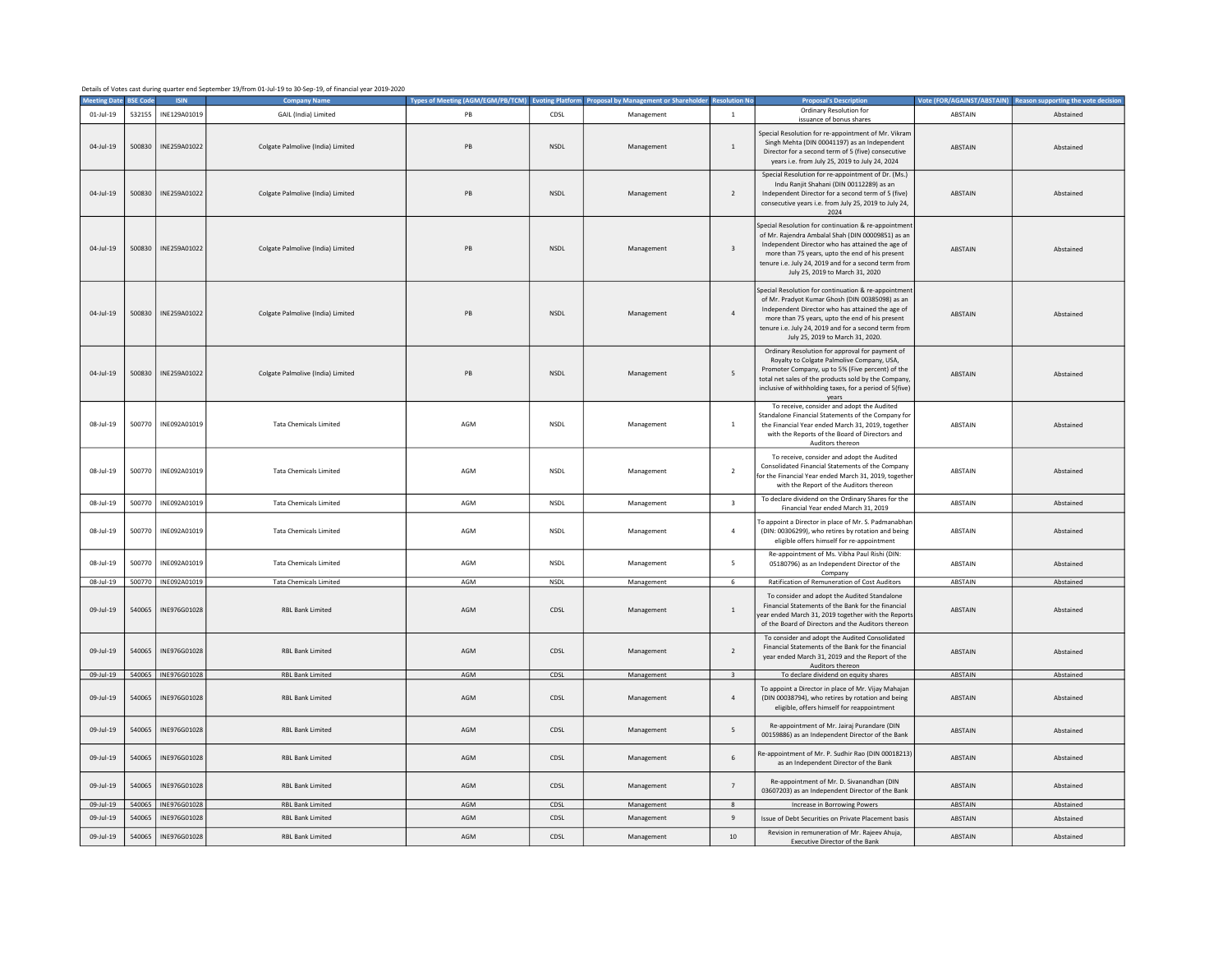| Details of Votes cast during quarter end September 19/from 01-Jul-19 to 30-Sep-19, of financial year 2019-2020 |  |  |
|----------------------------------------------------------------------------------------------------------------|--|--|
|----------------------------------------------------------------------------------------------------------------|--|--|

|                        | SE Cor | <b>ISIN</b>           | <b>Company Nam</b>                                 | <b>Types of Meeting (AGM/EGM/PB/TCM</b> | ing Pla      | ent or Shareh |                         | al's Descric                                                                                                                                                                                                                                                                                                | <b>Vote (FOR/AGAINST/ABSTAIN</b> | orting the vote decis  |
|------------------------|--------|-----------------------|----------------------------------------------------|-----------------------------------------|--------------|---------------|-------------------------|-------------------------------------------------------------------------------------------------------------------------------------------------------------------------------------------------------------------------------------------------------------------------------------------------------------|----------------------------------|------------------------|
| $01$ -Jul-19           | 532155 | INE129A01019          | GAIL (India) Limited                               | PB                                      | CDSL         | Management    | $\overline{1}$          | Ordinary Resolution for                                                                                                                                                                                                                                                                                     | ABSTAIN                          | Abstained              |
| $04$ -Jul-19           | 500830 | INE259A01022          | Colgate Palmolive (India) Limited                  | PB                                      | <b>NSDL</b>  | Management    | 1                       | issuance of bonus shares<br>Special Resolution for re-appointment of Mr. Vikram<br>Singh Mehta (DIN 00041197) as an Independent<br>Director for a second term of 5 (five) consecutive<br>years i.e. from July 25, 2019 to July 24, 2024                                                                     | <b>ABSTAIN</b>                   | Abstained              |
| 04-Jul-19              | 500830 | INE259A01022          | Colgate Palmolive (India) Limited                  | PB                                      | <b>NSDL</b>  | Management    | 2                       | Special Resolution for re-appointment of Dr. (Ms.)<br>Indu Ranjit Shahani (DIN 00112289) as an<br>Independent Director for a second term of 5 (five)<br>consecutive years i.e. from July 25, 2019 to July 24,<br>2024                                                                                       | ABSTAIN                          | Abstained              |
| 04-Jul-19              |        | 500830   INE259A01022 | Colgate Palmolive (India) Limited                  | PB                                      | <b>NSDL</b>  | Management    | $\overline{\mathbf{3}}$ | Special Resolution for continuation & re-appointment<br>of Mr. Rajendra Ambalal Shah (DIN 00009851) as an<br>Independent Director who has attained the age of<br>more than 75 years, upto the end of his present<br>tenure i.e. July 24, 2019 and for a second term from<br>July 25, 2019 to March 31, 2020 | ABSTAIN                          | Abstained              |
| $04 - 11 - 19$         |        | 500830   INE259A01022 | Colgate Palmolive (India) Limited                  | PB                                      | <b>NSDI</b>  | Management    | $\overline{a}$          | Special Resolution for continuation & re-appointment<br>of Mr. Pradyot Kumar Ghosh (DIN 00385098) as an<br>Independent Director who has attained the age of<br>more than 75 years, upto the end of his present<br>tenure i.e. July 24, 2019 and for a second term from<br>July 25, 2019 to March 31, 2020.  | <b>ABSTAIN</b>                   | Abstained              |
| 04-Jul-19              | 500830 | INE259A01022          | Colgate Palmolive (India) Limited                  | PB                                      | <b>NSDL</b>  | Management    | 5                       | Ordinary Resolution for approval for payment of<br>Royalty to Colgate Palmolive Company, USA,<br>Promoter Company, up to 5% (Five percent) of the<br>total net sales of the products sold by the Company<br>inclusive of withholding taxes, for a period of 5(five)<br>years                                | <b>ABSTAIN</b>                   | Abstained              |
| 08-Jul-19              |        | 500770   INE092A01019 | <b>Tata Chemicals Limited</b>                      | AGM                                     | NSDL         | Management    | 1                       | To receive, consider and adopt the Audited<br>Standalone Financial Statements of the Company for<br>the Financial Year ended March 31, 2019, together<br>with the Reports of the Board of Directors and<br>Auditors thereon                                                                                 | ARSTAIN                          | Abstained              |
| 08-Jul-19              | 500770 | INE092A01019          | <b>Tata Chemicals Limited</b>                      | AGM                                     | <b>NSDL</b>  | Management    | $\overline{2}$          | To receive, consider and adopt the Audited<br>Consolidated Financial Statements of the Company<br>for the Financial Year ended March 31, 2019, together<br>with the Report of the Auditors thereon                                                                                                          | ABSTAIN                          | Abstained              |
| 08-Jul-19              | 500770 | INE092A01019          | <b>Tata Chemicals Limited</b>                      | AGM                                     | <b>NSDL</b>  | Management    | $\overline{\mathbf{3}}$ | To declare dividend on the Ordinary Shares for the<br>Financial Year ended March 31, 2019                                                                                                                                                                                                                   | ABSTAIN                          | Abstained              |
| 08-Jul-19              | 500770 | INE092A01019          | <b>Tata Chemicals Limited</b>                      | AGM                                     | <b>NSDL</b>  | Management    | $\overline{4}$          | To appoint a Director in place of Mr. S. Padmanabhan<br>(DIN: 00306299), who retires by rotation and being<br>eligible offers himself for re-appointment                                                                                                                                                    | ABSTAIN                          | Abstained              |
| 08-Jul-19              | 500770 | INE092A01019          | <b>Tata Chemicals Limited</b>                      | AGM                                     | <b>NSDL</b>  | Management    | 5                       | Re-appointment of Ms. Vibha Paul Rishi (DIN:<br>05180796) as an Independent Director of the<br>Company                                                                                                                                                                                                      | ABSTAIN                          | Abstained              |
| 08-Jul-19              |        | 500770   INE092A01019 | <b>Tata Chemicals Limited</b>                      | AGM                                     | <b>NSDL</b>  | Management    | 6                       | Ratification of Remuneration of Cost Auditors                                                                                                                                                                                                                                                               | ABSTAIN                          | Abstained              |
| 09-Jul-19              | 540065 | INE976G01028          | <b>RBL Bank Limited</b>                            | AGM                                     | CDSL         | Management    | $\,$ 1 $\,$             | To consider and adopt the Audited Standalone<br>Financial Statements of the Bank for the financial<br>year ended March 31, 2019 together with the Reports<br>of the Board of Directors and the Auditors thereon                                                                                             | ABSTAIN                          | Abstained              |
| 09-Jul-19              | 540065 | INE976G01028          | <b>RBL Bank Limited</b>                            | AGM                                     | CDSL         | Management    | $\overline{2}$          | To consider and adopt the Audited Consolidated<br>Financial Statements of the Bank for the financial<br>year ended March 31, 2019 and the Report of the<br>Auditors thereon                                                                                                                                 | ABSTAIN                          | Abstained              |
| 09-Jul-19              |        | 540065   INE976G01028 | RBL Bank Limited                                   | AGM                                     | CDSL         | Management    | $\overline{\mathbf{3}}$ | To declare dividend on equity shares                                                                                                                                                                                                                                                                        | ABSTAIN                          | Abstained              |
| 09-Jul-19              | 540065 | INE976G01028          | <b>RBL Bank Limited</b>                            | AGM                                     | CDSL         | Management    | $\sqrt{4}$              | To appoint a Director in place of Mr. Vijay Mahajan<br>(DIN 00038794), who retires by rotation and being<br>eligible, offers himself for reappointment                                                                                                                                                      | ABSTAIN                          | Abstained              |
| 09-Jul-19              | 540065 | INE976G01028          | <b>RBL Bank Limited</b>                            | AGM                                     | CDSL         | Management    | 5                       | Re-appointment of Mr. Jairaj Purandare (DIN<br>00159886) as an Independent Director of the Bank                                                                                                                                                                                                             | ABSTAIN                          | Abstained              |
| 09-Jul-19              | 540065 | INE976G01028          | <b>RBL Bank Limited</b>                            | AGM                                     | CDSL         | Management    | 6                       | Re-appointment of Mr. P. Sudhir Rao (DIN 00018213)<br>as an Independent Director of the Bank                                                                                                                                                                                                                | ABSTAIN                          | Abstained              |
| 09-Jul-19<br>09-Jul-19 | 540065 | INE976G01028          | <b>RBL Bank Limited</b><br><b>RBL Bank Limited</b> | AGM<br>AGM                              | CDSL<br>CDSL | Management    | $\overline{7}$          | Re-appointment of Mr. D. Sivanandhan (DIN<br>03607203) as an Independent Director of the Bank                                                                                                                                                                                                               | <b>ABSTAIN</b><br>ABSTAIN        | Abstained<br>Abstained |
|                        |        | 540065   INE976G01028 |                                                    |                                         |              | Management    | $\mathbf{R}$            | Increase in Borrowing Powers                                                                                                                                                                                                                                                                                |                                  |                        |
| 09-Jul-19              | 540065 | INE976G01028          | <b>RBL Bank Limited</b>                            | AGM                                     | CDSL         | Management    | $\,9$                   | Issue of Debt Securities on Private Placement basis                                                                                                                                                                                                                                                         | ABSTAIN                          | Abstained              |
| 09-Jul-19              | 540065 | INE976G01028          | <b>RBL Bank Limited</b>                            | AGM                                     | CDSL         | Management    | 10                      | Revision in remuneration of Mr. Rajeev Ahuja,<br>Executive Director of the Bank                                                                                                                                                                                                                             | ABSTAIN                          | Abstained              |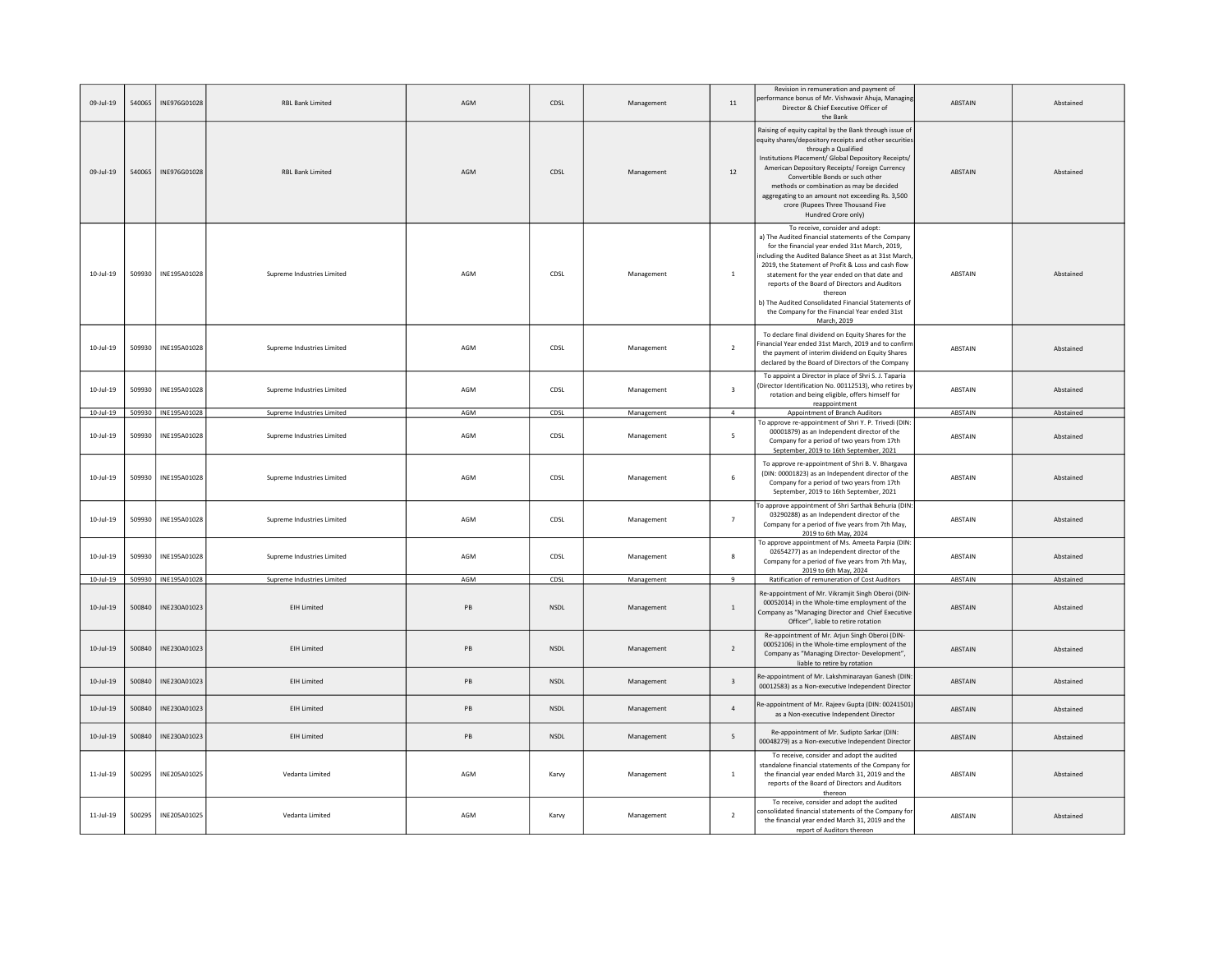| 09-Jul-19       | 540065 | INE976G01028        | <b>RBL Bank Limited</b>    | AGM | CDSL        | Management | 11                      | Revision in remuneration and payment of<br>performance bonus of Mr. Vishwavir Ahuja, Managing<br>Director & Chief Executive Officer of<br>the Bank                                                                                                                                                                                                                                                                                                                                         | ABSTAIN        | Abstained |
|-----------------|--------|---------------------|----------------------------|-----|-------------|------------|-------------------------|--------------------------------------------------------------------------------------------------------------------------------------------------------------------------------------------------------------------------------------------------------------------------------------------------------------------------------------------------------------------------------------------------------------------------------------------------------------------------------------------|----------------|-----------|
| $09 - 111 - 19$ | 540065 | INE976G01028        | <b>RBL Bank Limited</b>    | AGM | CDSL        | Management | 12                      | Raising of equity capital by the Bank through issue of<br>equity shares/depository receipts and other securities<br>through a Qualified<br>Institutions Placement/ Global Depository Receipts/<br>American Depository Receipts/ Foreign Currency<br>Convertible Bonds or such other<br>methods or combination as may be decided<br>aggregating to an amount not exceeding Rs. 3,500<br>crore (Rupees Three Thousand Five<br>Hundred Crore only)                                            | <b>ARSTAIN</b> | Ahstained |
| $10 -$ Jul-19   | 509930 | INE195A01028        | Supreme Industries Limited | AGM | CDSL        | Management | $\,$ 1                  | To receive, consider and adopt:<br>a) The Audited financial statements of the Company<br>for the financial year ended 31st March, 2019,<br>including the Audited Balance Sheet as at 31st March<br>2019, the Statement of Profit & Loss and cash flow<br>statement for the year ended on that date and<br>reports of the Board of Directors and Auditors<br>thereon<br>b) The Audited Consolidated Financial Statements of<br>the Company for the Financial Year ended 31st<br>March, 2019 | ABSTAIN        | Abstained |
| $10$ -Jul-19    | 509930 | INE195A01028        | Supreme Industries Limited | AGM | CDSL        | Management | $\overline{2}$          | To declare final dividend on Equity Shares for the<br>Financial Year ended 31st March, 2019 and to confiri<br>the nayment of interim dividend on Fouity Shares<br>declared by the Board of Directors of the Company                                                                                                                                                                                                                                                                        | <b>ABSTAIN</b> | Abstained |
| $10 -$ Jul-19   | 509930 | INE195A01028        | Supreme Industries Limited | AGM | CDSL        | Management | $\overline{\mathbf{3}}$ | To appoint a Director in place of Shri S. J. Taparia<br>(Director Identification No. 00112513), who retires by<br>rotation and being eligible, offers himself for<br>reappointment                                                                                                                                                                                                                                                                                                         | ABSTAIN        | Abstained |
| $10 -$ Jul-19   |        | 509930 INE195A01028 | Supreme Industries Limited | AGM | CDSL        | Management | $\overline{4}$          | Appointment of Branch Auditors                                                                                                                                                                                                                                                                                                                                                                                                                                                             | ABSTAIN        | Abstained |
| $10 - 11 - 19$  | 509930 | INE195A01028        | Supreme Industries Limited | AGM | CDSL        | Management | -5                      | To approve re-appointment of Shri Y. P. Trivedi (DIN<br>00001879) as an Independent director of the<br>Company for a period of two years from 17th<br>September, 2019 to 16th September, 2021                                                                                                                                                                                                                                                                                              | <b>ABSTAIN</b> | Abstained |
| $10 -$ Jul-19   | 509930 | INE195A01028        | Supreme Industries Limited | AGM | CDSL        | Management | 6                       | To approve re-appointment of Shri B. V. Bhargava<br>(DIN: 00001823) as an Independent director of the<br>Company for a period of two years from 17th<br>September, 2019 to 16th September, 2021                                                                                                                                                                                                                                                                                            | ABSTAIN        | Abstained |
| 10-Jul-19       | 509930 | INF195A01028        | Supreme Industries Limited | AGM | CDSL        | Management | $\overline{7}$          | To approve appointment of Shri Sarthak Behuria (DIN:<br>03290288) as an Independent director of the<br>Company for a period of five years from 7th May,<br>2019 to 6th May, 2024                                                                                                                                                                                                                                                                                                           | ABSTAIN        | Abstained |
| $10 -$ Jul-19   | 509930 | INE195A01028        | Supreme Industries Limited | AGM | CDSL        | Management | 8                       | To approve appointment of Ms. Ameeta Parpia (DIN<br>02654277) as an Independent director of the<br>Company for a period of five years from 7th May,<br>2019 to 6th May, 2024                                                                                                                                                                                                                                                                                                               | <b>ABSTAIN</b> | Abstained |
| $10 -$ Jul-19   |        | 509930 INE195A01028 | Supreme Industries Limited | AGM | CDSL        | Management | $\mathbf{q}$            | Ratification of remuneration of Cost Auditors                                                                                                                                                                                                                                                                                                                                                                                                                                              | ABSTAIN        | Abstained |
| $10 -$ Jul-19   | 500840 | INE230A01023        | <b>EIH Limited</b>         | PB  | <b>NSDL</b> | Management | $\mathbf{1}$            | Re-appointment of Mr. Vikramjit Singh Oberoi (DIN-<br>00052014) in the Whole-time employment of the<br>Company as "Managing Director and Chief Executive<br>Officer", liable to retire rotation                                                                                                                                                                                                                                                                                            | <b>ABSTAIN</b> | Abstained |
| $10 -$ Jul-19   | 500840 | INE230A01023        | <b>EIH Limited</b>         | PB  | NSDL        | Management | $\overline{2}$          | Re-appointment of Mr. Arjun Singh Oberoi (DIN-<br>00052106) in the Whole-time employment of the<br>Company as "Managing Director- Development",<br>liable to retire by rotation                                                                                                                                                                                                                                                                                                            | <b>ABSTAIN</b> | Abstained |
| $10 -$ Jul-19   | 500840 | INE230A01023        | <b>EIH Limited</b>         | PB  | NSDL        | Management | $\overline{\mathbf{3}}$ | Re-appointment of Mr. Lakshminarayan Ganesh (DIN:<br>00012583) as a Non-executive Independent Directo                                                                                                                                                                                                                                                                                                                                                                                      | ABSTAIN        | Abstained |
| $10 -$ Jul-19   | 500840 | INE230A01023        | <b>EIH Limited</b>         | PB  | <b>NSDL</b> | Management | $\overline{a}$          | Re-appointment of Mr. Rajeev Gupta (DIN: 00241501)<br>as a Non-executive Independent Director                                                                                                                                                                                                                                                                                                                                                                                              | <b>ABSTAIN</b> | Abstained |
| $10 -$ Jul-19   | 500840 | INE230A01023        | <b>EIH Limited</b>         | PB  | <b>NSDL</b> | Management | 5                       | Re-appointment of Mr. Sudipto Sarkar (DIN:<br>00048279) as a Non-executive Independent Director                                                                                                                                                                                                                                                                                                                                                                                            | <b>ABSTAIN</b> | Abstained |
| $11$ -Jul-19    | 500295 | INE205A01025        | Vedanta Limited            | AGM | Karvy       | Management | $\mathbf{1}$            | To receive, consider and adopt the audited<br>standalone financial statements of the Company for<br>the financial year ended March 31, 2019 and the<br>reports of the Board of Directors and Auditors<br>thereon                                                                                                                                                                                                                                                                           | ABSTAIN        | Abstained |
| $11$ -Jul-19    | 500295 | INE205A01025        | Vedanta Limited            | AGM | Karvy       | Management | $\overline{2}$          | To receive, consider and adopt the audited<br>onsolidated financial statements of the Company for<br>the financial year ended March 31, 2019 and the<br>report of Auditors thereon                                                                                                                                                                                                                                                                                                         | ABSTAIN        | Abstained |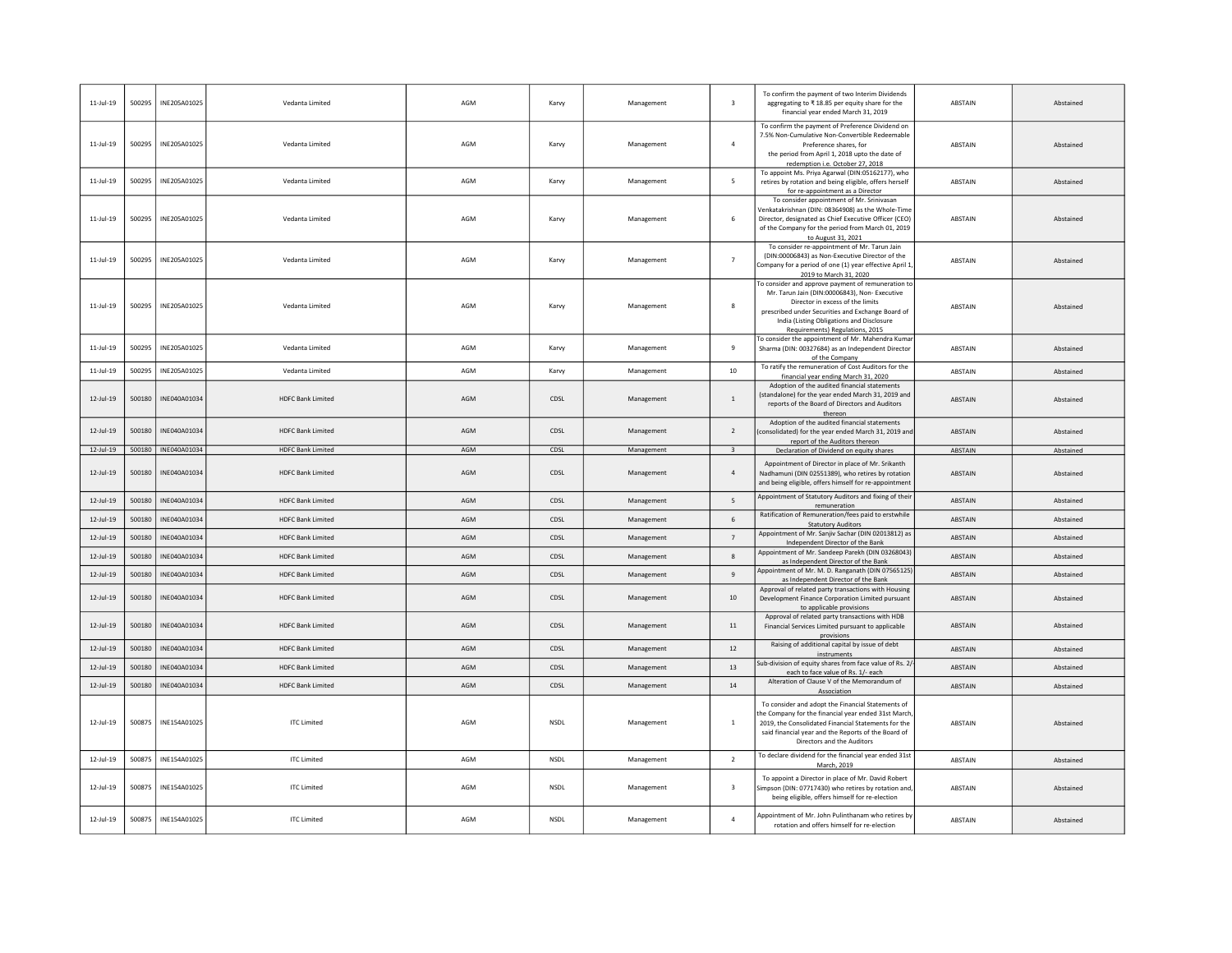| $11$ -Jul-19    | 500295 | INE205A01025 | Vedanta Limited          | AGM | Karvy       | Management | $\overline{\mathbf{3}}$  | To confirm the payment of two Interim Dividends<br>aggregating to ₹18.85 per equity share for the<br>financial year ended March 31, 2019                                                                                                                                     | ABSTAIN        | Abstained |
|-----------------|--------|--------------|--------------------------|-----|-------------|------------|--------------------------|------------------------------------------------------------------------------------------------------------------------------------------------------------------------------------------------------------------------------------------------------------------------------|----------------|-----------|
| $11$ -Jul-19    | 500295 | INE205A01025 | Vedanta Limited          | AGM | Karvy       | Management | $\overline{4}$           | To confirm the payment of Preference Dividend on<br>7.5% Non-Cumulative Non-Convertible Redeemable<br>Preference shares, for<br>the period from April 1, 2018 upto the date of<br>redemption i.e. October 27, 2018                                                           | ABSTAIN        | Abstained |
| $11$ -Jul-19    | 500295 | INE205A01025 | Vedanta Limited          | AGM | Karvy       | Management | 5                        | To appoint Ms. Priya Agarwal (DIN:05162177), who<br>retires by rotation and being eligible, offers herself<br>for re-appointment as a Director                                                                                                                               | ABSTAIN        | Abstained |
| $11$ -Jul-19    | 500295 | INE205A01025 | Vedanta Limited          | AGM | Karvy       | Management | 6                        | To consider appointment of Mr. Srinivasan<br>Venkatakrishnan (DIN: 08364908) as the Whole-Time<br>Director, designated as Chief Executive Officer (CEO)<br>of the Company for the period from March 01, 2019<br>to August 31, 2021                                           | ABSTAIN        | Abstained |
| $11$ -Jul-19    | 500295 | INE205A01025 | Vedanta Limited          | AGM | Karvy       | Management | $\overline{7}$           | To consider re-appointment of Mr. Tarun Jain<br>(DIN:00006843) as Non-Executive Director of the<br>Company for a period of one (1) year effective April 1<br>2019 to March 31, 2020                                                                                          | ABSTAIN        | Abstained |
| 11-Jul-19       | 500295 | INE205A01025 | Vedanta Limited          | AGM | Karvy       | Management | 8                        | To consider and approve payment of remuneration to<br>Mr. Tarun Jain (DIN:00006843), Non- Executive<br>Director in excess of the limits<br>prescribed under Securities and Exchange Board of<br>India (Listing Obligations and Disclosure<br>Requirements) Regulations, 2015 | ABSTAIN        | Abstained |
| $11$ -Jul-19    | 500295 | INF205A01025 | Vedanta Limited          | AGM | Karvy       | Management | $\overline{q}$           | To consider the appointment of Mr. Mahendra Kuma<br>Sharma (DIN: 00327684) as an Independent Director<br>of the Company                                                                                                                                                      | <b>ABSTAIN</b> | Abstained |
| $11$ -Jul-19    | 500295 | INE205A01025 | Vedanta Limited          | AGM | Karvy       | Management | 10                       | To ratify the remuneration of Cost Auditors for the<br>financial year ending March 31, 2020                                                                                                                                                                                  | <b>ABSTAIN</b> | Abstained |
| 12-Jul-19       | 500180 | INE040A01034 | <b>HDFC Bank Limited</b> | AGM | CDSL        | Management | $\overline{1}$           | Adoption of the audited financial statements<br>(standalone) for the year ended March 31, 2019 and<br>reports of the Board of Directors and Auditors<br>thereon                                                                                                              | ABSTAIN        | Abstained |
| $12 - 111 - 19$ | 500180 | INE040A01034 | <b>HDFC Bank Limited</b> | AGM | CDSL        | Management | $\overline{\phantom{a}}$ | Adoption of the audited financial statements<br>(consolidated) for the year ended March 31, 2019 and<br>report of the Auditors thereon                                                                                                                                       | <b>ABSTAIN</b> | Abstained |
| 12-Jul-19       | 500180 | INE040A01034 | <b>HDFC Bank Limited</b> | AGM | CDSL        | Management | $\overline{\mathbf{3}}$  | Declaration of Dividend on equity shares                                                                                                                                                                                                                                     | ABSTAIN        | Abstained |
| $12$ -Jul-19    | 500180 | INE040A01034 | <b>HDFC Bank Limited</b> | AGM | CDSL        | Management | $\overline{4}$           | Appointment of Director in place of Mr. Srikanth<br>Nadhamuni (DIN 02551389), who retires by rotation<br>and being eligible, offers himself for re-appointment                                                                                                               | <b>ABSTAIN</b> | Abstained |
| $12$ -Jul-19    | 500180 | INE040A01034 | <b>HDFC Bank Limited</b> | AGM | CDSL        | Management | 5                        | Appointment of Statutory Auditors and fixing of their<br>remuneration                                                                                                                                                                                                        | <b>ABSTAIN</b> | Abstained |
| $12$ -Jul-19    | 500180 | INE040A01034 | <b>HDFC Bank Limited</b> | AGM | CDSL        | Management | 6                        | Ratification of Remuneration/fees paid to erstwhile<br><b>Statutory Auditors</b>                                                                                                                                                                                             | ABSTAIN        | Abstained |
| $12$ -Jul-19    | 500180 | INE040A01034 | <b>HDFC Bank Limited</b> | AGM | CDSL        | Management | $\overline{7}$           | Appointment of Mr. Sanjiv Sachar (DIN 02013812) as<br>Independent Director of the Bank                                                                                                                                                                                       | ABSTAIN        | Abstained |
| $12$ -Jul-19    | 500180 | INE040A01034 | <b>HDFC Bank Limited</b> | AGM | CDSL        | Management | 8                        | Appointment of Mr. Sandeep Parekh (DIN 03268043)<br>as Independent Director of the Bank                                                                                                                                                                                      | <b>ABSTAIN</b> | Abstained |
| 12-Jul-19       | 500180 | INF040A01034 | <b>HDFC Bank Limited</b> | AGM | CDSL        | Management | $\overline{9}$           | Appointment of Mr. M. D. Ranganath (DIN 07565125)<br>as Independent Director of the Bank                                                                                                                                                                                     | ABSTAIN        | Abstained |
| $12$ -Jul-19    | 500180 | INE040A01034 | <b>HDFC Bank Limited</b> | AGM | CDSL        | Management | 10                       | Approval of related party transactions with Housing<br>Development Finance Corporation Limited pursuant<br>to applicable provisions                                                                                                                                          | ABSTAIN        | Abstained |
| 12-Jul-19       | 500180 | INE040A01034 | <b>HDFC Bank Limited</b> | AGM | CDSL        | Management | $11\,$                   | Approval of related party transactions with HDB<br>Financial Services Limited pursuant to applicable<br>provisions                                                                                                                                                           | ABSTAIN        | Abstained |
| $12$ -Jul-19    | 500180 | INE040A01034 | <b>HDFC Bank Limited</b> | AGM | CDSL        | Management | 12                       | Raising of additional capital by issue of debt<br>instruments                                                                                                                                                                                                                | <b>ABSTAIN</b> | Abstained |
| 12-Jul-19       | 500180 | INE040A01034 | <b>HDFC Bank Limited</b> | AGM | CDSL        | Management | 13                       | Sub-division of equity shares from face value of Rs. 2,<br>each to face value of Rs. 1/- each                                                                                                                                                                                | ABSTAIN        | Abstained |
| $12$ -Jul-19    | 500180 | INE040A01034 | <b>HDFC Bank Limited</b> | AGM | CDSL        | Management | $14\,$                   | Alteration of Clause V of the Memorandum of<br>Association                                                                                                                                                                                                                   | ABSTAIN        | Abstained |
| $12$ -Jul-19    | 500875 | INE154A01025 | <b>ITC Limited</b>       | AGM | <b>NSDL</b> | Management | $\mathbf{1}$             | To consider and adopt the Financial Statements of<br>the Company for the financial year ended 31st March<br>2019, the Consolidated Financial Statements for the<br>said financial year and the Reports of the Board of<br>Directors and the Auditors                         | ABSTAIN        | Abstained |
| $12$ -Jul-19    | 500875 | INE154A01025 | <b>ITC Limited</b>       | AGM | NSDL        | Management | $\overline{2}$           | To declare dividend for the financial year ended 31st<br>March, 2019                                                                                                                                                                                                         | <b>ABSTAIN</b> | Abstained |
| 12-Jul-19       | 500875 | INE154A01025 | <b>ITC Limited</b>       | AGM | <b>NSDL</b> | Management | $\overline{\mathbf{3}}$  | To appoint a Director in place of Mr. David Robert<br>Simpson (DIN: 07717430) who retires by rotation and<br>being eligible, offers himself for re-election                                                                                                                  | ABSTAIN        | Abstained |
| $12$ -Jul-19    | 500875 | INE154A01025 | <b>ITC Limited</b>       | AGM | <b>NSDL</b> | Management | $\overline{4}$           | Appointment of Mr. John Pulinthanam who retires by<br>rotation and offers himself for re-election                                                                                                                                                                            | ABSTAIN        | Abstained |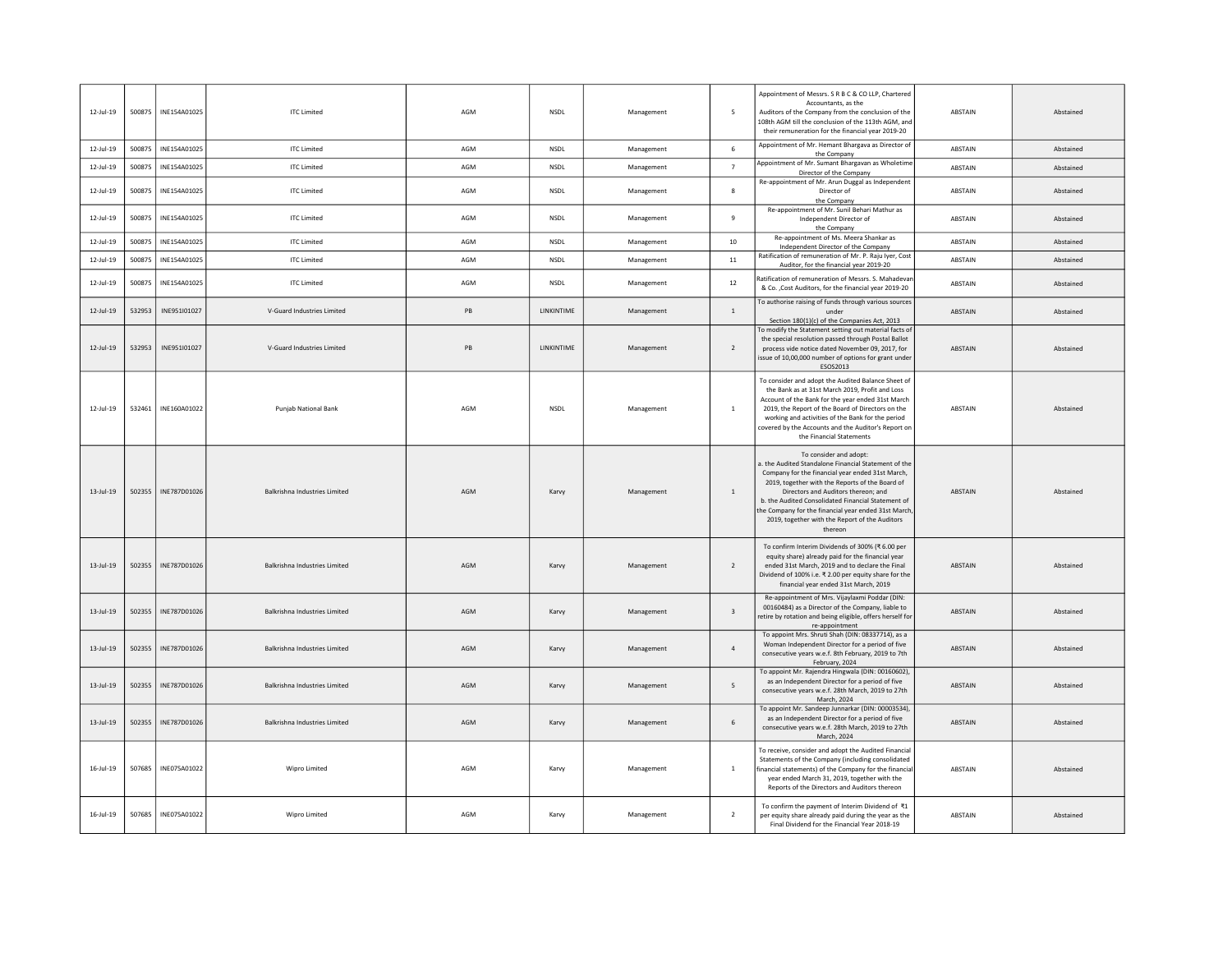| 12-Jul-19       | 500875 | INF154A01025 | <b>ITC Limited</b>                   | AGM | <b>NSDI</b>        | Management | -5                       | Appointment of Messrs. S R B C & CO LLP, Chartered<br>Accountants, as the<br>Auditors of the Company from the conclusion of the<br>108th AGM till the conclusion of the 113th AGM, and<br>their remuneration for the financial year 2019-20                                                                                                                                                           | <b>ABSTAIN</b> | Abstained |
|-----------------|--------|--------------|--------------------------------------|-----|--------------------|------------|--------------------------|-------------------------------------------------------------------------------------------------------------------------------------------------------------------------------------------------------------------------------------------------------------------------------------------------------------------------------------------------------------------------------------------------------|----------------|-----------|
| 12-Jul-19       | 500875 | INE154A01025 | <b>ITC Limited</b>                   | AGM | <b>NSDL</b>        | Management | 6                        | Appointment of Mr. Hemant Bhargava as Director of<br>the Company                                                                                                                                                                                                                                                                                                                                      | ABSTAIN        | Abstained |
| $12$ -Jul-19    | 500875 | INE154A01025 | <b>ITC Limited</b>                   | AGM | <b>NSDL</b>        | Management | $\overline{7}$           | Appointment of Mr. Sumant Bhargavan as Wholetime<br>Director of the Company                                                                                                                                                                                                                                                                                                                           | ABSTAIN        | Abstained |
| 12-Jul-19       | 500875 | INE154A01025 | <b>ITC Limited</b>                   | AGM | <b>NSDL</b>        | Management | 8                        | Re-appointment of Mr. Arun Duggal as Independent<br>Director of<br>the Company                                                                                                                                                                                                                                                                                                                        | ABSTAIN        | Abstained |
| 12-Jul-19       | 500875 | INE154A01025 | <b>ITC Limited</b>                   | AGM | <b>NSDL</b>        | Management | $\overline{9}$           | Re-appointment of Mr. Sunil Behari Mathur as<br>Independent Director of<br>the Company                                                                                                                                                                                                                                                                                                                | ABSTAIN        | Abstained |
| 12-Jul-19       | 500875 | INE154A01025 | <b>ITC Limited</b>                   | AGM | <b>NSDL</b>        | Management | 10                       | Re-appointment of Ms. Meera Shankar as<br>Independent Director of the Company                                                                                                                                                                                                                                                                                                                         | ABSTAIN        | Abstained |
| $12$ -Jul-19    | 500875 | INE154A01025 | <b>ITC Limited</b>                   | AGM | <b>NSDL</b>        | Management | $11\,$                   | Ratification of remuneration of Mr. P. Raju Iyer, Cost<br>Auditor, for the financial year 2019-20                                                                                                                                                                                                                                                                                                     | ABSTAIN        | Abstained |
| 12-Jul-19       | 500875 | INE154A01025 | <b>ITC Limited</b>                   | AGM | NSDL               | Management | 12                       | Ratification of remuneration of Messrs. S. Mahadeva<br>& Co. . Cost Auditors, for the financial year 2019-20                                                                                                                                                                                                                                                                                          | ABSTAIN        | Abstained |
| 12-Jul-19       | 532953 | INE951I01027 | V-Guard Industries Limited           | PB  | LINKINTIME         | Management | $\overline{1}$           | To authorise raising of funds through various sources<br>under<br>Section 180(1)(c) of the Companies Act, 2013                                                                                                                                                                                                                                                                                        | ABSTAIN        | Abstained |
| 12-Jul-19       | 532953 | INF951I01027 | V-Guard Industries Limited           | PB  | <b>I INKINTIME</b> | Management | $\overline{\phantom{a}}$ | To modify the Statement setting out material facts of<br>the special resolution passed through Postal Ballot<br>process vide notice dated November 09, 2017, for<br>issue of 10,00,000 number of options for grant under<br>ESOS2013                                                                                                                                                                  | ABSTAIN        | Abstained |
| 12-Jul-19       | 532461 | INE160A01022 | Punjab National Bank                 | AGM | <b>NSDL</b>        | Management | $1\,$                    | To consider and adopt the Audited Balance Sheet of<br>the Bank as at 31st March 2019, Profit and Loss<br>Account of the Bank for the year ended 31st March<br>2019, the Report of the Board of Directors on the<br>working and activities of the Bank for the period<br>covered by the Accounts and the Auditor's Report on<br>the Financial Statements                                               | ABSTAIN        | Abstained |
| $13$ -Jul-19    | 502355 | INE787D01026 | <b>Balkrishna Industries Limited</b> | AGM | Karvy              | Management | <sup>1</sup>             | To consider and adopt:<br>a, the Audited Standalone Financial Statement of the<br>Company for the financial year ended 31st March.<br>2019, together with the Reports of the Board of<br>Directors and Auditors thereon; and<br>b. the Audited Consolidated Financial Statement of<br>he Company for the financial year ended 31st March<br>2019, together with the Report of the Auditors<br>thereon | ABSTAIN        | Abstained |
| $13$ -Jul-19    | 502355 | INE787D01026 | Balkrishna Industries Limited        | AGM | Karvy              | Management | $\overline{2}$           | To confirm Interim Dividends of 300% (₹ 6.00 per<br>equity share) already paid for the financial year<br>ended 31st March, 2019 and to declare the Final<br>Dividend of 100% i.e. ₹ 2.00 per equity share for the<br>financial year ended 31st March, 2019                                                                                                                                            | ABSTAIN        | Abstained |
| $13$ -Jul-19    | 502355 | INE787D01026 | <b>Balkrishna Industries Limited</b> | AGM | Karvy              | Management | $\overline{\mathbf{3}}$  | Re-appointment of Mrs. Vijaylaxmi Poddar (DIN:<br>00160484) as a Director of the Company, liable to<br>retire by rotation and being eligible, offers herself for<br>re-appointment                                                                                                                                                                                                                    | ABSTAIN        | Abstained |
| $13 - 111 - 19$ | 502355 | INE787D01026 | Balkrishna Industries Limited        | AGM | Karvy              | Management | $\overline{a}$           | To appoint Mrs. Shruti Shah (DIN: 08337714), as a<br>Woman Independent Director for a period of five<br>consecutive years w.e.f. 8th February, 2019 to 7th<br>February, 2024                                                                                                                                                                                                                          | <b>ABSTAIN</b> | Abstained |
| $13$ -Jul-19    | 502355 | INE787D01026 | Balkrishna Industries Limited        | AGM | Karvy              | Management | 5                        | To appoint Mr. Rajendra Hingwala (DIN: 00160602),<br>as an Independent Director for a period of five<br>consecutive years w.e.f. 28th March, 2019 to 27th<br>March, 2024                                                                                                                                                                                                                              | ABSTAIN        | Abstained |
| $13-Jul-19$     | 502355 | INE787D01026 | Balkrishna Industries Limited        | AGM | Karvy              | Management | 6                        | To appoint Mr. Sandeep Junnarkar (DIN: 00003534),<br>as an Independent Director for a period of five<br>consecutive years w.e.f. 28th March, 2019 to 27th<br>March, 2024                                                                                                                                                                                                                              | ABSTAIN        | Abstained |
| $16$ -Jul-19    | 507685 | INE075A01022 | Wipro Limited                        | AGM | Karvy              | Management | $\overline{1}$           | To receive, consider and adopt the Audited Financial<br>Statements of the Company (including consolidated<br>financial statements) of the Company for the financial<br>year ended March 31, 2019, together with the<br>Reports of the Directors and Auditors thereon                                                                                                                                  | ABSTAIN        | Abstained |
| 16-Jul-19       | 507685 | INE075A01022 | Wipro Limited                        | AGM | Karvy              | Management | $\overline{2}$           | To confirm the payment of Interim Dividend of ₹1<br>per equity share already paid during the year as the<br>Final Dividend for the Financial Year 2018-19                                                                                                                                                                                                                                             | ABSTAIN        | Abstained |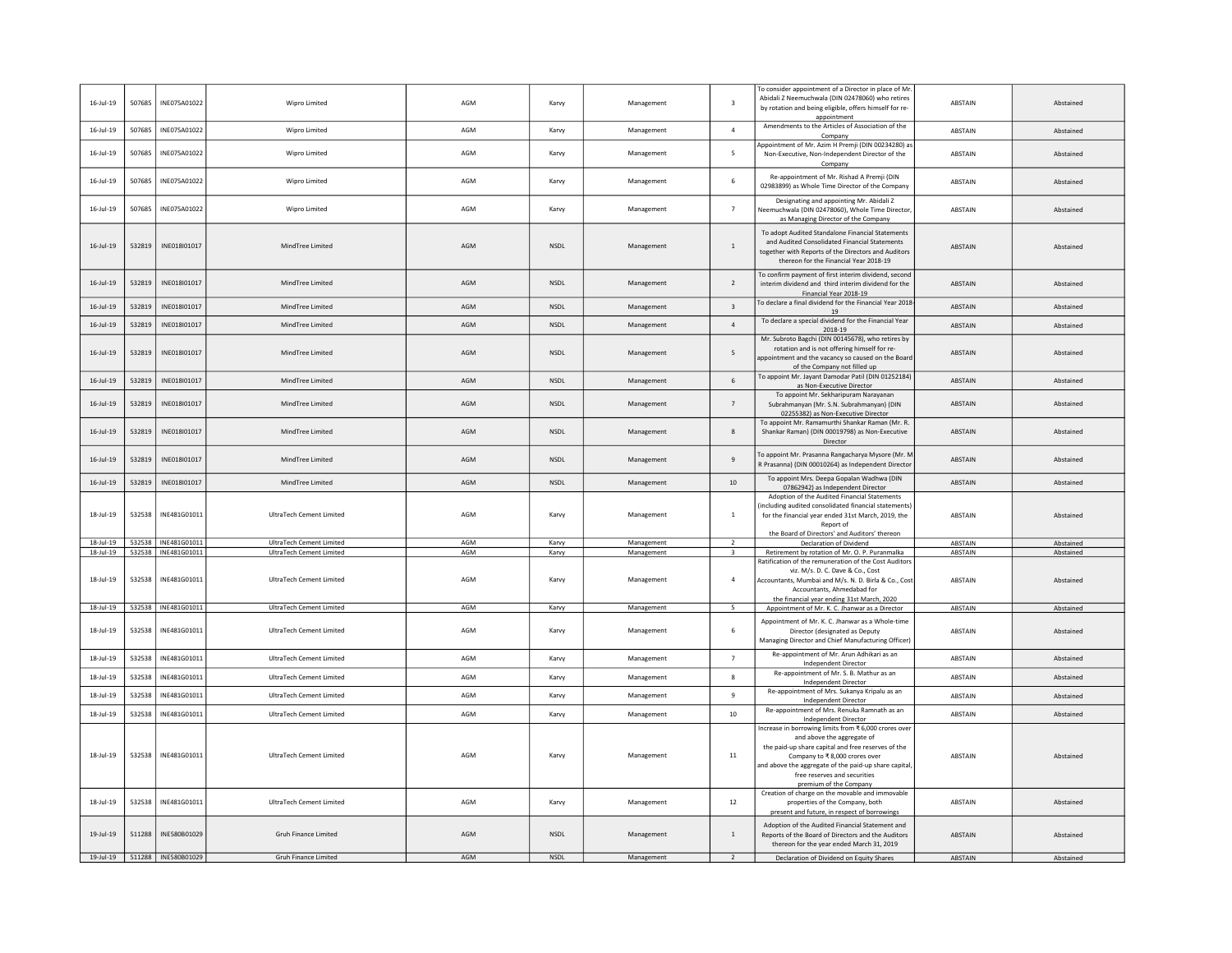| 16-Jul-19       | 507685 | INE075A01022          | Wipro Limited                   | AGM | Karvy       | Management | 3                        | To consider appointment of a Director in place of Mr<br>Abidali Z Neemuchwala (DIN 02478060) who retires<br>by rotation and being eligible, offers himself for re-                                                                                                                          | ABSTAIN        | Abstained |
|-----------------|--------|-----------------------|---------------------------------|-----|-------------|------------|--------------------------|---------------------------------------------------------------------------------------------------------------------------------------------------------------------------------------------------------------------------------------------------------------------------------------------|----------------|-----------|
| $16$ -Jul-19    | 507685 | INE075A01022          | <b>Wipro Limited</b>            | AGM | Karvy       | Management | $\overline{4}$           | appointment<br>Amendments to the Articles of Association of the<br>Company                                                                                                                                                                                                                  | ABSTAIN        | Abstained |
| $16$ -Jul-19    | 507685 | INE075A01022          | Wipro Limited                   | AGM | Karvy       | Management | 5                        | Appointment of Mr. Azim H Premji (DIN 00234280) as<br>Non-Executive, Non-Independent Director of the<br>Company                                                                                                                                                                             | ABSTAIN        | Abstained |
| $16$ -Jul-19    | 507685 | INE075A01022          | Wipro Limited                   | AGM | Karvy       | Management | 6                        | Re-appointment of Mr. Rishad A Premji (DIN<br>02983899) as Whole Time Director of the Company                                                                                                                                                                                               | ABSTAIN        | Abstained |
| $16 -$ Jul-19   | 507685 | INE075A01022          | Wipro Limited                   | AGM | Karvy       | Management | $\overline{7}$           | Designating and appointing Mr. Abidali Z<br>Neemuchwala (DIN 02478060), Whole Time Director<br>as Managing Director of the Company                                                                                                                                                          | ABSTAIN        | Abstained |
| $16 - Jul - 19$ | 532819 | INE018I01017          | MindTree Limited                | AGM | NSDL        | Management | $\mathbf{1}$             | To adopt Audited Standalone Financial Statements<br>and Audited Consolidated Financial Statements<br>together with Reports of the Directors and Auditors<br>thereon for the Financial Year 2018-19                                                                                          | ABSTAIN        | Abstained |
| $16 -$ Jul-19   | 532819 | INE018I01017          | MindTree Limited                | AGM | <b>NSDL</b> | Management | $\overline{2}$           | To confirm payment of first interim dividend, second<br>interim dividend and third interim dividend for the<br>Financial Year 2018-19                                                                                                                                                       | ABSTAIN        | Abstained |
| $16$ -Jul-19    | 532819 | INE018I01017          | MindTree Limited                | AGM | NSDL        | Management | $\overline{\mathbf{3}}$  | To declare a final dividend for the Financial Year 2018<br>19                                                                                                                                                                                                                               | ABSTAIN        | Abstained |
| $16 -$ Jul-19   | 532819 | INE018I01017          | MindTree Limited                | AGM | NSDL        | Management | $\overline{4}$           | To declare a special dividend for the Financial Year<br>2018-19                                                                                                                                                                                                                             | <b>ABSTAIN</b> | Abstained |
| $16$ -Jul- $19$ | 532819 | INE018I01017          | MindTree Limited                | AGM | <b>NSDL</b> | Management | 5                        | Mr. Subroto Bagchi (DIN 00145678), who retires by<br>rotation and is not offering himself for re-<br>appointment and the vacancy so caused on the Boar<br>of the Company not filled up                                                                                                      | ABSTAIN        | Abstained |
| $16 -$ Jul-19   | 532819 | INE018I01017          | MindTree Limited                | AGM | NSDL        | Management | 6                        | To appoint Mr. Jayant Damodar Patil (DIN 01252184)<br>as Non-Executive Director                                                                                                                                                                                                             | <b>ABSTAIN</b> | Abstained |
| $16 -$ Jul-19   | 532819 | INE018I01017          | MindTree Limited                | AGM | <b>NSDL</b> | Management | $\overline{7}$           | To appoint Mr. Sekharipuram Narayanan<br>Subrahmanyan (Mr. S.N. Subrahmanyan) (DIN<br>02255382) as Non-Executive Director                                                                                                                                                                   | <b>ABSTAIN</b> | Abstained |
| $16 -$ Jul-19   | 532819 | INE018I01017          | MindTree Limited                | AGM | NSDL        | Management | 8                        | To appoint Mr. Ramamurthi Shankar Raman (Mr. R.<br>Shankar Raman) (DIN 00019798) as Non-Executive<br>Director                                                                                                                                                                               | ABSTAIN        | Abstained |
| $16$ -Jul- $19$ | 532819 | INE018I01017          | MindTree Limited                | AGM | <b>NSDL</b> | Management | $\overline{9}$           | To appoint Mr. Prasanna Rangacharya Mysore (Mr. M<br>R Prasanna) (DIN 00010264) as Independent Director                                                                                                                                                                                     | <b>ABSTAIN</b> | Abstained |
| $16$ -Jul-19    | 532819 | INE018I01017          | MindTree Limited                | AGM | <b>NSDL</b> | Management | 10                       | To appoint Mrs. Deepa Gopalan Wadhwa (DIN<br>07862942) as Independent Director                                                                                                                                                                                                              | <b>ABSTAIN</b> | Abstained |
| 18-Jul-19       | 532538 | INE481G01011          | UltraTech Cement Limited        | AGM | Karvy       | Management | $\mathbf{1}$             | Adoption of the Audited Financial Statements<br>including audited consolidated financial statements)<br>for the financial year ended 31st March, 2019, the<br>Report of<br>the Board of Directors' and Auditors' thereon                                                                    | ABSTAIN        | Abstained |
| 18-Jul-19       | 532538 | INE481G01011          | UltraTech Cement Limited        | AGM | Karvy       | Management | 2                        | Declaration of Dividend                                                                                                                                                                                                                                                                     | <b>ABSTAIN</b> | Abstained |
| 18-Jul-19       | 532538 | INE481G01011          | UltraTech Cement Limited        | AGM | Karvy       | Management | 3                        | Retirement by rotation of Mr. O. P. Puranmalka                                                                                                                                                                                                                                              | ABSTAIN        | Abstained |
| 18-Jul-19       | 532538 | INE481G01011          | UltraTech Cement Limited        | AGM | Karvy       | Management | $\overline{4}$           | Ratification of the remuneration of the Cost Auditor<br>viz. M/s. D. C. Dave & Co., Cost<br>Accountants, Mumbai and M/s. N. D. Birla & Co., Cos<br>Accountants, Ahmedahad for<br>the financial year ending 31st March, 2020                                                                 | ABSTAIN        | Abstained |
| $18 -$ Jul-19   | 532538 | INE481G01011          | <b>UltraTech Cement Limited</b> | AGM | Karvy       | Management | $\overline{\phantom{a}}$ | Appointment of Mr. K. C. Jhanwar as a Director                                                                                                                                                                                                                                              | ABSTAIN        | Abstained |
| 18-Jul-19       | 532538 | INE481G01011          | UltraTech Cement Limited        | AGM | Karvy       | Management | 6                        | Appointment of Mr. K. C. Jhanwar as a Whole-time<br>Director (designated as Deputy<br>Managing Director and Chief Manufacturing Officer                                                                                                                                                     | <b>ABSTAIN</b> | Abstained |
| 18-Jul-19       | 532538 | INE481G01011          | UltraTech Cement Limited        | AGM | Karvy       | Management | $\overline{7}$           | Re-appointment of Mr. Arun Adhikari as an<br><b>Independent Director</b>                                                                                                                                                                                                                    | ABSTAIN        | Abstained |
| 18-Jul-19       | 532538 | INE481G01011          | UltraTech Cement Limited        | AGM | Karvy       | Management | 8                        | Re-appointment of Mr. S. B. Mathur as an<br><b>Independent Director</b>                                                                                                                                                                                                                     | ABSTAIN        | Abstained |
| 18-Jul-19       | 532538 | INE481G01011          | UltraTech Cement Limited        | AGM | Karvy       | Management | 9                        | Re-appointment of Mrs. Sukanya Kripalu as an<br>Independent Director                                                                                                                                                                                                                        | ABSTAIN        | Abstained |
| 18-Jul-19       | 532538 | INE481G01011          | UltraTech Cement Limited        | AGM | Karvy       | Management | 10                       | Re-appointment of Mrs. Renuka Ramnath as an<br>Independent Director                                                                                                                                                                                                                         | ABSTAIN        | Abstained |
| $18$ -Jul-19    | 532538 | INE481G01011          | UltraTech Cement Limited        | AGM | Karvy       | Management | 11                       | Increase in borrowing limits from ₹ 6,000 crores ove<br>and above the aggregate of<br>the paid-up share capital and free reserves of the<br>Company to ₹8,000 crores over<br>and above the aggregate of the paid-up share capital<br>free reserves and securities<br>premium of the Company | ABSTAIN        | Abstained |
| 18-Jul-19       | 532538 | INE481G01011          | UltraTech Cement Limited        | AGM | Karvy       | Management | 12                       | Creation of charge on the movable and immovable<br>properties of the Company, both<br>present and future, in respect of borrowings                                                                                                                                                          | ABSTAIN        | Abstained |
| 19-Jul-19       | 511288 | INE580B01029          | Gruh Finance Limited            | AGM | NSDL        | Management | 1                        | Adoption of the Audited Financial Statement and<br>Reports of the Board of Directors and the Auditors<br>thereon for the year ended March 31, 2019                                                                                                                                          | <b>ABSTAIN</b> | Abstained |
| 19-Jul-19       |        | 511288   INE580B01029 | Gruh Finance Limited            | AGM | <b>NSDL</b> | Management | $\overline{2}$           | Declaration of Dividend on Equity Shares                                                                                                                                                                                                                                                    | ABSTAIN        | Abstained |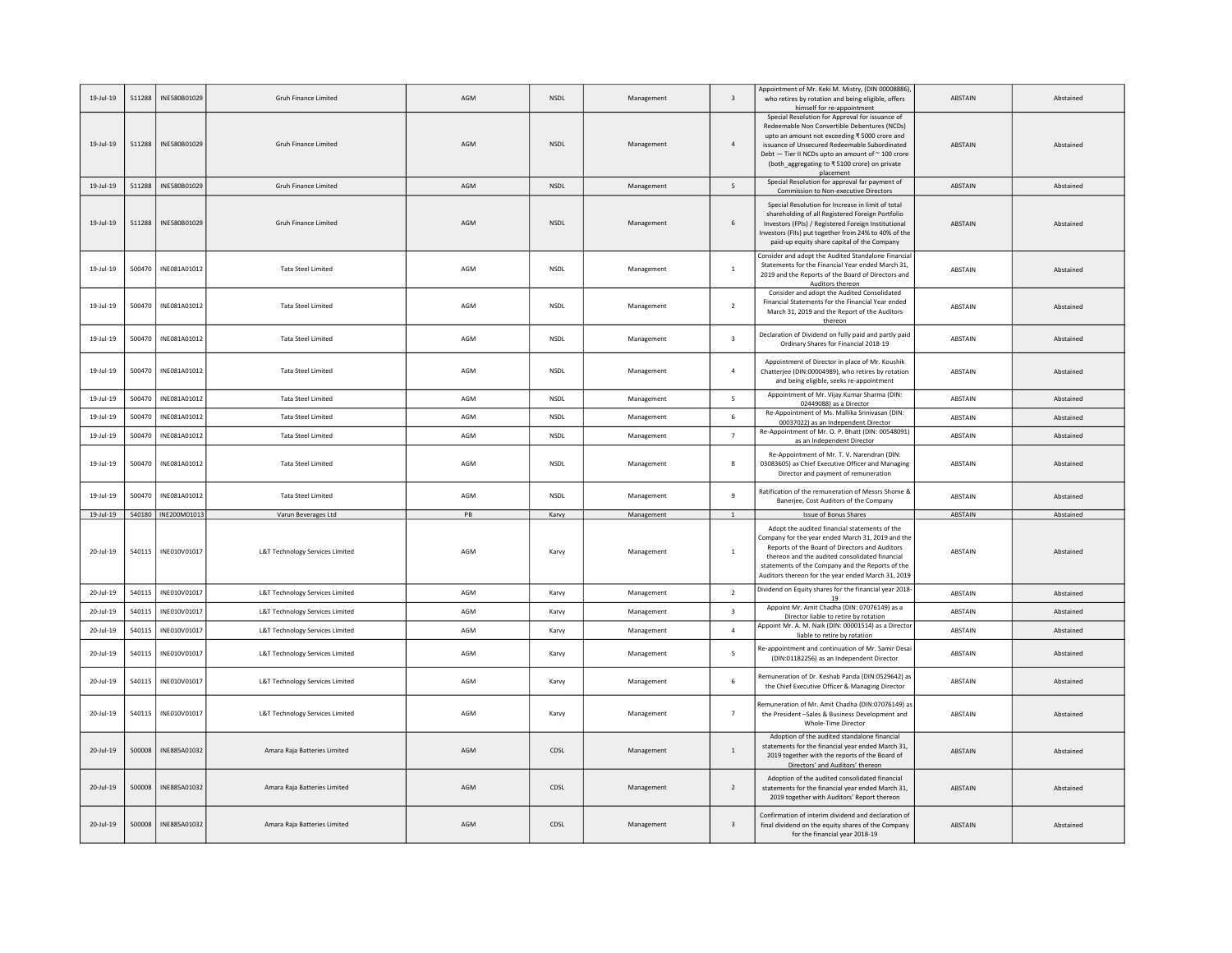| 19-Jul-19     | 511288 | INE580B01029          | Gruh Finance Limited            | AGM | <b>NSDL</b> | Management | $\overline{\mathbf{3}}$ | Appointment of Mr. Keki M. Mistry, (DIN 00008886)<br>who retires by rotation and being eligible, offers<br>himself for re-appointment                                                                                                                                                                              | ABSTAIN        | Abstained |
|---------------|--------|-----------------------|---------------------------------|-----|-------------|------------|-------------------------|--------------------------------------------------------------------------------------------------------------------------------------------------------------------------------------------------------------------------------------------------------------------------------------------------------------------|----------------|-----------|
| $19 -$ Jul-19 | 511288 | INE580B01029          | Gruh Finance Limited            | AGM | <b>NSDL</b> | Management | $\overline{a}$          | Special Resolution for Approval for issuance of<br>Redeemable Non Convertible Debentures (NCDs)<br>upto an amount not exceeding ₹5000 crore and<br>issuance of Unsecured Redeemable Subordinated<br>Debt - Tier II NCDs upto an amount of ~ 100 crore<br>(both_aggregating to ₹5100 crore) on private<br>placement | ABSTAIN        | Abstained |
| $19 -$ Jul-19 | 511288 | INF580B01029          | <b>Gruh Finance Limited</b>     | AGM | <b>NSDL</b> | Management | 5                       | Special Resolution for approval far payment of<br>Commission to Non-executive Directors                                                                                                                                                                                                                            | <b>ABSTAIN</b> | Abstained |
| 19-Jul-19     | 511288 | INE580B01029          | <b>Gruh Finance Limited</b>     | AGM | NSDL        | Management | 6                       | Special Resolution for Increase in limit of total<br>shareholding of all Registered Foreign Portfolio<br>Investors (FPIs) / Registered Foreign Institutional<br>Investors (FIIs) put together from 24% to 40% of the<br>paid-up equity share capital of the Company                                                | ABSTAIN        | Abstained |
| 19-Jul-19     | 500470 | INF081A01012          | <b>Tata Steel Limited</b>       | AGM | <b>NSDI</b> | Management | $\mathbf{1}$            | Consider and adopt the Audited Standalone Financia<br>Statements for the Financial Year ended March 31,<br>2019 and the Reports of the Board of Directors and<br>Auditors thereon                                                                                                                                  | ABSTAIN        | Abstained |
| 19-Jul-19     | 500470 | INE081A01012          | <b>Tata Steel Limited</b>       | AGM | <b>NSDL</b> | Management | $\overline{2}$          | Consider and adopt the Audited Consolidated<br>Financial Statements for the Financial Year ended<br>March 31, 2019 and the Report of the Auditors<br>thereon                                                                                                                                                       | ABSTAIN        | Abstained |
| 19-Jul-19     | 500470 | INE081A01012          | <b>Tata Steel Limited</b>       | AGM | <b>NSDL</b> | Management | $\overline{\mathbf{3}}$ | Declaration of Dividend on fully paid and partly paid<br>Ordinary Shares for Financial 2018-19                                                                                                                                                                                                                     | ABSTAIN        | Abstained |
| 19-Jul-19     | 500470 | INF081A01012          | <b>Tata Steel Limited</b>       | AGM | <b>NSDI</b> | Management | $\overline{a}$          | Appointment of Director in place of Mr. Koushik<br>Chatterjee (DIN:00004989), who retires by rotation<br>and being eligible, seeks re-appointment                                                                                                                                                                  | ABSTAIN        | Abstained |
| 19-Jul-19     | 500470 | INE081A01012          | <b>Tata Steel Limited</b>       | AGM | <b>NSDL</b> | Management | 5                       | Appointment of Mr. Vijay Kumar Sharma (DIN:<br>02449088) as a Director                                                                                                                                                                                                                                             | ABSTAIN        | Abstained |
| 19-Jul-19     | 500470 | INE081A01012          | <b>Tata Steel Limited</b>       | AGM | <b>NSDL</b> | Management | 6                       | Re-Appointment of Ms. Mallika Srinivasan (DIN:<br>00037022) as an Independent Director                                                                                                                                                                                                                             | ABSTAIN        | Abstained |
| 19-Jul-19     | 500470 | INE081A01012          | <b>Tata Steel Limited</b>       | AGM | <b>NSDL</b> | Management | $\overline{7}$          | Re-Appointment of Mr. O. P. Bhatt (DIN: 00548091)<br>as an Independent Director                                                                                                                                                                                                                                    | ABSTAIN        | Abstained |
| 19-Jul-19     | 500470 | INE081A01012          | <b>Tata Steel Limited</b>       | AGM | <b>NSDL</b> | Management | 8                       | Re-Appointment of Mr. T. V. Narendran (DIN:<br>03083605) as Chief Executive Officer and Managing<br>Director and payment of remuneration                                                                                                                                                                           | ABSTAIN        | Abstained |
| 19-Jul-19     | 500470 | INE081A01012          | <b>Tata Steel Limited</b>       | AGM | <b>NSDL</b> | Management | 9                       | Ratification of the remuneration of Messrs Shome &<br>Banerjee, Cost Auditors of the Company                                                                                                                                                                                                                       | ABSTAIN        | Abstained |
| $19 -$ Jul-19 |        | 540180   INE200M01013 | Varun Beverages Ltd             | PB  | Karvy       | Management | $\mathbf{1}$            | Issue of Bonus Shares                                                                                                                                                                                                                                                                                              | ABSTAIN        | Abstained |
| 20-Jul-19     | 540115 | INE010V01017          | L&T Technology Services Limited | AGM | Karvy       | Management | <sup>1</sup>            | Adopt the audited financial statements of the<br>Company for the year ended March 31, 2019 and the<br>Reports of the Board of Directors and Auditors<br>thereon and the audited consolidated financial<br>statements of the Company and the Reports of the<br>Auditors thereon for the year ended March 31, 2019   | ABSTAIN        | Abstained |
| 20-Jul-19     | 540115 | INE010V01017          | L&T Technology Services Limited | AGM | Karvy       | Management | $\overline{2}$          | Dividend on Equity shares for the financial year 2018<br>19                                                                                                                                                                                                                                                        | ABSTAIN        | Abstained |
| 20-Jul-19     | 540115 | INE010V01017          | L&T Technology Services Limited | AGM | Karvy       | Management | $\overline{\mathbf{3}}$ | Appoint Mr. Amit Chadha (DIN: 07076149) as a<br>Director liable to retire by rotation                                                                                                                                                                                                                              | ABSTAIN        | Abstained |
| 20-Jul-19     | 540115 | INE010V01017          | L&T Technology Services Limited | AGM | Karvy       | Management | $\Delta$                | Appoint Mr. A. M. Naik (DIN: 00001514) as a Directo<br>liable to retire by rotation                                                                                                                                                                                                                                | ABSTAIN        | Abstained |
| 20-Jul-19     | 540115 | INE010V01017          | L&T Technology Services Limited | AGM | Karvy       | Management | 5                       | Re-appointment and continuation of Mr. Samir Desai<br>(DIN:01182256) as an Independent Director                                                                                                                                                                                                                    | ABSTAIN        | Abstained |
| 20-Jul-19     | 540115 | INE010V01017          | L&T Technology Services Limited | AGM | Karvy       | Management | 6                       | Remuneration of Dr. Keshab Panda (DIN:0529642) as<br>the Chief Executive Officer & Managing Director                                                                                                                                                                                                               | ABSTAIN        | Abstained |
| 20-Jul-19     | 540115 | INE010V01017          | L&T Technology Services Limited | AGM | Karvy       | Management | $\overline{7}$          | Remuneration of Mr. Amit Chadha (DIN:07076149) as<br>the President-Sales & Business Development and<br>Whole-Time Director                                                                                                                                                                                         | ABSTAIN        | Abstained |
| 20-Jul-19     | 500008 | INE885A01032          | Amara Raja Batteries Limited    | AGM | CDSL        | Management | $\mathbf{1}$            | Adoption of the audited standalone financial<br>statements for the financial year ended March 31,<br>2019 together with the reports of the Board of<br>Directors' and Auditors' thereon                                                                                                                            | ABSTAIN        | Abstained |
| $20 -$ Jul-19 | 500008 | INE885A01032          | Amara Raja Batteries Limited    | AGM | CDSL        | Management | $\overline{2}$          | Adoption of the audited consolidated financial<br>statements for the financial year ended March 31,<br>2019 together with Auditors' Report thereon                                                                                                                                                                 | ABSTAIN        | Abstained |
| 20-Jul-19     | 500008 | INE885A01032          | Amara Raja Batteries Limited    | AGM | CDSL        | Management | $\overline{\mathbf{3}}$ | Confirmation of interim dividend and declaration of<br>final dividend on the equity shares of the Company<br>for the financial year 2018-19                                                                                                                                                                        | <b>ABSTAIN</b> | Abstained |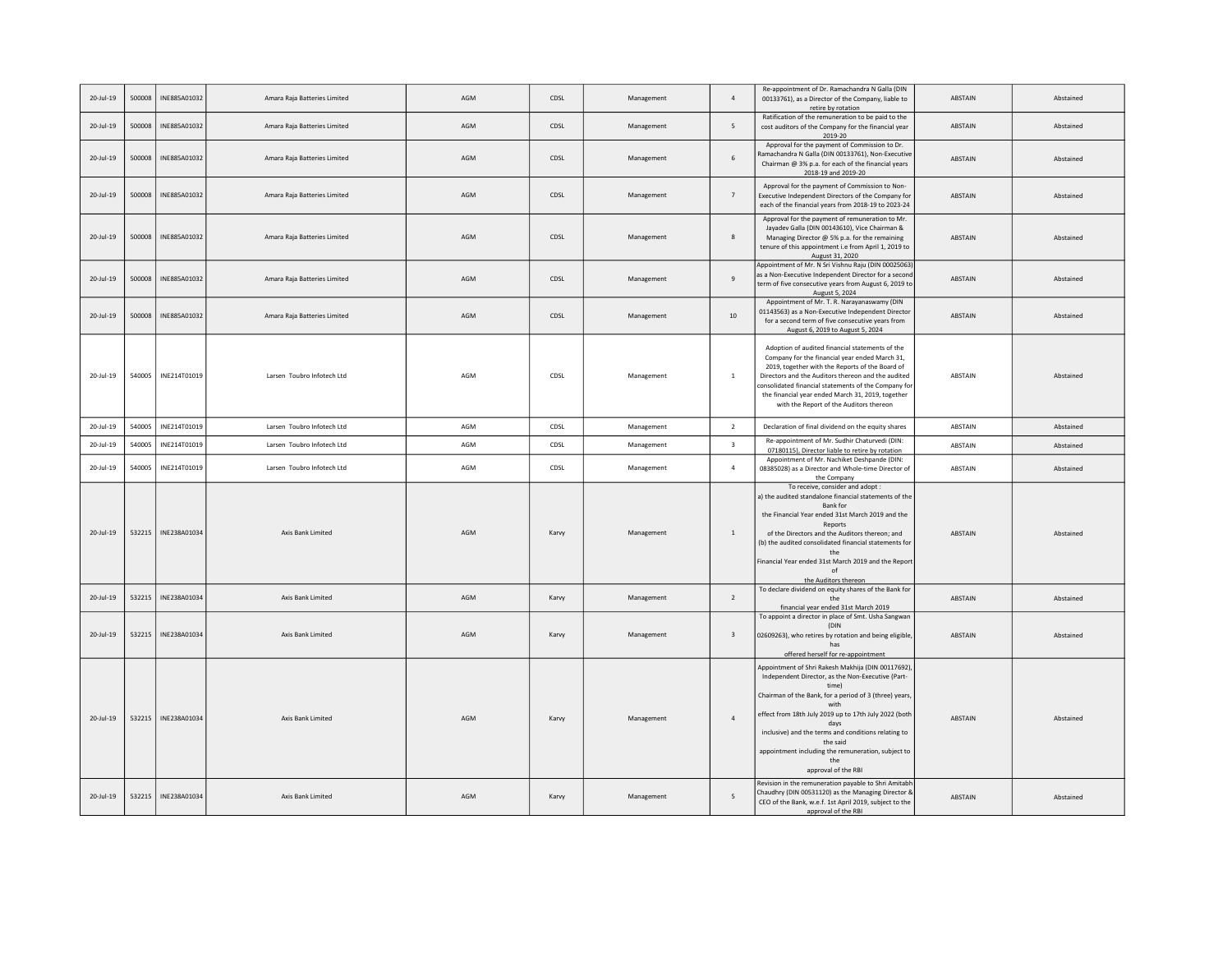| $20 -$ Jul-19  | 500008 | INE885A01032 | Amara Raja Batteries Limited | AGM | CDSL  | Management | $\overline{4}$          | Re-appointment of Dr. Ramachandra N Galla (DIN<br>00133761), as a Director of the Company, liable to<br>retire by rotation                                                                                                                                                                                                                                                                                                                                        | <b>ABSTAIN</b> | Abstained |
|----------------|--------|--------------|------------------------------|-----|-------|------------|-------------------------|-------------------------------------------------------------------------------------------------------------------------------------------------------------------------------------------------------------------------------------------------------------------------------------------------------------------------------------------------------------------------------------------------------------------------------------------------------------------|----------------|-----------|
| 20-Jul-19      | 500008 | INE885A01032 | Amara Raja Batteries Limited | AGM | CDSL  | Management | 5                       | Ratification of the remuneration to be paid to the<br>cost auditors of the Company for the financial year<br>2019-20                                                                                                                                                                                                                                                                                                                                              | ABSTAIN        | Abstained |
| 20-Jul-19      | 500008 | INE885A01032 | Amara Raja Batteries Limited | AGM | CDSL  | Management | 6                       | Approval for the payment of Commission to Dr.<br>Ramachandra N Galla (DIN 00133761), Non-Executive<br>Chairman @ 3% p.a. for each of the financial years<br>2018-19 and 2019-20                                                                                                                                                                                                                                                                                   | ABSTAIN        | Abstained |
| 20-Jul-19      | 500008 | INE885A01032 | Amara Raja Batteries Limited | AGM | CDSL  | Management | $\overline{7}$          | Approval for the payment of Commission to Non-<br>Executive Independent Directors of the Company for<br>each of the financial years from 2018-19 to 2023-24                                                                                                                                                                                                                                                                                                       | <b>ABSTAIN</b> | Abstained |
| $20 -$ Jul-19  | 500008 | INE885A01032 | Amara Raia Batteries Limited | AGM | CDSL  | Management | 8                       | Approval for the payment of remuneration to Mr.<br>Jayadev Galla (DIN 00143610), Vice Chairman &<br>Managing Director @ 5% p.a. for the remaining<br>tenure of this appointment i.e from April 1, 2019 to<br>August 31, 2020                                                                                                                                                                                                                                      | <b>ABSTAIN</b> | Abstained |
| $20 - 11 - 19$ | 500008 | INE885A01032 | Amara Raja Batteries Limited | AGM | CDSL  | Management | $\overline{9}$          | Appointment of Mr. N Sri Vishnu Raju (DIN 00025063<br>as a Non-Executive Independent Director for a second<br>term of five consecutive years from August 6, 2019 to<br>August 5, 2024                                                                                                                                                                                                                                                                             | <b>ABSTAIN</b> | Abstained |
| $20 - 11 - 19$ | 500008 | INE885A01032 | Amara Raja Batteries Limited | AGM | CDSL  | Management | 10                      | Appointment of Mr. T. R. Narayanaswamy (DIN<br>01143563) as a Non-Executive Independent Director<br>for a second term of five consecutive years from<br>August 6, 2019 to August 5, 2024                                                                                                                                                                                                                                                                          | ABSTAIN        | Abstained |
| 20-Jul-19      | 540005 | INE214T01019 | Larsen Toubro Infotech Ltd   | AGM | CDSL  | Management | $\overline{1}$          | Adoption of audited financial statements of the<br>Company for the financial year ended March 31,<br>2019, together with the Reports of the Board of<br>Directors and the Auditors thereon and the audited<br>consolidated financial statements of the Company fo<br>the financial year ended March 31, 2019, together<br>with the Report of the Auditors thereon                                                                                                 | ABSTAIN        | Abstained |
| 20-Jul-19      | 540005 | INE214T01019 | Larsen Toubro Infotech Ltd   | AGM | CDSL  | Management | $\overline{2}$          | Declaration of final dividend on the equity shares                                                                                                                                                                                                                                                                                                                                                                                                                | ABSTAIN        | Abstained |
| 20-Jul-19      | 540005 | INE214T01019 | Larsen Toubro Infotech Ltd   | AGM | CDSL  | Management | $\overline{3}$          | Re-appointment of Mr. Sudhir Chaturvedi (DIN:<br>07180115), Director liable to retire by rotation                                                                                                                                                                                                                                                                                                                                                                 | ABSTAIN        | Abstained |
| 20-Jul-19      | 540005 | INE214T01019 | Larsen Toubro Infotech Ltd   | AGM | CDSL  | Management | $\overline{4}$          | Appointment of Mr. Nachiket Deshpande (DIN:<br>08385028) as a Director and Whole-time Director of<br>the Company                                                                                                                                                                                                                                                                                                                                                  | ABSTAIN        | Abstained |
| $20 - 11 - 19$ | 532215 | INE238A01034 | Axis Bank Limited            | AGM | Karvy | Management | $\overline{1}$          | To receive, consider and adopt :<br>a) the audited standalone financial statements of the<br>Bank for<br>the Financial Year ended 31st March 2019 and the<br>Reports<br>of the Directors and the Auditors thereon; and<br>(b) the audited consolidated financial statements for<br>the<br>Financial Year ended 31st March 2019 and the Repor<br>of<br>the Auditors thereon                                                                                        | ABSTAIN        | Abstained |
| 20-Jul-19      | 532215 | INE238A01034 | Axis Bank Limited            | AGM | Karvy | Management | $\overline{2}$          | To declare dividend on equity shares of the Bank for<br>the<br>financial year ended 31st March 2019                                                                                                                                                                                                                                                                                                                                                               | ABSTAIN        | Abstained |
| 20-Jul-19      | 532215 | INE238A01034 | Axis Bank Limited            | AGM | Karvy | Management | $\overline{\mathbf{3}}$ | To appoint a director in place of Smt. Usha Sangwan<br>(DIN<br>02609263), who retires by rotation and being eligible<br>has<br>offered herself for re-appointment                                                                                                                                                                                                                                                                                                 | ABSTAIN        | Abstained |
| 20-Jul-19      | 532215 | INE238A01034 | Axis Bank Limited            | AGM | Karvy | Management | $\overline{4}$          | Appointment of Shri Rakesh Makhija (DIN 00117692)<br>Independent Director, as the Non-Executive (Part-<br>time)<br>Chairman of the Bank, for a period of 3 (three) years,<br>with<br>effect from 18th July 2019 up to 17th July 2022 (both<br>days<br>inclusive) and the terms and conditions relating to<br>the said<br>appointment including the remuneration, subject to<br>the<br>approval of the RBI<br>Revision in the remuneration payable to Shri Amitabl | ABSTAIN        | Abstained |
| $20 -$ Jul-19  | 532215 | INE238A01034 | Axis Bank Limited            | AGM | Karvy | Management | 5                       | Chaudhry (DIN 00531120) as the Managing Director &<br>CEO of the Bank, w.e.f. 1st April 2019, subject to the<br>approval of the RBI                                                                                                                                                                                                                                                                                                                               | ABSTAIN        | Abstained |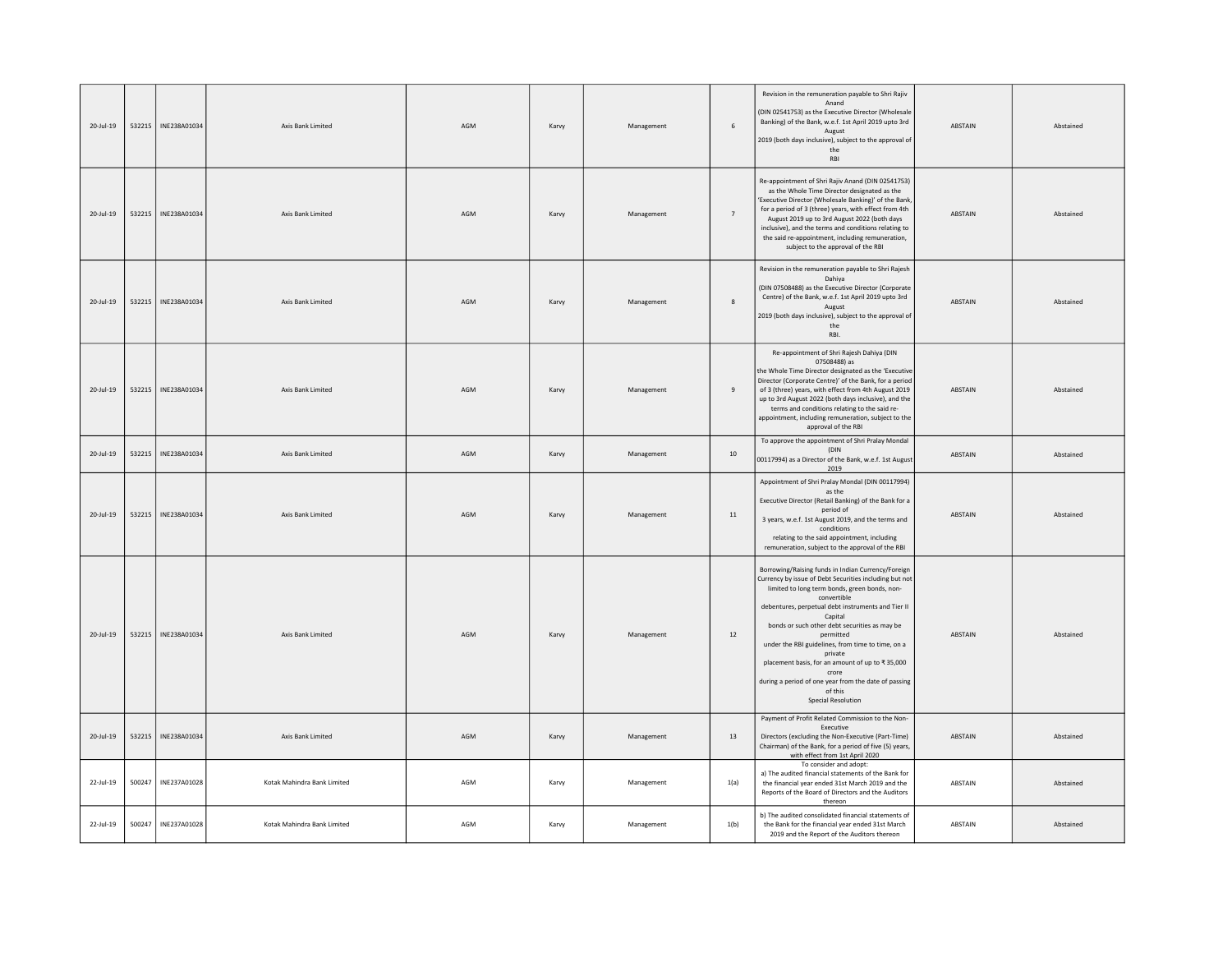| 20-Jul-19     | 532215 | INE238A01034 | Axis Bank Limited           | AGM | Karvy | Management | 6              | Revision in the remuneration payable to Shri Rajiv<br>Anand<br>(DIN 02541753) as the Executive Director (Wholesale<br>Banking) of the Bank, w.e.f. 1st April 2019 upto 3rd<br>August<br>2019 (both days inclusive), subject to the approval of<br>the<br>RBI                                                                                                                                                                                                                                                                            | <b>ABSTAIN</b> | Abstained |
|---------------|--------|--------------|-----------------------------|-----|-------|------------|----------------|-----------------------------------------------------------------------------------------------------------------------------------------------------------------------------------------------------------------------------------------------------------------------------------------------------------------------------------------------------------------------------------------------------------------------------------------------------------------------------------------------------------------------------------------|----------------|-----------|
| 20-Jul-19     | 532215 | INE238A01034 | Axis Bank Limited           | AGM | Karvy | Management | $\overline{7}$ | Re-appointment of Shri Rajiv Anand (DIN 02541753)<br>as the Whole Time Director designated as the<br>'Executive Director (Wholesale Banking)' of the Bank<br>for a period of 3 (three) years, with effect from 4th<br>August 2019 up to 3rd August 2022 (both days<br>inclusive), and the terms and conditions relating to<br>the said re-appointment, including remuneration,<br>subject to the approval of the RBI                                                                                                                    | ABSTAIN        | Abstained |
| 20-Jul-19     | 532215 | INE238A01034 | Axis Bank Limited           | AGM | Karvy | Management | 8              | Revision in the remuneration payable to Shri Rajesh<br>Dahiya<br>(DIN 07508488) as the Executive Director (Corporate<br>Centre) of the Bank, w.e.f. 1st April 2019 upto 3rd<br>August<br>2019 (both days inclusive), subject to the approval of<br>the<br>RBI.                                                                                                                                                                                                                                                                          | ABSTAIN        | Abstained |
| 20-Jul-19     | 532215 | INE238A01034 | Axis Bank Limited           | AGM | Karvy | Management | 9              | Re-appointment of Shri Rajesh Dahiya (DIN<br>07508488) as<br>the Whole Time Director designated as the 'Executive<br>Director (Corporate Centre)' of the Bank, for a period<br>of 3 (three) years, with effect from 4th August 2019<br>up to 3rd August 2022 (both days inclusive), and the<br>terms and conditions relating to the said re-<br>appointment, including remuneration, subject to the<br>approval of the RBI                                                                                                              | <b>ARSTAIN</b> | Abstained |
| 20-Jul-19     | 532215 | INE238A01034 | Axis Bank Limited           | AGM | Karvy | Management | 10             | To approve the appointment of Shri Pralay Mondal<br>(DIN<br>00117994) as a Director of the Bank, w.e.f. 1st August<br>2019                                                                                                                                                                                                                                                                                                                                                                                                              | ABSTAIN        | Abstained |
| 20-Jul-19     | 532215 | INE238A01034 | Axis Bank Limited           | AGM | Karvy | Management | $11\,$         | Appointment of Shri Pralay Mondal (DIN 00117994)<br>as the<br>Executive Director (Retail Banking) of the Bank for a<br>period of<br>3 years, w.e.f. 1st August 2019, and the terms and<br>conditions<br>relating to the said appointment, including<br>remuneration, subject to the approval of the RBI                                                                                                                                                                                                                                 | ABSTAIN        | Abstained |
| 20-Jul-19     | 532215 | INE238A01034 | Axis Bank Limited           | AGM | Karvy | Management | 12             | Borrowing/Raising funds in Indian Currency/Foreign<br>Currency by issue of Debt Securities including but not<br>limited to long term bonds, green bonds, non-<br>convertible<br>debentures, perpetual debt instruments and Tier II<br>Capital<br>bonds or such other debt securities as may be<br>nermitted<br>under the RBI guidelines, from time to time, on a<br>private<br>placement basis, for an amount of up to ₹35,000<br>crore<br>during a period of one year from the date of passing<br>of this<br><b>Special Resolution</b> | ABSTAIN        | Abstained |
| $20 -$ Jul-19 | 532215 | INE238A01034 | Axis Bank Limited           | AGM | Karvy | Management | 13             | Payment of Profit Related Commission to the Non-<br>Executive<br>Directors (excluding the Non-Executive (Part-Time)<br>Chairman) of the Bank, for a period of five (5) years,<br>with effect from 1st April 2020                                                                                                                                                                                                                                                                                                                        | ABSTAIN        | Abstained |
| 22-Jul-19     | 500247 | INE237A01028 | Kotak Mahindra Bank Limited | AGM | Karvy | Management | 1(a)           | To consider and adopt:<br>a) The audited financial statements of the Bank for<br>the financial year ended 31st March 2019 and the<br>Reports of the Board of Directors and the Auditors<br>thereon                                                                                                                                                                                                                                                                                                                                      | ABSTAIN        | Abstained |
| 22-Jul-19     | 500247 | INE237A01028 | Kotak Mahindra Bank Limited | AGM | Karvy | Management | 1(b)           | b) The audited consolidated financial statements of<br>the Bank for the financial year ended 31st March<br>2019 and the Report of the Auditors thereon                                                                                                                                                                                                                                                                                                                                                                                  | ABSTAIN        | Abstained |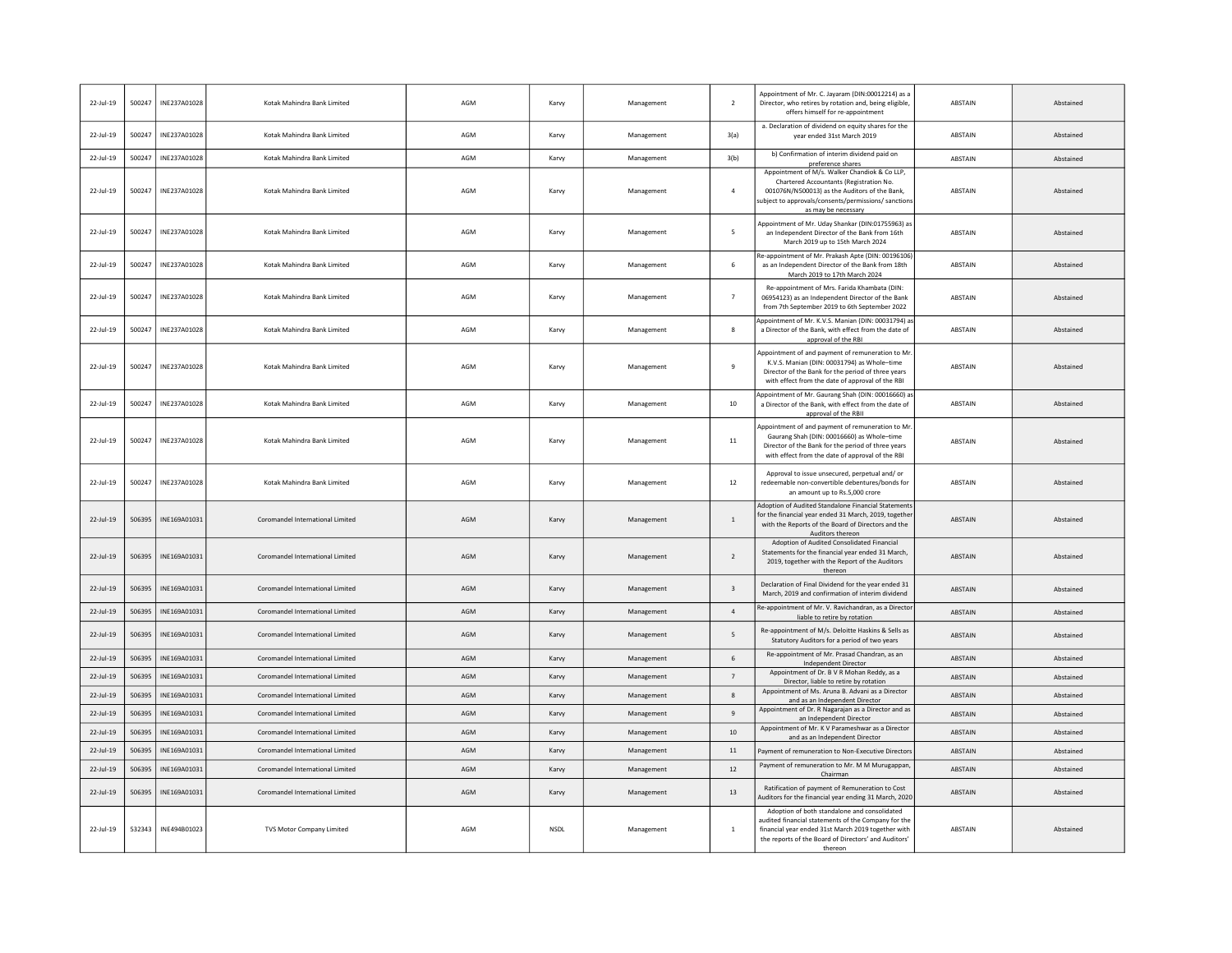| 22-Jul-19    | 500247 | INE237A01028 | Kotak Mahindra Bank Limited      | AGM | Karvy       | Management | $\overline{2}$          | Appointment of Mr. C. Jayaram (DIN:00012214) as a<br>Director, who retires by rotation and, being eligible,<br>offers himself for re-appointment                                                                             | ABSTAIN        | Abstained |
|--------------|--------|--------------|----------------------------------|-----|-------------|------------|-------------------------|------------------------------------------------------------------------------------------------------------------------------------------------------------------------------------------------------------------------------|----------------|-----------|
| 22-Jul-19    | 500247 | INE237A01028 | Kotak Mahindra Bank Limited      | AGM | Karvy       | Management | 3(a)                    | a. Declaration of dividend on equity shares for the<br>year ended 31st March 2019                                                                                                                                            | ABSTAIN        | Abstained |
| $22$ -lul-19 | 500247 | INE237A01028 | Kotak Mahindra Bank Limited      | AGM | Karyy       | Management | 3(b)                    | b) Confirmation of interim dividend paid on<br>preference shares                                                                                                                                                             | <b>ABSTAIN</b> | Abstained |
| 22-Jul-19    | 500247 | INE237A01028 | Kotak Mahindra Bank Limited      | AGM | Karvy       | Management | $\overline{4}$          | Appointment of M/s. Walker Chandiok & Co LLP,<br>Chartered Accountants (Registration No.<br>001076N/N500013) as the Auditors of the Bank,<br>ubject to approvals/consents/permissions/ sanction<br>as may be necessary       | ABSTAIN        | Abstained |
| 22-Jul-19    | 500247 | INE237A01028 | Kotak Mahindra Bank Limited      | AGM | Karvy       | Management | 5                       | Appointment of Mr. Uday Shankar (DIN:01755963) as<br>an Independent Director of the Bank from 16th<br>March 2019 up to 15th March 2024                                                                                       | <b>ABSTAIN</b> | Abstained |
| 22-Jul-19    | 500247 | INE237A01028 | Kotak Mahindra Bank Limited      | AGM | Karvy       | Management | 6                       | Re-appointment of Mr. Prakash Apte (DIN: 00196106<br>as an Independent Director of the Bank from 18th<br>March 2019 to 17th March 2024                                                                                       | ABSTAIN        | Abstained |
| 22-Jul-19    | 500247 | INE237A01028 | Kotak Mahindra Bank Limited      | AGM | Karvy       | Management | $\overline{7}$          | Re-appointment of Mrs. Farida Khambata (DIN:<br>06954123) as an Independent Director of the Bank<br>from 7th September 2019 to 6th September 2022                                                                            | ABSTAIN        | Abstained |
| 22-Jul-19    | 500247 | INE237A01028 | Kotak Mahindra Bank Limited      | AGM | Karvy       | Management | 8                       | Appointment of Mr. K.V.S. Manian (DIN: 00031794) as<br>a Director of the Bank, with effect from the date of<br>approval of the RBI                                                                                           | ABSTAIN        | Abstained |
| 22-Jul-19    | 500247 | INE237A01028 | Kotak Mahindra Bank Limited      | AGM | Karvy       | Management | 9                       | Appointment of and payment of remuneration to Mr<br>K.V.S. Manian (DIN: 00031794) as Whole-time<br>Director of the Bank for the period of three years<br>with effect from the date of approval of the RBI                    | ABSTAIN        | Abstained |
| 22-Jul-19    | 500247 | INE237A01028 | Kotak Mahindra Bank Limited      | AGM | Karvy       | Management | $10\,$                  | Appointment of Mr. Gaurang Shah (DIN: 00016660) as<br>a Director of the Bank, with effect from the date of<br>approval of the RBII                                                                                           | ABSTAIN        | Abstained |
| $22$ -Jul-19 | 500247 | INE237A01028 | Kotak Mahindra Bank Limited      | AGM | Karvy       | Management | 11                      | Appointment of and payment of remuneration to Mi<br>Gaurang Shah (DIN: 00016660) as Whole-time<br>Director of the Bank for the period of three years<br>with effect from the date of approval of the RBI                     | <b>ABSTAIN</b> | Abstained |
| 22-Jul-19    | 500247 | INE237A01028 | Kotak Mahindra Bank Limited      | AGM | Karvy       | Management | $12\,$                  | Approval to issue unsecured, perpetual and/ or<br>redeemable non-convertible debentures/bonds for<br>an amount up to Rs.5.000 crore                                                                                          | ABSTAIN        | Abstained |
| $22$ -Jul-19 | 506395 | INE169A01031 | Coromandel International Limited | AGM | Karvy       | Management | $\overline{1}$          | Adoption of Audited Standalone Financial Statements<br>for the financial year ended 31 March, 2019, together<br>with the Reports of the Board of Directors and the<br>Auditors thereon                                       | ABSTAIN        | Abstained |
| 22-Jul-19    | 506395 | INE169A01031 | Coromandel International Limited | AGM | Karvy       | Management | $\overline{2}$          | Adoption of Audited Consolidated Financial<br>Statements for the financial year ended 31 March,<br>2019, together with the Report of the Auditors<br>thereon                                                                 | <b>ABSTAIN</b> | Abstained |
| 22-Jul-19    | 506395 | INE169A01031 | Coromandel International Limited | AGM | Karvy       | Management | $\overline{\mathbf{3}}$ | Declaration of Final Dividend for the year ended 31<br>March, 2019 and confirmation of interim dividend                                                                                                                      | ABSTAIN        | Abstained |
| 22-Jul-19    | 506395 | INE169A01031 | Coromandel International Limited | AGM | Karvy       | Management | $\overline{4}$          | Re-appointment of Mr. V. Ravichandran, as a Director<br>liable to retire by rotation                                                                                                                                         | <b>ABSTAIN</b> | Abstained |
| 22-Jul-19    | 506395 | INE169A01031 | Coromandel International Limited | AGM | Karvy       | Management | 5                       | Re-appointment of M/s. Deloitte Haskins & Sells as<br>Statutory Auditors for a period of two years                                                                                                                           | ABSTAIN        | Abstained |
| 22-Jul-19    | 506395 | INE169A01031 | Coromandel International Limited | AGM | Karvy       | Management | 6                       | Re-appointment of Mr. Prasad Chandran, as an<br>Independent Director                                                                                                                                                         | <b>ABSTAIN</b> | Abstained |
| $22$ -Jul-19 | 506395 | INE169A01031 | Coromandel International Limited | AGM | Karvy       | Management | $7\overline{ }$         | Appointment of Dr. B V R Mohan Reddy, as a<br>Director, liable to retire by rotation                                                                                                                                         | <b>ABSTAIN</b> | Abstained |
| 22-Jul-19    | 506395 | INE169A01031 | Coromandel International Limited | AGM | Karvy       | Management | 8                       | Appointment of Ms. Aruna B. Advani as a Director<br>and as an Independent Director                                                                                                                                           | <b>ABSTAIN</b> | Abstained |
| $22$ -Jul-19 | 506395 | INE169A01031 | Coromandel International Limited | AGM | Karvy       | Management | $\overline{9}$          | Appointment of Dr. R Nagarajan as a Director and as<br>an Independent Director                                                                                                                                               | ABSTAIN        | Abstained |
| $22$ -Jul-19 | 506395 | INE169A01031 | Coromandel International Limited | AGM | Karvy       | Management | 10                      | Appointment of Mr. K V Parameshwar as a Director<br>and as an Independent Director                                                                                                                                           | ABSTAIN        | Abstained |
| $22$ -Jul-19 | 506395 | INE169A01031 | Coromandel International Limited | AGM | Karvy       | Management | $11\,$                  | Payment of remuneration to Non-Executive Director                                                                                                                                                                            | ABSTAIN        | Abstained |
| $22$ -Jul-19 | 506395 | INE169A01031 | Coromandel International Limited | AGM | Karvy       | Management | 12                      | Payment of remuneration to Mr. M M Murugappan,<br>Chairman                                                                                                                                                                   | <b>ABSTAIN</b> | Abstained |
| 22-Jul-19    | 506395 | INE169A01031 | Coromandel International Limited | AGM | Karvy       | Management | 13                      | Ratification of payment of Remuneration to Cost<br>Auditors for the financial year ending 31 March, 2020                                                                                                                     | ABSTAIN        | Abstained |
| 22-Jul-19    | 532343 | INE494B01023 | TVS Motor Company Limited        | AGM | <b>NSDL</b> | Management | $\mathbf{1}$            | Adoption of both standalone and consolidated<br>audited financial statements of the Company for the<br>financial year ended 31st March 2019 together with<br>the reports of the Board of Directors' and Auditors'<br>thereon | ABSTAIN        | Abstained |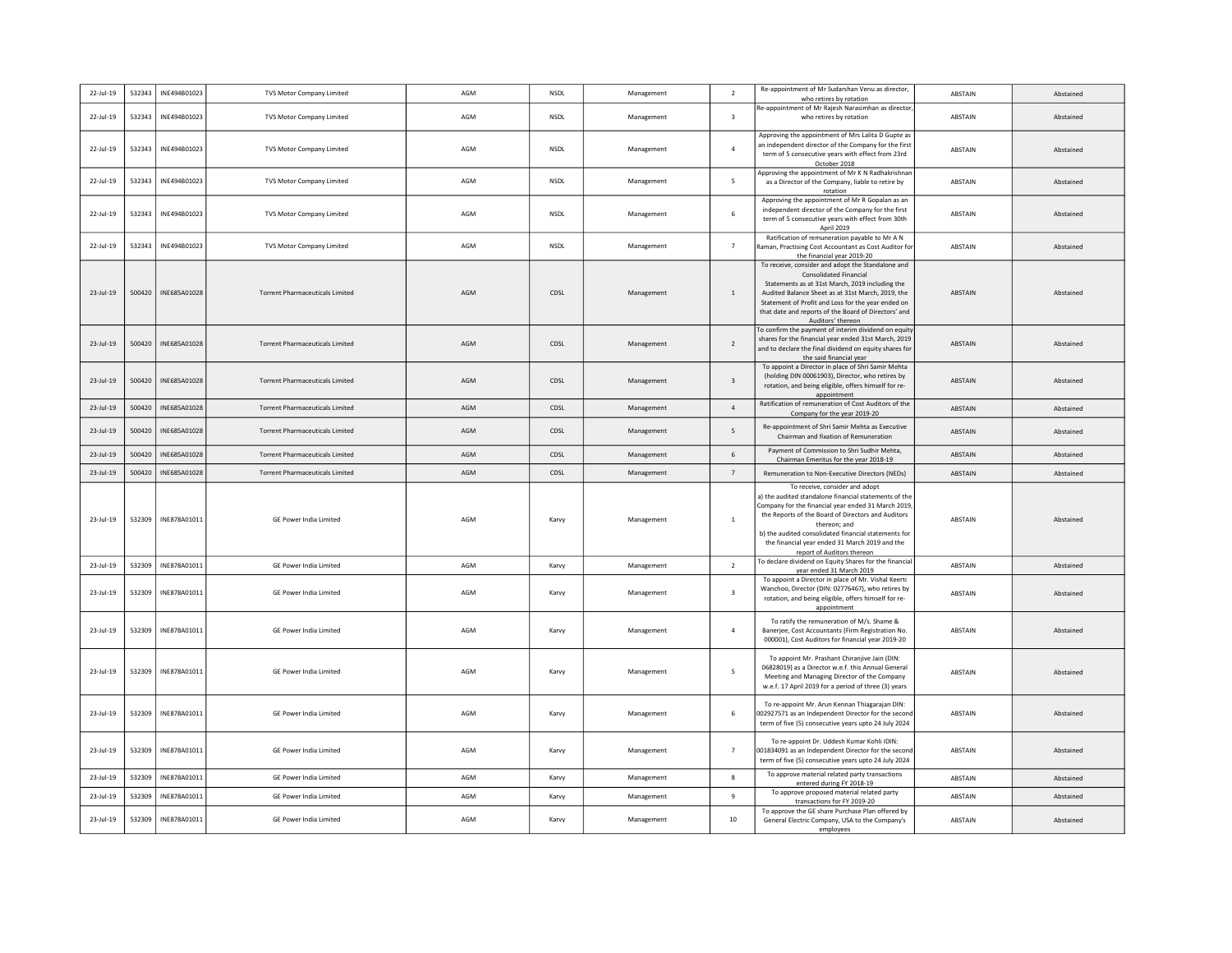| 22-Jul-19       | 532343 | INE494B01023 | <b>TVS Motor Company Limited</b>       | AGM | <b>NSDL</b> | Management | $\overline{2}$          | Re-appointment of Mr Sudarshan Venu as director,<br>who retires by rotation                                  | <b>ABSTAIN</b> | Abstained |
|-----------------|--------|--------------|----------------------------------------|-----|-------------|------------|-------------------------|--------------------------------------------------------------------------------------------------------------|----------------|-----------|
|                 |        |              |                                        |     |             |            |                         | Re-appointment of Mr Rajesh Narasimhan as director                                                           |                |           |
| 22-Jul-19       | 532343 | INE494B01023 | <b>TVS Motor Company Limited</b>       | AGM | <b>NSDL</b> | Management | $\overline{\mathbf{3}}$ | who retires by rotation                                                                                      | ABSTAIN        | Abstained |
|                 |        |              |                                        |     |             |            |                         | Approving the appointment of Mrs Lalita D Gupte as                                                           |                |           |
| 22-Jul-19       | 532343 | INE494B01023 | <b>TVS Motor Company Limited</b>       | AGM | <b>NSDL</b> | Management | $\overline{a}$          | an independent director of the Company for the first<br>term of 5 consecutive years with effect from 23rd    | ABSTAIN        | Abstained |
|                 |        |              |                                        |     |             |            |                         | October 2018                                                                                                 |                |           |
| 22-Jul-19       | 532343 | INE494B01023 | <b>TVS Motor Company Limited</b>       | AGM | NSDL        | Management | 5                       | Approving the appointment of Mr K N Radhakrishnar<br>as a Director of the Company, liable to retire by       | ARSTAIN        | Abstained |
|                 |        |              |                                        |     |             |            |                         | rotation                                                                                                     |                |           |
|                 |        |              |                                        |     |             |            |                         | Approving the appointment of Mr R Gopalan as an<br>independent director of the Company for the first         |                |           |
| 22-Jul-19       | 532343 | INE494B01023 | <b>TVS Motor Company Limited</b>       | AGM | NSDL        | Management | 6                       | term of 5 consecutive years with effect from 30th                                                            | ABSTAIN        | Abstained |
|                 |        |              |                                        |     |             |            |                         | April 2019<br>Ratification of remuneration payable to Mr A N                                                 |                |           |
| 22-Jul-19       | 532343 | INE494B01023 | <b>TVS Motor Company Limited</b>       | AGM | <b>NSDL</b> | Management | $\overline{7}$          | Raman, Practising Cost Accountant as Cost Auditor for                                                        | ABSTAIN        | Abstained |
|                 |        |              |                                        |     |             |            |                         | the financial year 2019-20                                                                                   |                |           |
|                 |        |              |                                        |     |             |            |                         | To receive, consider and adopt the Standalone and<br><b>Consolidated Financial</b>                           |                |           |
|                 |        |              |                                        |     |             |            |                         | Statements as at 31st March, 2019 including the                                                              |                |           |
| 23-Jul-19       | 500420 | INE685A01028 | <b>Torrent Pharmaceuticals Limited</b> | AGM | CDSL        | Management | $\mathbf{1}$            | Audited Balance Sheet as at 31st March, 2019, the<br>Statement of Profit and Loss for the year ended on      | ABSTAIN        | Abstained |
|                 |        |              |                                        |     |             |            |                         | that date and reports of the Board of Directors' and                                                         |                |           |
|                 |        |              |                                        |     |             |            |                         | Auditors' thereon                                                                                            |                |           |
|                 |        |              |                                        |     |             |            |                         | To confirm the payment of interim dividend on equity<br>shares for the financial year ended 31st March, 2019 |                |           |
| 23-Jul-19       | 500420 | INE685A01028 | <b>Torrent Pharmaceuticals Limited</b> | AGM | CDSL        | Management | $\overline{2}$          | and to declare the final dividend on equity shares for                                                       | ABSTAIN        | Abstained |
|                 |        |              |                                        |     |             |            |                         | the said financial year                                                                                      |                |           |
| $23 - 111 - 19$ |        |              | <b>Torrent Pharmaceuticals Limited</b> | AGM | CDSL        |            | $\overline{3}$          | To appoint a Director in place of Shri Samir Mehta<br>(holding DIN 00061903), Director, who retires by       |                |           |
|                 | 500420 | INE685A01028 |                                        |     |             | Management |                         | rotation, and being eligible, offers himself for re-                                                         | <b>ABSTAIN</b> | Abstained |
|                 |        |              |                                        |     |             |            |                         | appointment<br>Ratification of remuneration of Cost Auditors of the                                          |                |           |
| $23$ -Jul-19    | 500420 | INE685A01028 | <b>Torrent Pharmaceuticals Limited</b> | AGM | CDSL        | Management | $\overline{a}$          | Company for the year 2019-20                                                                                 | ABSTAIN        | Abstained |
| 23-Jul-19       | 500420 | INE685A01028 | <b>Torrent Pharmaceuticals Limited</b> | AGM | CDSL        | Management | -5                      | Re-appointment of Shri Samir Mehta as Executive                                                              | ABSTAIN        | Abstained |
|                 |        |              |                                        |     |             |            |                         | Chairman and fixation of Remuneration                                                                        |                |           |
| 23-Jul-19       | 500420 | INE685A01028 | <b>Torrent Pharmaceuticals Limited</b> | AGM | CDSL        | Management | 6                       | Payment of Commission to Shri Sudhir Mehta,<br>Chairman Emeritus for the year 2018-19                        | ABSTAIN        | Abstained |
| 23-Jul-19       | 500420 | INE685A01028 | <b>Torrent Pharmaceuticals Limited</b> | AGM | CDSL        | Management | $\overline{7}$          | Remuneration to Non-Executive Directors (NEDs)                                                               | ABSTAIN        | Abstained |
|                 |        |              |                                        |     |             |            |                         |                                                                                                              |                |           |
|                 |        |              |                                        |     |             |            |                         |                                                                                                              |                |           |
|                 |        |              |                                        |     |             |            |                         | To receive, consider and adopt<br>a) the audited standalone financial statements of the                      |                |           |
|                 |        |              |                                        |     |             |            |                         | Company for the financial year ended 31 March 2019                                                           |                |           |
| 23-Jul-19       | 532309 | INE878A01011 | GE Power India Limited                 | AGM | Karvy       | Management | 1                       | the Reports of the Board of Directors and Auditors<br>thereon; and                                           | ABSTAIN        | Abstained |
|                 |        |              |                                        |     |             |            |                         | b) the audited consolidated financial statements for                                                         |                |           |
|                 |        |              |                                        |     |             |            |                         | the financial year ended 31 March 2019 and the                                                               |                |           |
|                 |        |              |                                        |     |             |            |                         | report of Auditors thereon<br>To declare dividend on Equity Shares for the financial                         |                |           |
| $23$ -Jul-19    | 532309 | INE878A01011 | GE Power India Limited                 | AGM | Karvy       | Management | $\overline{2}$          | year ended 31 March 2019                                                                                     | ABSTAIN        | Abstained |
|                 |        |              |                                        |     |             |            |                         | To appoint a Director in place of Mr. Vishal Keerti<br>Wanchoo, Director (DIN: 02776467), who retires by     |                |           |
| 23-Jul-19       | 532309 | INE878A01011 | GE Power India Limited                 | AGM | Karvy       | Management | $\overline{\mathbf{3}}$ | rotation, and being eligible, offers himself for re-                                                         | ABSTAIN        | Abstained |
|                 |        |              |                                        |     |             |            |                         | appointment                                                                                                  |                |           |
| 23-Jul-19       | 532309 | INE878A01011 | <b>GE Power India Limited</b>          | AGM | Karvy       | Management | $\overline{a}$          | To ratify the remuneration of M/s. Shame &                                                                   | ABSTAIN        | Abstained |
|                 |        |              |                                        |     |             |            |                         | Banerjee, Cost Accountants (Firm Registration No.<br>000001), Cost Auditors for financial year 2019-20       |                |           |
|                 |        |              |                                        |     |             |            |                         |                                                                                                              |                |           |
| 23-Jul-19       |        |              | <b>GF Power India Limited</b>          | AGM |             |            | -5                      | To appoint Mr. Prashant Chiranjive Jain (DIN:<br>06828019) as a Director w.e.f. this Annual General          | <b>ARSTAIN</b> | Abstained |
|                 | 532309 | INE878A01011 |                                        |     | Karvy       | Management |                         | Meeting and Managing Director of the Company                                                                 |                |           |
|                 |        |              |                                        |     |             |            |                         | w.e.f. 17 April 2019 for a period of three (3) years                                                         |                |           |
|                 |        |              |                                        |     |             |            |                         | To re-appoint Mr. Arun Kennan Thiagarajan DIN:                                                               |                |           |
| 23-Jul-19       | 532309 | INE878A01011 | GE Power India Limited                 | AGM | Karvy       | Management | 6                       | 002927571 as an Independent Director for the second<br>term of five (5) consecutive years upto 24 July 2024  | ABSTAIN        | Abstained |
|                 |        |              |                                        |     |             |            |                         |                                                                                                              |                |           |
| 23-Jul-19       | 532309 | INE878A01011 | <b>GE Power India Limited</b>          | AGM | Karvy       | Management | $\overline{7}$          | To re-appoint Dr. Uddesh Kumar Kohli IDIN:<br>001834091 as an Independent Director for the secon             | ABSTAIN        | Abstained |
|                 |        |              |                                        |     |             |            |                         | term of five (5) consecutive years upto 24 July 2024                                                         |                |           |
| 23-Jul-19       | 532309 | INE878A01011 | <b>GE Power India Limited</b>          | AGM |             | Management | $^{\circ}$              | To approve material related party transactions                                                               | ABSTAIN        | Abstained |
|                 |        |              |                                        |     | Karvy       |            |                         | entered during FY 2018-19<br>To approve proposed material related party                                      |                |           |
| 23-Jul-19       | 532309 | INE878A01011 | GE Power India Limited                 | AGM | Karvy       | Management | 9                       | transactions for FY 2019-20                                                                                  | ABSTAIN        | Abstained |
| 23-Jul-19       | 532309 | INE878A01011 | GE Power India Limited                 | AGM | Karvy       | Management | 10                      | To approve the GE share Purchase Plan offered by<br>General Electric Company, USA to the Company's           | ABSTAIN        | Abstained |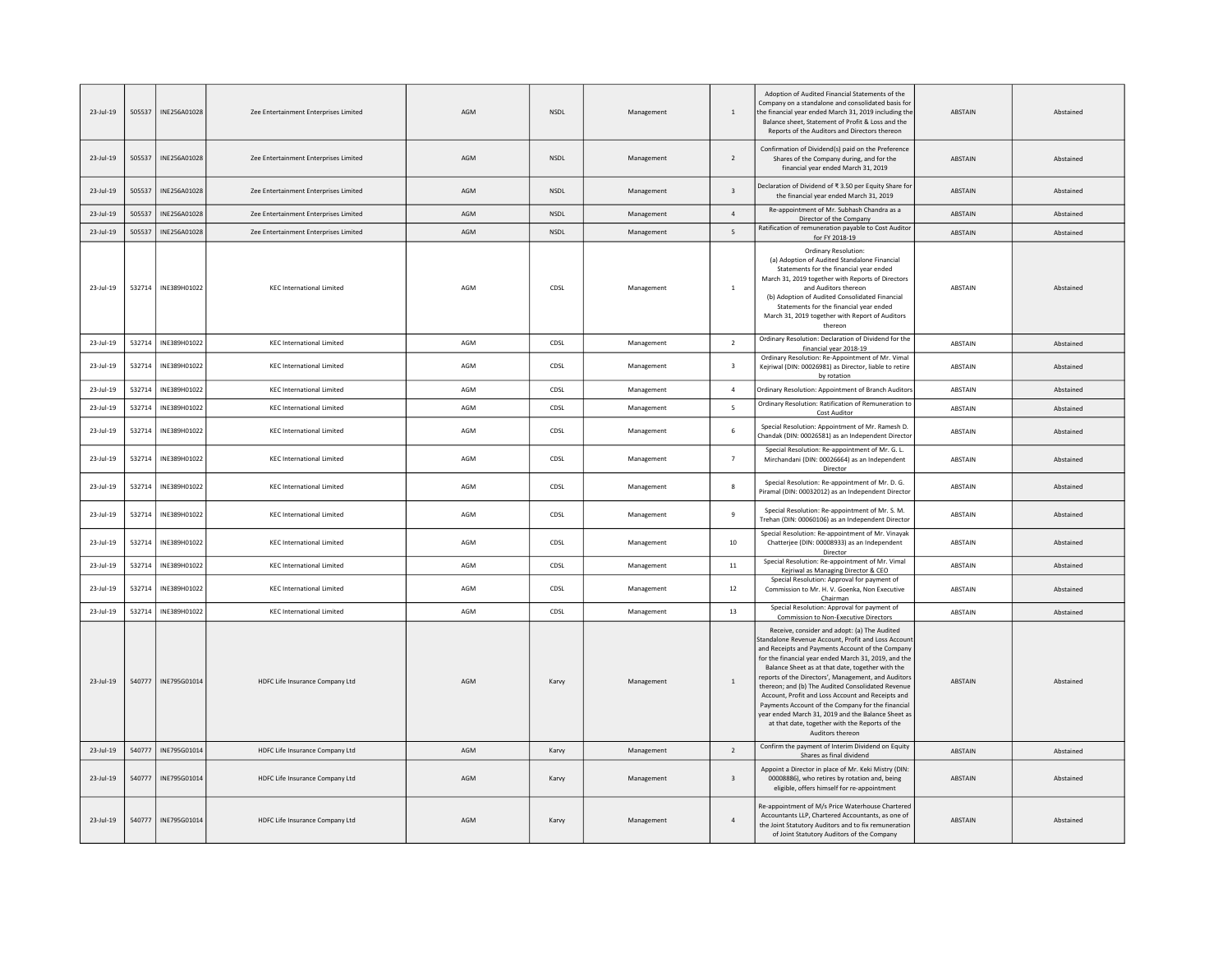| $23$ -Jul-19 | 505537 | INE256A01028 | Zee Entertainment Enterprises Limited | AGM | <b>NSDL</b> | Management | 1                        | Adoption of Audited Financial Statements of the<br>Company on a standalone and consolidated basis for<br>the financial year ended March 31, 2019 including the<br>Balance sheet, Statement of Profit & Loss and the<br>Reports of the Auditors and Directors thereon                                                                                                                                                                                                                                                                                                                                                 | <b>ABSTAIN</b> | Abstained |
|--------------|--------|--------------|---------------------------------------|-----|-------------|------------|--------------------------|----------------------------------------------------------------------------------------------------------------------------------------------------------------------------------------------------------------------------------------------------------------------------------------------------------------------------------------------------------------------------------------------------------------------------------------------------------------------------------------------------------------------------------------------------------------------------------------------------------------------|----------------|-----------|
| $23$ -Jul-19 | 505537 | INE256A01028 | Zee Entertainment Enterprises Limited | AGM | <b>NSDL</b> | Management | $\overline{2}$           | Confirmation of Dividend(s) paid on the Preference<br>Shares of the Company during, and for the<br>financial year ended March 31, 2019                                                                                                                                                                                                                                                                                                                                                                                                                                                                               | ABSTAIN        | Abstained |
| 23-Jul-19    | 505537 | INE256A01028 | Zee Entertainment Enterprises Limited | AGM | <b>NSDL</b> | Management | $\overline{\mathbf{3}}$  | Declaration of Dividend of ₹3.50 per Equity Share for<br>the financial year ended March 31, 2019                                                                                                                                                                                                                                                                                                                                                                                                                                                                                                                     | ABSTAIN        | Abstained |
| 23-Jul-19    | 505537 | INE256A01028 | Zee Entertainment Enterprises Limited | AGM | NSDL        | Management | $\overline{4}$           | Re-appointment of Mr. Subhash Chandra as a<br>Director of the Company                                                                                                                                                                                                                                                                                                                                                                                                                                                                                                                                                | ABSTAIN        | Abstained |
| $23$ -Jul-19 | 505537 | INE256A01028 | Zee Entertainment Enterprises Limited | AGM | <b>NSDL</b> | Management | 5                        | Ratification of remuneration payable to Cost Auditor<br>for FY 2018-19                                                                                                                                                                                                                                                                                                                                                                                                                                                                                                                                               | ABSTAIN        | Abstained |
| 23-Jul-19    | 532714 | INE389H01022 | <b>KEC International Limited</b>      | AGM | CDSL        | Management | $\,$ 1 $\,$              | Ordinary Resolution:<br>(a) Adoption of Audited Standalone Financial<br>Statements for the financial year ended<br>March 31, 2019 together with Reports of Directors<br>and Auditors thereon<br>(b) Adoption of Audited Consolidated Financial<br>Statements for the financial year ended<br>March 31, 2019 together with Report of Auditors<br>thereon                                                                                                                                                                                                                                                              | ABSTAIN        | Abstained |
| $23$ -Jul-19 | 532714 | INE389H01022 | <b>KEC International Limited</b>      | AGM | CDSL        | Management | $\overline{2}$           | Ordinary Resolution: Declaration of Dividend for the<br>financial year 2018-19                                                                                                                                                                                                                                                                                                                                                                                                                                                                                                                                       | ABSTAIN        | Abstained |
| 23-Jul-19    | 532714 | INE389H01022 | <b>KEC International Limited</b>      | AGM | CDSL        | Management | $\overline{\mathbf{3}}$  | Ordinary Resolution: Re-Appointment of Mr. Vimal<br>Kejriwal (DIN: 00026981) as Director, liable to retire<br>by rotation                                                                                                                                                                                                                                                                                                                                                                                                                                                                                            | ABSTAIN        | Abstained |
| 23-Jul-19    | 532714 | INE389H01022 | <b>KEC International Limited</b>      | AGM | CDSL        | Management | $\overline{4}$           | Ordinary Resolution: Appointment of Branch Auditors                                                                                                                                                                                                                                                                                                                                                                                                                                                                                                                                                                  | ABSTAIN        | Abstained |
| 23-Jul-19    | 532714 | INE389H01022 | <b>KEC International Limited</b>      | AGM | CDSL        | Management | $\overline{\phantom{a}}$ | Ordinary Resolution: Ratification of Remuneration to<br>Cost Auditor                                                                                                                                                                                                                                                                                                                                                                                                                                                                                                                                                 | <b>ABSTAIN</b> | Abstained |
| 23-Jul-19    | 532714 | INE389H01022 | <b>KEC International Limited</b>      | AGM | CDSL        | Management | 6                        | Special Resolution: Appointment of Mr. Ramesh D.<br>Chandak (DIN: 00026581) as an Independent Director                                                                                                                                                                                                                                                                                                                                                                                                                                                                                                               | <b>ABSTAIN</b> | Abstained |
| $23$ -Jul-19 | 532714 | INE389H01022 | <b>KEC International Limited</b>      | AGM | CDSL        | Management | $\overline{7}$           | Special Resolution: Re-appointment of Mr. G. L.<br>Mirchandani (DIN: 00026664) as an Independent<br>Director                                                                                                                                                                                                                                                                                                                                                                                                                                                                                                         | <b>ABSTAIN</b> | Abstained |
| 23-Jul-19    | 532714 | INE389H01022 | <b>KEC International Limited</b>      | AGM | CDSL        | Management | 8                        | Special Resolution: Re-appointment of Mr. D. G.<br>Piramal (DIN: 00032012) as an Independent Director                                                                                                                                                                                                                                                                                                                                                                                                                                                                                                                | <b>ABSTAIN</b> | Abstained |
| 23-Jul-19    | 532714 | INE389H01022 | <b>KEC International Limited</b>      | AGM | CDSL        | Management | 9                        | Special Resolution: Re-appointment of Mr. S. M.<br>Trehan (DIN: 00060106) as an Independent Director                                                                                                                                                                                                                                                                                                                                                                                                                                                                                                                 | <b>ABSTAIN</b> | Abstained |
| $23$ -Jul-19 | 532714 | INE389H01022 | <b>KEC International Limited</b>      | AGM | CDSL        | Management | 10                       | Special Resolution: Re-appointment of Mr. Vinayak<br>Chatterjee (DIN: 00008933) as an Independent<br>Director                                                                                                                                                                                                                                                                                                                                                                                                                                                                                                        | <b>ABSTAIN</b> | Abstained |
| 23-Jul-19    | 532714 | INE389H01022 | <b>KEC International Limited</b>      | AGM | CDSL        | Management | $11\,$                   | Special Resolution: Re-appointment of Mr. Vimal<br>Kejriwal as Managing Director & CEO                                                                                                                                                                                                                                                                                                                                                                                                                                                                                                                               | <b>ABSTAIN</b> | Abstained |
| 23-Jul-19    | 532714 | INE389H01022 | <b>KEC International Limited</b>      | AGM | CDSL        | Management | 12                       | Special Resolution: Approval for payment of<br>Commission to Mr. H. V. Goenka, Non Executive<br>Chairman                                                                                                                                                                                                                                                                                                                                                                                                                                                                                                             | ABSTAIN        | Abstained |
| 23-Jul-19    | 532714 | INE389H01022 | <b>KEC International Limited</b>      | AGM | CDSL        | Management | 13                       | Special Resolution: Approval for payment of<br>Commission to Non-Executive Directors                                                                                                                                                                                                                                                                                                                                                                                                                                                                                                                                 | <b>ABSTAIN</b> | Abstained |
| 23-Jul-19    | 540777 | INE795G01014 | HDFC Life Insurance Company Ltd       | AGM | Karvy       | Management | 1                        | Receive, consider and adopt: (a) The Audited<br>Standalone Revenue Account, Profit and Loss Accoun<br>and Receipts and Payments Account of the Company<br>for the financial year ended March 31, 2019, and the<br>Balance Sheet as at that date, together with the<br>reports of the Directors', Management, and Auditors<br>thereon; and (b) The Audited Consolidated Revenue<br>Account, Profit and Loss Account and Receipts and<br>Payments Account of the Company for the financial<br>year ended March 31, 2019 and the Balance Sheet as<br>at that date, together with the Reports of the<br>Auditors thereon | <b>ABSTAIN</b> | Abstained |
| $23$ -Jul-19 | 540777 | INE795G01014 | HDFC Life Insurance Company Ltd       | AGM | Karvy       | Management | $\overline{2}$           | Confirm the payment of Interim Dividend on Equity<br>Shares as final dividend                                                                                                                                                                                                                                                                                                                                                                                                                                                                                                                                        | <b>ABSTAIN</b> | Abstained |
| $23$ -Jul-19 | 540777 | INE795G01014 | HDFC Life Insurance Company Ltd       | AGM | Karvy       | Management | $\overline{\mathbf{3}}$  | Appoint a Director in place of Mr. Keki Mistry (DIN:<br>00008886), who retires by rotation and, being<br>eligible, offers himself for re-appointment                                                                                                                                                                                                                                                                                                                                                                                                                                                                 | <b>ABSTAIN</b> | Abstained |
| 23-Jul-19    | 540777 | INE795G01014 | HDFC Life Insurance Company Ltd       | AGM | Karvy       | Management | $\overline{4}$           | Re-appointment of M/s Price Waterhouse Chartered<br>Accountants LLP, Chartered Accountants, as one of<br>the Joint Statutory Auditors and to fix remuneration<br>of Joint Statutory Auditors of the Company                                                                                                                                                                                                                                                                                                                                                                                                          | <b>ABSTAIN</b> | Abstained |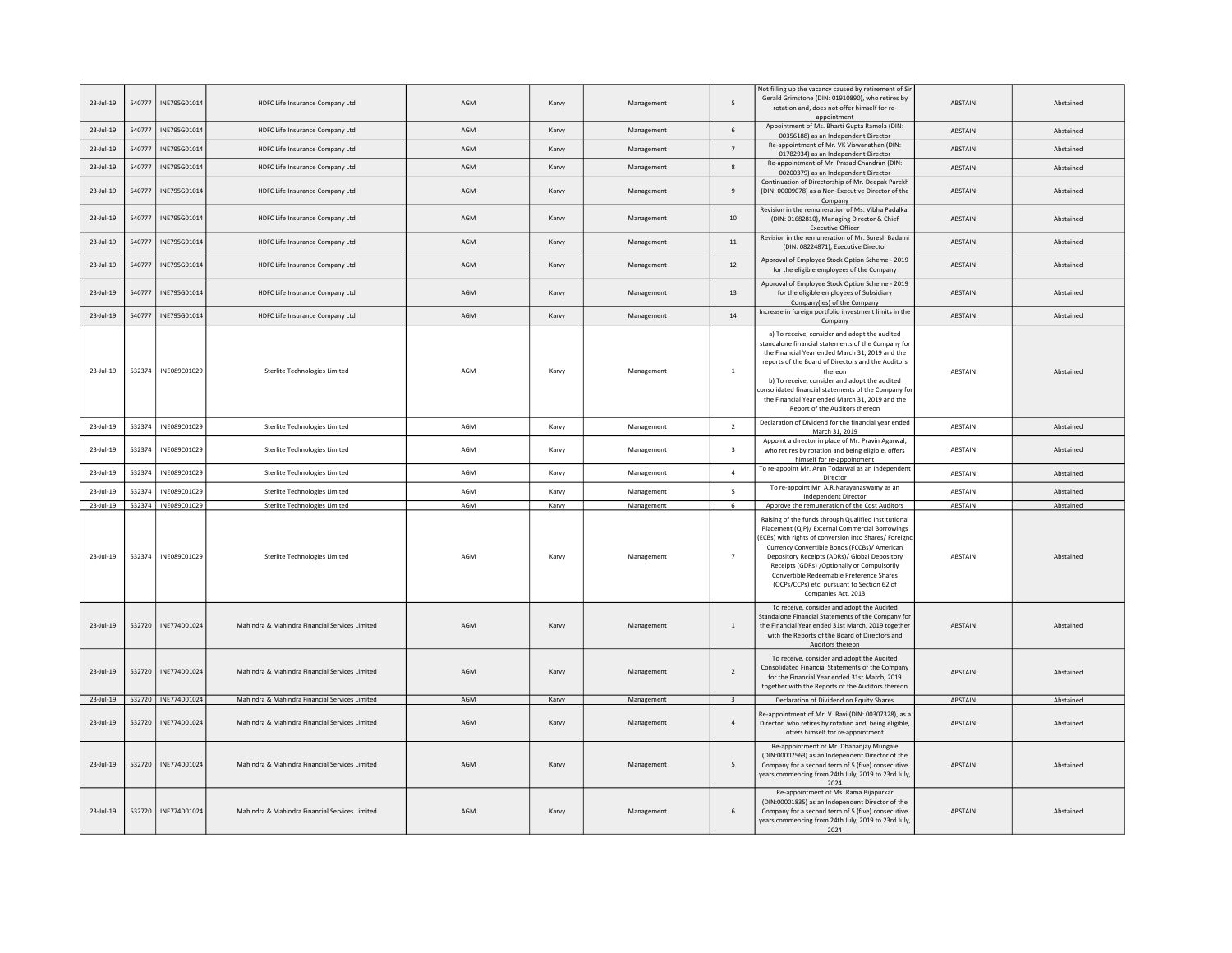| $23$ -Jul-19 | 540777 | INE795G01014          | HDFC Life Insurance Company Ltd                | AGM | Karvy | Management | 5                        | Not filling up the vacancy caused by retirement of Sir<br>Gerald Grimstone (DIN: 01910890), who retires by<br>rotation and, does not offer himself for re-<br>appointment                                                                                                                                                                                                                                                         | ABSTAIN        | Abstained |
|--------------|--------|-----------------------|------------------------------------------------|-----|-------|------------|--------------------------|-----------------------------------------------------------------------------------------------------------------------------------------------------------------------------------------------------------------------------------------------------------------------------------------------------------------------------------------------------------------------------------------------------------------------------------|----------------|-----------|
| 23-Jul-19    | 540777 | INE795G01014          | HDFC Life Insurance Company Ltd                | AGM | Karvy | Management | $\sqrt{6}$               | Appointment of Ms. Bharti Gupta Ramola (DIN:<br>00356188) as an Independent Director                                                                                                                                                                                                                                                                                                                                              | ABSTAIN        | Abstained |
| $23$ -Jul-19 | 540777 | INE795G01014          | HDFC Life Insurance Company Ltd                | AGM | Karvy | Management | $\overline{7}$           | Re-appointment of Mr. VK Viswanathan (DIN:<br>01782934) as an Independent Director                                                                                                                                                                                                                                                                                                                                                | ABSTAIN        | Abstained |
| 23-Jul-19    | 540777 | INE795G01014          | HDFC Life Insurance Company Ltd                | AGM | Karvy | Management | $\boldsymbol{8}$         | Re-appointment of Mr. Prasad Chandran (DIN:<br>00200379) as an Independent Director                                                                                                                                                                                                                                                                                                                                               | ABSTAIN        | Abstained |
| 23-Jul-19    | 540777 | INE795G01014          | HDFC Life Insurance Company Ltd                | AGM | Karvy | Management | 9                        | Continuation of Directorship of Mr. Deepak Parekh<br>(DIN: 00009078) as a Non-Executive Director of the<br>Company                                                                                                                                                                                                                                                                                                                | ABSTAIN        | Abstained |
| 23-Jul-19    | 540777 | INE795G01014          | HDFC Life Insurance Company Ltd                | AGM | Karvy | Management | 10                       | Revision in the remuneration of Ms. Vibha Padalkar<br>(DIN: 01682810), Managing Director & Chief<br><b>Executive Officer</b>                                                                                                                                                                                                                                                                                                      | ABSTAIN        | Abstained |
| $23$ -Jul-19 | 540777 | INE795G01014          | HDFC Life Insurance Company Ltd                | AGM | Karvy | Management | $11\,$                   | Revision in the remuneration of Mr. Suresh Badami<br>(DIN: 08224871), Executive Director                                                                                                                                                                                                                                                                                                                                          | ABSTAIN        | Abstained |
| 23-Jul-19    | 540777 | INE795G01014          | HDFC Life Insurance Company Ltd                | AGM | Karvy | Management | 12                       | Approval of Employee Stock Option Scheme - 2019<br>for the eligible employees of the Company                                                                                                                                                                                                                                                                                                                                      | ABSTAIN        | Abstained |
| 23-Jul-19    | 540777 | INE795G01014          | HDFC Life Insurance Company Ltd                | AGM | Karvy | Management | 13                       | Approval of Employee Stock Option Scheme - 2019<br>for the eligible employees of Subsidiary<br>Company(ies) of the Company                                                                                                                                                                                                                                                                                                        | ABSTAIN        | Abstained |
| 23-Jul-19    | 540777 | INE795G01014          | HDFC Life Insurance Company Ltd                | AGM | Karvy | Management | 14                       | Increase in foreign portfolio investment limits in the<br>Company                                                                                                                                                                                                                                                                                                                                                                 | ABSTAIN        | Abstained |
| 23-Jul-19    | 532374 | INE089C01029          | Sterlite Technologies Limited                  | AGM | Karvy | Management | $\overline{1}$           | a) To receive, consider and adopt the audited<br>standalone financial statements of the Company for<br>the Financial Year ended March 31, 2019 and the<br>reports of the Board of Directors and the Auditors<br>thereon<br>b) To receive, consider and adopt the audited<br>consolidated financial statements of the Company fo<br>the Financial Year ended March 31, 2019 and the<br>Report of the Auditors thereon              | ABSTAIN        | Abstained |
| $23$ -Jul-19 | 532374 | INE089C01029          | Sterlite Technologies Limited                  | AGM | Karvy | Management | $\overline{2}$           | Declaration of Dividend for the financial year ended<br>March 31, 2019                                                                                                                                                                                                                                                                                                                                                            | ABSTAIN        | Abstained |
| $23$ -Jul-19 | 532374 | INE089C01029          | Sterlite Technologies Limited                  | AGM | Karvy | Management | $\overline{\mathbf{3}}$  | Appoint a director in place of Mr. Pravin Agarwal,<br>who retires by rotation and being eligible, offers<br>himself for re-appointment                                                                                                                                                                                                                                                                                            | <b>ARSTAIN</b> | Abstained |
| 23-Jul-19    | 532374 | INE089C01029          | Sterlite Technologies Limited                  | AGM | Karvy | Management | $\overline{4}$           | To re-appoint Mr. Arun Todarwal as an Independent<br>Director                                                                                                                                                                                                                                                                                                                                                                     | ABSTAIN        | Abstained |
| 23-Jul-19    | 532374 | INE089C01029          | Sterlite Technologies Limited                  | AGM | Karvy | Management | $\overline{\phantom{a}}$ | To re-appoint Mr. A.R.Narayanaswamy as an<br>Independent Director                                                                                                                                                                                                                                                                                                                                                                 | ABSTAIN        | Abstained |
| $23$ -Jul-19 |        | 532374 INE089C01029   | Sterlite Technologies Limited                  | AGM | Karvy | Management | 6                        | Approve the remuneration of the Cost Auditors                                                                                                                                                                                                                                                                                                                                                                                     | ABSTAIN        | Abstained |
| 23-Jul-19    | 532374 | INE089C01029          | Sterlite Technologies Limited                  | AGM | Karvy | Management | $\overline{7}$           | Raising of the funds through Qualified Institutional<br>Placement (QIP)/ External Commercial Borrowings<br>(ECBs) with rights of conversion into Shares/ Foreign<br>Currency Convertible Bonds (FCCBs)/ American<br>Depository Receipts (ADRs)/ Global Depository<br>Receipts (GDRs) /Optionally or Compulsorily<br>Convertible Redeemable Preference Shares<br>(OCPs/CCPs) etc. pursuant to Section 62 of<br>Companies Act, 2013 | ABSTAIN        | Abstained |
| $23$ -Jul-19 | 532720 | INE774D01024          | Mahindra & Mahindra Financial Services Limited | AGM | Karvy | Management | $\mathbf{1}$             | To receive, consider and adopt the Audited<br>Standalone Financial Statements of the Company for<br>the Financial Year ended 31st March, 2019 together<br>with the Reports of the Board of Directors and<br>Auditors thereon                                                                                                                                                                                                      | <b>ABSTAIN</b> | Abstained |
| 23-Jul-19    | 532720 | INE774D01024          | Mahindra & Mahindra Financial Services Limited | AGM | Karvy | Management | $\overline{2}$           | To receive, consider and adopt the Audited<br>Consolidated Financial Statements of the Company<br>for the Financial Year ended 31st March, 2019<br>together with the Reports of the Auditors thereon                                                                                                                                                                                                                              | ABSTAIN        | Abstained |
| 23-Jul-19    |        | 532720   INE774D01024 | Mahindra & Mahindra Financial Services Limited | AGM | Karvy | Management | $\overline{\mathbf{3}}$  | Declaration of Dividend on Equity Shares                                                                                                                                                                                                                                                                                                                                                                                          | ABSTAIN        | Abstained |
| 23-Jul-19    | 532720 | INE774D01024          | Mahindra & Mahindra Financial Services Limited | AGM | Karvy | Management | $\overline{4}$           | Re-appointment of Mr. V. Ravi (DIN: 00307328), as a<br>Director, who retires by rotation and, being eligible,<br>offers himself for re-appointment                                                                                                                                                                                                                                                                                | ABSTAIN        | Abstained |
| 23-Jul-19    | 532720 | INE774D01024          | Mahindra & Mahindra Financial Services Limited | AGM | Karvy | Management | 5                        | Re-appointment of Mr. Dhananjay Mungale<br>(DIN:00007563) as an Independent Director of the<br>Company for a second term of 5 (five) consecutive<br>years commencing from 24th July, 2019 to 23rd July,<br>2024                                                                                                                                                                                                                   | <b>ABSTAIN</b> | Abstained |
| $23$ -Jul-19 | 532720 | INE774D01024          | Mahindra & Mahindra Financial Services Limited | AGM | Karvy | Management | 6                        | Re-appointment of Ms. Rama Bijapurkar<br>(DIN:00001835) as an Independent Director of the<br>Company for a second term of 5 (five) consecutive<br>years commencing from 24th July, 2019 to 23rd July<br>2024                                                                                                                                                                                                                      | ABSTAIN        | Abstained |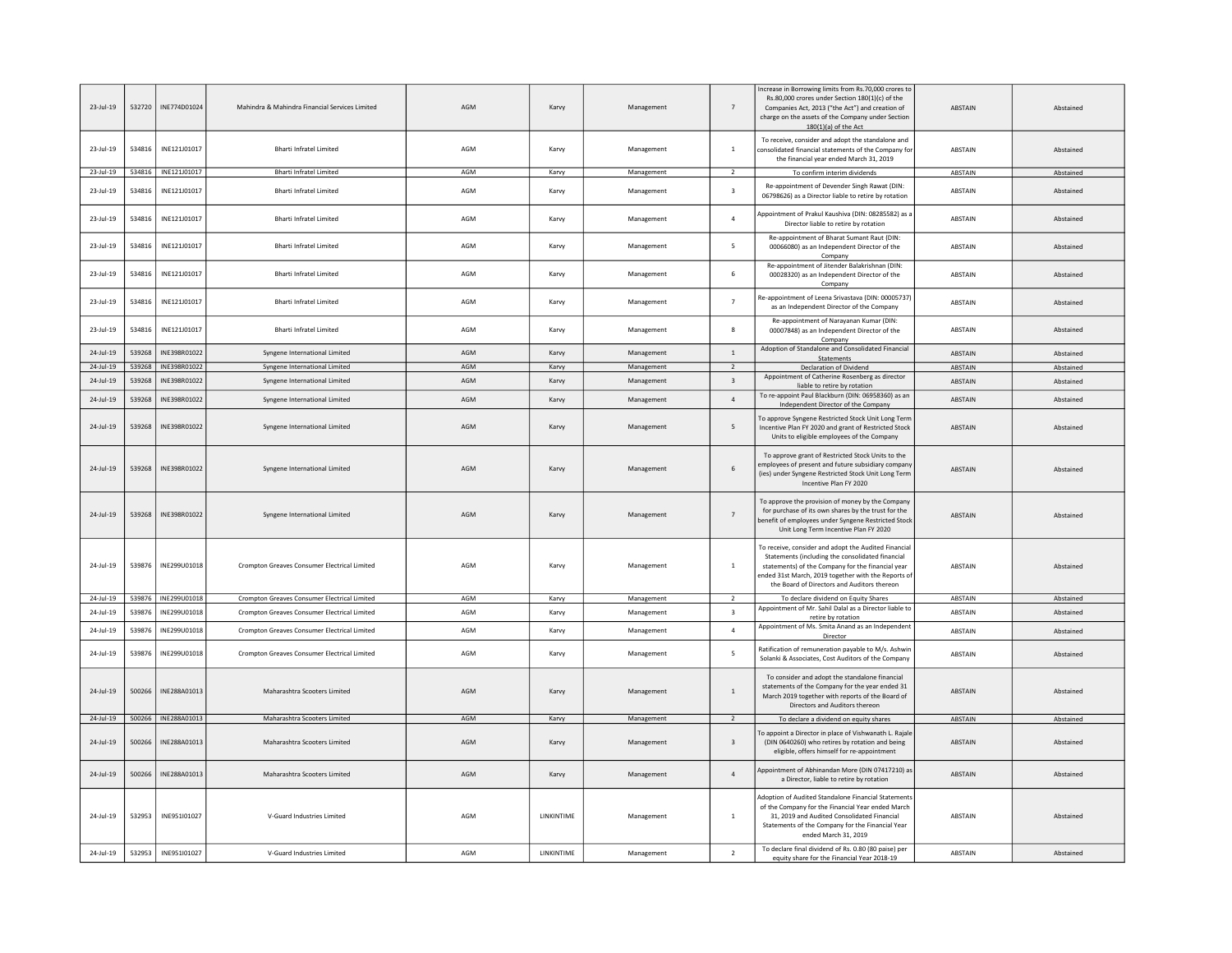| $23$ -Jul-19 |        | 532720   INE774D01024 | Mahindra & Mahindra Financial Services Limited | AGM | Karvy              | Management | $\overline{7}$          | Increase in Borrowing limits from Rs.70,000 crores to<br>Rs.80,000 crores under Section 180(1)(c) of the<br>Companies Act. 2013 ("the Act") and creation of<br>charge on the assets of the Company under Section<br>$180(1)(a)$ of the Act                         | <b>ABSTAIN</b> | Abstained |
|--------------|--------|-----------------------|------------------------------------------------|-----|--------------------|------------|-------------------------|--------------------------------------------------------------------------------------------------------------------------------------------------------------------------------------------------------------------------------------------------------------------|----------------|-----------|
| $23$ -Jul-19 | 534816 | INE121J01017          | <b>Bharti Infratel Limited</b>                 | AGM | Karvy              | Management | $\overline{1}$          | To receive, consider and adopt the standalone and<br>consolidated financial statements of the Company for<br>the financial year ended March 31, 2019                                                                                                               | ABSTAIN        | Abstained |
| 23-Jul-19    | 534816 | INE121J01017          | Bharti Infratel Limited                        | AGM | Karvy              | Management | 2                       | To confirm interim dividends                                                                                                                                                                                                                                       | ABSTAIN        | Abstained |
| 23-Jul-19    | 534816 | INE121J01017          | <b>Bharti Infratel Limited</b>                 | AGM | Karvy              | Management | $\overline{\mathbf{3}}$ | Re-appointment of Devender Singh Rawat (DIN:<br>06798626) as a Director liable to retire by rotation                                                                                                                                                               | ABSTAIN        | Abstained |
| 23-Jul-19    | 534816 | INE121J01017          | <b>Bharti Infratel Limited</b>                 | AGM | Karvy              | Management | $\overline{4}$          | Appointment of Prakul Kaushiva (DIN: 08285582) as a<br>Director liable to retire by rotation                                                                                                                                                                       | ABSTAIN        | Abstained |
| 23-Jul-19    | 534816 | INE121J01017          | Bharti Infratel Limited                        | AGM | Karvy              | Management | 5                       | Re-appointment of Bharat Sumant Raut (DIN:<br>00066080) as an Independent Director of the<br>Company                                                                                                                                                               | <b>ABSTAIN</b> | Abstained |
| 23-Jul-19    | 534816 | INE121J01017          | <b>Bharti Infratel Limited</b>                 | AGM | Karvy              | Management | 6                       | Re-appointment of Jitender Balakrishnan (DIN:<br>00028320) as an Independent Director of the<br>Company                                                                                                                                                            | <b>ABSTAIN</b> | Abstained |
| 23-Jul-19    | 534816 | INE121J01017          | Bharti Infratel Limited                        | AGM | Karvy              | Management | $\overline{7}$          | Re-appointment of Leena Srivastava (DIN: 00005737<br>as an Independent Director of the Company                                                                                                                                                                     | <b>ABSTAIN</b> | Abstained |
| 23-Jul-19    | 534816 | INE121J01017          | Bharti Infratel Limited                        | AGM | Karvy              | Management | 8                       | Re-appointment of Narayanan Kumar (DIN:<br>00007848) as an Independent Director of the<br>Company                                                                                                                                                                  | ABSTAIN        | Abstained |
| 24-Jul-19    | 539268 | INE398R01022          | Syngene International Limited                  | AGM | Karvy              | Management | $\overline{1}$          | Adoption of Standalone and Consolidated Financial                                                                                                                                                                                                                  | ABSTAIN        | Abstained |
| 24-Jul-19    |        | 539268   INE398R01022 | Syngene International Limited                  | AGM | Karvy              | Management | $\overline{2}$          | Statements<br>Declaration of Dividend                                                                                                                                                                                                                              | ABSTAIN        | Abstained |
| $24$ -Jul-19 | 539268 | INE398R01022          | Syngene International Limited                  | AGM | Karvy              | Management | $\overline{\mathbf{3}}$ | Appointment of Catherine Rosenberg as director                                                                                                                                                                                                                     | ABSTAIN        | Abstained |
|              |        |                       |                                                |     |                    |            |                         | liable to retire by rotation<br>To re-appoint Paul Blackburn (DIN: 06958360) as an                                                                                                                                                                                 |                |           |
| 24-Jul-19    | 539268 | INF398R01022          | Syngene International Limited                  | AGM | Karvy              | Management | $\overline{a}$          | Independent Director of the Company                                                                                                                                                                                                                                | <b>ABSTAIN</b> | Abstained |
| 24-Jul-19    | 539268 | INE398R01022          | Syngene International Limited                  | AGM | Karvy              | Management | 5                       | To approve Syngene Restricted Stock Unit Long Term<br>Incentive Plan FY 2020 and grant of Restricted Stock<br>Units to eligible employees of the Company                                                                                                           | ABSTAIN        | Abstained |
| 24-Jul-19    | 539268 | INE398R01022          | Syngene International Limited                  | AGM | Karvy              | Management | $\sqrt{6}$              | To approve grant of Restricted Stock Units to the<br>employees of present and future subsidiary compant<br>(ies) under Syngene Restricted Stock Unit Long Term<br>Incentive Plan FY 2020                                                                           | ABSTAIN        | Abstained |
| 24-Jul-19    | 539268 | INE398R01022          | Syngene International Limited                  | AGM | Karvy              | Management | $\overline{7}$          | To approve the provision of money by the Company<br>for purchase of its own shares by the trust for the<br>benefit of employees under Syngene Restricted Stoc<br>Unit Long Term Incentive Plan FY 2020                                                             | <b>ABSTAIN</b> | Abstained |
| 24-Jul-19    |        | 539876   INE299U01018 | Crompton Greaves Consumer Electrical Limited   | AGM | Karvy              | Management | $\overline{1}$          | To receive, consider and adopt the Audited Financia<br>Statements (including the consolidated financial<br>statements) of the Company for the financial year<br>ended 31st March, 2019 together with the Reports of<br>the Board of Directors and Auditors thereon | ABSTAIN        | Abstained |
| 24-Jul-19    |        | 539876   INE299U01018 | Crompton Greaves Consumer Electrical Limited   | AGM | Karvy              | Management | $\overline{2}$          | To declare dividend on Equity Shares                                                                                                                                                                                                                               | ABSTAIN        | Abstained |
| 24-Jul-19    | 539876 | INE299U01018          | Crompton Greaves Consumer Electrical Limited   | AGM | Karvy              | Management | $\overline{\mathbf{3}}$ | Appointment of Mr. Sahil Dalal as a Director liable to<br>retire by rotation                                                                                                                                                                                       | ABSTAIN        | Abstained |
| 24-Jul-19    | 539876 | INE299U01018          | Crompton Greaves Consumer Electrical Limited   | AGM | Karvy              | Management | $\overline{4}$          | Appointment of Ms. Smita Anand as an Independent<br>Director                                                                                                                                                                                                       | <b>ABSTAIN</b> | Abstained |
| 24-Jul-19    | 539876 | INE299U01018          | Crompton Greaves Consumer Electrical Limited   | AGM | Karvy              | Management | 5                       | Ratification of remuneration payable to M/s. Ashwin<br>Solanki & Associates, Cost Auditors of the Company                                                                                                                                                          | ABSTAIN        | Abstained |
| 24-Jul-19    | 500266 | INE288A01013          | Maharashtra Scooters Limited                   | AGM | Karvy              | Management | $\overline{1}$          | To consider and adopt the standalone financial<br>statements of the Company for the year ended 31<br>March 2019 together with reports of the Board of<br>Directors and Auditors thereon                                                                            | <b>ABSTAIN</b> | Abstained |
| $24$ -Jul-19 |        | 500266 INE288A01013   | Maharashtra Scooters Limited                   | AGM | Karvy              | Management | $\overline{2}$          | To declare a dividend on equity shares                                                                                                                                                                                                                             | ABSTAIN        | Abstained |
| $24$ -Jul-19 | 500266 | INE288A01013          | Maharashtra Scooters Limited                   | AGM | Karvy              | Management | $\overline{\mathbf{3}}$ | To appoint a Director in place of Vishwanath L. Rajale<br>(DIN 0640260) who retires by rotation and being<br>eligible, offers himself for re-appointment                                                                                                           | ABSTAIN        | Abstained |
| 24-Jul-19    | 500266 | INE288A01013          | Maharashtra Scooters Limited                   | AGM | Karvy              | Management | $\overline{4}$          | Appointment of Abhinandan More (DIN 07417210) as<br>a Director, liable to retire by rotation                                                                                                                                                                       | <b>ABSTAIN</b> | Abstained |
| 24-Jul-19    | 532953 | INE951I01027          | V-Guard Industries Limited                     | AGM | <b>I INKINTIME</b> | Management | $\overline{1}$          | Adoption of Audited Standalone Financial Statement<br>of the Company for the Financial Year ended March<br>31, 2019 and Audited Consolidated Financial<br>Statements of the Company for the Financial Year<br>ended March 31, 2019                                 | <b>ABSTAIN</b> | Abstained |
| 24-Jul-19    | 532953 | INE951I01027          | V-Guard Industries Limited                     | AGM | LINKINTIME         | Management | $\overline{2}$          | To declare final dividend of Rs. 0.80 (80 paise) per<br>equity share for the Financial Year 2018-19                                                                                                                                                                | <b>ABSTAIN</b> | Abstained |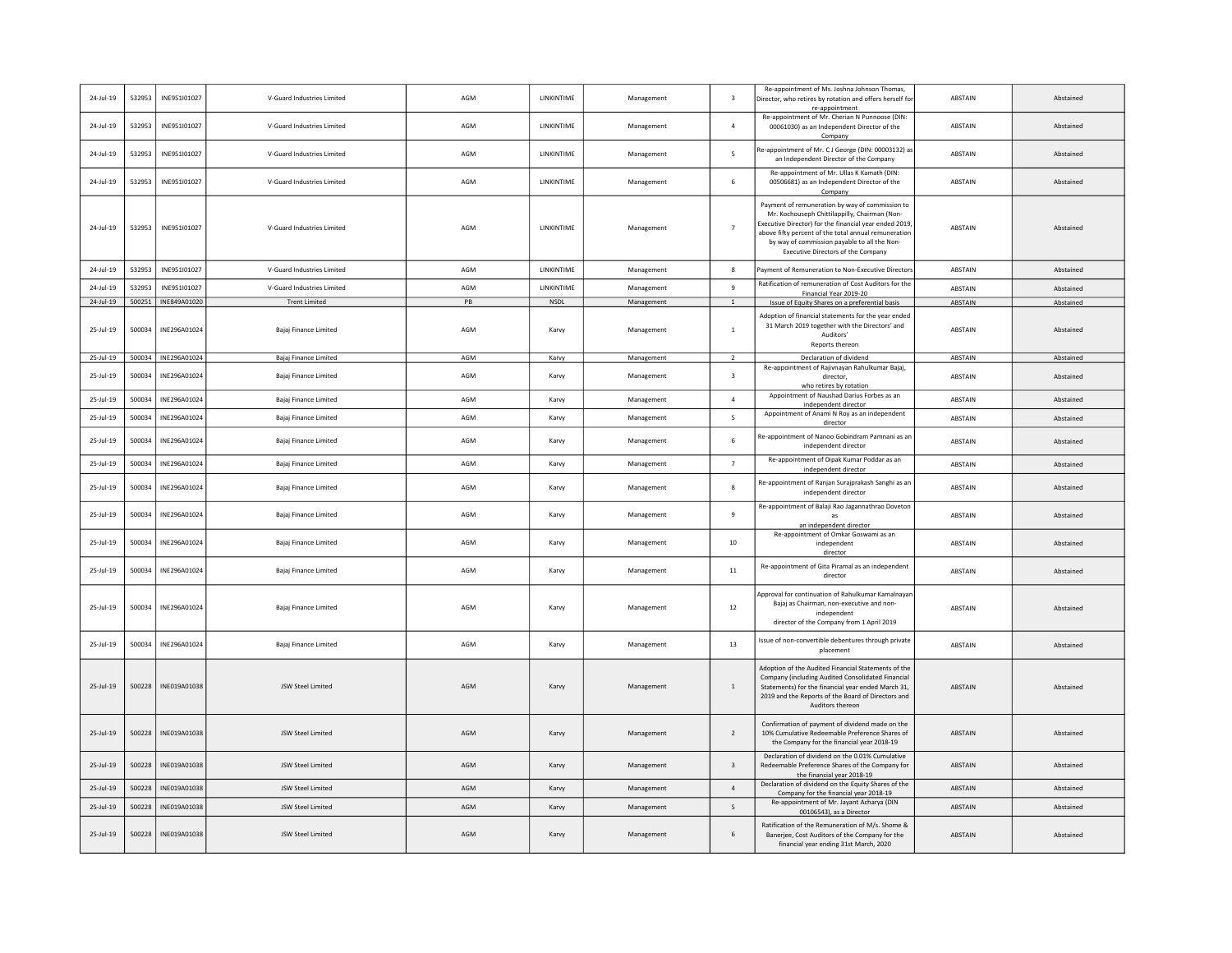| 24-Jul-19     | 532953 | INE951I01027        | V-Guard Industries Limited | AGM | LINKINTIME         | Management | $\overline{\mathbf{3}}$ | Re-appointment of Ms. Joshna Johnson Thomas,<br>Director, who retires by rotation and offers herself fo<br>re-appointment                                                                                                                                                                               | ABSTAIN        | Abstained |
|---------------|--------|---------------------|----------------------------|-----|--------------------|------------|-------------------------|---------------------------------------------------------------------------------------------------------------------------------------------------------------------------------------------------------------------------------------------------------------------------------------------------------|----------------|-----------|
| 24-Jul-19     | 532953 | INE951I01027        | V-Guard Industries Limited | AGM | LINKINTIME         | Management | $\overline{a}$          | Re-appointment of Mr. Cherian N Punnoose (DIN:<br>00061030) as an Independent Director of the<br>Company                                                                                                                                                                                                | ABSTAIN        | Abstained |
| 24-Jul-19     | 532953 | INE951I01027        | V-Guard Industries Limited | AGM | <b>I INKINTIME</b> | Management | 5                       | Re-appointment of Mr. C J George (DIN: 00003132) as<br>an Independent Director of the Company                                                                                                                                                                                                           | <b>ABSTAIN</b> | Abstained |
| 24-Jul-19     | 532953 | INE951I01027        | V-Guard Industries Limited | AGM | LINKINTIME         | Management | 6                       | Re-appointment of Mr. Ullas K Kamath (DIN:<br>00506681) as an Independent Director of the<br>Company                                                                                                                                                                                                    | ABSTAIN        | Abstained |
| 24-Jul-19     | 532953 | INE951I01027        | V-Guard Industries Limited | AGM | LINKINTIME         | Management | $\overline{7}$          | Payment of remuneration by way of commission to<br>Mr. Kochouseph Chittilappilly, Chairman (Non-<br>Executive Director) for the financial year ended 2019<br>above fifty percent of the total annual remuneration<br>by way of commission payable to all the Non-<br>Executive Directors of the Company | <b>ARSTAIN</b> | Abstained |
| 24-Jul-19     | 532953 | INE951I01027        | V-Guard Industries Limited | AGM | LINKINTIME         | Management | 8                       | Payment of Remuneration to Non-Executive Director                                                                                                                                                                                                                                                       | ABSTAIN        | Abstained |
| 24-Jul-19     | 532953 | INE951I01027        | V-Guard Industries Limited | AGM | LINKINTIME         | Management | 9                       | Ratification of remuneration of Cost Auditors for the<br>Financial Year 2019-20                                                                                                                                                                                                                         | ABSTAIN        | Abstained |
| 24-Jul-19     | 500251 | INE849A01020        | <b>Trent Limited</b>       | PB  | NSDL               | Management | $\mathbf{1}$            | Issue of Equity Shares on a preferential basis                                                                                                                                                                                                                                                          | ABSTAIN        | Abstained |
| 25-Jul-19     | 500034 | INE296A01024        | Bajaj Finance Limited      | AGM | Karvy              | Management | $\overline{1}$          | Adoption of financial statements for the year ended<br>31 March 2019 together with the Directors' and<br>Auditors'<br>Reports thereon                                                                                                                                                                   | ABSTAIN        | Abstained |
| $25 -$ Jul-19 |        | 500034 INE296A01024 | Bajaj Finance Limited      | AGM | Karvy              | Management | $\overline{2}$          | Declaration of dividend                                                                                                                                                                                                                                                                                 | ABSTAIN        | Abstained |
| 25-Jul-19     | 500034 | INE296A01024        | Bajaj Finance Limited      | AGM | Karvy              | Management | $\overline{\mathbf{3}}$ | Re-appointment of Rajivnayan Rahulkumar Bajaj,<br>director,<br>who retires by rotation                                                                                                                                                                                                                  | ABSTAIN        | Abstained |
| 25-Jul-19     | 500034 | INE296A01024        | Bajaj Finance Limited      | AGM | Karvy              | Management | $\overline{4}$          | Appointment of Naushad Darius Forbes as an<br>independent director                                                                                                                                                                                                                                      | ABSTAIN        | Abstained |
| 25-Jul-19     | 500034 | INE296A01024        | Bajaj Finance Limited      | AGM | Karvy              | Management | 5                       | Appointment of Anami N Roy as an independent<br>director                                                                                                                                                                                                                                                | ABSTAIN        | Abstained |
| 25-Jul-19     | 500034 | INE296A01024        | Bajaj Finance Limited      | AGM | Karvy              | Management | 6                       | Re-appointment of Nanoo Gobindram Pamnani as ar<br>independent director                                                                                                                                                                                                                                 | ABSTAIN        | Abstained |
| 25-Jul-19     | 500034 | INE296A01024        | Bajaj Finance Limited      | AGM | Karvy              | Management | $\overline{7}$          | Re-appointment of Dipak Kumar Poddar as an<br>independent director                                                                                                                                                                                                                                      | ABSTAIN        | Abstained |
| 25-Jul-19     | 500034 | INE296A01024        | Bajaj Finance Limited      | AGM | Karvy              | Management | 8                       | Re-appointment of Ranjan Surajprakash Sanghi as an<br>independent director                                                                                                                                                                                                                              | ABSTAIN        | Abstained |
| 25-Jul-19     | 500034 | INE296A01024        | Bajaj Finance Limited      | AGM | Karvy              | Management | 9                       | Re-appointment of Balaji Rao Jagannathrao Dovetor<br>as<br>an independent director                                                                                                                                                                                                                      | ABSTAIN        | Abstained |
| 25-Jul-19     | 500034 | INE296A01024        | Bajaj Finance Limited      | AGM | Karvy              | Management | 10                      | Re-appointment of Omkar Goswami as an<br>independent<br>director                                                                                                                                                                                                                                        | ABSTAIN        | Abstained |
| 25-Jul-19     | 500034 | INE296A01024        | Bajaj Finance Limited      | AGM | Karvy              | Management | $11\,$                  | Re-appointment of Gita Piramal as an independent<br>director                                                                                                                                                                                                                                            | ABSTAIN        | Abstained |
| 25-Jul-19     | 500034 | INE296A01024        | Bajaj Finance Limited      | AGM | Karvy              | Management | 12                      | Approval for continuation of Rahulkumar Kamalnayar<br>Bajaj as Chairman, non-executive and non-<br>independent<br>director of the Company from 1 April 2019                                                                                                                                             | ABSTAIN        | Abstained |
| 25-Jul-19     | 500034 | INE296A01024        | Bajaj Finance Limited      | AGM | Karvy              | Management | 13                      | Issue of non-convertible debentures through private<br>placement                                                                                                                                                                                                                                        | ABSTAIN        | Abstained |
| $25 -$ Jul-19 | 500228 | INE019A01038        | JSW Steel Limited          | AGM | Karvy              | Management | $\overline{1}$          | Adoption of the Audited Financial Statements of the<br>Company (including Audited Consolidated Financial<br>Statements) for the financial year ended March 31.<br>2019 and the Reports of the Board of Directors and<br>Auditors thereon                                                                | <b>ABSTAIN</b> | Abstained |
| 25-Jul-19     | 500228 | INF019A01038        | ISW Steel Limited          | AGM | Karvy              | Management | 2                       | Confirmation of payment of dividend made on the<br>10% Cumulative Redeemable Preference Shares of<br>the Company for the financial year 2018-19                                                                                                                                                         | <b>ARSTAIN</b> | Abstained |
| 25-Jul-19     | 500228 | INE019A01038        | JSW Steel Limited          | AGM | Karvy              | Management | $\overline{\mathbf{3}}$ | Declaration of dividend on the 0.01% Cumulative<br>Redeemable Preference Shares of the Company for<br>the financial year 2018-19                                                                                                                                                                        | ABSTAIN        | Abstained |
| 25-Jul-19     | 500228 | INE019A01038        | JSW Steel Limited          | AGM | Karvy              | Management | $\sqrt{4}$              | Declaration of dividend on the Equity Shares of the<br>Company for the financial year 2018-19                                                                                                                                                                                                           | ABSTAIN        | Abstained |
| 25-Jul-19     | 500228 | INE019A01038        | JSW Steel Limited          | AGM | Karvy              | Management | 5                       | Re-appointment of Mr. Jayant Acharya (DIN<br>00106543), as a Director                                                                                                                                                                                                                                   | <b>ABSTAIN</b> | Abstained |
| 25-Jul-19     | 500228 | INE019A01038        | JSW Steel Limited          | AGM | Karvy              | Management | 6                       | Ratification of the Remuneration of M/s. Shome &<br>Banerjee, Cost Auditors of the Company for the<br>financial year ending 31st March, 2020                                                                                                                                                            | ABSTAIN        | Abstained |
|               |        |                     |                            |     |                    |            |                         |                                                                                                                                                                                                                                                                                                         |                |           |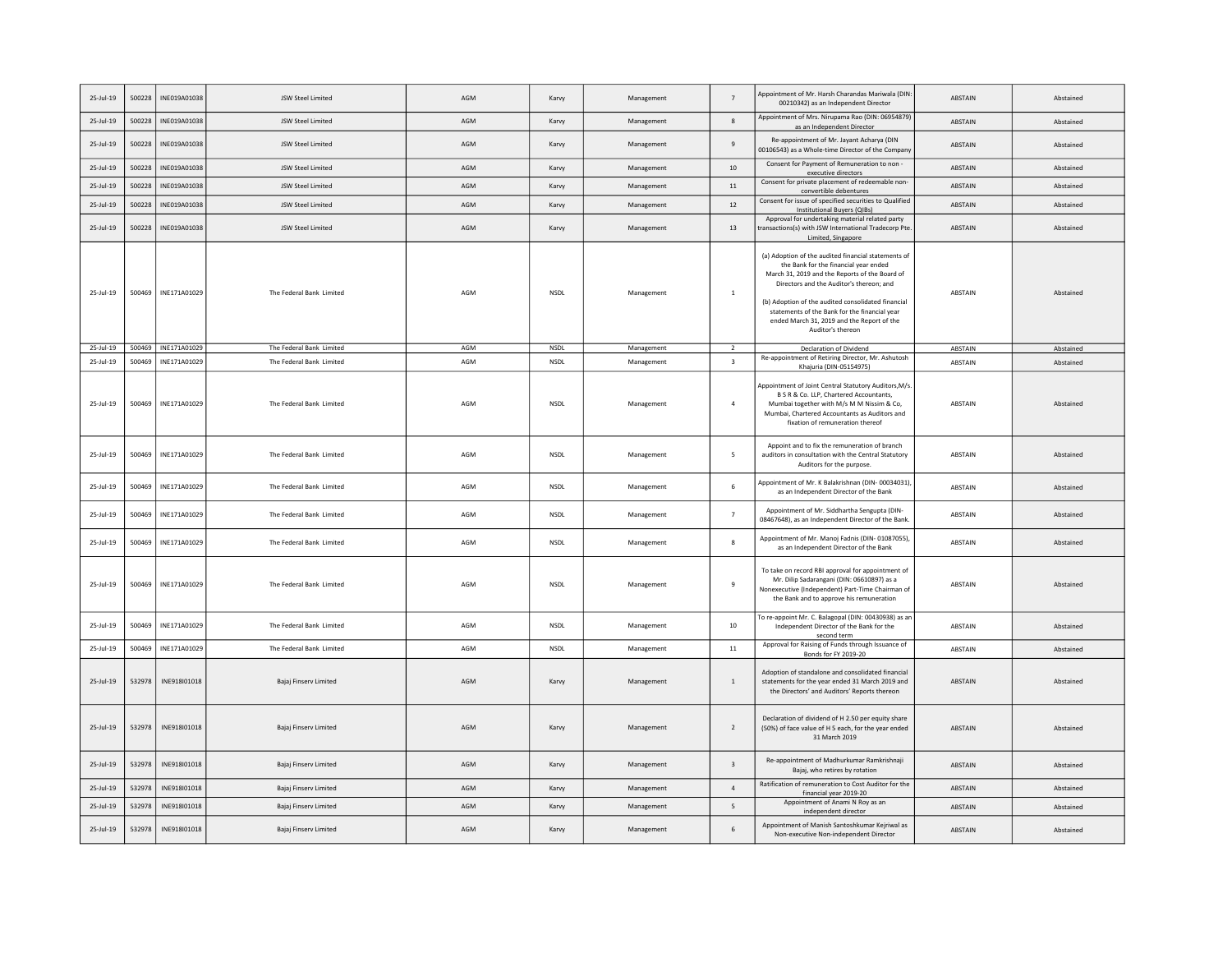| 25-Jul-19     | 500228 | INE019A01038        | JSW Steel Limited        | AGM | Karvy       | Management | $\overline{7}$          | Appointment of Mr. Harsh Charandas Mariwala (DIN:<br>00210342) as an Independent Director                                                                                                                                                                                                                                                                            | <b>ABSTAIN</b> | Abstained |
|---------------|--------|---------------------|--------------------------|-----|-------------|------------|-------------------------|----------------------------------------------------------------------------------------------------------------------------------------------------------------------------------------------------------------------------------------------------------------------------------------------------------------------------------------------------------------------|----------------|-----------|
| 25-Jul-19     | 500228 | INE019A01038        | JSW Steel Limited        | AGM | Karvy       | Management | $\mathbf{g}$            | Appointment of Mrs. Nirupama Rao (DIN: 06954879)<br>as an Independent Director                                                                                                                                                                                                                                                                                       | ABSTAIN        | Abstained |
| 25-Jul-19     | 500228 | INE019A01038        | JSW Steel Limited        | AGM | Karvy       | Management | 9                       | Re-appointment of Mr. Jayant Acharya (DIN<br>00106543) as a Whole-time Director of the Company                                                                                                                                                                                                                                                                       | <b>ABSTAIN</b> | Abstained |
| 25-Jul-19     | 500228 | INE019A01038        | JSW Steel Limited        | AGM | Karvy       | Management | 10                      | Consent for Payment of Remuneration to non -<br>executive directors                                                                                                                                                                                                                                                                                                  | ABSTAIN        | Abstained |
| 25-Jul-19     | 500228 | INE019A01038        | JSW Steel Limited        | AGM | Karvy       | Management | $11\,$                  | Consent for private placement of redeemable non-<br>convertible debentures                                                                                                                                                                                                                                                                                           | ABSTAIN        | Abstained |
| $25 -$ Jul-19 | 500228 | INE019A01038        | JSW Steel Limited        | AGM | Karvy       | Management | 12                      | Consent for issue of specified securities to Qualified<br><b>Institutional Buyers (QIBs)</b>                                                                                                                                                                                                                                                                         | <b>ABSTAIN</b> | Abstained |
| 25-Jul-19     | 500228 | INE019A01038        | JSW Steel Limited        | AGM | Karvy       | Management | 13                      | Approval for undertaking material related party<br>transactions(s) with JSW International Tradecorp Pte<br>Limited, Singapore                                                                                                                                                                                                                                        | <b>ABSTAIN</b> | Abstained |
| 25-Jul-19     | 500469 | INE171A01029        | The Federal Bank Limited | AGM | <b>NSDL</b> | Management | $\,$ 1 $\,$             | (a) Adoption of the audited financial statements of<br>the Bank for the financial year ended<br>March 31, 2019 and the Reports of the Board of<br>Directors and the Auditor's thereon; and<br>(b) Adoption of the audited consolidated financial<br>statements of the Bank for the financial year<br>ended March 31, 2019 and the Report of the<br>Auditor's thereon | ABSTAIN        | Abstained |
| 25-Jul-19     |        | 500469 INE171A01029 | The Federal Bank Limited | AGM | NSDL        | Management | $\overline{2}$          | Declaration of Dividend<br>Re-appointment of Retiring Director, Mr. Ashutosh                                                                                                                                                                                                                                                                                         | ABSTAIN        | Abstained |
| 25-Jul-19     | 500469 | INE171A01029        | The Federal Bank Limited | AGM | <b>NSDL</b> | Management | $\overline{\mathbf{3}}$ | Khajuria (DIN-05154975)                                                                                                                                                                                                                                                                                                                                              | ABSTAIN        | Abstained |
| 25-Jul-19     | 500469 | INE171A01029        | The Federal Bank Limited | AGM | <b>NSDL</b> | Management | $\overline{4}$          | Appointment of Joint Central Statutory Auditors, M/s<br>B S R & Co. LLP, Chartered Accountants,<br>Mumbai together with M/s M M Nissim & Co,<br>Mumbai, Chartered Accountants as Auditors and<br>fixation of remuneration thereof                                                                                                                                    | ABSTAIN        | Abstained |
| 25-Jul-19     | 500469 | INE171A01029        | The Federal Bank Limited | AGM | <b>NSDL</b> | Management | 5                       | Appoint and to fix the remuneration of branch<br>auditors in consultation with the Central Statutory<br>Auditors for the purpose.                                                                                                                                                                                                                                    | ABSTAIN        | Abstained |
| 25-Jul-19     | 500469 | INE171A01029        | The Federal Bank Limited | AGM | <b>NSDL</b> | Management | 6                       | Appointment of Mr. K Balakrishnan (DIN-00034031)<br>as an Independent Director of the Bank                                                                                                                                                                                                                                                                           | <b>ABSTAIN</b> | Abstained |
| 25-Jul-19     | 500469 | INE171A01029        | The Federal Bank Limited | AGM | <b>NSDL</b> | Management | $\overline{7}$          | Appointment of Mr. Siddhartha Sengupta (DIN-<br>08467648), as an Independent Director of the Bank.                                                                                                                                                                                                                                                                   | ABSTAIN        | Abstained |
| 25-Jul-19     | 500469 | INE171A01029        | The Federal Bank Limited | AGM | <b>NSDL</b> | Management | 8                       | Appointment of Mr. Manoj Fadnis (DIN-01087055),<br>as an Independent Director of the Bank                                                                                                                                                                                                                                                                            | ABSTAIN        | Abstained |
| 25-Jul-19     | 500469 | INE171A01029        | The Federal Bank Limited | AGM | NSDL        | Management | 9                       | To take on record RBI approval for appointment of<br>Mr. Dilip Sadarangani (DIN: 06610897) as a<br>Nonexecutive (Independent) Part-Time Chairman of<br>the Bank and to approve his remuneration                                                                                                                                                                      | ABSTAIN        | Abstained |
| 25-Jul-19     | 500469 | INE171A01029        | The Federal Bank Limited | AGM | NSDL        | Management | 10                      | To re-appoint Mr. C. Balagopal (DIN: 00430938) as an<br>Independent Director of the Bank for the<br>second term                                                                                                                                                                                                                                                      | ABSTAIN        | Abstained |
| 25-Jul-19     | 500469 | INE171A01029        | The Federal Bank Limited | AGM | NSDL        | Management | $11\,$                  | Approval for Raising of Funds through Issuance of<br>Bonds for FY 2019-20                                                                                                                                                                                                                                                                                            | ABSTAIN        | Abstained |
| 25-Jul-19     | 532978 | INE918I01018        | Bajaj Finserv Limited    | AGM | Karvy       | Management | $1\,$                   | Adoption of standalone and consolidated financial<br>statements for the year ended 31 March 2019 and<br>the Directors' and Auditors' Reports thereon                                                                                                                                                                                                                 | ABSTAIN        | Abstained |
| 25-Jul-19     | 532978 | INE918I01018        | Bajaj Finserv Limited    | AGM | Karvy       | Management | $\overline{2}$          | Declaration of dividend of H 2.50 per equity share<br>(50%) of face value of H 5 each, for the year ended<br>31 March 2019                                                                                                                                                                                                                                           | ABSTAIN        | Abstained |
| 25-Jul-19     | 532978 | INE918I01018        | Bajaj Finserv Limited    | AGM | Karvy       | Management | $\overline{\mathbf{3}}$ | Re-appointment of Madhurkumar Ramkrishnaji<br>Bajaj, who retires by rotation                                                                                                                                                                                                                                                                                         | ABSTAIN        | Abstained |
| 25-Jul-19     | 532978 | INE918I01018        | Bajaj Finserv Limited    | AGM | Karvy       | Management | $\overline{4}$          | Ratification of remuneration to Cost Auditor for the<br>financial year 2019-20                                                                                                                                                                                                                                                                                       | <b>ABSTAIN</b> | Abstained |
| 25-Jul-19     | 532978 | INE918I01018        | Bajaj Finserv Limited    | AGM | Karvy       | Management | 5                       | Appointment of Anami N Roy as an<br>independent director                                                                                                                                                                                                                                                                                                             | <b>ABSTAIN</b> | Abstained |
| 25-Jul-19     | 532978 | INE918I01018        | Bajaj Finserv Limited    | AGM | Karvy       | Management | 6                       | Appointment of Manish Santoshkumar Kejriwal as<br>Non-executive Non-independent Director                                                                                                                                                                                                                                                                             | ABSTAIN        | Abstained |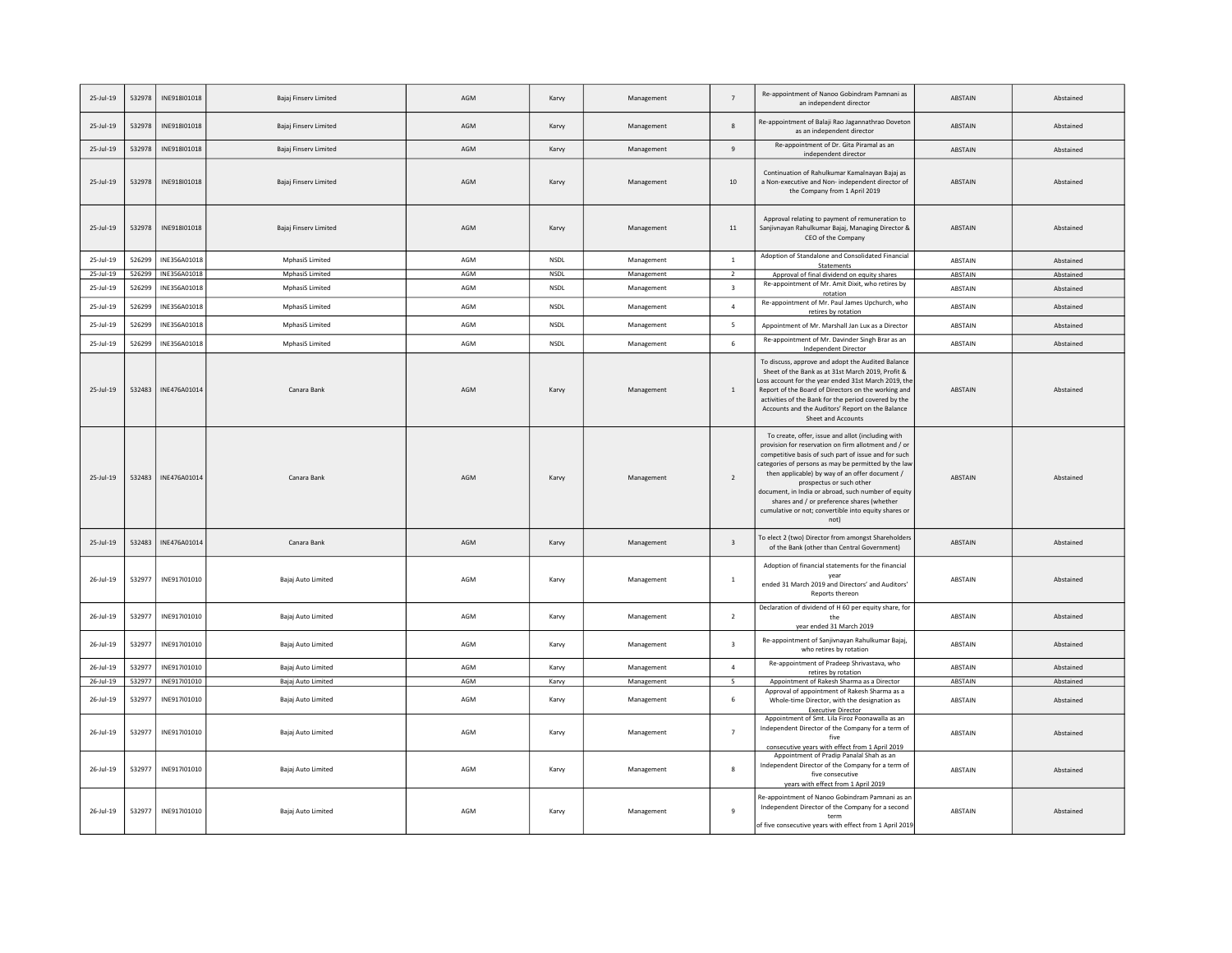| 25-Jul-19     | 532978 | INE918I01018 | Bajaj Finserv Limited  | AGM | Karvy       | Management | $\overline{7}$           | Re-appointment of Nanoo Gobindram Pamnani as<br>an independent director                                                                                                                                                                                                                                                                                                                                                                                                      | <b>ABSTAIN</b> | Abstained |
|---------------|--------|--------------|------------------------|-----|-------------|------------|--------------------------|------------------------------------------------------------------------------------------------------------------------------------------------------------------------------------------------------------------------------------------------------------------------------------------------------------------------------------------------------------------------------------------------------------------------------------------------------------------------------|----------------|-----------|
| 25-Jul-19     | 532978 | INE918I01018 | Bajaj Finserv Limited  | AGM | Karvy       | Management | 8                        | Re-appointment of Balaji Rao Jagannathrao Dovetor<br>as an independent director                                                                                                                                                                                                                                                                                                                                                                                              | ABSTAIN        | Abstained |
| 25-Jul-19     | 532978 | INE918I01018 | Bajaj Finserv Limited  | AGM | Karvy       | Management | $9\,$                    | Re-appointment of Dr. Gita Piramal as an<br>independent director                                                                                                                                                                                                                                                                                                                                                                                                             | ABSTAIN        | Abstained |
| 25-Jul-19     | 532978 | INE918I01018 | Bajaj Finserv Limited  | AGM | Karvy       | Management | 10                       | Continuation of Rahulkumar Kamalnayan Bajaj as<br>a Non-executive and Non- independent director of<br>the Company from 1 April 2019                                                                                                                                                                                                                                                                                                                                          | <b>ABSTAIN</b> | Abstained |
| 25-Jul-19     | 532978 | INE918I01018 | Bajaj Finserv Limited  | AGM | Karvy       | Management | 11                       | Approval relating to payment of remuneration to<br>Sanjivnayan Rahulkumar Bajaj, Managing Director &<br>CEO of the Company                                                                                                                                                                                                                                                                                                                                                   | ABSTAIN        | Abstained |
| 25-Jul-19     | 526299 | INE356A01018 | MphasiS Limited        | AGM | <b>NSDL</b> | Management | $\overline{1}$           | Adoption of Standalone and Consolidated Financial<br><b>Statements</b>                                                                                                                                                                                                                                                                                                                                                                                                       | <b>ABSTAIN</b> | Abstained |
| $25$ -Jul-19  | 526299 | INE356A01018 | <b>MphasiS Limited</b> | AGM | <b>NSDL</b> | Management | $\overline{2}$           | Approval of final dividend on equity shares<br>Re-appointment of Mr. Amit Dixit, who retires by                                                                                                                                                                                                                                                                                                                                                                              | ABSTAIN        | Abstained |
| 25-Jul-19     | 526299 | INE356A01018 | <b>MphasiS Limited</b> | AGM | NSDL        | Management | $\overline{\mathbf{3}}$  | rotation                                                                                                                                                                                                                                                                                                                                                                                                                                                                     | ABSTAIN        | Abstained |
| 25-Jul-19     | 526299 | INE356A01018 | MphasiS Limited        | AGM | NSDL        | Management | $\overline{4}$           | Re-appointment of Mr. Paul James Upchurch, who<br>retires by rotation                                                                                                                                                                                                                                                                                                                                                                                                        | ABSTAIN        | Abstained |
| 25-Jul-19     | 526299 | INE356A01018 | MphasiS Limited        | AGM | <b>NSDL</b> | Management | $\overline{\phantom{a}}$ | Appointment of Mr. Marshall Jan Lux as a Director                                                                                                                                                                                                                                                                                                                                                                                                                            | <b>ABSTAIN</b> | Abstained |
| 25-Jul-19     | 526299 | INE356A01018 | MphasiS Limited        | AGM | <b>NSDL</b> | Management | 6                        | Re-appointment of Mr. Davinder Singh Brar as an<br>Independent Director                                                                                                                                                                                                                                                                                                                                                                                                      | ABSTAIN        | Abstained |
| $25 -$ Jul-19 | 532483 | INE476A01014 | Canara Bank            | AGM | Karvy       | Management | $\,$ 1                   | To discuss, approve and adopt the Audited Balance<br>Sheet of the Bank as at 31st March 2019, Profit &<br>Loss account for the year ended 31st March 2019, the<br>Report of the Board of Directors on the working and<br>activities of the Bank for the period covered by the<br>Accounts and the Auditors' Report on the Balance<br>Sheet and Accounts                                                                                                                      | ABSTAIN        | Abstained |
| 25-Jul-19     | 532483 | INE476A01014 | Canara Bank            | AGM | Karvy       | Management | $\overline{2}$           | To create, offer, issue and allot (including with<br>provision for reservation on firm allotment and / or<br>competitive basis of such part of issue and for such<br>categories of persons as may be permitted by the lav<br>then applicable) by way of an offer document /<br>prospectus or such other<br>document, in India or abroad, such number of equity<br>shares and / or preference shares (whether<br>cumulative or not; convertible into equity shares or<br>not) | ABSTAIN        | Abstained |
| $25$ -Jul-19  | 532483 | INE476A01014 | Canara Bank            | AGM | Karvy       | Management | $\overline{\mathbf{3}}$  | To elect 2 (two) Director from amongst Shareholders<br>of the Bank (other than Central Government)                                                                                                                                                                                                                                                                                                                                                                           | ABSTAIN        | Abstained |
| $26 -$ Jul-19 | 532977 | INE917I01010 | Bajaj Auto Limited     | AGM | Karvy       | Management | $\overline{1}$           | Adoption of financial statements for the financial<br>vear<br>ended 31 March 2019 and Directors' and Auditors'<br>Reports thereon                                                                                                                                                                                                                                                                                                                                            | ABSTAIN        | Abstained |
| $26$ -Jul-19  | 532977 | INE917I01010 | Bajaj Auto Limited     | AGM | Karvy       | Management | $\overline{2}$           | Declaration of dividend of H 60 per equity share, for<br>the<br>year ended 31 March 2019                                                                                                                                                                                                                                                                                                                                                                                     | <b>ABSTAIN</b> | Abstained |
| 26-Jul-19     | 532977 | INE917I01010 | Bajaj Auto Limited     | AGM | Karvy       | Management | $\overline{\mathbf{3}}$  | Re-appointment of Sanjivnayan Rahulkumar Bajaj,<br>who retires by rotation                                                                                                                                                                                                                                                                                                                                                                                                   | ABSTAIN        | Abstained |
| 26-Jul-19     | 532977 | INE917I01010 | Bajaj Auto Limited     | AGM | Karvy       | Management | $\overline{4}$           | Re-appointment of Pradeep Shrivastava, who<br>retires by rotation                                                                                                                                                                                                                                                                                                                                                                                                            | ABSTAIN        | Abstained |
| $26$ -Jul-19  | 532977 | INE917I01010 | Bajaj Auto Limited     | AGM | Karvy       | Management | 5                        | Appointment of Rakesh Sharma as a Director                                                                                                                                                                                                                                                                                                                                                                                                                                   | ABSTAIN        | Abstained |
| $26 -$ Jul-19 | 532977 | INE917I01010 | Bajaj Auto Limited     | AGM | Karvy       | Management | 6                        | Approval of appointment of Rakesh Sharma as a<br>Whole-time Director, with the designation as<br><b>Executive Director</b>                                                                                                                                                                                                                                                                                                                                                   | ABSTAIN        | Abstained |
| $26$ -Jul-19  | 532977 | INE917I01010 | Bajaj Auto Limited     | AGM | Karvy       | Management | $\overline{7}$           | Appointment of Smt. Lila Firoz Poonawalla as an<br>Independent Director of the Company for a term of<br>five<br>consecutive years with effect from 1 April 2019                                                                                                                                                                                                                                                                                                              | ABSTAIN        | Abstained |
| $26 -$ Jul-19 | 532977 | INE917I01010 | Bajaj Auto Limited     | AGM | Karvy       | Management | 8                        | Appointment of Pradip Panalal Shah as an<br>Independent Director of the Company for a term of<br>five consecutive<br>years with effect from 1 April 2019                                                                                                                                                                                                                                                                                                                     | ABSTAIN        | Abstained |
| 26-Jul-19     | 532977 | INE917I01010 | Bajaj Auto Limited     | AGM | Karvy       | Management | 9                        | Re-appointment of Nanoo Gobindram Pamnani as an<br>Independent Director of the Company for a second<br>term<br>of five consecutive years with effect from 1 April 2019                                                                                                                                                                                                                                                                                                       | ABSTAIN        | Abstained |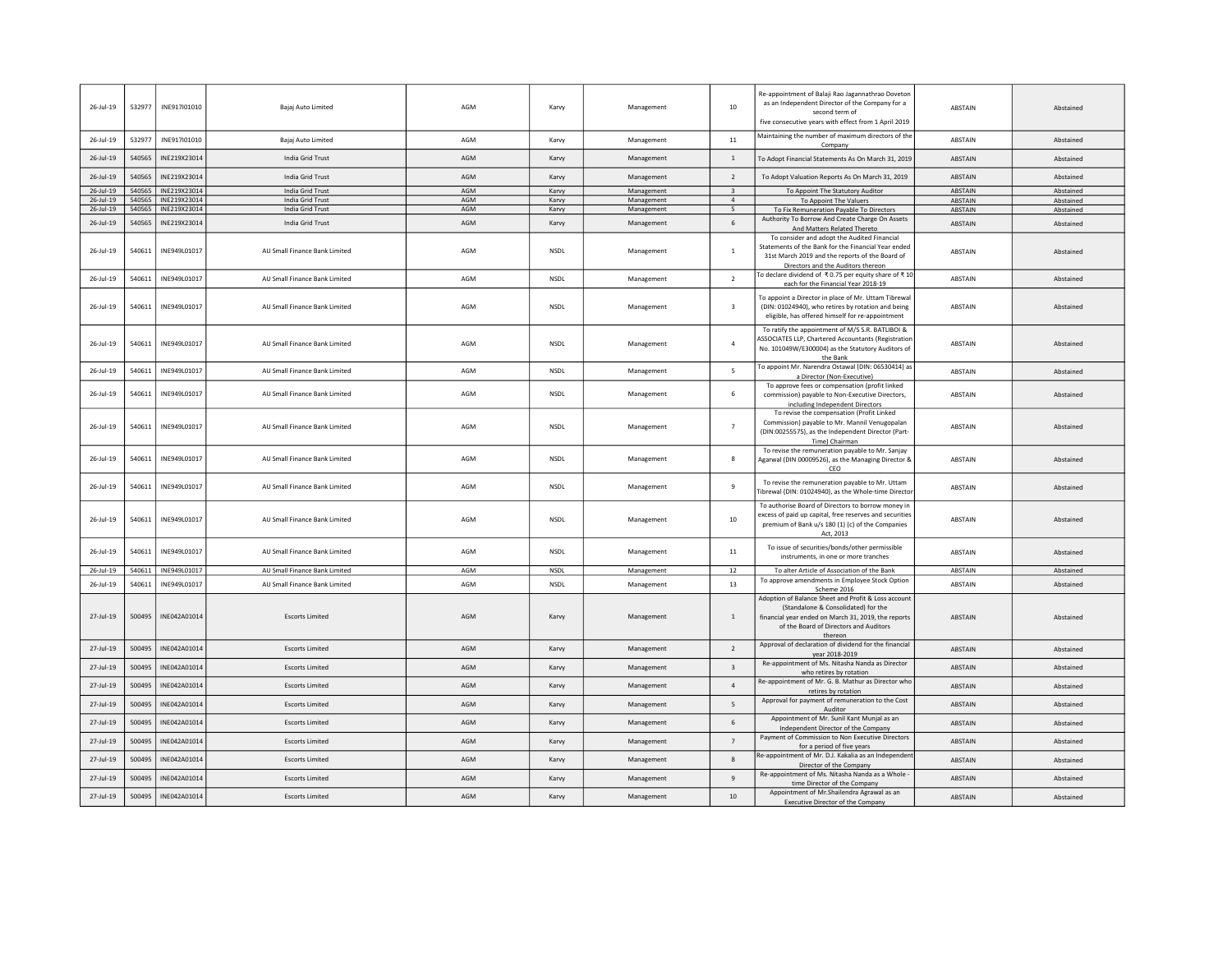| 26-Jul-19     | 532977 | INE917I01010 | Bajaj Auto Limited            | AGM | Karvy       | Management | 10                      | Re-appointment of Balaji Rao Jagannathrao Doveton<br>as an Independent Director of the Company for a<br>second term of<br>five consecutive years with effect from 1 April 2019                         | ABSTAIN        | Abstained |
|---------------|--------|--------------|-------------------------------|-----|-------------|------------|-------------------------|--------------------------------------------------------------------------------------------------------------------------------------------------------------------------------------------------------|----------------|-----------|
| 26-Jul-19     | 532977 | INE917I01010 | Bajaj Auto Limited            | AGM | Karvy       | Management | 11                      | Maintaining the number of maximum directors of the<br>Company                                                                                                                                          | ABSTAIN        | Abstained |
| $26$ -Jul-19  | 540565 | INE219X23014 | India Grid Trust              | AGM | Karvy       | Management | $\mathbf{1}$            | To Adopt Financial Statements As On March 31, 2019                                                                                                                                                     | ABSTAIN        | Abstained |
| $26 -$ Jul-19 | 540565 | INE219X23014 | India Grid Trust              | AGM | Karvy       | Management | $\overline{2}$          | To Adopt Valuation Reports As On March 31, 2019                                                                                                                                                        | ABSTAIN        | Abstained |
| 26-Jul-19     | 540565 | INE219X23014 | India Grid Trust              | AGM | Karvy       | Management | $\overline{\mathbf{3}}$ | To Appoint The Statutory Auditor                                                                                                                                                                       | ABSTAIN        | Abstained |
| 26-Jul-19     | 540565 | INE219X23014 | India Grid Trust              | AGM | Karvy       | Management | $\overline{4}$          | To Appoint The Valuers                                                                                                                                                                                 | ABSTAIN        | Abstained |
| 26-Jul-19     | 540565 | INE219X23014 | India Grid Trust              | AGM | Karvy       | Management | 5                       | To Fix Remuneration Payable To Directors                                                                                                                                                               | ABSTAIN        | Abstained |
| 26-Jul-19     | 540565 | INE219X23014 | India Grid Trust              | AGM | Karvy       | Management | 6                       | Authority To Borrow And Create Charge On Assets<br>And Matters Related Thereto                                                                                                                         | <b>ABSTAIN</b> | Abstained |
| 26-Jul-19     | 540611 | INE949L01017 | AU Small Finance Bank Limited | AGM | NSDL        | Management | $\mathbf{1}$            | To consider and adopt the Audited Financial<br>Statements of the Bank for the Financial Year ended<br>31st March 2019 and the reports of the Board of<br>Directors and the Auditors thereon            | ABSTAIN        | Abstained |
| 26-Jul-19     | 540611 | INE949L01017 | AU Small Finance Bank Limited | AGM | NSDL        | Management | $\overline{2}$          | To declare dividend of ₹0.75 per equity share of ₹10<br>each for the Financial Year 2018-19                                                                                                            | ABSTAIN        | Abstained |
| $26 -$ Jul-19 | 540611 | INE949L01017 | AU Small Finance Bank Limited | AGM | NSDL        | Management | $\overline{\mathbf{3}}$ | To appoint a Director in place of Mr. Uttam Tibrewal<br>(DIN: 01024940), who retires by rotation and being<br>eligible, has offered himself for re-appointment                                         | ABSTAIN        | Abstained |
| $26 -$ Jul-19 | 540611 | INE949L01017 | AU Small Finance Bank Limited | AGM | NSDL        | Management | $\overline{4}$          | To ratify the appointment of M/S S.R. BATLIBOI &<br>ASSOCIATES LLP, Chartered Accountants (Registration<br>No. 101049W/E300004) as the Statutory Auditors of<br>the Bank                               | <b>ABSTAIN</b> | Abstained |
| 26-Jul-19     | 540611 | INE949L01017 | AU Small Finance Bank Limited | AGM | <b>NSDL</b> | Management | 5                       | To appoint Mr. Narendra Ostawal (DIN: 06530414) as<br>a Director (Non-Executive)                                                                                                                       | ABSTAIN        | Abstained |
| 26-Jul-19     | 540611 | INE949L01017 | AU Small Finance Bank Limited | AGM | NSDL        | Management | 6                       | To approve fees or compensation (profit linked<br>commission) payable to Non-Executive Directors,<br>including Independent Directors                                                                   | <b>ABSTAIN</b> | Abstained |
| 26-Jul-19     | 540611 | INE949L01017 | AU Small Finance Bank Limited | AGM | NSDL        | Management | $\overline{7}$          | To revise the compensation (Profit Linked<br>Commission) payable to Mr. Mannil Venugopalan<br>(DIN:00255575), as the Independent Director (Part-<br>Time) Chairman                                     | ABSTAIN        | Abstained |
| 26-Jul-19     | 540611 | INE949L01017 | AU Small Finance Bank Limited | AGM | NSDL        | Management | 8                       | To revise the remuneration payable to Mr. Sanjay<br>Agarwal (DIN 00009526), as the Managing Director &<br>CEO                                                                                          | ABSTAIN        | Abstained |
| 26-Jul-19     | 540611 | INE949L01017 | AU Small Finance Bank Limited | AGM | <b>NSDL</b> | Management | 9                       | To revise the remuneration payable to Mr. Uttam<br>Tibrewal (DIN: 01024940), as the Whole-time Directo                                                                                                 | ABSTAIN        | Abstained |
| $26 -$ Jul-19 | 540611 | INE949L01017 | AU Small Finance Bank Limited | AGM | NSDL        | Management | 10                      | To authorise Board of Directors to borrow money in<br>excess of paid up capital, free reserves and securities<br>premium of Bank u/s 180 (1) (c) of the Companies<br>Act, 2013                         | ABSTAIN        | Abstained |
| 26-Jul-19     | 540611 | INE949L01017 | AU Small Finance Bank Limited | AGM | <b>NSDI</b> | Management | 11                      | To issue of securities/bonds/other permissible<br>instruments, in one or more tranches                                                                                                                 | <b>ABSTAIN</b> | Abstained |
| $26 -$ Jul-19 | 540611 | INE949L01017 | AU Small Finance Bank Limited | AGM | <b>NSDL</b> | Management | 12                      | To alter Article of Association of the Bank                                                                                                                                                            | ABSTAIN        | Abstained |
| 26-Jul-19     | 540611 | INE949L01017 | AU Small Finance Bank Limited | AGM | <b>NSDL</b> | Management | 13                      | To approve amendments in Employee Stock Option<br>Scheme 2016                                                                                                                                          | ABSTAIN        | Abstained |
| 27-Jul-19     | 500495 | INE042A01014 | <b>Escorts Limited</b>        | AGM | Karvy       | Management | 1                       | Adoption of Balance Sheet and Profit & Loss account<br>(Standalone & Consolidated) for the<br>financial year ended on March 31, 2019, the reports<br>of the Board of Directors and Auditors<br>thereon | <b>ABSTAIN</b> | Abstained |
| 27-Jul-19     | 500495 | INE042A01014 | <b>Escorts Limited</b>        | AGM | Karvy       | Management | $\overline{2}$          | Approval of declaration of dividend for the financial<br>year 2018-2019                                                                                                                                | ABSTAIN        | Abstained |
| 27-Jul-19     | 500495 | INE042A01014 | <b>Escorts Limited</b>        | AGM | Karvy       | Management | $\overline{\mathbf{3}}$ | Re-appointment of Ms. Nitasha Nanda as Director<br>who retires by rotation                                                                                                                             | <b>ABSTAIN</b> | Abstained |
| $27 -$ Jul-19 | 500495 | INE042A01014 | <b>Escorts Limited</b>        | AGM | Karvy       | Management | $\overline{4}$          | Re-appointment of Mr. G. B. Mathur as Director who<br>retires by rotation                                                                                                                              | <b>ABSTAIN</b> | Abstained |
| 27-Jul-19     | 500495 | INE042A01014 | <b>Escorts Limited</b>        | AGM | Karvy       | Management | 5                       | Approval for payment of remuneration to the Cost<br>Auditor                                                                                                                                            | ABSTAIN        | Abstained |
| 27-Jul-19     | 500495 | INE042A01014 | <b>Escorts Limited</b>        | AGM | Karvy       | Management | 6                       | Appointment of Mr. Sunil Kant Munjal as an<br>Independent Director of the Company                                                                                                                      | ABSTAIN        | Abstained |
| 27-Jul-19     | 500495 | INE042A01014 | <b>Escorts Limited</b>        | AGM | Karvy       | Management | $\overline{7}$          | Payment of Commission to Non Executive Directors<br>for a period of five years                                                                                                                         | ABSTAIN        | Abstained |
| 27-Jul-19     | 500495 | INE042A01014 | <b>Escorts Limited</b>        | AGM | Karvy       | Management | 8                       | Re-appointment of Mr. D.J. Kakalia as an Independer<br>Director of the Company                                                                                                                         | ABSTAIN        | Abstained |
| 27-Jul-19     | 500495 | INE042A01014 | <b>Escorts Limited</b>        | AGM | Karvy       | Management | 9                       | Re-appointment of Ms. Nitasha Nanda as a Whole<br>time Director of the Company                                                                                                                         | <b>ABSTAIN</b> | Abstained |
| 27-Jul-19     | 500495 | INE042A01014 | <b>Escorts Limited</b>        | AGM | Karvy       | Management | 10                      | Appointment of Mr. Shailendra Agrawal as an<br>Executive Director of the Company                                                                                                                       | ABSTAIN        | Abstained |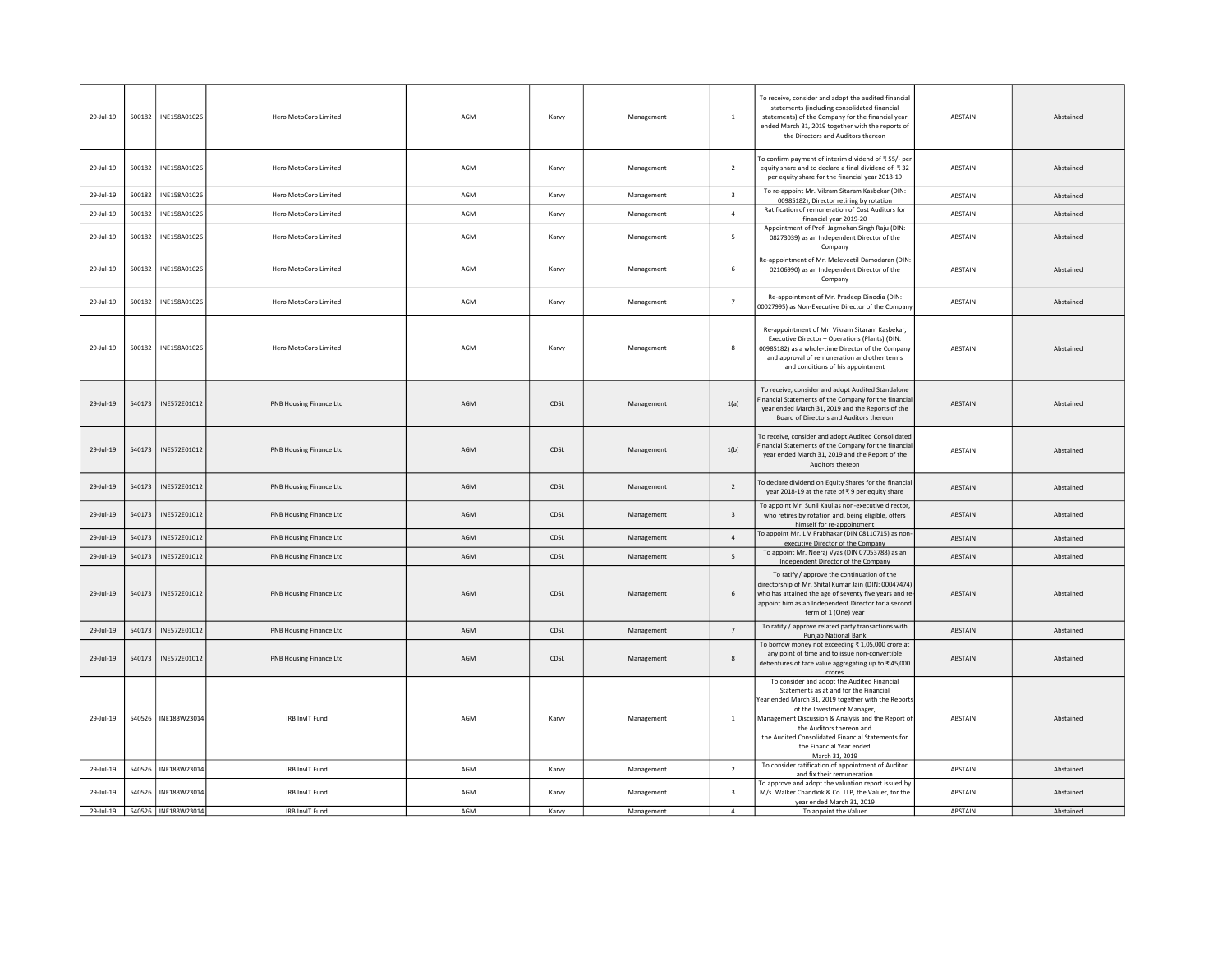| 29-Jul-19    | 500182 | INE158A01026        | Hero MotoCorp Limited   | AGM | Karvy | Management | $\overline{1}$          | To receive, consider and adopt the audited financial<br>statements (including consolidated financial<br>statements) of the Company for the financial year<br>ended March 31, 2019 together with the reports of<br>the Directors and Auditors thereon                                                                                                           | ABSTAIN        | Abstained |
|--------------|--------|---------------------|-------------------------|-----|-------|------------|-------------------------|----------------------------------------------------------------------------------------------------------------------------------------------------------------------------------------------------------------------------------------------------------------------------------------------------------------------------------------------------------------|----------------|-----------|
| 29-Jul-19    | 500182 | INE158A01026        | Hero MotoCorp Limited   | AGM | Karvy | Management | $\overline{2}$          | To confirm payment of interim dividend of ₹55/- per<br>equity share and to declare a final dividend of ₹32<br>per equity share for the financial year 2018-19                                                                                                                                                                                                  | ABSTAIN        | Abstained |
| 29-Jul-19    | 500182 | INE158A01026        | Hero MotoCorp Limited   | AGM | Karvy | Management | $\overline{\mathbf{3}}$ | To re-appoint Mr. Vikram Sitaram Kasbekar (DIN:<br>00985182), Director retiring by rotation                                                                                                                                                                                                                                                                    | ABSTAIN        | Abstained |
| 29-Jul-19    | 500182 | INE158A01026        | Hero MotoCorp Limited   | AGM | Karvy | Management | $\overline{a}$          | Ratification of remuneration of Cost Auditors for<br>financial year 2019-20                                                                                                                                                                                                                                                                                    | ABSTAIN        | Abstained |
| 29-Jul-19    | 500182 | INE158A01026        | Hero MotoCorp Limited   | AGM | Karvy | Management | 5                       | Appointment of Prof. Jagmohan Singh Raju (DIN:<br>08273039) as an Independent Director of the<br>Company                                                                                                                                                                                                                                                       | ABSTAIN        | Abstained |
| 29-Jul-19    | 500182 | INE158A01026        | Hero MotoCorp Limited   | AGM | Karvy | Management | $\,$ 6                  | Re-appointment of Mr. Meleveetil Damodaran (DIN:<br>02106990) as an Independent Director of the<br>Company                                                                                                                                                                                                                                                     | ABSTAIN        | Abstained |
| 29-Jul-19    | 500182 | INE158A01026        | Hero MotoCorp Limited   | AGM | Karvy | Management | $\overline{7}$          | Re-appointment of Mr. Pradeep Dinodia (DIN:<br>00027995) as Non-Executive Director of the Compan                                                                                                                                                                                                                                                               | <b>ABSTAIN</b> | Abstained |
| 29-Jul-19    | 500182 | INE158A01026        | Hero MotoCorp Limited   | AGM | Karvy | Management | 8                       | Re-appointment of Mr. Vikram Sitaram Kasbekar,<br>Executive Director - Operations (Plants) (DIN:<br>00985182) as a whole-time Director of the Company<br>and approval of remuneration and other terms<br>and conditions of his appointment                                                                                                                     | <b>ABSTAIN</b> | Abstained |
| 29-Jul-19    | 540173 | INE572E01012        | PNB Housing Finance Ltd | AGM | CDSL  | Management | 1(a)                    | To receive, consider and adopt Audited Standalone<br>Financial Statements of the Company for the financia<br>year ended March 31, 2019 and the Reports of the<br>Board of Directors and Auditors thereon                                                                                                                                                       | ABSTAIN        | Abstained |
| $29$ -Jul-19 | 540173 | INE572E01012        | PNB Housing Finance Ltd | AGM | CDSL  | Management | 1(b)                    | To receive, consider and adopt Audited Consolidated<br>Financial Statements of the Company for the financia<br>year ended March 31, 2019 and the Report of the<br>Auditors thereon                                                                                                                                                                             | ABSTAIN        | Abstained |
| $29$ -Jul-19 | 540173 | INE572E01012        | PNB Housing Finance Ltd | AGM | CDSL  | Management | $\overline{2}$          | To declare dividend on Equity Shares for the financia<br>year 2018-19 at the rate of ₹9 per equity share                                                                                                                                                                                                                                                       | ABSTAIN        | Abstained |
| $29$ -Jul-19 | 540173 | INE572E01012        | PNB Housing Finance Ltd | AGM | CDSL  | Management | $\overline{\mathbf{3}}$ | To appoint Mr. Sunil Kaul as non-executive director,<br>who retires by rotation and, being eligible, offers<br>himself for re-appointment                                                                                                                                                                                                                      | <b>ABSTAIN</b> | Abstained |
| 29-Jul-19    | 540173 | INE572E01012        | PNB Housing Finance Ltd | AGM | CDSL  | Management | $\overline{4}$          | To appoint Mr. L V Prabhakar (DIN 08110715) as non<br>executive Director of the Company                                                                                                                                                                                                                                                                        | ABSTAIN        | Abstained |
| 29-Jul-19    | 540173 | INE572E01012        | PNB Housing Finance Ltd | AGM | CDSL  | Management | 5                       | To appoint Mr. Neeraj Vyas (DIN 07053788) as an<br>Independent Director of the Company                                                                                                                                                                                                                                                                         | ABSTAIN        | Abstained |
| 29-Jul-19    | 540173 | INE572E01012        | PNB Housing Finance Ltd | AGM | CDSL  | Management | 6                       | To ratify / approve the continuation of the<br>directorship of Mr. Shital Kumar Jain (DIN: 00047474)<br>who has attained the age of seventy five years and re<br>appoint him as an Independent Director for a second<br>term of 1 (One) year                                                                                                                   | ABSTAIN        | Abstained |
| 29-Jul-19    | 540173 | INE572E01012        | PNB Housing Finance Ltd | AGM | CDSL  | Management | $\overline{7}$          | To ratify / approve related party transactions with<br>Punjab National Bank                                                                                                                                                                                                                                                                                    | ABSTAIN        | Abstained |
| 29-Jul-19    | 540173 | INE572E01012        | PNB Housing Finance Ltd | AGM | CDSL  | Management | -8                      | To borrow money not exceeding ₹ 1,05,000 crore at<br>any point of time and to issue non-convertible<br>debentures of face value aggregating up to ₹45,000<br>crores                                                                                                                                                                                            | ABSTAIN        | Abstained |
| 29-Jul-19    | 540526 | INE183W23014        | IRB InvIT Fund          | AGM | Karvy | Management | $\overline{1}$          | To consider and adopt the Audited Financial<br>Statements as at and for the Financial<br>Year ended March 31, 2019 together with the Report<br>of the Investment Manager,<br>Management Discussion & Analysis and the Report of<br>the Auditors thereon and<br>the Audited Consolidated Financial Statements for<br>the Financial Year ended<br>March 31, 2019 | ABSTAIN        | Abstained |
| 29-Jul-19    | 540526 | INE183W23014        | IRB InvIT Fund          | AGM | Karvy | Management | $\overline{2}$          | To consider ratification of appointment of Auditor<br>and fix their remuneration                                                                                                                                                                                                                                                                               | ABSTAIN        | Abstained |
| 29-Jul-19    | 540526 | INE183W23014        | IRB InvIT Fund          | AGM | Karvy | Management | $\overline{\mathbf{3}}$ | To approve and adopt the valuation report issued by<br>M/s. Walker Chandiok & Co. LLP, the Valuer, for the<br>year ended March 31, 2019                                                                                                                                                                                                                        | ABSTAIN        | Abstained |
| $29$ -Jul-19 |        | 540526 INE183W23014 | <b>IRB InvIT Fund</b>   | AGM | Karvy | Management | $\overline{4}$          | To appoint the Valuer                                                                                                                                                                                                                                                                                                                                          | ABSTAIN        | Abstained |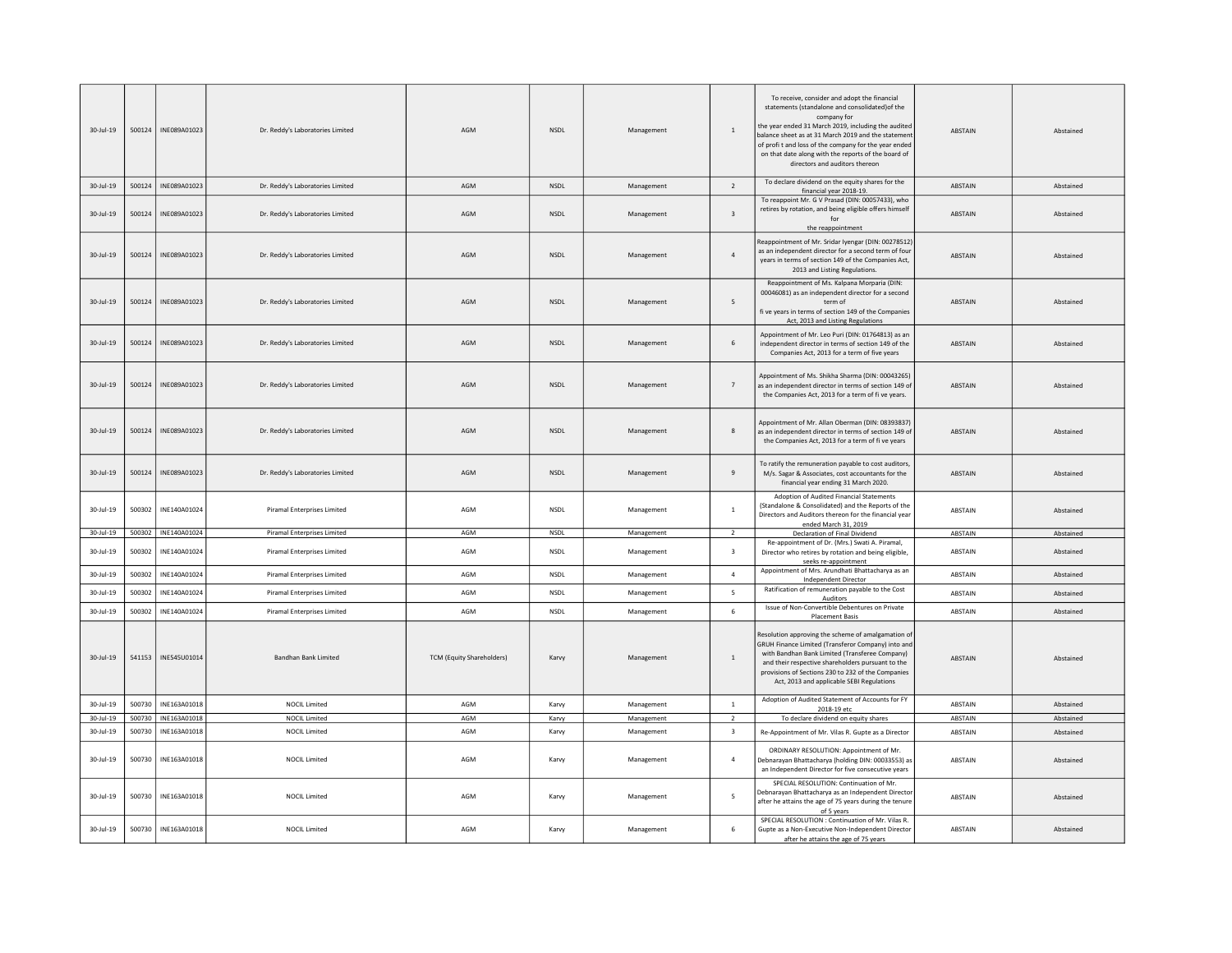| 30-Jul-19       | 500124 | INE089A01023        | Dr. Reddy's Laboratories Limited   | AGM                              | <b>NSDI</b> | Management | 1                       | To receive, consider and adopt the financial<br>statements (standalone and consolidated) of the<br>company for<br>the year ended 31 March 2019, including the audited<br>balance sheet as at 31 March 2019 and the statemen<br>of profit and loss of the company for the year ended<br>on that date along with the reports of the board of<br>directors and auditors thereon | <b>ABSTAIN</b> | Ahstained |
|-----------------|--------|---------------------|------------------------------------|----------------------------------|-------------|------------|-------------------------|------------------------------------------------------------------------------------------------------------------------------------------------------------------------------------------------------------------------------------------------------------------------------------------------------------------------------------------------------------------------------|----------------|-----------|
| $30 - 10 - 19$  | 500124 | INE089A01023        | Dr. Reddy's Laboratories Limited   | AGM                              | <b>NSDI</b> | Management | $\overline{2}$          | To declare dividend on the equity shares for the<br>financial year 2018-19.                                                                                                                                                                                                                                                                                                  | <b>ABSTAIN</b> | Abstained |
| $30 - Jul - 19$ | 500124 | INE089A01023        | Dr. Reddy's Laboratories Limited   | AGM                              | <b>NSDI</b> | Management | $\overline{\mathbf{3}}$ | To reappoint Mr. G V Prasad (DIN: 00057433), who<br>retires by rotation, and being eligible offers himself<br>for<br>the reappointment                                                                                                                                                                                                                                       | <b>ABSTAIN</b> | Abstained |
| $30 -$ Jul-19   | 500124 | INE089A01023        | Dr. Reddy's Laboratories Limited   | AGM                              | NSDL        | Management | $\overline{4}$          | Reappointment of Mr. Sridar Iyengar (DIN: 00278512)<br>as an independent director for a second term of four<br>years in terms of section 149 of the Companies Act,<br>2013 and Listing Regulations.                                                                                                                                                                          | ABSTAIN        | Abstained |
| $30 -$ Jul-19   | 500124 | INE089A01023        | Dr. Reddy's Laboratories Limited   | AGM                              | NSDL        | Management | 5                       | Reappointment of Ms. Kalpana Morparia (DIN:<br>00046081) as an independent director for a second<br>term of<br>fi ve years in terms of section 149 of the Companies<br>Act, 2013 and Listing Regulations                                                                                                                                                                     | ABSTAIN        | Abstained |
| $30 - 11 - 19$  | 500124 | INE089A01023        | Dr. Reddy's Laboratories Limited   | AGM                              | <b>NSDI</b> | Management | 6                       | Appointment of Mr. Leo Puri (DIN: 01764813) as an<br>independent director in terms of section 149 of the<br>Companies Act, 2013 for a term of five years                                                                                                                                                                                                                     | <b>ABSTAIN</b> | Abstained |
| $30 -$ Jul-19   | 500124 | INE089A01023        | Dr. Reddy's Laboratories Limited   | AGM                              | <b>NSDL</b> | Management | $\overline{7}$          | Appointment of Ms. Shikha Sharma (DIN: 00043265)<br>as an independent director in terms of section 149 of<br>the Companies Act, 2013 for a term of fi ve years.                                                                                                                                                                                                              | ABSTAIN        | Abstained |
| 30-Jul-19       | 500124 | INE089A01023        | Dr. Reddy's Laboratories Limited   | AGM                              | NSDL        | Management | $\boldsymbol{8}$        | Appointment of Mr. Allan Oberman (DIN: 08393837)<br>as an independent director in terms of section 149 of<br>the Companies Act, 2013 for a term of fi ve years                                                                                                                                                                                                               | ABSTAIN        | Abstained |
| 30-Jul-19       | 500124 | INE089A01023        | Dr. Reddy's Laboratories Limited   | AGM                              | <b>NSDL</b> | Management | $\overline{9}$          | To ratify the remuneration payable to cost auditors<br>M/s. Sagar & Associates, cost accountants for the<br>financial year ending 31 March 2020.                                                                                                                                                                                                                             | <b>ABSTAIN</b> | Abstained |
| 30-Jul-19       | 500302 | INE140A01024        | Piramal Enterprises Limited        | AGM                              | NSDL        | Management | $\mathbf{1}$            | Adoption of Audited Financial Statements<br>(Standalone & Consolidated) and the Reports of the<br>Directors and Auditors thereon for the financial year<br>ended March 31, 2019                                                                                                                                                                                              | ABSTAIN        | Abstained |
| $30 -$ Jul-19   |        | 500302 INE140A01024 | Piramal Enterprises Limited        | AGM                              | <b>NSDL</b> | Management | $\overline{2}$          | Declaration of Final Dividend                                                                                                                                                                                                                                                                                                                                                | ABSTAIN        | Abstained |
| 30-Jul-19       | 500302 | INE140A01024        | Piramal Enterprises Limited        | AGM                              | NSDL        | Management | $\overline{\mathbf{3}}$ | Re-appointment of Dr. (Mrs.) Swati A. Piramal,<br>Director who retires by rotation and being eligible,<br>seeks re-appointment                                                                                                                                                                                                                                               | ABSTAIN        | Abstained |
| $30 -$ Jul-19   | 500302 | INE140A01024        | <b>Piramal Enterprises Limited</b> | AGM                              | <b>NSDL</b> | Management | $\overline{4}$          | Appointment of Mrs. Arundhati Bhattacharya as an<br><b>Independent Director</b>                                                                                                                                                                                                                                                                                              | ABSTAIN        | Abstained |
| 30-Jul-19       | 500302 | INE140A01024        | <b>Piramal Enterprises Limited</b> | AGM                              | <b>NSDL</b> | Management | 5                       | Ratification of remuneration payable to the Cost<br>Auditors                                                                                                                                                                                                                                                                                                                 | <b>ABSTAIN</b> | Abstained |
| $30 -$ Jul-19   | 500302 | INE140A01024        | Piramal Enterprises Limited        | AGM                              | NSDL        | Management | 6                       | Issue of Non-Convertible Debentures on Private<br><b>Placement Basis</b>                                                                                                                                                                                                                                                                                                     | ABSTAIN        | Abstained |
| $30 -$ Jul-19   | 541153 | INE545U01014        | Bandhan Bank Limited               | <b>TCM (Equity Shareholders)</b> | Karvy       | Management | $\,$ 1 $\,$             | Resolution approving the scheme of amalgamation of<br>GRUH Finance Limited (Transferor Company) into and<br>with Bandhan Bank Limited (Transferee Company)<br>and their respective shareholders pursuant to the<br>provisions of Sections 230 to 232 of the Companies<br>Act, 2013 and applicable SEBI Regulations                                                           | ABSTAIN        | Abstained |
| 30-Jul-19       | 500730 | INE163A01018        | <b>NOCIL Limited</b>               | AGM                              | Karvy       | Management | $\overline{1}$          | Adoption of Audited Statement of Accounts for FY<br>2018-19 etc                                                                                                                                                                                                                                                                                                              | ABSTAIN        | Abstained |
| 30-Jul-19       | 500730 | INE163A01018        | <b>NOCIL Limited</b>               | AGM                              | Karvy       | Management | 2                       | To declare dividend on equity shares                                                                                                                                                                                                                                                                                                                                         | ABSTAIN        | Abstained |
| 30-Jul-19       | 500730 | INE163A01018        | <b>NOCIL Limited</b>               | AGM                              | Karvy       | Management | $\overline{\mathbf{3}}$ | Re-Appointment of Mr. Vilas R. Gupte as a Director                                                                                                                                                                                                                                                                                                                           | ABSTAIN        | Abstained |
| 30-Jul-19       | 500730 | INE163A01018        | <b>NOCIL Limited</b>               | AGM                              | Karvy       | Management | $\overline{4}$          | ORDINARY RESOLUTION: Appointment of Mr.<br>Debnarayan Bhattacharya (holding DIN: 00033553) as<br>an Independent Director for five consecutive years                                                                                                                                                                                                                          | ABSTAIN        | Abstained |
| 30-Jul-19       | 500730 | INE163A01018        | <b>NOCIL Limited</b>               | AGM                              | Karvy       | Management | 5                       | SPECIAL RESOLUTION: Continuation of Mr.<br>Debnarayan Bhattacharya as an Independent Director<br>after he attains the age of 75 years during the tenure<br>of 5 years                                                                                                                                                                                                        | ABSTAIN        | Abstained |
| $30 -$ Jul-19   | 500730 | INE163A01018        | <b>NOCIL Limited</b>               | AGM                              | Karvy       | Management | 6                       | SPECIAL RESOLUTION : Continuation of Mr. Vilas R.<br>Gupte as a Non-Executive Non-Independent Directo<br>after he attains the age of 75 years                                                                                                                                                                                                                                | ABSTAIN        | Abstained |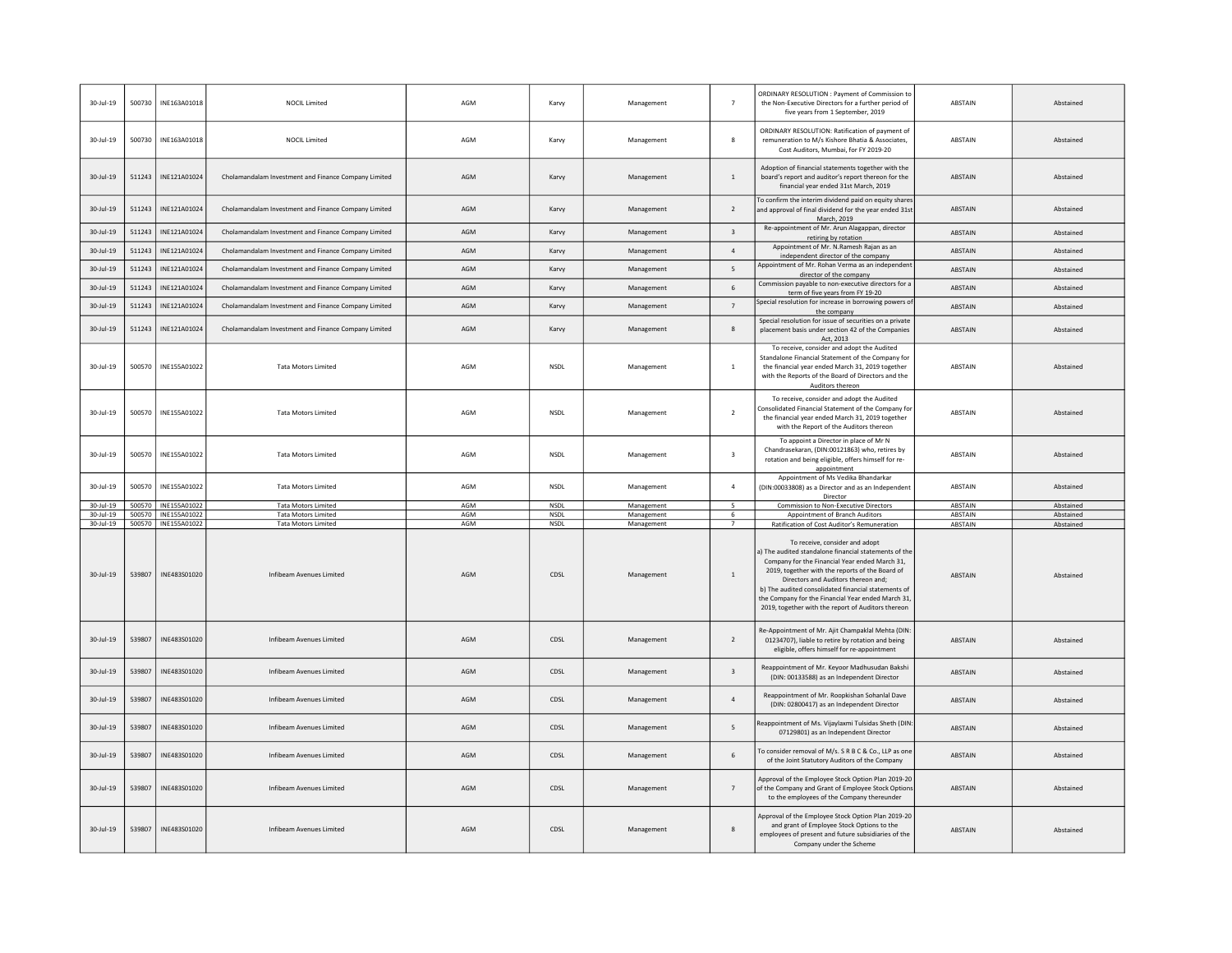| $30 -$ Jul-19          | 500730 | INE163A01018                          | <b>NOCIL Limited</b>                                     | AGM        | Karvy               | Management               | $\overline{7}$          | ORDINARY RESOLUTION : Payment of Commission to<br>the Non-Executive Directors for a further period of<br>five years from 1 September, 2019                                                                                                                                                                                                                                                                                                            | ABSTAIN            | Abstained              |
|------------------------|--------|---------------------------------------|----------------------------------------------------------|------------|---------------------|--------------------------|-------------------------|-------------------------------------------------------------------------------------------------------------------------------------------------------------------------------------------------------------------------------------------------------------------------------------------------------------------------------------------------------------------------------------------------------------------------------------------------------|--------------------|------------------------|
| $30 -$ Jul-19          | 500730 | INE163A01018                          | <b>NOCIL Limited</b>                                     | AGM        | Karvy               | Management               | 8                       | ORDINARY RESOLUTION: Ratification of payment of<br>remuneration to M/s Kishore Bhatia & Associates,<br>Cost Auditors, Mumbai, for FY 2019-20                                                                                                                                                                                                                                                                                                          | ABSTAIN            | Abstained              |
| $30 -$ Jul-19          | 511243 | INE121A01024                          | Cholamandalam Investment and Finance Company Limited     | AGM        | Karvy               | Management               | $\mathbf{1}$            | Adoption of financial statements together with the<br>board's report and auditor's report thereon for the<br>financial year ended 31st March, 2019                                                                                                                                                                                                                                                                                                    | <b>ABSTAIN</b>     | Abstained              |
| 30-Jul-19              | 511243 | INE121A01024                          | Cholamandalam Investment and Finance Company Limited     | AGM        | Karvy               | Management               | $\overline{2}$          | To confirm the interim dividend paid on equity shares<br>and approval of final dividend for the year ended 31st<br>March, 2019                                                                                                                                                                                                                                                                                                                        | ABSTAIN            | Abstained              |
| $30 - Jul - 19$        | 511243 | INE121A01024                          | Cholamandalam Investment and Finance Company Limited     | AGM        | Karvy               | Management               | $\overline{\mathbf{3}}$ | Re-appointment of Mr. Arun Alagappan, director<br>retiring by rotation                                                                                                                                                                                                                                                                                                                                                                                | ABSTAIN            | Abstained              |
| $30 -$ Jul-19          | 511243 | INE121A01024                          | Cholamandalam Investment and Finance Company Limited     | AGM        | Karvy               | Management               | $\overline{a}$          | Appointment of Mr. N.Ramesh Rajan as an<br>independent director of the company                                                                                                                                                                                                                                                                                                                                                                        | <b>ABSTAIN</b>     | Abstained              |
| $30 -$ Jul-19          | 511243 | INE121A01024                          | Cholamandalam Investment and Finance Company Limited     | AGM        | Karvy               | Management               | 5                       | Appointment of Mr. Rohan Verma as an independen<br>director of the company                                                                                                                                                                                                                                                                                                                                                                            | <b>ABSTAIN</b>     | Abstained              |
| $30 -$ Jul-19          | 511243 | INE121A01024                          | Cholamandalam Investment and Finance Company Limited     | AGM        | Karvy               | Management               | 6                       | Commission payable to non-executive directors for a<br>term of five years from FY 19-20                                                                                                                                                                                                                                                                                                                                                               | <b>ABSTAIN</b>     | Abstained              |
| $30 -$ Jul-19          | 511243 | INE121A01024                          | Cholamandalam Investment and Finance Company Limited     | AGM        | Karvy               | Management               | $7\phantom{.0}$         | Special resolution for increase in borrowing powers of<br>the company                                                                                                                                                                                                                                                                                                                                                                                 | ABSTAIN            | Abstained              |
| 30-Jul-19              | 511243 | INE121A01024                          | Cholamandalam Investment and Finance Company Limited     | AGM        | Karvy               | Management               | 8                       | Special resolution for issue of securities on a private<br>placement basis under section 42 of the Companies<br>Act, 2013                                                                                                                                                                                                                                                                                                                             | ABSTAIN            | Abstained              |
| 30-Jul-19              | 500570 | INE155A01022                          | <b>Tata Motors Limited</b>                               | AGM        | <b>NSDL</b>         | Management               | $1\,$                   | To receive, consider and adopt the Audited<br>Standalone Financial Statement of the Company for<br>the financial year ended March 31, 2019 together<br>with the Reports of the Board of Directors and the<br>Auditors thereon                                                                                                                                                                                                                         | <b>ABSTAIN</b>     | Abstained              |
| $30 -$ Jul-19          | 500570 | INE155A01022                          | <b>Tata Motors Limited</b>                               | AGM        | <b>NSDL</b>         | Management               | $\overline{2}$          | To receive, consider and adopt the Audited<br>Consolidated Financial Statement of the Company for<br>the financial year ended March 31, 2019 together<br>with the Report of the Auditors thereon                                                                                                                                                                                                                                                      | <b>ABSTAIN</b>     | Abstained              |
| 30-Jul-19              | 500570 | INF155A01022                          | <b>Tata Motors Limited</b>                               | AGM        | <b>NSDI</b>         | Management               | $\overline{\mathbf{3}}$ | To appoint a Director in place of Mr N<br>Chandrasekaran, (DIN:00121863) who, retires by<br>rotation and being eligible, offers himself for re-<br>appointment                                                                                                                                                                                                                                                                                        | ABSTAIN            | Abstained              |
| 30-Jul-19              | 500570 |                                       |                                                          |            |                     |                          |                         | Appointment of Ms Vedika Bhandarkar                                                                                                                                                                                                                                                                                                                                                                                                                   |                    |                        |
|                        |        | INE155A01022                          | <b>Tata Motors Limited</b>                               | AGM        | <b>NSDL</b>         | Management               | $\overline{4}$          | (DIN:00033808) as a Director and as an Independent<br>Director                                                                                                                                                                                                                                                                                                                                                                                        | ABSTAIN            | Abstained              |
| $30 -$ Jul-19          | 500570 | INE155A01022                          | <b>Tata Motors Limited</b>                               | AGM        | <b>NSDL</b>         | Management               | -5                      | Commission to Non-Executive Directors                                                                                                                                                                                                                                                                                                                                                                                                                 | <b>ABSTAIN</b>     | Abstained              |
| 30-Jul-19<br>30-Jul-19 | 500570 | INE155A01022<br>500570   INE155A01022 | <b>Tata Motors Limited</b><br><b>Tata Motors Limited</b> | AGM<br>AGM | NSDL<br><b>NSDL</b> | Management               | 6<br>$\overline{7}$     | Appointment of Branch Auditors                                                                                                                                                                                                                                                                                                                                                                                                                        | ABSTAIN<br>ABSTAIN | Abstained<br>Abstained |
| $30 -$ Jul-19          | 539807 | INE483S01020                          | Infibeam Avenues Limited                                 | AGM        | CDSL                | Management<br>Management | $\mathbf{1}$            | Ratification of Cost Auditor's Remuneration<br>To receive, consider and adopt<br>a) The audited standalone financial statements of the<br>Company for the Financial Year ended March 31,<br>2019, together with the reports of the Board of<br>Directors and Auditors thereon and;<br>b) The audited consolidated financial statements of<br>the Company for the Financial Year ended March 31,<br>2019, together with the report of Auditors thereon | <b>ABSTAIN</b>     | Abstained              |
| $30 -$ Jul-19          | 539807 | INF483501020                          | Infibeam Avenues Limited                                 | AGM        | CDSL                | Management               | $\overline{2}$          | Re-Appointment of Mr. Ajit Champaklal Mehta (DIN:<br>01234707), liable to retire by rotation and being<br>eligible, offers himself for re-appointment                                                                                                                                                                                                                                                                                                 | <b>ABSTAIN</b>     | Abstained              |
| $30 -$ Jul-19          | 539807 | INE483S01020                          | Infibeam Avenues Limited                                 | AGM        | CDSL                | Management               | $\overline{\mathbf{3}}$ | Reappointment of Mr. Keyoor Madhusudan Bakshi<br>(DIN: 00133588) as an Independent Director                                                                                                                                                                                                                                                                                                                                                           | ABSTAIN            | Abstained              |
| 30-Jul-19              | 539807 | INE483S01020                          | Infibeam Avenues Limited                                 | AGM        | CDSL                | Management               | $\overline{4}$          | Reappointment of Mr. Roopkishan Sohanlal Dave<br>(DIN: 02800417) as an Independent Director                                                                                                                                                                                                                                                                                                                                                           | <b>ABSTAIN</b>     | Abstained              |
| 30-Jul-19              | 539807 | INE483S01020                          | Infibeam Avenues Limited                                 | AGM        | CDSL                | Management               | 5                       | Reappointment of Ms. Vijaylaxmi Tulsidas Sheth (DIN:<br>07129801) as an Independent Director                                                                                                                                                                                                                                                                                                                                                          | ABSTAIN            | Abstained              |
| $30 -$ Jul-19          | 539807 | INE483S01020                          | Infibeam Avenues Limited                                 | AGM        | CDSL                | Management               | 6                       | To consider removal of M/s. S R B C & Co., LLP as one<br>of the Joint Statutory Auditors of the Company                                                                                                                                                                                                                                                                                                                                               | ABSTAIN            | Abstained              |
| $30 -$ Jul-19          | 539807 | INE483S01020                          | Infibeam Avenues Limited                                 | AGM        | CDSL                | Management               | $\overline{7}$          | Approval of the Employee Stock Option Plan 2019-20<br>of the Company and Grant of Employee Stock Options<br>to the employees of the Company thereunder                                                                                                                                                                                                                                                                                                | <b>ABSTAIN</b>     | Abstained              |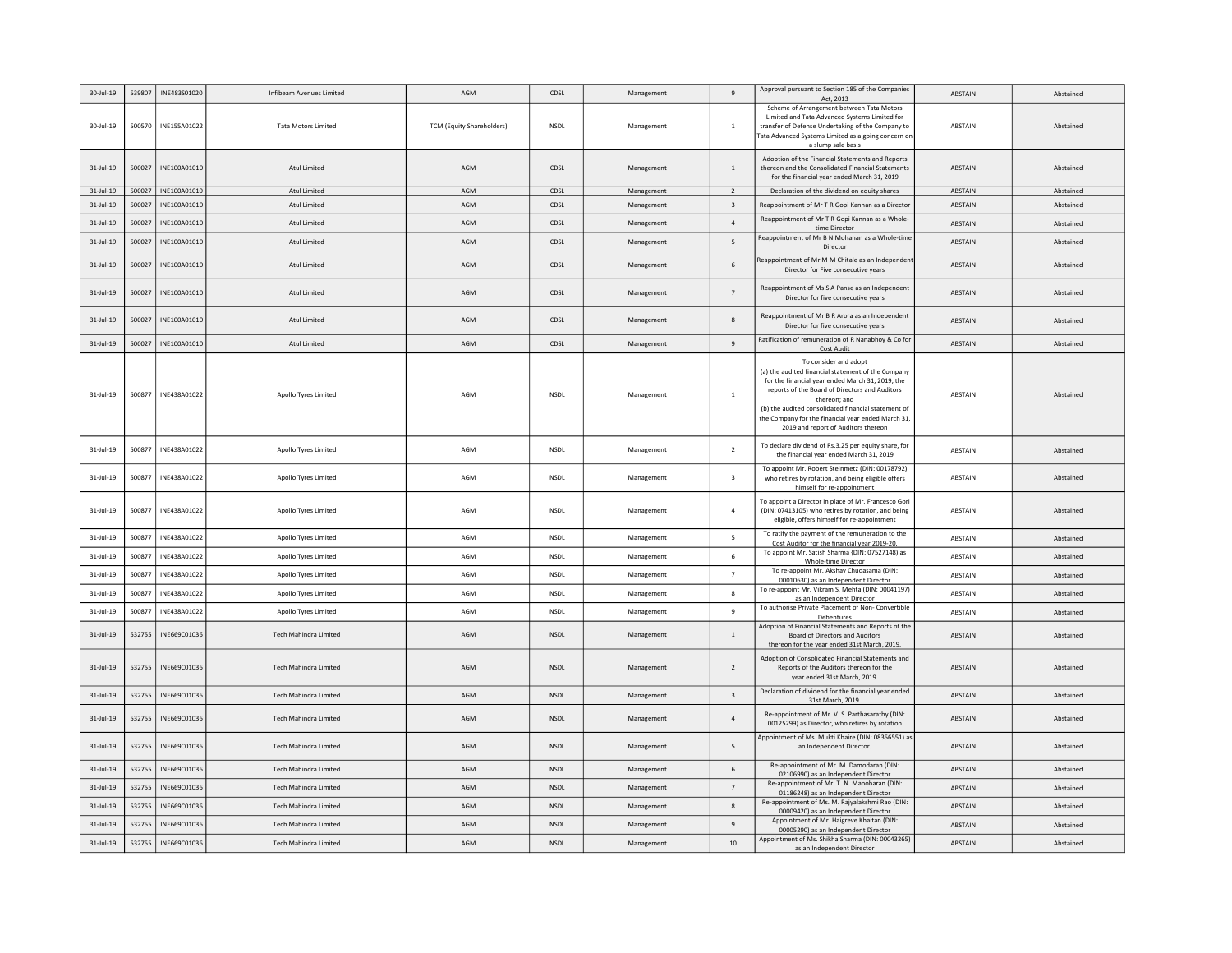| 30-Jul-19    | 539807 | INE483S01020 | Infibeam Avenues Limited     | AGM                              | CDSL        | Management | 9                       | Approval pursuant to Section 185 of the Companies<br>Act, 2013                                                                                                                                                                                                                                                                                        | ABSTAIN        | Abstained |
|--------------|--------|--------------|------------------------------|----------------------------------|-------------|------------|-------------------------|-------------------------------------------------------------------------------------------------------------------------------------------------------------------------------------------------------------------------------------------------------------------------------------------------------------------------------------------------------|----------------|-----------|
| 30-Jul-19    | 500570 | INE155A01022 | <b>Tata Motors Limited</b>   | <b>TCM (Equity Shareholders)</b> | <b>NSDI</b> | Management | $\overline{1}$          | Scheme of Arrangement between Tata Motors<br>Limited and Tata Advanced Systems Limited for<br>transfer of Defense Undertaking of the Company to<br>Tata Advanced Systems Limited as a going concern or<br>a slump sale basis                                                                                                                          | <b>ABSTAIN</b> | Abstained |
| $31$ -Jul-19 | 500027 | INE100A01010 | Atul Limited                 | AGM                              | CDSL        | Management | $\overline{1}$          | Adoption of the Financial Statements and Reports<br>thereon and the Consolidated Financial Statements<br>for the financial year ended March 31, 2019                                                                                                                                                                                                  | <b>ABSTAIN</b> | Abstained |
| 31-Jul-19    | 500027 | INE100A01010 | Atul Limited                 | AGM                              | CDSL        | Management | 2                       | Declaration of the dividend on equity shares                                                                                                                                                                                                                                                                                                          | ABSTAIN        | Abstained |
| $31$ -Jul-19 | 500027 | INE100A01010 | Atul Limited                 | AGM                              | CDSL        | Management | $\overline{\mathbf{3}}$ | Reappointment of Mr T R Gopi Kannan as a Director                                                                                                                                                                                                                                                                                                     | ABSTAIN        | Abstained |
| $31$ -Jul-19 | 500027 | INE100A01010 | Atul Limited                 | AGM                              | CDSL        | Management | $\overline{4}$          | Reappointment of Mr T R Gopi Kannan as a Whole-<br>time Director                                                                                                                                                                                                                                                                                      | ABSTAIN        | Abstained |
| $31$ -Jul-19 | 500027 | INE100A01010 | Atul Limited                 | AGM                              | CDSL        | Management | 5                       | Reappointment of Mr B N Mohanan as a Whole-time<br>Director                                                                                                                                                                                                                                                                                           | ABSTAIN        | Abstained |
| $31$ -Jul-19 | 500027 | INE100A01010 | Atul Limited                 | AGM                              | CDSL        | Management | 6                       | Reappointment of Mr M M Chitale as an Independen<br>Director for Five consecutive years                                                                                                                                                                                                                                                               | <b>ABSTAIN</b> | Abstained |
| $31$ -Jul-19 | 500027 | INE100A01010 | Atul Limited                 | AGM                              | CDSL        | Management | $\overline{7}$          | Reappointment of Ms S A Panse as an Independent<br>Director for five consecutive years                                                                                                                                                                                                                                                                | <b>ABSTAIN</b> | Abstained |
| $31$ -Jul-19 | 500027 | INE100A01010 | Atul Limited                 | AGM                              | CDSL        | Management | 8                       | Reappointment of Mr B R Arora as an Independent<br>Director for five consecutive years                                                                                                                                                                                                                                                                | ABSTAIN        | Abstained |
| $31-Jul-19$  | 500027 | INE100A01010 | Atul Limited                 | AGM                              | CDSL        | Management | $9\,$                   | Ratification of remuneration of R Nanabhoy & Co for<br>Cost Audit                                                                                                                                                                                                                                                                                     | ABSTAIN        | Abstained |
| $31$ -Jul-19 | 500877 | INE438A01022 | Apollo Tyres Limited         | AGM                              | <b>NSDL</b> | Management | $\overline{1}$          | To consider and adopt<br>(a) the audited financial statement of the Company<br>for the financial year ended March 31, 2019, the<br>reports of the Board of Directors and Auditors<br>thereon; and<br>(b) the audited consolidated financial statement of<br>the Company for the financial year ended March 31,<br>2019 and report of Auditors thereon | ABSTAIN        | Abstained |
| $31$ -Jul-19 | 500877 | INE438A01022 | Apollo Tyres Limited         | AGM                              | NSDL        | Management | $\overline{2}$          | To declare dividend of Rs.3.25 per equity share, for<br>the financial year ended March 31, 2019                                                                                                                                                                                                                                                       | <b>ABSTAIN</b> | Abstained |
| $31$ -Jul-19 | 500877 | INE438A01022 | Apollo Tyres Limited         | AGM                              | <b>NSDL</b> | Management | $\overline{\mathbf{3}}$ | To appoint Mr. Robert Steinmetz (DIN: 00178792)<br>who retires by rotation, and being eligible offers<br>himself for re-appointment                                                                                                                                                                                                                   | <b>ABSTAIN</b> | Abstained |
| $31$ -Jul-19 | 500877 | INE438A01022 | Apollo Tyres Limited         | AGM                              | NSDL        | Management | $\overline{4}$          | To appoint a Director in place of Mr. Francesco Gori<br>(DIN: 07413105) who retires by rotation, and being<br>eligible, offers himself for re-appointment                                                                                                                                                                                             | ABSTAIN        | Abstained |
| $31$ -Jul-19 | 500877 | INE438A01022 | Apollo Tyres Limited         | AGM                              | <b>NSDL</b> | Management | - 5                     | To ratify the payment of the remuneration to the<br>Cost Auditor for the financial year 2019-20.                                                                                                                                                                                                                                                      | ABSTAIN        | Abstained |
| $31$ -Jul-19 | 500877 | INE438A01022 | Apollo Tyres Limited         | AGM                              | <b>NSDL</b> | Management | 6                       | To appoint Mr. Satish Sharma {DIN: 07527148) as<br>Whole-time Director                                                                                                                                                                                                                                                                                | ABSTAIN        | Abstained |
| $31$ -Jul-19 | 500877 | INE438A01022 | Apollo Tyres Limited         | AGM                              | <b>NSDL</b> | Management | $\overline{7}$          | To re-appoint Mr. Akshay Chudasama (DIN:<br>00010630) as an Independent Director                                                                                                                                                                                                                                                                      | ABSTAIN        | Abstained |
| $31$ -Jul-19 | 500877 | INE438A01022 | Apollo Tyres Limited         | AGM                              | NSDL        | Management | -8                      | To re-appoint Mr. Vikram S. Mehta (DIN: 00041197)<br>as an Independent Director                                                                                                                                                                                                                                                                       | ABSTAIN        | Abstained |
| 31-Jul-19    | 500877 | INE438A01022 | Apollo Tyres Limited         | AGM                              | <b>NSDL</b> | Management | 9                       | To authorise Private Placement of Non- Convertible<br>Debentures                                                                                                                                                                                                                                                                                      | ABSTAIN        | Abstained |
| $31$ -Jul-19 | 532755 | INE669C01036 | Tech Mahindra Limited        | AGM                              | <b>NSDI</b> | Management | $\overline{1}$          | Adoption of Financial Statements and Reports of the<br>Board of Directors and Auditors<br>thereon for the year ended 31st March, 2019.                                                                                                                                                                                                                | ABSTAIN        | Abstained |
| $31$ -Jul-19 | 532755 | INE669C01036 | Tech Mahindra Limited        | AGM                              | NSDL        | Management | $\overline{2}$          | Adoption of Consolidated Financial Statements and<br>Reports of the Auditors thereon for the<br>year ended 31st March, 2019.                                                                                                                                                                                                                          | ABSTAIN        | Abstained |
| $31$ -Jul-19 | 532755 | INE669C01036 | Tech Mahindra Limited        | AGM                              | <b>NSDL</b> | Management | $\overline{\mathbf{3}}$ | Declaration of dividend for the financial year ended<br>31st March, 2019.                                                                                                                                                                                                                                                                             | ABSTAIN        | Abstained |
| $31$ -Jul-19 | 532755 | INE669C01036 | Tech Mahindra Limited        | AGM                              | <b>NSDL</b> | Management | $\overline{a}$          | Re-appointment of Mr. V. S. Parthasarathy (DIN:<br>00125299) as Director, who retires by rotation                                                                                                                                                                                                                                                     | ABSTAIN        | Abstained |
| $31$ -Jul-19 | 532755 | INE669C01036 | Tech Mahindra Limited        | AGM                              | <b>NSDL</b> | Management | 5                       | Appointment of Ms. Mukti Khaire (DIN: 08356551) as<br>an Independent Director.                                                                                                                                                                                                                                                                        | ABSTAIN        | Abstained |
| $31$ -Jul-19 | 532755 | INE669C01036 | Tech Mahindra Limited        | AGM                              | <b>NSDL</b> | Management | 6                       | Re-appointment of Mr. M. Damodaran (DIN:<br>02106990) as an Independent Director                                                                                                                                                                                                                                                                      | ABSTAIN        | Abstained |
| $31$ -Jul-19 | 532755 | INE669C01036 | Tech Mahindra Limited        | AGM                              | <b>NSDL</b> | Management | $\overline{7}$          | Re-appointment of Mr. T. N. Manoharan (DIN:<br>01186248) as an Independent Director                                                                                                                                                                                                                                                                   | ABSTAIN        | Abstained |
| $31$ -Jul-19 | 532755 | INE669C01036 | Tech Mahindra Limited        | AGM                              | NSDL        | Management | 8                       | Re-appointment of Ms. M. Rajyalakshmi Rao (DIN:<br>00009420) as an Independent Director                                                                                                                                                                                                                                                               | <b>ABSTAIN</b> | Abstained |
| $31$ -Jul-19 | 532755 | INE669C01036 | Tech Mahindra Limited        | AGM                              | <b>NSDI</b> | Management | 9                       | Appointment of Mr. Haigreve Khaitan (DIN:<br>00005290) as an Independent Director                                                                                                                                                                                                                                                                     | <b>ABSTAIN</b> | Abstained |
| 31-Jul-19    | 532755 | INE669C01036 | <b>Tech Mahindra Limited</b> | AGM                              | <b>NSDL</b> | Management | 10                      | Appointment of Ms. Shikha Sharma (DIN: 00043265)<br>as an Independent Director                                                                                                                                                                                                                                                                        | ABSTAIN        | Abstained |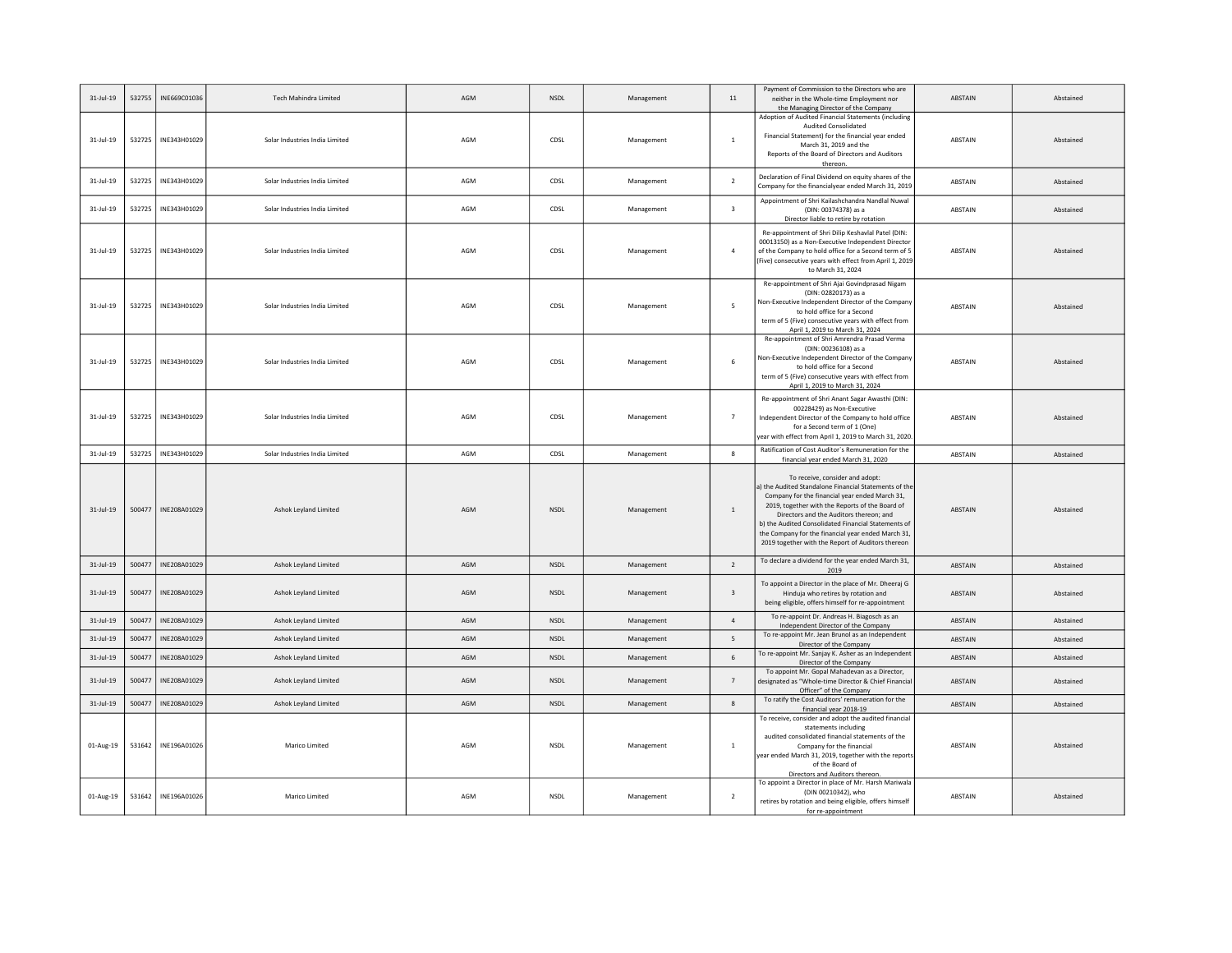| $31$ -Jul-19 | 532755 | INE669C01036 | Tech Mahindra Limited          | AGM | <b>NSDL</b> | Management | $11\,$                   | Payment of Commission to the Directors who are<br>neither in the Whole-time Employment nor<br>the Managing Director of the Company                                                                                                                                                                                                                                                                         | ABSTAIN        | Abstained |
|--------------|--------|--------------|--------------------------------|-----|-------------|------------|--------------------------|------------------------------------------------------------------------------------------------------------------------------------------------------------------------------------------------------------------------------------------------------------------------------------------------------------------------------------------------------------------------------------------------------------|----------------|-----------|
| $31$ -Jul-19 | 532725 | INE343H01029 | Solar Industries India Limited | AGM | CDSL        | Management | $\overline{1}$           | Adoption of Audited Financial Statements (including<br><b>Audited Consolidated</b><br>Financial Statement) for the financial year ended<br>March 31, 2019 and the<br>Reports of the Board of Directors and Auditors<br>thereon.                                                                                                                                                                            | <b>ABSTAIN</b> | Abstained |
| $31$ -Jul-19 | 532725 | INE343H01029 | Solar Industries India Limited | AGM | CDSL        | Management | $\overline{\phantom{a}}$ | Declaration of Final Dividend on equity shares of the<br>Company for the financialyear ended March 31, 2019                                                                                                                                                                                                                                                                                                | ABSTAIN        | Abstained |
| $31$ -Jul-19 | 532725 | INE343H01029 | Solar Industries India Limited | AGM | CDSL        | Management | $\overline{\mathbf{3}}$  | Appointment of Shri Kailashchandra Nandlal Nuwal<br>(DIN: 00374378) as a<br>Director liable to retire by rotation                                                                                                                                                                                                                                                                                          | ABSTAIN        | Abstained |
| $31$ -Jul-19 | 532725 | INE343H01029 | Solar Industries India Limited | AGM | CDSL        | Management | $\overline{4}$           | Re-appointment of Shri Dilip Keshavlal Patel (DIN:<br>00013150) as a Non-Executive Independent Director<br>of the Company to hold office for a Second term of 5<br>(Five) consecutive years with effect from April 1, 2019<br>to March 31, 2024                                                                                                                                                            | ABSTAIN        | Abstained |
| $31$ -Jul-19 | 532725 | INE343H01029 | Solar Industries India Limited | AGM | CDSL        | Management | 5                        | Re-appointment of Shri Ajai Govindprasad Nigam<br>(DIN: 02820173) as a<br>Non-Executive Independent Director of the Company<br>to hold office for a Second<br>term of 5 (Five) consecutive years with effect from<br>April 1, 2019 to March 31, 2024                                                                                                                                                       | ABSTAIN        | Abstained |
| $31$ -Jul-19 | 532725 | INE343H01029 | Solar Industries India Limited | AGM | CDSL        | Management | 6                        | Re-appointment of Shri Amrendra Prasad Verma<br>(DIN: 00236108) as a<br>Non-Executive Independent Director of the Company<br>to hold office for a Second<br>term of 5 (Five) consecutive years with effect from<br>April 1, 2019 to March 31, 2024                                                                                                                                                         | ABSTAIN        | Abstained |
| $31$ -Jul-19 | 532725 | INE343H01029 | Solar Industries India Limited | AGM | CDSL        | Management | $\overline{7}$           | Re-appointment of Shri Anant Sagar Awasthi (DIN:<br>00228429) as Non-Executive<br>Independent Director of the Company to hold office<br>for a Second term of 1 (One)<br>year with effect from April 1, 2019 to March 31, 2020                                                                                                                                                                              | ABSTAIN        | Abstained |
| $31$ -Jul-19 | 532725 | INE343H01029 | Solar Industries India Limited | AGM | CDSL        | Management | -8                       | Ratification of Cost Auditor's Remuneration for the<br>financial year ended March 31, 2020                                                                                                                                                                                                                                                                                                                 | ABSTAIN        | Abstained |
| $31$ -Jul-19 | 500477 | INE208A01029 | Ashok Leyland Limited          | AGM | <b>NSDL</b> | Management | $\mathbf{1}$             | To receive, consider and adopt:<br>a) the Audited Standalone Financial Statements of the<br>Company for the financial year ended March 31,<br>2019, together with the Reports of the Board of<br>Directors and the Auditors thereon; and<br>b) the Audited Consolidated Financial Statements of<br>the Company for the financial year ended March 31,<br>2019 together with the Report of Auditors thereon | ABSTAIN        | Abstained |
| 31-Jul-19    | 500477 | INE208A01029 | Ashok Leyland Limited          | AGM | <b>NSDL</b> | Management | $\overline{2}$           | To declare a dividend for the year ended March 31,<br>2019                                                                                                                                                                                                                                                                                                                                                 | ABSTAIN        | Abstained |
| $31$ -Jul-19 | 500477 | INE208A01029 | Ashok Leyland Limited          | AGM | <b>NSDL</b> |            |                          | To appoint a Director in the place of Mr. Dheeraj G                                                                                                                                                                                                                                                                                                                                                        |                |           |
| $31$ -Jul-19 |        |              |                                |     |             | Management | $\overline{\mathbf{3}}$  | Hinduja who retires by rotation and<br>being eligible, offers himself for re-appointment                                                                                                                                                                                                                                                                                                                   | ABSTAIN        | Abstained |
|              | 500477 | INE208A01029 | Ashok Leyland Limited          | AGM | NSDL        | Management | $\overline{4}$           | To re-appoint Dr. Andreas H. Biagosch as an<br>Independent Director of the Company                                                                                                                                                                                                                                                                                                                         | ABSTAIN        | Abstained |
| $31-Jul-19$  | 500477 | INE208A01029 | Ashok Leyland Limited          | AGM | <b>NSDL</b> | Management | 5                        | To re-appoint Mr. Jean Brunol as an Independent                                                                                                                                                                                                                                                                                                                                                            | ABSTAIN        | Abstained |
| $31$ -Jul-19 | 500477 | INE208A01029 | Ashok Leyland Limited          | AGM | <b>NSDL</b> | Management | $6\phantom{1}6$          | Director of the Company<br>To re-appoint Mr. Sanjay K. Asher as an Independent<br>Director of the Company                                                                                                                                                                                                                                                                                                  | ABSTAIN        | Abstained |
| $31-Jul-19$  | 500477 | INE208A01029 | Ashok Leyland Limited          | AGM | <b>NSDL</b> | Management | $\overline{7}$           | To appoint Mr. Gopal Mahadevan as a Director,<br>designated as "Whole-time Director & Chief Financial                                                                                                                                                                                                                                                                                                      | ABSTAIN        | Abstained |
| $31$ -Jul-19 | 500477 | INE208A01029 | Ashok Leyland Limited          | AGM | <b>NSDI</b> | Management | $\mathbf{R}$             | Officer" of the Company<br>To ratify the Cost Auditors' remuneration for the                                                                                                                                                                                                                                                                                                                               | ABSTAIN        | Abstained |
| 01-Aug-19    | 531642 | INE196A01026 | Marico Limited                 | AGM | <b>NSDL</b> | Management | $\overline{1}$           | financial year 2018-19<br>To receive, consider and adopt the audited financial<br>statements including<br>audited consolidated financial statements of the<br>Company for the financial<br>year ended March 31, 2019, together with the report<br>of the Board of<br>Directors and Auditors thereon.<br>To appoint a Director in place of Mr. Harsh Mariwala                                               | ABSTAIN        | Abstained |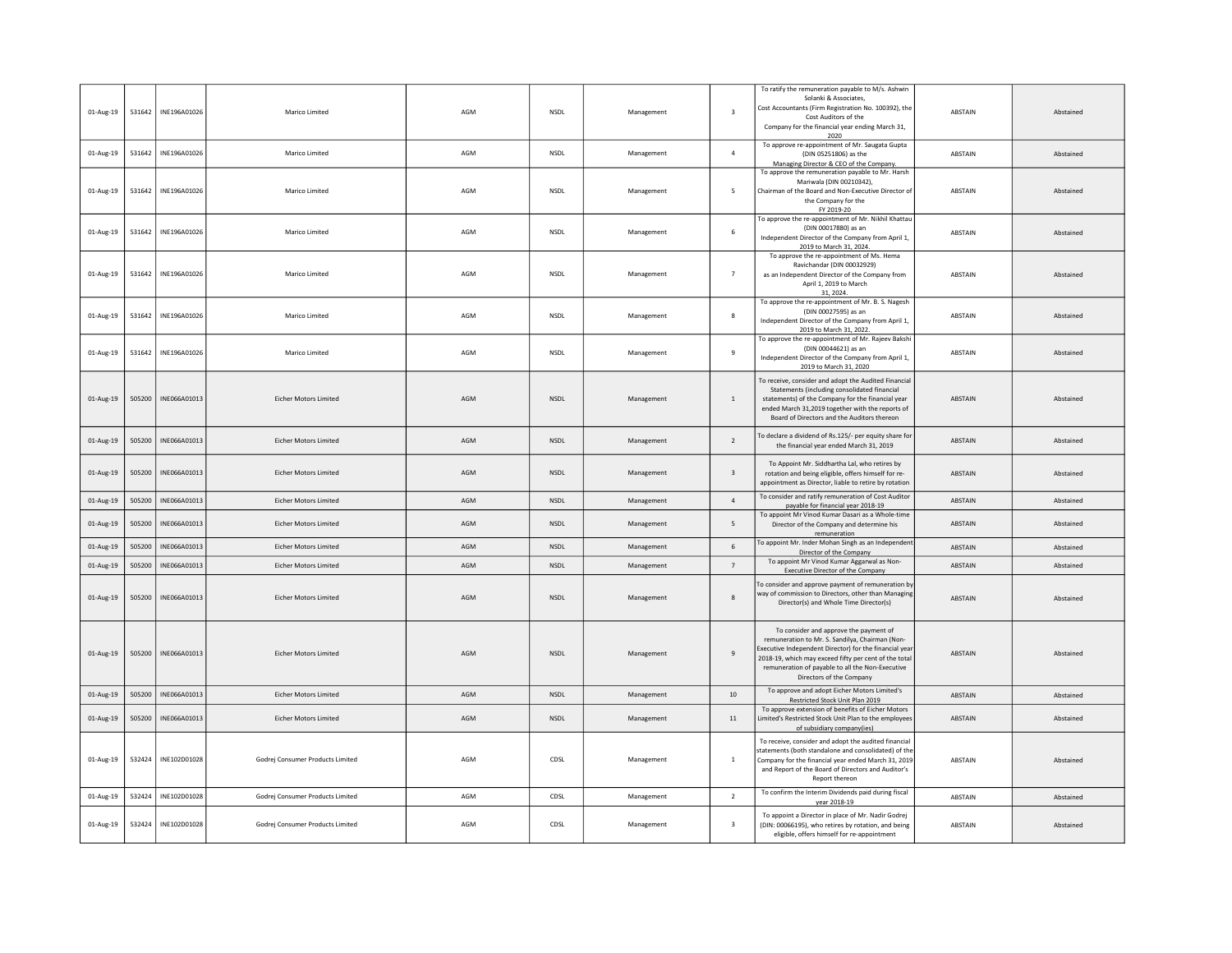| 01-Aug-19 | 531642 | INE196A01026 | Marico Limited                   | AGM | NSDL        | Management | $\overline{\mathbf{3}}$ | To ratify the remuneration payable to M/s. Ashwin<br>Solanki & Associates,<br>Cost Accountants (Firm Registration No. 100392), the<br>Cost Auditors of the<br>Company for the financial year ending March 31,<br>2020                                                                       | <b>ABSTAIN</b> | Abstained |
|-----------|--------|--------------|----------------------------------|-----|-------------|------------|-------------------------|---------------------------------------------------------------------------------------------------------------------------------------------------------------------------------------------------------------------------------------------------------------------------------------------|----------------|-----------|
| 01-Aug-19 | 531642 | INE196A01026 | Marico Limited                   | AGM | <b>NSDL</b> | Management | $\overline{4}$          | To approve re-appointment of Mr. Saugata Gupta<br>(DIN 05251806) as the<br>Managing Director & CEO of the Company.                                                                                                                                                                          | ABSTAIN        | Abstained |
| 01-Aug-19 | 531642 | INE196A01026 | Marico Limited                   | AGM | <b>NSDL</b> | Management | 5                       | To approve the remuneration payable to Mr. Harsh<br>Mariwala (DIN 00210342),<br>Chairman of the Board and Non-Executive Director of<br>the Company for the<br>FY 2019-20                                                                                                                    | ABSTAIN        | Abstained |
| 01-Aug-19 | 531642 | INE196A01026 | Marico Limited                   | AGM | <b>NSDL</b> | Management | 6                       | To approve the re-appointment of Mr. Nikhil Khattau<br>(DIN 00017880) as an<br>Independent Director of the Company from April 1,<br>2019 to March 31, 2024.                                                                                                                                 | ABSTAIN        | Abstained |
| 01-Aug-19 | 531642 | INE196A01026 | Marico Limited                   | AGM | <b>NSDL</b> | Management | $\overline{7}$          | To approve the re-appointment of Ms. Hema<br>Ravichandar (DIN 00032929)<br>as an Independent Director of the Company from<br>April 1, 2019 to March<br>31, 2024.                                                                                                                            | <b>ARSTAIN</b> | Abstained |
| 01-Aug-19 | 531642 | INF196A01026 | Marico Limited                   | AGM | <b>NSDI</b> | Management | -8                      | To approve the re-appointment of Mr. B. S. Nagesh<br>(DIN 00027595) as an<br>Independent Director of the Company from April 1,<br>2019 to March 31, 2022.                                                                                                                                   | <b>ABSTAIN</b> | Abstained |
| 01-Aug-19 | 531642 | INE196A01026 | Marico Limited                   | AGM | <b>NSDL</b> | Management | 9                       | To approve the re-appointment of Mr. Rajeev Bakshi<br>(DIN 00044621) as an<br>Independent Director of the Company from April 1,<br>2019 to March 31, 2020                                                                                                                                   | ABSTAIN        | Abstained |
| 01-Aug-19 | 505200 | INE066A01013 | <b>Eicher Motors Limited</b>     | AGM | <b>NSDL</b> | Management | 1                       | To receive, consider and adopt the Audited Financial<br>Statements (including consolidated financial<br>statements) of the Company for the financial year<br>ended March 31,2019 together with the reports of<br>Board of Directors and the Auditors thereon                                | ABSTAIN        | Abstained |
| 01-Aug-19 | 505200 | INE066A01013 | <b>Eicher Motors Limited</b>     | AGM | <b>NSDL</b> | Management | $\overline{2}$          | To declare a dividend of Rs.125/- per equity share for<br>the financial year ended March 31, 2019                                                                                                                                                                                           | ABSTAIN        | Abstained |
| 01-Aug-19 | 505200 | INE066A01013 | <b>Eicher Motors Limited</b>     | AGM | <b>NSDL</b> | Management | $\overline{\mathbf{3}}$ | To Appoint Mr. Siddhartha Lal, who retires by<br>rotation and being eligible, offers himself for re-<br>appointment as Director, liable to retire by rotation                                                                                                                               | ABSTAIN        | Abstained |
| 01-Aug-19 | 505200 | INE066A01013 | Eicher Motors Limited            | AGM | NSDL        | Management | $\overline{4}$          | To consider and ratify remuneration of Cost Auditor<br>payable for financial year 2018-19                                                                                                                                                                                                   | ABSTAIN        | Abstained |
| 01-Aug-19 | 505200 | INF066A01013 | <b>Eicher Motors Limited</b>     | AGM | <b>NSDL</b> | Management | 5                       | To appoint Mr Vinod Kumar Dasari as a Whole-time<br>Director of the Company and determine his<br>remuneration                                                                                                                                                                               | <b>ABSTAIN</b> | Abstained |
| 01-Aug-19 | 505200 | INF066A01013 | <b>Ficher Motors Limited</b>     | AGM | <b>NSDI</b> | Management | $6\phantom{1}$          | To appoint Mr. Inder Mohan Singh as an Independen<br>Director of the Company                                                                                                                                                                                                                | <b>ABSTAIN</b> | Abstained |
| 01-Aug-19 | 505200 | INE066A01013 | Eicher Motors Limited            | AGM | <b>NSDL</b> | Management | $7\overline{ }$         | To appoint Mr Vinod Kumar Aggarwal as Non-<br>Executive Director of the Company                                                                                                                                                                                                             | ABSTAIN        | Abstained |
| 01-Aug-19 | 505200 | INE066A01013 | <b>Eicher Motors Limited</b>     | AGM | <b>NSDL</b> | Management | 8                       | To consider and approve payment of remuneration by<br>way of commission to Directors, other than Managing<br>Director(s) and Whole Time Director(s)                                                                                                                                         | <b>ABSTAIN</b> | Abstained |
| 01-Aug-19 | 505200 | INE066A01013 | <b>Eicher Motors Limited</b>     | AGM | <b>NSDI</b> | Management | -9                      | To consider and approve the payment of<br>remuneration to Mr. S. Sandilya, Chairman (Non-<br>Executive Independent Director) for the financial yea<br>2018-19, which may exceed fifty per cent of the total<br>remuneration of payable to all the Non-Executive<br>Directors of the Company | <b>ABSTAIN</b> | Abstained |
| 01-Aug-19 | 505200 | INE066A01013 | Eicher Motors Limited            | AGM | NSDL        | Management | $10\,$                  | To approve and adopt Eicher Motors Limited's<br>Restricted Stock Unit Plan 2019                                                                                                                                                                                                             | ABSTAIN        | Abstained |
| 01-Aug-19 | 505200 | INE066A01013 | <b>Eicher Motors Limited</b>     | AGM | <b>NSDL</b> | Management | 11                      | To approve extension of benefits of Eicher Motors<br>Limited's Restricted Stock Unit Plan to the employees<br>of subsidiary company(ies)                                                                                                                                                    | ABSTAIN        | Abstained |
| 01-Aug-19 | 532424 | INE102D01028 | Godrej Consumer Products Limited | AGM | CDSL        | Management | <sup>1</sup>            | To receive, consider and adopt the audited financial<br>statements (both standalone and consolidated) of the<br>Company for the financial year ended March 31, 2019<br>and Report of the Board of Directors and Auditor's<br>Report thereor                                                 | ABSTAIN        | Abstained |
| 01-Aug-19 | 532424 | INE102D01028 | Godrej Consumer Products Limited | AGM | CDSL        | Management | $\overline{2}$          | To confirm the Interim Dividends paid during fiscal<br>year 2018-19                                                                                                                                                                                                                         | ABSTAIN        | Abstained |
| 01-Aug-19 | 532424 | INE102D01028 | Godrej Consumer Products Limited | AGM | CDSL        | Management | $\overline{\mathbf{3}}$ | To appoint a Director in place of Mr. Nadir Godrej<br>(DIN: 00066195), who retires by rotation, and being<br>eligible, offers himself for re-appointment                                                                                                                                    | ABSTAIN        | Abstained |
|           |        |              |                                  |     |             |            |                         |                                                                                                                                                                                                                                                                                             |                |           |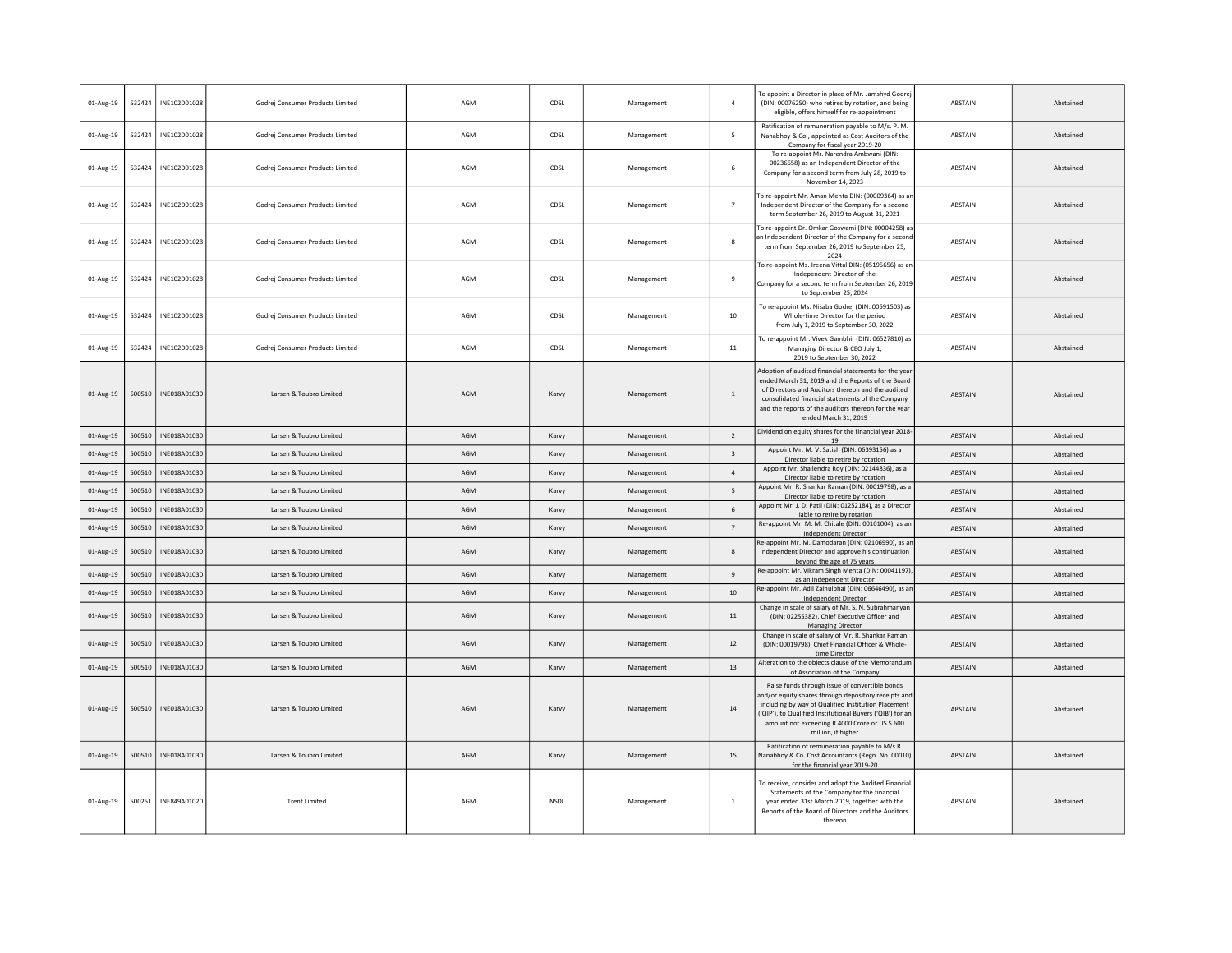| 01-Aug-19 | 532424 | INE102D01028 | Godrej Consumer Products Limited | AGM | CDSL        | Management | $\overline{a}$          | To appoint a Director in place of Mr. Jamshyd Godrej<br>(DIN: 00076250) who retires by rotation, and being<br>eligible, offers himself for re-appointment                                                                                                                                           | ABSTAIN        | Abstained |
|-----------|--------|--------------|----------------------------------|-----|-------------|------------|-------------------------|-----------------------------------------------------------------------------------------------------------------------------------------------------------------------------------------------------------------------------------------------------------------------------------------------------|----------------|-----------|
| 01-Aug-19 | 532424 | INE102D01028 | Godrej Consumer Products Limited | AGM | CDSL        | Management | 5                       | Ratification of remuneration payable to M/s. P. M.<br>Nanabhoy & Co., appointed as Cost Auditors of the<br>Company for fiscal year 2019-20                                                                                                                                                          | ABSTAIN        | Abstained |
| 01-Aug-19 | 532424 | INE102D01028 | Godrej Consumer Products Limited | AGM | CDSL        | Management | 6                       | To re-appoint Mr. Narendra Ambwani (DIN:<br>00236658) as an Independent Director of the<br>Company for a second term from July 28, 2019 to<br>November 14, 2023                                                                                                                                     | ABSTAIN        | Abstained |
| 01-Aug-19 | 532424 | INE102D01028 | Godrej Consumer Products Limited | AGM | CDSL        | Management | $\overline{7}$          | To re-appoint Mr. Aman Mehta DIN: (00009364) as an<br>Independent Director of the Company for a second<br>term September 26, 2019 to August 31, 2021                                                                                                                                                | <b>ABSTAIN</b> | Abstained |
| 01-Aug-19 | 532424 | INE102D01028 | Godrej Consumer Products Limited | AGM | CDSL        | Management | 8                       | To re-appoint Dr. Omkar Goswami (DIN: 00004258) as<br>an Independent Director of the Company for a second<br>term from September 26, 2019 to September 25,<br>2024                                                                                                                                  | <b>ABSTAIN</b> | Abstained |
| 01-Aug-19 | 532424 | INE102D01028 | Godrej Consumer Products Limited | AGM | CDSL        | Management | $\,9$                   | To re-appoint Ms. Ireena Vittal DIN: (05195656) as an<br>Independent Director of the<br>Company for a second term from September 26, 2019<br>to September 25, 2024                                                                                                                                  | ABSTAIN        | Abstained |
| 01-Aug-19 | 532424 | INE102D01028 | Godrei Consumer Products Limited | AGM | CDSL        | Management | $10\,$                  | To re-appoint Ms. Nisaba Godrej (DIN: 00591503) as<br>Whole-time Director for the period<br>from July 1, 2019 to September 30, 2022                                                                                                                                                                 | <b>ABSTAIN</b> | Abstained |
| 01-Aug-19 | 532424 | INE102D01028 | Godrej Consumer Products Limited | AGM | CDSL        | Management | $11\,$                  | To re-appoint Mr. Vivek Gambhir (DIN: 06527810) as<br>Managing Director & CEO July 1,<br>2019 to September 30, 2022                                                                                                                                                                                 | <b>ABSTAIN</b> | Abstained |
| 01-Aug-19 | 500510 | INE018A01030 | Larsen & Toubro Limited          | AGM | Karvy       | Management | $\,$ 1                  | Adoption of audited financial statements for the year<br>ended March 31, 2019 and the Reports of the Board<br>of Directors and Auditors thereon and the audited<br>consolidated financial statements of the Company<br>and the reports of the auditors thereon for the year<br>ended March 31, 2019 | ABSTAIN        | Abstained |
| 01-Aug-19 | 500510 | INE018A01030 | Larsen & Toubro Limited          | AGM | Karvy       | Management | $\overline{2}$          | Dividend on equity shares for the financial year 2018-<br>19                                                                                                                                                                                                                                        | <b>ABSTAIN</b> | Abstained |
| 01-Aug-19 | 500510 | INE018A01030 | Larsen & Toubro Limited          | AGM | Karvy       | Management | $\overline{\mathbf{3}}$ | Appoint Mr. M. V. Satish (DIN: 06393156) as a<br>Director liable to retire by rotation                                                                                                                                                                                                              | ABSTAIN        | Abstained |
| 01-Aug-19 | 500510 | INE018A01030 | Larsen & Toubro Limited          | AGM | Karvy       | Management | $\sqrt{4}$              | Appoint Mr. Shailendra Roy (DIN: 02144836), as a<br>Director liable to retire by rotation                                                                                                                                                                                                           | ABSTAIN        | Abstained |
| 01-Aug-19 | 500510 | INE018A01030 | Larsen & Toubro Limited          | AGM | Karvy       | Management | $5\overline{6}$         | Appoint Mr. R. Shankar Raman (DIN: 00019798), as a<br>Director liable to retire by rotation                                                                                                                                                                                                         | <b>ABSTAIN</b> | Abstained |
| 01-Aug-19 | 500510 | INE018A01030 | Larsen & Toubro Limited          | AGM | Karvy       | Management | 6                       | Appoint Mr. J. D. Patil (DIN: 01252184), as a Director<br>liable to retire by rotation                                                                                                                                                                                                              | ABSTAIN        | Abstained |
| 01-Aug-19 | 500510 | INE018A01030 | Larsen & Toubro Limited          | AGM | Karvy       | Management | $\overline{7}$          | Re-appoint Mr. M. M. Chitale (DIN: 00101004), as an<br><b>Independent Director</b>                                                                                                                                                                                                                  | <b>ABSTAIN</b> | Abstained |
| 01-Aug-19 | 500510 | INE018A01030 | Larsen & Toubro Limited          | AGM | Karvy       | Management | $\mathbf{R}$            | Re-appoint Mr. M. Damodaran (DIN: 02106990), as an<br>Independent Director and approve his continuation<br>beyond the age of 75 years                                                                                                                                                               | <b>ABSTAIN</b> | Abstained |
| 01-Aug-19 | 500510 | INE018A01030 | Larsen & Toubro Limited          | AGM | Karvy       | Management | $9\,$                   | Re-appoint Mr. Vikram Singh Mehta (DIN: 00041197)<br>as an Independent Director                                                                                                                                                                                                                     | ABSTAIN        | Abstained |
| 01-Aug-19 | 500510 | INE018A01030 | Larsen & Toubro Limited          | AGM | Karvy       | Management | 10                      | Re-appoint Mr. Adil Zainulbhai (DIN: 06646490), as an<br>Independent Director                                                                                                                                                                                                                       | ABSTAIN        | Abstained |
| 01-Aug-19 | 500510 | INE018A01030 | Larsen & Toubro Limited          | AGM | Karvy       | Management | 11                      | Change in scale of salary of Mr. S. N. Subrahmanyar<br>(DIN: 02255382), Chief Executive Officer and<br><b>Managing Director</b>                                                                                                                                                                     | <b>ABSTAIN</b> | Abstained |
| 01-Aug-19 | 500510 | INE018A01030 | Larsen & Toubro Limited          | AGM | Karvy       | Management | 12                      | Change in scale of salary of Mr. R. Shankar Raman<br>(DIN: 00019798), Chief Financial Officer & Whole-<br>time Director                                                                                                                                                                             | <b>ABSTAIN</b> | Abstained |
| 01-Aug-19 | 500510 | INE018A01030 | Larsen & Toubro Limited          | AGM | Karvy       | Management | 13                      | Alteration to the objects clause of the Memorandum<br>of Association of the Company                                                                                                                                                                                                                 | ABSTAIN        | Abstained |
| 01-Aug-19 | 500510 | INE018A01030 | Larsen & Toubro Limited          | AGM | Karvy       | Management | 14                      | Raise funds through issue of convertible bonds<br>and/or equity shares through depository receipts and<br>including by way of Qualified Institution Placement<br>('QIP'), to Qualified Institutional Buyers ('QIB') for an<br>amount not exceeding R 4000 Crore or US \$ 600<br>million, if higher  | <b>ABSTAIN</b> | Abstained |
| 01-Aug-19 | 500510 | INE018A01030 | Larsen & Toubro Limited          | AGM | Karvy       | Management | 15                      | Ratification of remuneration payable to M/s R.<br>Nanabhoy & Co. Cost Accountants (Regn. No. 00010)<br>for the financial year 2019-20                                                                                                                                                               | ABSTAIN        | Abstained |
| 01-Aug-19 | 500251 | INE849A01020 | <b>Trent Limited</b>             | AGM | <b>NSDL</b> | Management | $\mathbf{1}$            | To receive, consider and adopt the Audited Financial<br>Statements of the Company for the financial<br>year ended 31st March 2019, together with the<br>Reports of the Board of Directors and the Auditors<br>thereon                                                                               | ABSTAIN        | Abstained |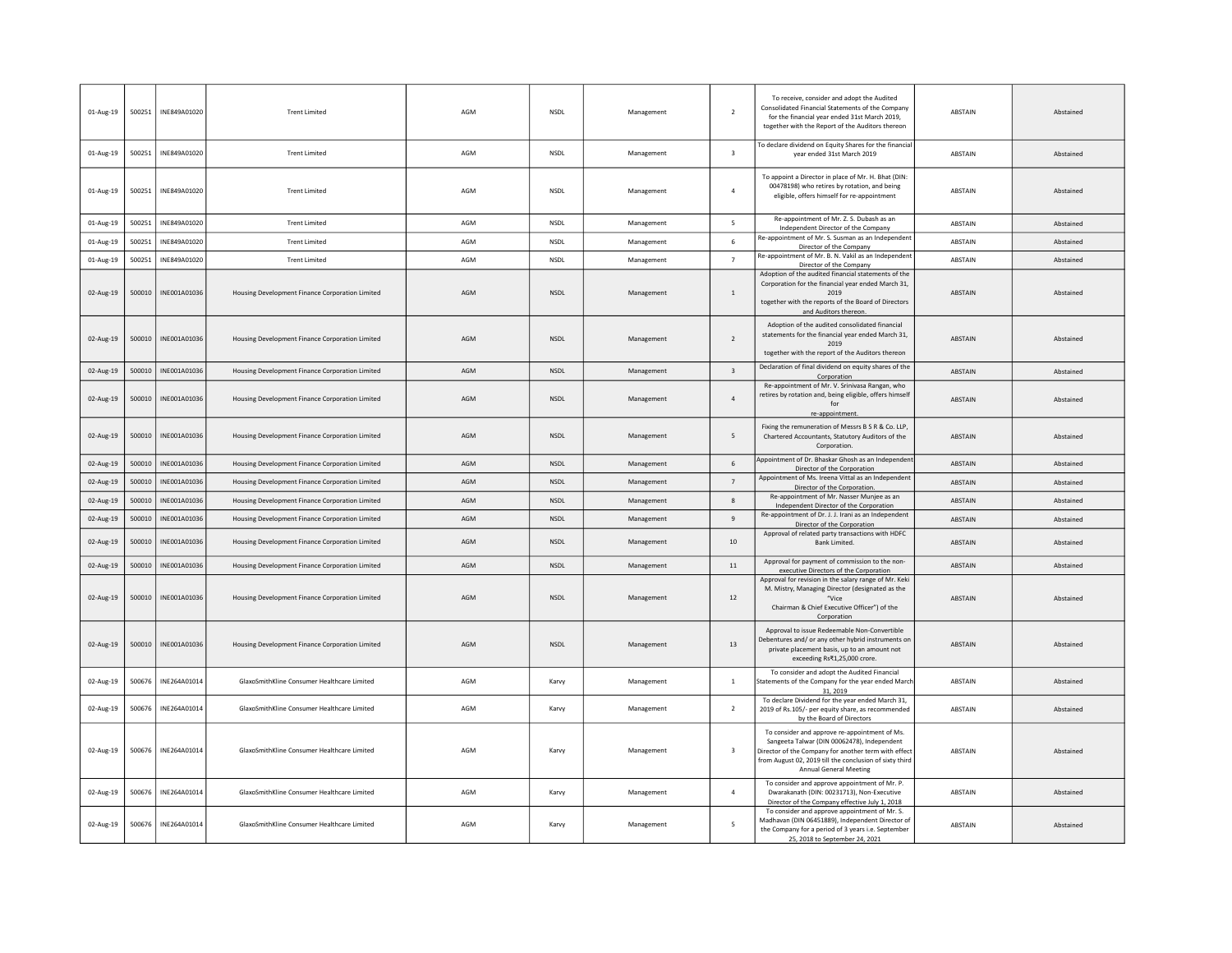| 01-Aug-19 | 500251 | INE849A01020 | <b>Trent Limited</b>                            | AGM | NSDL        | Management | $\overline{2}$          | To receive, consider and adopt the Audited<br>Consolidated Financial Statements of the Company<br>for the financial year ended 31st March 2019.<br>together with the Report of the Auditors thereon                                       | <b>ABSTAIN</b> | Abstained |
|-----------|--------|--------------|-------------------------------------------------|-----|-------------|------------|-------------------------|-------------------------------------------------------------------------------------------------------------------------------------------------------------------------------------------------------------------------------------------|----------------|-----------|
| 01-Aug-19 | 500251 | INE849A01020 | <b>Trent Limited</b>                            | AGM | <b>NSDL</b> | Management | $\overline{\mathbf{3}}$ | To declare dividend on Equity Shares for the financial<br>year ended 31st March 2019                                                                                                                                                      | <b>ABSTAIN</b> | Abstained |
| 01-Aug-19 | 500251 | INE849A01020 | <b>Trent Limited</b>                            | AGM | <b>NSDL</b> | Management | $\overline{4}$          | To appoint a Director in place of Mr. H. Bhat (DIN:<br>00478198) who retires by rotation, and being<br>eligible, offers himself for re-appointment                                                                                        | <b>ARSTAIN</b> | Abstained |
| 01-Aug-19 | 500251 | INE849A01020 | <b>Trent Limited</b>                            | AGM | <b>NSDL</b> | Management | 5                       | Re-appointment of Mr. Z. S. Dubash as an<br>Independent Director of the Company                                                                                                                                                           | ABSTAIN        | Abstained |
| 01-Aug-19 | 500251 | INE849A01020 | <b>Trent Limited</b>                            | AGM | NSDL        | Management | 6                       | Re-appointment of Mr. S. Susman as an Independent<br>Director of the Company                                                                                                                                                              | <b>ABSTAIN</b> | Abstained |
| 01-Aug-19 | 500251 | INE849A01020 | <b>Trent Limited</b>                            | AGM | <b>NSDL</b> | Management | $\overline{7}$          | Re-appointment of Mr. B. N. Vakil as an Independent<br>Director of the Company                                                                                                                                                            | ABSTAIN        | Abstained |
| 02-Aug-19 | 500010 | INF001A01036 | Housing Development Finance Corporation Limited | AGM | <b>NSDI</b> | Management | $\overline{1}$          | Adoption of the audited financial statements of the<br>Corporation for the financial year ended March 31,<br>2019<br>together with the reports of the Board of Directors<br>and Auditors thereon.                                         | <b>ABSTAIN</b> | Abstained |
| 02-Aug-19 | 500010 | INE001A01036 | Housing Development Finance Corporation Limited | AGM | <b>NSDL</b> | Management | 2                       | Adoption of the audited consolidated financial<br>statements for the financial year ended March 31,<br>2019<br>together with the report of the Auditors thereon                                                                           | <b>ABSTAIN</b> | Abstained |
| 02-Aug-19 | 500010 | INE001A01036 | Housing Development Finance Corporation Limited | AGM | <b>NSDL</b> | Management | $\overline{\mathbf{3}}$ | Declaration of final dividend on equity shares of the<br>Corporation                                                                                                                                                                      | <b>ABSTAIN</b> | Abstained |
| 02-Aug-19 | 500010 | INE001A01036 | Housing Development Finance Corporation Limited | AGM | <b>NSDL</b> | Management | $\overline{4}$          | Re-appointment of Mr. V. Srinivasa Rangan, who<br>retires by rotation and, being eligible, offers himself<br>for<br>re-appointment.                                                                                                       | <b>ABSTAIN</b> | Abstained |
| 02-Aug-19 | 500010 | INE001A01036 | Housing Development Finance Corporation Limited | AGM | <b>NSDL</b> | Management | 5                       | Fixing the remuneration of Messrs B S R & Co. LLP,<br>Chartered Accountants, Statutory Auditors of the<br>Corporation.                                                                                                                    | ABSTAIN        | Abstained |
| 02-Aug-19 | 500010 | INE001A01036 | Housing Development Finance Corporation Limited | AGM | <b>NSDL</b> | Management | 6                       | Appointment of Dr. Bhaskar Ghosh as an Independen<br>Director of the Corporation                                                                                                                                                          | ABSTAIN        | Abstained |
| 02-Aug-19 | 500010 | INE001A01036 | Housing Development Finance Corporation Limited | AGM | <b>NSDL</b> | Management | $\overline{7}$          | Appointment of Ms. Ireena Vittal as an Independent<br>Director of the Corporation.                                                                                                                                                        | ABSTAIN        | Abstained |
| 02-Aug-19 | 500010 | INE001A01036 | Housing Development Finance Corporation Limited | AGM | NSDL        | Management | $\mathbf{R}$            | Re-appointment of Mr. Nasser Munjee as an<br>Independent Director of the Corporation                                                                                                                                                      | <b>ABSTAIN</b> | Abstained |
| 02-Aug-19 | 500010 | INF001A01036 | Housing Development Finance Corporation Limited | AGM | <b>NSDI</b> | Management | $\overline{q}$          | Re-appointment of Dr. J. J. Irani as an Independent<br>Director of the Corporation                                                                                                                                                        | <b>ABSTAIN</b> | Abstained |
| 02-Aug-19 | 500010 | INE001A01036 | Housing Development Finance Corporation Limited | AGM | <b>NSDI</b> | Management | 10                      | Approval of related party transactions with HDFC<br>Bank Limited.                                                                                                                                                                         | <b>ABSTAIN</b> | Abstained |
| 02-Aug-19 | 500010 | INE001A01036 | Housing Development Finance Corporation Limited | AGM | <b>NSDL</b> | Management | 11                      | Approval for payment of commission to the non-<br>executive Directors of the Corporation                                                                                                                                                  | ABSTAIN        | Abstained |
| 02-Aug-19 | 500010 | INE001A01036 | Housing Development Finance Corporation Limited | AGM | <b>NSDI</b> | Management | 12                      | Approval for revision in the salary range of Mr. Keki<br>M. Mistry, Managing Director (designated as the<br>"Vice<br>Chairman & Chief Executive Officer") of the<br>Corporation                                                           | <b>ABSTAIN</b> | Abstained |
| 02-Aug-19 | 500010 | INE001A01036 | Housing Development Finance Corporation Limited | AGM | <b>NSDL</b> | Management | 13                      | Approval to issue Redeemable Non-Convertible<br>Debentures and/ or any other hybrid instruments on<br>private placement basis, up to an amount not<br>exceeding Rs₹1,25,000 crore.                                                        | ABSTAIN        | Abstained |
| 02-Aug-19 | 500676 | INE264A01014 | GlaxoSmithKline Consumer Healthcare Limited     | AGM | Karvy       | Management | <sup>1</sup>            | To consider and adopt the Audited Financial<br>Statements of the Company for the year ended March<br>31, 2019                                                                                                                             | ABSTAIN        | Abstained |
| 02-Aug-19 | 500676 | INE264A01014 | GlaxoSmithKline Consumer Healthcare Limited     | AGM | Karvy       | Management | $\overline{2}$          | To declare Dividend for the year ended March 31,<br>2019 of Rs.105/- per equity share, as recommended<br>by the Board of Directors                                                                                                        | ABSTAIN        | Abstained |
| 02-Aug-19 | 500676 | INE264A01014 | GlaxoSmithKline Consumer Healthcare Limited     | AGM | Karvy       | Management | $\overline{\mathbf{3}}$ | To consider and approve re-appointment of Ms.<br>Sangeeta Talwar (DIN 00062478), Independent<br>Director of the Company for another term with effect<br>from August 02, 2019 till the conclusion of sixty third<br>Annual General Meeting | <b>ABSTAIN</b> | Abstained |
| 02-Aug-19 | 500676 | INE264A01014 | GlaxoSmithKline Consumer Healthcare Limited     | AGM | Karvy       | Management | $\overline{4}$          | To consider and approve appointment of Mr. P.<br>Dwarakanath (DIN: 00231713), Non-Executive<br>Director of the Company effective July 1, 2018                                                                                             | ABSTAIN        | Abstained |
| 02-Aug-19 | 500676 | INE264A01014 | GlaxoSmithKline Consumer Healthcare Limited     | AGM | Karvy       | Management | 5                       | To consider and approve appointment of Mr. S.<br>Madhavan (DIN 06451889), Independent Director of<br>the Company for a period of 3 years i.e. September<br>25, 2018 to September 24, 2021                                                 | <b>ABSTAIN</b> | Abstained |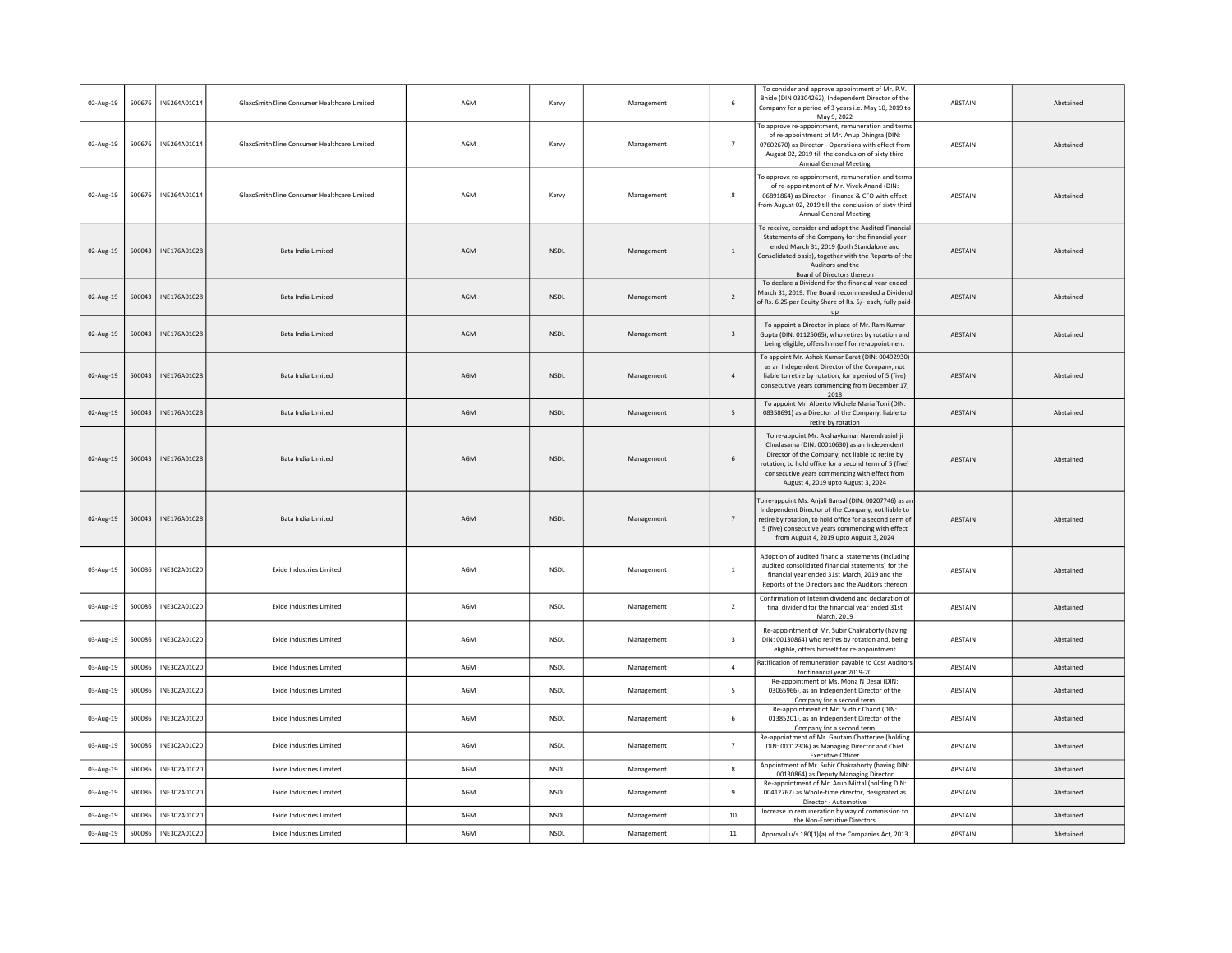| 02-Aug-19 | 500676 | INE264A01014 | GlaxoSmithKline Consumer Healthcare Limited | AGM | Karvy       | Management | 6                       | To consider and approve appointment of Mr. P.V.<br>Bhide (DIN 03304262), Independent Director of the<br>Company for a period of 3 years i.e. May 10, 2019 to<br>May 9, 2022                                                                                                                      | ABSTAIN        | Abstained |
|-----------|--------|--------------|---------------------------------------------|-----|-------------|------------|-------------------------|--------------------------------------------------------------------------------------------------------------------------------------------------------------------------------------------------------------------------------------------------------------------------------------------------|----------------|-----------|
| 02-Aug-19 | 500676 | INE264A01014 | GlaxoSmithKline Consumer Healthcare Limited | AGM | Karvy       | Management | $\overline{7}$          | To approve re-appointment, remuneration and terms<br>of re-appointment of Mr. Anup Dhingra (DIN:<br>07602670) as Director - Operations with effect from<br>August 02, 2019 till the conclusion of sixty third<br><b>Annual General Meeting</b>                                                   | ABSTAIN        | Abstained |
| 02-Aug-19 | 500676 | INE264A01014 | GlaxoSmithKline Consumer Healthcare Limited | AGM | Karvy       | Management | 8                       | To approve re-appointment, remuneration and terms<br>of re-appointment of Mr. Vivek Anand (DIN:<br>06891864) as Director - Finance & CFO with effect<br>from August 02, 2019 till the conclusion of sixty third<br><b>Annual General Meeting</b>                                                 | <b>ABSTAIN</b> | Abstained |
| 02-Aug-19 | 500043 | INE176A01028 | Bata India Limited                          | AGM | <b>NSDL</b> | Management | $\mathbf{1}$            | To receive, consider and adopt the Audited Financial<br>Statements of the Company for the financial year<br>ended March 31, 2019 (both Standalone and<br>Consolidated basis), together with the Reports of the<br>Auditors and the<br>Board of Directors thereon                                 | ABSTAIN        | Abstained |
| 02-Aug-19 | 500043 | INE176A01028 | Bata India Limited                          | AGM | NSDL        | Management | $\overline{2}$          | To declare a Dividend for the financial year ended<br>March 31, 2019. The Board recommended a Dividend<br>of Rs. 6.25 per Equity Share of Rs. 5/- each, fully paid-<br>up                                                                                                                        | ABSTAIN        | Abstained |
| 02-Aug-19 | 500043 | INE176A01028 | Bata India Limited                          | AGM | NSDL        | Management | $\overline{\mathbf{3}}$ | To appoint a Director in place of Mr. Ram Kumar<br>Gupta (DIN: 01125065), who retires by rotation and<br>being eligible, offers himself for re-appointment                                                                                                                                       | <b>ABSTAIN</b> | Abstained |
| 02-Aug-19 | 500043 | INE176A01028 | Bata India Limited                          | AGM | NSDL        | Management | $\overline{a}$          | To appoint Mr. Ashok Kumar Barat (DIN: 00492930)<br>as an Independent Director of the Company, not<br>liable to retire by rotation, for a period of 5 (five)<br>consecutive years commencing from December 17,<br>2018                                                                           | <b>ABSTAIN</b> | Abstained |
| 02-Aug-19 | 500043 | INE176A01028 | Bata India Limited                          | AGM | <b>NSDL</b> | Management | 5                       | To appoint Mr. Alberto Michele Maria Toni (DIN:<br>08358691) as a Director of the Company, liable to<br>retire by rotation                                                                                                                                                                       | ABSTAIN        | Abstained |
| 02-Aug-19 | 500043 | INE176A01028 | Bata India Limited                          | AGM | <b>NSDL</b> | Management | 6                       | To re-appoint Mr. Akshaykumar Narendrasinhji<br>Chudasama (DIN: 00010630) as an Independent<br>Director of the Company, not liable to retire by<br>rotation, to hold office for a second term of 5 (five)<br>consecutive years commencing with effect from<br>August 4, 2019 upto August 3, 2024 | ABSTAIN        | Abstained |
| 02-Aug-19 | 500043 | INE176A01028 | Bata India Limited                          | AGM | <b>NSDL</b> | Management | $\overline{7}$          | To re-appoint Ms. Anjali Bansal (DIN: 00207746) as an<br>Independent Director of the Company, not liable to<br>retire by rotation, to hold office for a second term of<br>5 (five) consecutive years commencing with effect<br>from August 4, 2019 upto August 3, 2024                           | <b>ABSTAIN</b> | Abstained |
| 03-Aug-19 | 500086 | INE302A01020 | <b>Exide Industries Limited</b>             | AGM | NSDL        | Management | <sup>1</sup>            | Adoption of audited financial statements (including<br>audited consolidated financial statements) for the<br>financial year ended 31st March, 2019 and the<br>Reports of the Directors and the Auditors thereon                                                                                  | ABSTAIN        | Abstained |
| 03-Aug-19 | 500086 | INE302A01020 | <b>Exide Industries Limited</b>             | AGM | NSDL        | Management | $\overline{2}$          | Confirmation of Interim dividend and declaration of<br>final dividend for the financial year ended 31st<br>March, 2019                                                                                                                                                                           | ABSTAIN        | Abstained |
| 03-Aug-19 | 500086 | INE302A01020 | <b>Exide Industries Limited</b>             | AGM | <b>NSDL</b> | Management | $\overline{\mathbf{3}}$ | Re-appointment of Mr. Subir Chakraborty (having<br>DIN: 00130864) who retires by rotation and, being<br>eligible, offers himself for re-appointment                                                                                                                                              | ABSTAIN        | Abstained |
| 03-Aug-19 | 500086 | INE302A01020 | <b>Exide Industries Limited</b>             | AGM | <b>NSDL</b> | Management | $\overline{4}$          | Ratification of remuneration payable to Cost Auditors<br>for financial year 2019-20                                                                                                                                                                                                              | ABSTAIN        | Abstained |
| 03-Aug-19 | 500086 | INE302A01020 | <b>Exide Industries Limited</b>             | AGM | <b>NSDL</b> | Management | 5                       | Re-appointment of Ms. Mona N Desai (DIN:<br>03065966), as an Independent Director of the<br>Company for a second term                                                                                                                                                                            | ABSTAIN        | Abstained |
| 03-Aug-19 | 500086 | INE302A01020 | <b>Exide Industries Limited</b>             | AGM | <b>NSDL</b> | Management | 6                       | Re-appointment of Mr. Sudhir Chand (DIN:<br>01385201), as an Independent Director of the<br>Company for a second term                                                                                                                                                                            | ABSTAIN        | Abstained |
| 03-Aug-19 | 500086 | INE302A01020 | <b>Exide Industries Limited</b>             | AGM | <b>NSDL</b> | Management | $\overline{7}$          | Re-appointment of Mr. Gautam Chatterjee (holding<br>DIN: 00012306) as Managing Director and Chief<br><b>Executive Officer</b>                                                                                                                                                                    | ABSTAIN        | Abstained |
| 03-Aug-19 | 500086 | INE302A01020 | <b>Exide Industries Limited</b>             | AGM | <b>NSDL</b> | Management | $\bf{8}$                | Appointment of Mr. Subir Chakraborty (having DIN:<br>00130864) as Deputy Managing Director                                                                                                                                                                                                       | ABSTAIN        | Abstained |
| 03-Aug-19 | 500086 | INE302A01020 | <b>Exide Industries Limited</b>             | AGM | NSDL        | Management | $\ddot{q}$              | Re-appointment of Mr. Arun Mittal (holding DIN:<br>00412767) as Whole-time director, designated as<br>Director - Automotive                                                                                                                                                                      | ABSTAIN        | Abstained |
| 03-Aug-19 | 500086 | INE302A01020 | <b>Exide Industries Limited</b>             | AGM | <b>NSDL</b> | Management | 10                      | Increase in remuneration by way of commission to<br>the Non-Executive Directors                                                                                                                                                                                                                  | ABSTAIN        | Abstained |
| 03-Aug-19 | 500086 | INE302A01020 | <b>Exide Industries Limited</b>             | AGM | <b>NSDI</b> | Management | $11\,$                  | Approval u/s 180(1)(a) of the Companies Act, 2013                                                                                                                                                                                                                                                | <b>ABSTAIN</b> | Abstained |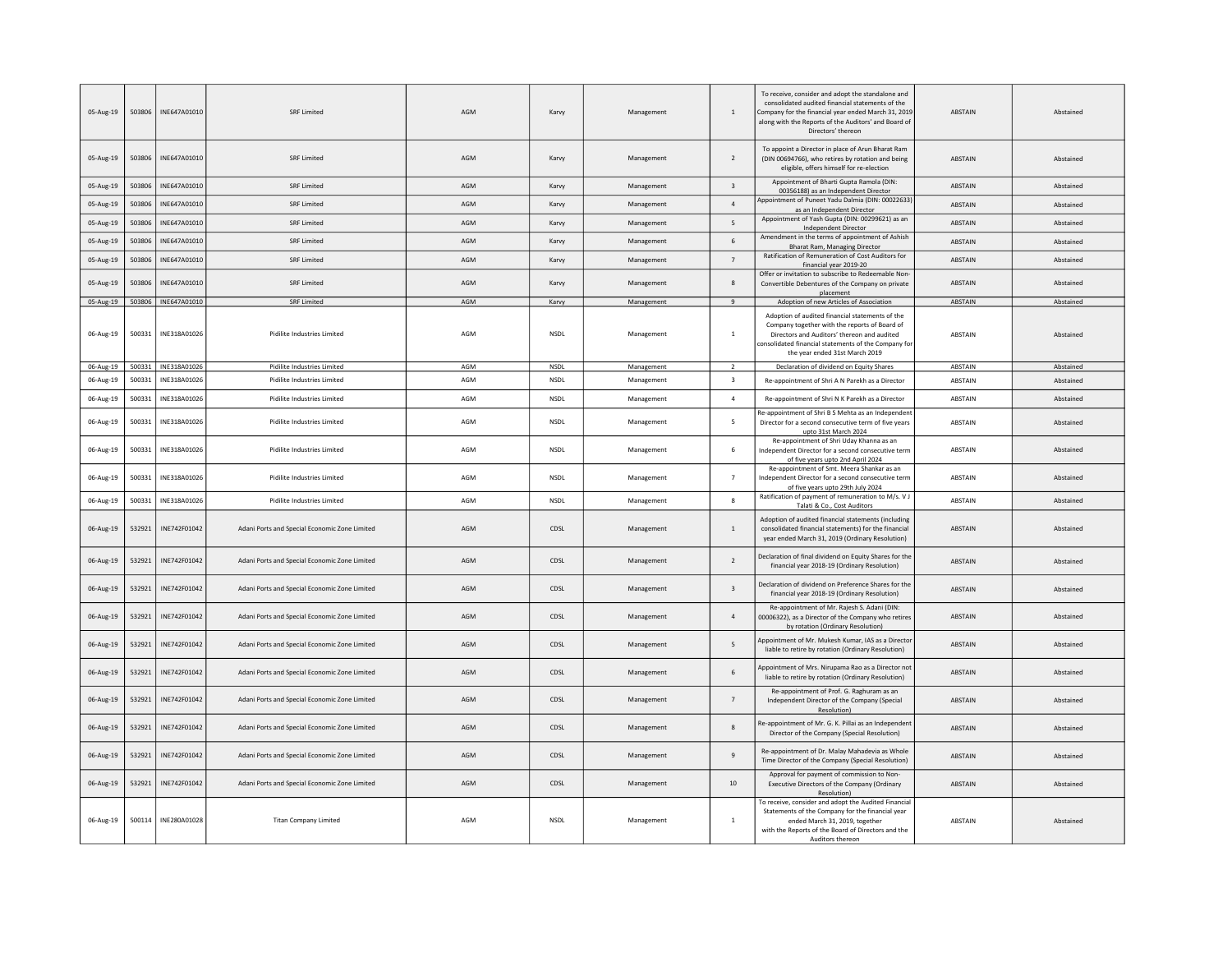| 05-Aug-19 | 503806 | INE647A01010          | <b>SRF Limited</b>                            | AGM | Karvy       | Management | $\mathbf{1}$            | To receive, consider and adopt the standalone and<br>consolidated audited financial statements of the<br>Company for the financial year ended March 31, 2019<br>along with the Reports of the Auditors' and Board of<br>Directors' thereon | <b>ABSTAIN</b> | Abstained |
|-----------|--------|-----------------------|-----------------------------------------------|-----|-------------|------------|-------------------------|--------------------------------------------------------------------------------------------------------------------------------------------------------------------------------------------------------------------------------------------|----------------|-----------|
| 05-Aug-19 | 503806 | INF647A01010          | <b>SRF Limited</b>                            | AGM | Karvy       | Management | 2                       | To appoint a Director in place of Arun Bharat Ram<br>(DIN 00694766), who retires by rotation and being<br>eligible, offers himself for re-election                                                                                         | <b>ARSTAIN</b> | Abstained |
| 05-Aug-19 | 503806 | INE647A01010          | SRF Limited                                   | AGM | Karvy       | Management | $\overline{3}$          | Appointment of Bharti Gupta Ramola (DIN:<br>00356188) as an Independent Director                                                                                                                                                           | <b>ABSTAIN</b> | Abstained |
| 05-Aug-19 | 503806 | INE647A01010          | <b>SRF Limited</b>                            | AGM | Karvy       | Management | $\overline{4}$          | Appointment of Puneet Yadu Dalmia (DIN: 00022633)<br>as an Independent Director                                                                                                                                                            | <b>ABSTAIN</b> | Abstained |
| 05-Aug-19 | 503806 | INE647A01010          | <b>SRF Limited</b>                            | AGM | Karvy       | Management | 5                       | Appointment of Yash Gupta (DIN: 00299621) as an<br><b>Independent Director</b>                                                                                                                                                             | ABSTAIN        | Abstained |
| 05-Aug-19 | 503806 | INE647A01010          | <b>SRF Limited</b>                            | AGM | Karvy       | Management | 6                       | Amendment in the terms of appointment of Ashish<br>Bharat Ram, Managing Director                                                                                                                                                           | <b>ABSTAIN</b> | Abstained |
| 05-Aug-19 | 503806 | INE647A01010          | <b>SRF Limited</b>                            | AGM | Karvy       | Management | $\overline{7}$          | Ratification of Remuneration of Cost Auditors for<br>financial year 2019-20                                                                                                                                                                | <b>ABSTAIN</b> | Abstained |
| 05-Aug-19 | 503806 | INE647A01010          | SRF Limited                                   | AGM | Karvy       | Management | 8                       | Offer or invitation to subscribe to Redeemable Non-<br>Convertible Debentures of the Company on private<br>placement                                                                                                                       | <b>ABSTAIN</b> | Abstained |
| 05-Aug-19 |        | 503806   INE647A01010 | SRF Limited                                   | AGM | Karvy       | Management | 9                       | Adoption of new Articles of Association                                                                                                                                                                                                    | ABSTAIN        | Abstained |
| 06-Aug-19 | 500331 | INE318A01026          | Pidilite Industries Limited                   | AGM | NSDL        | Management | $\,$ 1 $\,$             | Adoption of audited financial statements of the<br>Company together with the reports of Board of<br>Directors and Auditors' thereon and audited<br>consolidated financial statements of the Company for<br>the year ended 31st March 2019  | ABSTAIN        | Abstained |
| 06-Aug-19 |        | 500331 INE318A01026   | Pidilite Industries Limited                   | AGM | <b>NSDL</b> | Management | $\overline{2}$          | Declaration of dividend on Equity Shares                                                                                                                                                                                                   | ABSTAIN        | Abstained |
| 06-Aug-19 | 500331 | INE318A01026          | Pidilite Industries Limited                   | AGM | NSDL        | Management | 3                       | Re-appointment of Shri A N Parekh as a Director                                                                                                                                                                                            | ABSTAIN        | Abstained |
| 06-Aug-19 | 500331 | INE318A01026          | Pidilite Industries Limited                   | AGM | NSDL        | Management | $\overline{a}$          | Re-appointment of Shri N K Parekh as a Director                                                                                                                                                                                            | ABSTAIN        | Abstained |
| 06-Aug-19 | 500331 | INE318A01026          | Pidilite Industries Limited                   | AGM | NSDL        | Management | 5                       | Re-appointment of Shri B S Mehta as an Independent<br>Director for a second consecutive term of five years<br>upto 31st March 2024                                                                                                         | <b>ABSTAIN</b> | Abstained |
| 06-Aug-19 | 500331 | INE318A01026          | Pidilite Industries Limited                   | AGM | NSDL        | Management | 6                       | Re-appointment of Shri Uday Khanna as an<br>Independent Director for a second consecutive term<br>of five years upto 2nd April 2024                                                                                                        | <b>ABSTAIN</b> | Abstained |
| 06-Aug-19 | 500331 | INE318A01026          | Pidilite Industries Limited                   | AGM | <b>NSDL</b> | Management | $\overline{7}$          | Re-appointment of Smt. Meera Shankar as an<br>Independent Director for a second consecutive term<br>of five years upto 29th July 2024                                                                                                      | ABSTAIN        | Abstained |
| 06-Aug-19 | 500331 | INE318A01026          | Pidilite Industries Limited                   | AGM | NSDL        | Management | 8                       | Ratification of payment of remuneration to M/s. V J<br>Talati & Co., Cost Auditors                                                                                                                                                         | <b>ABSTAIN</b> | Abstained |
| 06-Aug-19 | 532921 | INE742F01042          | Adani Ports and Special Economic Zone Limited | AGM | CDSL        | Management | $\mathbf{1}$            | Adoption of audited financial statements (including<br>consolidated financial statements) for the financial<br>year ended March 31, 2019 (Ordinary Resolution)                                                                             | <b>ABSTAIN</b> | Abstained |
| 06-Aug-19 | 532921 | INE742F01042          | Adani Ports and Special Economic Zone Limited | AGM | CDSL        | Management | $\overline{2}$          | Declaration of final dividend on Equity Shares for the<br>financial year 2018-19 (Ordinary Resolution)                                                                                                                                     | ABSTAIN        | Abstained |
| 06-Aug-19 | 532921 | INE742F01042          | Adani Ports and Special Economic Zone Limited | AGM | CDSL        | Management | $\overline{\mathbf{3}}$ | Declaration of dividend on Preference Shares for the<br>financial year 2018-19 (Ordinary Resolution)                                                                                                                                       | <b>ABSTAIN</b> | Abstained |
| 06-Aug-19 | 532921 | INE742F01042          | Adani Ports and Special Economic Zone Limited | AGM | CDSL        | Management | $\sqrt{4}$              | Re-appointment of Mr. Rajesh S. Adani (DIN:<br>00006322), as a Director of the Company who retires<br>by rotation (Ordinary Resolution)                                                                                                    | ABSTAIN        | Abstained |
| 06-Aug-19 | 532921 | INE742F01042          | Adani Ports and Special Economic Zone Limited | AGM | CDSL        | Management | 5                       | Appointment of Mr. Mukesh Kumar, IAS as a Director<br>liable to retire by rotation (Ordinary Resolution)                                                                                                                                   | ABSTAIN        | Abstained |
| 06-Aug-19 | 532921 | INF742F01042          | Adani Ports and Special Economic Zone Limited | AGM | CDSL        | Management | $6 \overline{6}$        | Appointment of Mrs. Nirupama Rao as a Director not<br>liable to retire by rotation (Ordinary Resolution)                                                                                                                                   | ABSTAIN        | Abstained |
| 06-Aug-19 | 532921 | INE742F01042          | Adani Ports and Special Economic Zone Limited | AGM | CDSL        | Management | $\overline{7}$          | Re-appointment of Prof. G. Raghuram as an<br>Independent Director of the Company (Special<br>Resolution)                                                                                                                                   | <b>ARSTAIN</b> | Abstained |
| 06-Aug-19 | 532921 | INE742F01042          | Adani Ports and Special Economic Zone Limited | AGM | CDSL        | Management | 8                       | Re-appointment of Mr. G. K. Pillai as an Independent<br>Director of the Company (Special Resolution)                                                                                                                                       | <b>ABSTAIN</b> | Abstained |
| 06-Aug-19 | 532921 | INF742F01042          | Adani Ports and Special Economic Zone Limited | AGM | CDSL        | Management | $\mathbf{q}$            | Re-appointment of Dr. Malay Mahadevia as Whole<br>Time Director of the Company (Special Resolution)                                                                                                                                        | <b>ABSTAIN</b> | Abstained |
| 06-Aug-19 | 532921 | INE742F01042          | Adani Ports and Special Economic Zone Limited | AGM | CDSL        | Management | 10                      | Approval for payment of commission to Non-<br>Executive Directors of the Company (Ordinary<br>Resolution)                                                                                                                                  | <b>ABSTAIN</b> | Abstained |
| 06-Aug-19 | 500114 | INE280A01028          | <b>Titan Company Limited</b>                  | AGM | <b>NSDL</b> | Management | $1\,$                   | To receive, consider and adopt the Audited Financial<br>Statements of the Company for the financial year<br>ended March 31, 2019, together<br>with the Reports of the Board of Directors and the<br>Auditors thereon                       | ABSTAIN        | Abstained |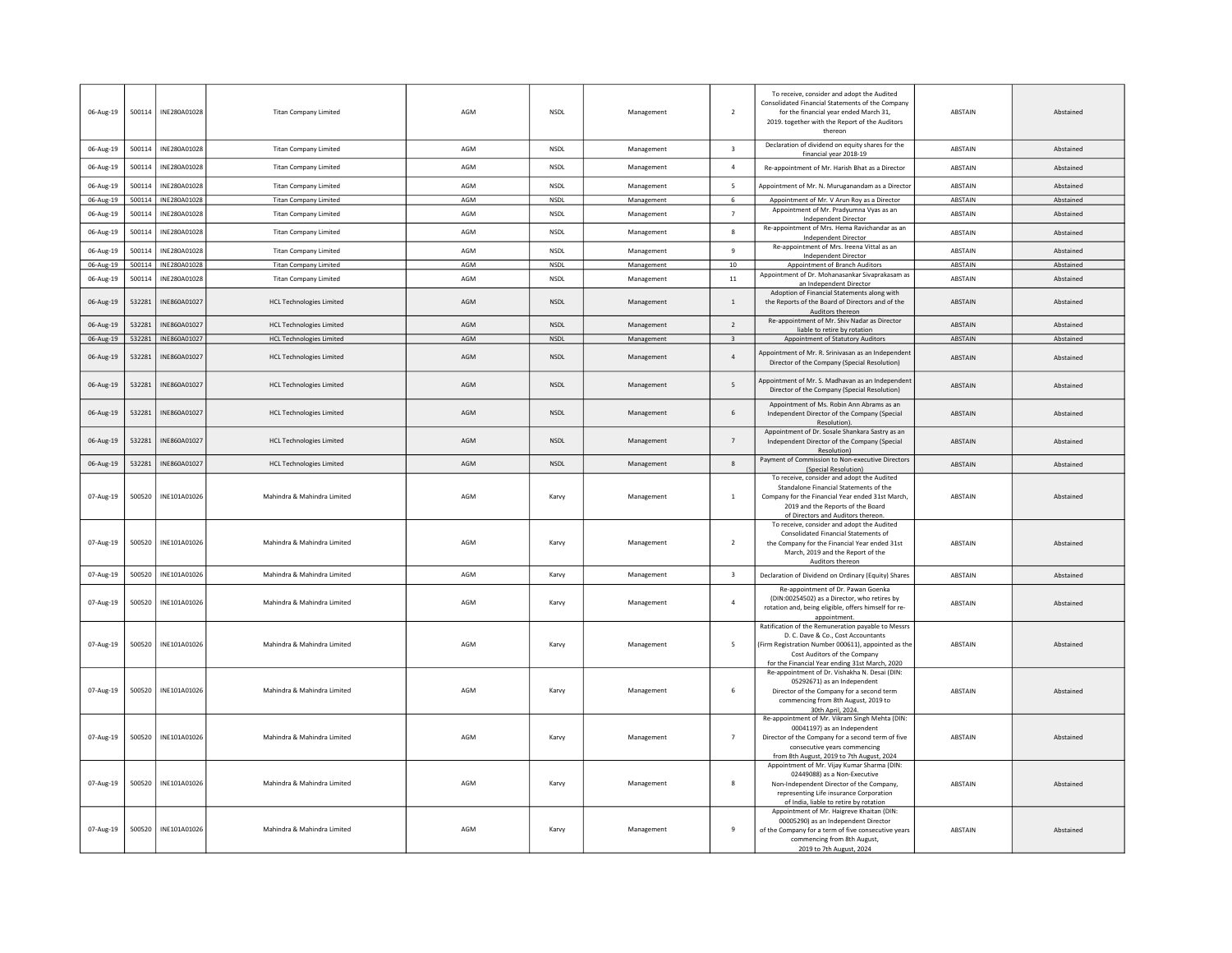| 06-Aug-19 | 500114 | INE280A01028          | <b>Titan Company Limited</b>    | AGM | NSDL        | Management | $\overline{2}$          | To receive, consider and adopt the Audited<br>Consolidated Financial Statements of the Company<br>for the financial year ended March 31,<br>2019. together with the Report of the Auditors<br>thereon                             | ABSTAIN        | Abstained |
|-----------|--------|-----------------------|---------------------------------|-----|-------------|------------|-------------------------|-----------------------------------------------------------------------------------------------------------------------------------------------------------------------------------------------------------------------------------|----------------|-----------|
| 06-Aug-19 | 500114 | INF280A01028          | <b>Titan Company Limited</b>    | AGM | <b>NSDL</b> | Management | $\overline{\mathbf{3}}$ | Declaration of dividend on equity shares for the<br>financial year 2018-19                                                                                                                                                        | <b>ABSTAIN</b> | Abstained |
| 06-Aug-19 | 500114 | INE280A01028          | <b>Titan Company Limited</b>    | AGM | <b>NSDL</b> | Management | $\overline{a}$          | Re-appointment of Mr. Harish Bhat as a Director                                                                                                                                                                                   | ABSTAIN        | Abstained |
| 06-Aug-19 | 500114 | INE280A01028          | <b>Titan Company Limited</b>    | AGM | <b>NSDL</b> | Management | 5                       | Appointment of Mr. N. Muruganandam as a Directo                                                                                                                                                                                   | ABSTAIN        | Abstained |
| 06-Aug-19 | 500114 | INE280A01028          | <b>Titan Company Limited</b>    | AGM | <b>NSDL</b> | Management | 6                       | Appointment of Mr. V Arun Roy as a Director                                                                                                                                                                                       | <b>ABSTAIN</b> | Abstained |
| 06-Aug-19 | 500114 | INE280A01028          | <b>Titan Company Limited</b>    | AGM | NSDL        | Management | $\overline{7}$          | Appointment of Mr. Pradyumna Vyas as an<br><b>Independent Director</b>                                                                                                                                                            | <b>ABSTAIN</b> | Abstained |
| 06-Aug-19 | 500114 | INE280A01028          | <b>Titan Company Limited</b>    | AGM | NSDL        | Management | 8                       | Re-appointment of Mrs. Hema Ravichandar as an<br>Independent Director                                                                                                                                                             | ABSTAIN        | Abstained |
| 06-Aug-19 | 500114 | INE280A01028          | <b>Titan Company Limited</b>    | AGM | <b>NSDL</b> | Management | 9                       | Re-appointment of Mrs. Ireena Vittal as an<br>Independent Director                                                                                                                                                                | ABSTAIN        | Abstained |
| 06-Aug-19 |        | 500114   INE280A01028 | <b>Titan Company Limited</b>    | AGM | <b>NSDL</b> | Management | 10                      | Appointment of Branch Auditors                                                                                                                                                                                                    | ABSTAIN        | Abstained |
| 06-Aug-19 | 500114 | INE280A01028          | <b>Titan Company Limited</b>    | AGM | NSDL        | Management | $11\,$                  | Appointment of Dr. Mohanasankar Sivaprakasam as<br>an Independent Director                                                                                                                                                        | ABSTAIN        | Abstained |
| 06-Aug-19 | 532281 | INE860A01027          | <b>HCL Technologies Limited</b> | AGM | NSDL        | Management | $\,$ 1                  | Adoption of Financial Statements along with<br>the Reports of the Board of Directors and of the<br>Auditors thereon                                                                                                               | <b>ABSTAIN</b> | Abstained |
| 06-Aug-19 | 532281 | INE860A01027          | <b>HCL Technologies Limited</b> | AGM | NSDL        | Management | $\overline{2}$          | Re-appointment of Mr. Shiv Nadar as Director<br>liable to retire by rotation                                                                                                                                                      | <b>ABSTAIN</b> | Abstained |
| 06-Aug-19 | 532281 | INE860A01027          | <b>HCL Technologies Limited</b> | AGM | <b>NSDL</b> | Management | $\overline{\mathbf{3}}$ | Appointment of Statutory Auditors                                                                                                                                                                                                 | ABSTAIN        | Abstained |
| 06-Aug-19 | 532281 | INE860A01027          | <b>HCL Technologies Limited</b> | AGM | <b>NSDL</b> | Management | $\overline{4}$          | Appointment of Mr. R. Srinivasan as an Independent<br>Director of the Company (Special Resolution)                                                                                                                                | <b>ABSTAIN</b> | Abstained |
| 06-Aug-19 | 532281 | INE860A01027          | <b>HCL Technologies Limited</b> | AGM | NSDL        | Management | 5                       | Appointment of Mr. S. Madhavan as an Independen<br>Director of the Company (Special Resolution)                                                                                                                                   | <b>ABSTAIN</b> | Abstained |
| 06-Aug-19 | 532281 | INE860A01027          | <b>HCL Technologies Limited</b> | AGM | NSDL        | Management | 6                       | Appointment of Ms. Robin Ann Abrams as an<br>Independent Director of the Company (Special<br>Resolution)                                                                                                                          | <b>ABSTAIN</b> | Abstained |
| 06-Aug-19 | 532281 | INE860A01027          | <b>HCL Technologies Limited</b> | AGM | <b>NSDL</b> | Management | $\overline{7}$          | Appointment of Dr. Sosale Shankara Sastry as an<br>Independent Director of the Company (Special<br>Resolution)                                                                                                                    | ABSTAIN        | Abstained |
| 06-Aug-19 | 532281 | INE860A01027          | <b>HCL Technologies Limited</b> | AGM | NSDL        | Management | $\bf8$                  | Payment of Commission to Non-executive Directors<br>(Special Resolution)                                                                                                                                                          | ABSTAIN        | Abstained |
| 07-Aug-19 | 500520 | INE101A01026          | Mahindra & Mahindra Limited     | AGM | Karvy       | Management | $\mathbf{1}$            | To receive, consider and adopt the Audited<br>Standalone Financial Statements of the<br>Company for the Financial Year ended 31st March,<br>2019 and the Reports of the Board<br>of Directors and Auditors thereon.               | ABSTAIN        | Abstained |
| 07-Aug-19 | 500520 | INE101A01026          | Mahindra & Mahindra Limited     | AGM | Karvy       | Management | 2                       | To receive, consider and adopt the Audited<br>Consolidated Financial Statements of<br>the Company for the Financial Year ended 31st<br>March, 2019 and the Report of the<br>Auditors thereon                                      | ABSTAIN        | Abstained |
| 07-Aug-19 | 500520 | INE101A01026          | Mahindra & Mahindra Limited     | AGM | Karvy       | Management | $\overline{\mathbf{3}}$ | Declaration of Dividend on Ordinary (Equity) Shares                                                                                                                                                                               | ABSTAIN        | Abstained |
| 07-Aug-19 | 500520 | INE101A01026          | Mahindra & Mahindra Limited     | AGM | Karvy       | Management | $\overline{4}$          | Re-appointment of Dr. Pawan Goenka<br>(DIN:00254502) as a Director, who retires by<br>rotation and, being eligible, offers himself for re-<br>appointment.                                                                        | ABSTAIN        | Abstained |
| 07-Aug-19 | 500520 | INE101A01026          | Mahindra & Mahindra Limited     | AGM | Karvy       | Management | 5                       | Ratification of the Remuneration payable to Messrs<br>D. C. Dave & Co., Cost Accountants<br>(Firm Registration Number 000611), appointed as the<br>Cost Auditors of the Company<br>for the Financial Year ending 31st March, 2020 | ABSTAIN        | Abstained |
| 07-Aug-19 | 500520 | INE101A01026          | Mahindra & Mahindra Limited     | AGM | Karvy       | Management | 6                       | Re-appointment of Dr. Vishakha N. Desai (DIN:<br>05292671) as an Independent<br>Director of the Company for a second term<br>commencing from 8th August, 2019 to<br>30th April, 2024.                                             | <b>ABSTAIN</b> | Abstained |
| 07-Aug-19 | 500520 | INE101A01026          | Mahindra & Mahindra Limited     | AGM | Karvy       | Management | $\overline{7}$          | Re-appointment of Mr. Vikram Singh Mehta (DIN:<br>00041197) as an Independent<br>Director of the Company for a second term of five<br>consecutive years commencing<br>from 8th August, 2019 to 7th August, 2024                   | <b>ARSTAIN</b> | Abstained |
| 07-Aug-19 | 500520 | INE101A01026          | Mahindra & Mahindra Limited     | AGM | Karvy       | Management | 8                       | Appointment of Mr. Vijay Kumar Sharma (DIN:<br>02449088) as a Non-Executive<br>Non-Independent Director of the Company,<br>representing Life insurance Corporation<br>of India, liable to retire by rotation                      | <b>ABSTAIN</b> | Abstained |
| 07-Aug-19 | 500520 | INE101A01026          | Mahindra & Mahindra Limited     | AGM | Karvy       | Management | $\overline{9}$          | Appointment of Mr. Haigreve Khaitan (DIN:<br>00005290) as an Independent Director<br>of the Company for a term of five consecutive years<br>commencing from 8th August,<br>2019 to 7th August, 2024                               | <b>ABSTAIN</b> | Abstained |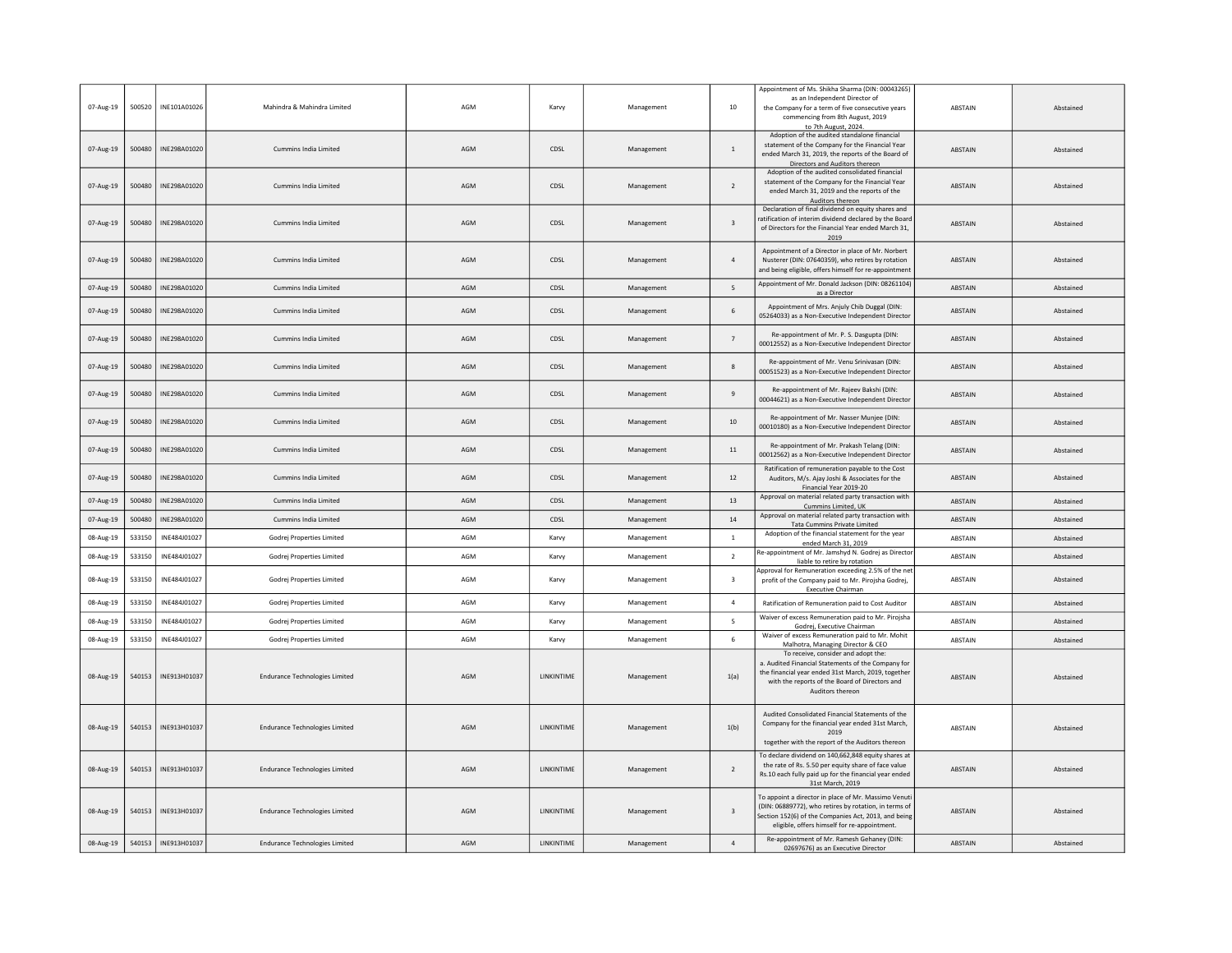| 07-Aug-19 | 500520 | INE101A01026          | Mahindra & Mahindra Limited           | AGM | Karvy              | Management | 10                      | Appointment of Ms. Shikha Sharma (DIN: 00043265)<br>as an Independent Director of<br>the Company for a term of five consecutive years<br>commencing from 8th August, 2019<br>to 7th August, 2024.                      | <b>ABSTAIN</b> | Abstained |
|-----------|--------|-----------------------|---------------------------------------|-----|--------------------|------------|-------------------------|------------------------------------------------------------------------------------------------------------------------------------------------------------------------------------------------------------------------|----------------|-----------|
| 07-Aug-19 | 500480 | INE298A01020          | Cummins India Limited                 | AGM | CDSL               | Management | $\overline{1}$          | Adoption of the audited standalone financial<br>statement of the Company for the Financial Year<br>ended March 31, 2019, the reports of the Board of<br>Directors and Auditors thereon                                 | <b>ABSTAIN</b> | Abstained |
| 07-Aug-19 | 500480 | INE298A01020          | Cummins India Limited                 | AGM | CDSL               | Management | $\overline{2}$          | Adoption of the audited consolidated financial<br>statement of the Company for the Financial Year<br>ended March 31, 2019 and the reports of the<br>Auditors thereon                                                   | ABSTAIN        | Abstained |
| 07-Aug-19 | 500480 | INE298A01020          | Cummins India Limited                 | AGM | CDSL               | Management | $\overline{\mathbf{3}}$ | Declaration of final dividend on equity shares and<br>ratification of interim dividend declared by the Board<br>of Directors for the Financial Year ended March 31,<br>2019                                            | <b>ABSTAIN</b> | Abstained |
| 07-Aug-19 | 500480 | INE298A01020          | Cummins India Limited                 | AGM | CDSL               | Management | $\overline{a}$          | Appointment of a Director in place of Mr. Norbert<br>Nusterer (DIN: 07640359), who retires by rotation<br>and being eligible, offers himself for re-appointment                                                        | ABSTAIN        | Abstained |
| 07-Aug-19 | 500480 | INE298A01020          | Cummins India Limited                 | AGM | CDSL               | Management | 5                       | Appointment of Mr. Donald Jackson (DIN: 08261104)<br>as a Director                                                                                                                                                     | <b>ABSTAIN</b> | Abstained |
| 07-Aug-19 | 500480 | INE298A01020          | Cummins India Limited                 | AGM | CDSL               | Management | 6                       | Appointment of Mrs. Anjuly Chib Duggal (DIN:<br>05264033) as a Non-Executive Independent Director                                                                                                                      | ABSTAIN        | Abstained |
| 07-Aug-19 | 500480 | INE298A01020          | Cummins India Limited                 | AGM | CDSL               | Management | $\overline{7}$          | Re-appointment of Mr. P. S. Dasgupta (DIN:<br>00012552) as a Non-Executive Independent Director                                                                                                                        | <b>ABSTAIN</b> | Abstained |
| 07-Aug-19 | 500480 | INE298A01020          | Cummins India Limited                 | AGM | CDSL               | Management | 8                       | Re-appointment of Mr. Venu Srinivasan (DIN:<br>00051523) as a Non-Executive Independent Directo                                                                                                                        | <b>ABSTAIN</b> | Abstained |
| 07-Aug-19 | 500480 | INE298A01020          | Cummins India Limited                 | AGM | CDSL               | Management | $\overline{9}$          | Re-appointment of Mr. Rajeev Bakshi (DIN:<br>00044621) as a Non-Executive Independent Director                                                                                                                         | <b>ABSTAIN</b> | Abstained |
| 07-Aug-19 | 500480 | INE298A01020          | Cummins India Limited                 | AGM | CDSL               | Management | $10\,$                  | Re-appointment of Mr. Nasser Muniee (DIN:<br>00010180) as a Non-Executive Independent Director                                                                                                                         | ABSTAIN        | Abstained |
| 07-Aug-19 | 500480 | INE298A01020          | Cummins India Limited                 | AGM | CDSL               | Management | $11\,$                  | Re-appointment of Mr. Prakash Telang (DIN:<br>00012562) as a Non-Executive Independent Director                                                                                                                        | ABSTAIN        | Abstained |
| 07-Aug-19 | 500480 | INE298A01020          | Cummins India Limited                 | AGM | CDSL               | Management | 12                      | Ratification of remuneration payable to the Cost<br>Auditors, M/s. Ajay Joshi & Associates for the<br>Financial Year 2019-20                                                                                           | <b>ABSTAIN</b> | Abstained |
| 07-Aug-19 | 500480 | INE298A01020          | Cummins India Limited                 | AGM | CDSL               | Management | 13                      | Approval on material related party transaction with<br>Cummins Limited, UK                                                                                                                                             | ABSTAIN        | Abstained |
| 07-Aug-19 | 500480 | INE298A01020          | Cummins India Limited                 | AGM | CDSL               | Management | $14\,$                  | Approval on material related party transaction with<br>Tata Cummins Private Limited                                                                                                                                    | ABSTAIN        | Abstained |
| 08-Aug-19 | 533150 | INE484J01027          | Godrej Properties Limited             | AGM | Karvy              | Management | $\overline{1}$          | Adoption of the financial statement for the year<br>ended March 31, 2019                                                                                                                                               | ABSTAIN        | Abstained |
| 08-Aug-19 | 533150 | INE484J01027          | Godrej Properties Limited             | AGM | Karvy              | Management | $\overline{2}$          | Re-appointment of Mr. Jamshyd N. Godrej as Directo<br>liable to retire by rotation                                                                                                                                     | <b>ABSTAIN</b> | Abstained |
| 08-Aug-19 | 533150 | INE484J01027          | Godrej Properties Limited             | AGM | Karvy              | Management | $\overline{3}$          | Approval for Remuneration exceeding 2.5% of the ne<br>profit of the Company paid to Mr. Pirojsha Godrej,<br><b>Executive Chairman</b>                                                                                  | <b>ABSTAIN</b> | Abstained |
| 08-Aug-19 | 533150 | INE484J01027          | Godrej Properties Limited             | AGM | Karvy              | Management | $\overline{a}$          | Ratification of Remuneration paid to Cost Auditor                                                                                                                                                                      | ABSTAIN        | Abstained |
| 08-Aug-19 | 533150 | INE484J01027          | Godrej Properties Limited             | AGM | Karvy              | Management | 5                       | Waiver of excess Remuneration paid to Mr. Pirojsha<br>Godrej, Executive Chairman                                                                                                                                       | ABSTAIN        | Abstained |
| 08-Aug-19 | 533150 | INE484J01027          | Godrej Properties Limited             | AGM | Karvy              | Management | 6                       | Waiver of excess Remuneration paid to Mr. Mohit<br>Malhotra, Managing Director & CEO                                                                                                                                   | ABSTAIN        | Abstained |
| 08-Aug-19 | 540153 | INE913H01037          | <b>Endurance Technologies Limited</b> | AGM | <b>I INKINTIME</b> | Management | 1(a)                    | To receive, consider and adopt the:<br>a. Audited Financial Statements of the Company for<br>the financial year ended 31st March, 2019, together<br>with the reports of the Board of Directors and<br>Auditors thereon | <b>ABSTAIN</b> | Abstained |
| 08-Aug-19 |        | 540153   INE913H01037 | <b>Endurance Technologies Limited</b> | AGM | LINKINTIME         | Management | 1(b)                    | Audited Consolidated Financial Statements of the<br>Company for the financial year ended 31st March,<br>2019<br>together with the report of the Auditors thereon                                                       | <b>ABSTAIN</b> | Abstained |
| 08-Aug-19 |        | 540153   INE913H01037 | <b>Endurance Technologies Limited</b> | AGM | LINKINTIME         | Management | $\overline{2}$          | To declare dividend on 140,662,848 equity shares at<br>the rate of Rs. 5.50 per equity share of face value<br>Rs.10 each fully paid up for the financial year ended<br>31st March, 2019                                | <b>ABSTAIN</b> | Abstained |
| 08-Aug-19 | 540153 | INE913H01037          | <b>Endurance Technologies Limited</b> | AGM | LINKINTIME         | Management | $\overline{\mathbf{3}}$ | To appoint a director in place of Mr. Massimo Venut<br>(DIN: 06889772), who retires by rotation, in terms of<br>Section 152(6) of the Companies Act, 2013, and being<br>eligible, offers himself for re-appointment    | <b>ABSTAIN</b> | Abstained |
| 08-Aug-19 | 540153 | INE913H01037          | <b>Endurance Technologies Limited</b> | AGM | LINKINTIME         | Management | $\sqrt{4}$              | Re-appointment of Mr. Ramesh Gehaney (DIN:<br>02697676) as an Executive Director                                                                                                                                       | <b>ABSTAIN</b> | Abstained |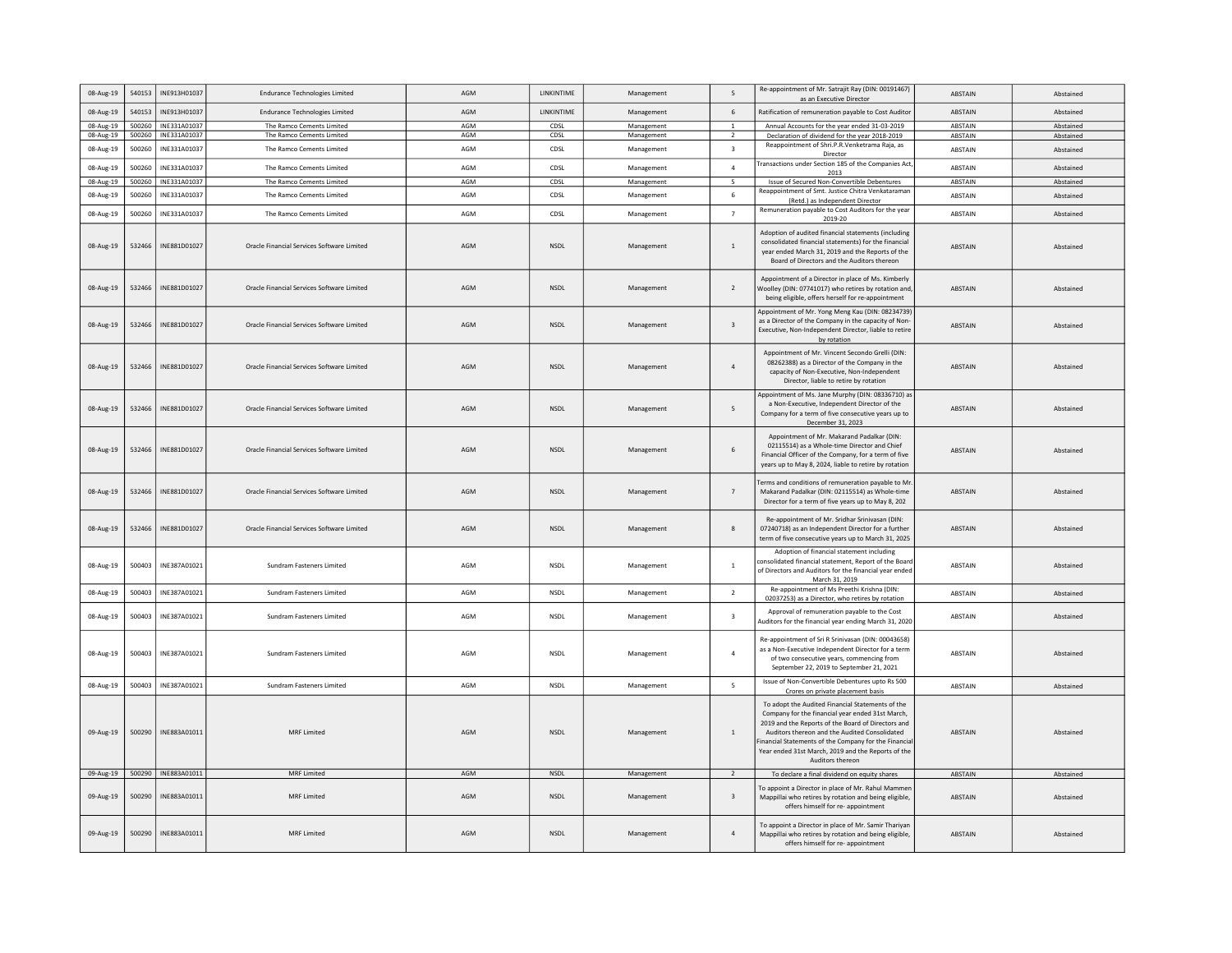| 08-Aug-19 | 540153 | INE913H01037        | <b>Endurance Technologies Limited</b>      | AGM        | <b>I INKINTIME</b> | Management | -5                       | Re-appointment of Mr. Satrajit Ray (DIN: 00191467)<br>as an Executive Director                                                                                                                                                                                                                                                                | ABSTAIN        | Abstained |
|-----------|--------|---------------------|--------------------------------------------|------------|--------------------|------------|--------------------------|-----------------------------------------------------------------------------------------------------------------------------------------------------------------------------------------------------------------------------------------------------------------------------------------------------------------------------------------------|----------------|-----------|
| 08-Aug-19 | 540153 | INE913H01037        | <b>Endurance Technologies Limited</b>      | AGM        | <b>LINKINTIME</b>  | Management | 6                        | Ratification of remuneration payable to Cost Audito                                                                                                                                                                                                                                                                                           | <b>ABSTAIN</b> | Abstained |
| 08-Aug-19 | 500260 | INE331A01037        | The Ramco Cements Limited                  | <b>AGM</b> | CDSL               | Management | $\overline{1}$           | Annual Accounts for the year ended 31-03-2019                                                                                                                                                                                                                                                                                                 | ABSTAIN        | Abstained |
| 08-Aug-19 | 500260 | INE331A01037        | The Ramco Cements Limited                  | AGM        | CDSL               | Management | $\overline{2}$           | Declaration of dividend for the year 2018-2019<br>Reappointment of Shri.P.R.Venketrama Raja, as                                                                                                                                                                                                                                               | ABSTAIN        | Abstained |
| 08-Aug-19 | 500260 | INE331A01037        | The Ramco Cements Limited                  | AGM        | CDSL               | Management | $\overline{\mathbf{3}}$  | Director<br>Fransactions under Section 185 of the Companies Act,                                                                                                                                                                                                                                                                              | ABSTAIN        | Abstained |
| 08-Aug-19 | 500260 | INE331A01037        | The Ramco Cements Limited                  | AGM        | CDSL               | Management | $\overline{a}$           | 2013                                                                                                                                                                                                                                                                                                                                          | ABSTAIN        | Abstained |
| 08-Aug-19 | 500260 | INE331A01037        | The Ramco Cements Limited                  | AGM        | CDSL               | Management | $5^{\circ}$              | Issue of Secured Non-Convertible Debentures<br>Reappointment of Smt. Justice Chitra Venkatarama                                                                                                                                                                                                                                               | ABSTAIN        | Abstained |
| 08-Aug-19 | 500260 | INE331A01037        | The Ramco Cements Limited                  | AGM        | CDSL               | Management | 6                        | (Retd.) as Independent Director                                                                                                                                                                                                                                                                                                               | ABSTAIN        | Abstained |
| 08-Aug-19 | 500260 | INE331A01037        | The Ramco Cements Limited                  | AGM        | CDSL               | Management | $\overline{7}$           | Remuneration payable to Cost Auditors for the year<br>2019-20                                                                                                                                                                                                                                                                                 | ABSTAIN        | Abstained |
| 08-Aug-19 | 532466 | INE881D01027        | Oracle Financial Services Software Limited | AGM        | <b>NSDL</b>        | Management | $\overline{1}$           | Adoption of audited financial statements (including<br>consolidated financial statements) for the financial<br>year ended March 31, 2019 and the Reports of the<br>Board of Directors and the Auditors thereon                                                                                                                                | ABSTAIN        | Abstained |
| 08-Aug-19 | 532466 | INE881D01027        | Oracle Financial Services Software Limited | AGM        | <b>NSDL</b>        | Management | $\overline{2}$           | Appointment of a Director in place of Ms. Kimberly<br>Woolley (DIN: 07741017) who retires by rotation and<br>being eligible, offers herself for re-appointment                                                                                                                                                                                | ABSTAIN        | Abstained |
| 08-Aug-19 | 532466 | INE881D01027        | Oracle Financial Services Software Limited | AGM        | <b>NSDI</b>        | Management | $\overline{3}$           | Appointment of Mr. Yong Meng Kau (DIN: 08234739)<br>as a Director of the Company in the capacity of Non-<br>Executive, Non-Independent Director, liable to retire<br>by rotation                                                                                                                                                              | <b>ARSTAIN</b> | Abstained |
| 08-Aug-19 | 532466 | INE881D01027        | Oracle Financial Services Software Limited | AGM        | <b>NSDL</b>        | Management | $\overline{4}$           | Appointment of Mr. Vincent Secondo Grelli (DIN:<br>08262388) as a Director of the Company in the<br>capacity of Non-Executive, Non-Independent<br>Director, liable to retire by rotation                                                                                                                                                      | <b>ABSTAIN</b> | Abstained |
| 08-Aug-19 | 532466 | INE881D01027        | Oracle Financial Services Software Limited | AGM        | <b>NSDL</b>        | Management | 5                        | Appointment of Ms. Jane Murphy (DIN: 08336710) as<br>a Non-Executive, Independent Director of the<br>Company for a term of five consecutive years up to<br>December 31, 2023                                                                                                                                                                  | <b>ABSTAIN</b> | Abstained |
| 08-Aug-19 | 532466 | INE881D01027        | Oracle Financial Services Software Limited | AGM        | <b>NSDL</b>        | Management | 6                        | Appointment of Mr. Makarand Padalkar (DIN:<br>02115514) as a Whole-time Director and Chief<br>Financial Officer of the Company, for a term of five<br>years up to May 8, 2024, liable to retire by rotation                                                                                                                                   | ABSTAIN        | Abstained |
| 08-Aug-19 | 532466 | INE881D01027        | Oracle Financial Services Software Limited | AGM        | <b>NSDI</b>        | Management | $\overline{7}$           | erms and conditions of remuneration payable to Mr<br>Makarand Padalkar (DIN: 02115514) as Whole-time<br>Director for a term of five years up to May 8, 202                                                                                                                                                                                    | <b>ABSTAIN</b> | Abstained |
| 08-Aug-19 | 532466 | INE881D01027        | Oracle Financial Services Software Limited | AGM        | <b>NSDL</b>        | Management | 8                        | Re-appointment of Mr. Sridhar Sriniyasan (DIN:<br>07240718) as an Independent Director for a further<br>term of five consecutive years up to March 31, 2025                                                                                                                                                                                   | ABSTAIN        | Abstained |
| 08-Aug-19 | 500403 | INE387A01021        | Sundram Fasteners Limited                  | AGM        | <b>NSDL</b>        | Management | $\,$ 1 $\,$              | Adoption of financial statement including<br>consolidated financial statement, Report of the Board<br>of Directors and Auditors for the financial year ended<br>March 31, 2019                                                                                                                                                                | ABSTAIN        | Abstained |
| 08-Aug-19 | 500403 | INE387A01021        | Sundram Fasteners Limited                  | AGM        | <b>NSDL</b>        | Management | $\overline{2}$           | Re-appointment of Ms Preethi Krishna (DIN:<br>02037253) as a Director, who retires by rotation                                                                                                                                                                                                                                                | ABSTAIN        | Abstained |
| 08-Aug-19 | 500403 | INE387A01021        | Sundram Fasteners Limited                  | AGM        | <b>NSDL</b>        | Management | $\overline{\mathbf{3}}$  | Approval of remuneration pavable to the Cost<br>Auditors for the financial year ending March 31, 2020                                                                                                                                                                                                                                         | <b>ARSTAIN</b> | Abstained |
| 08-Aug-19 | 500403 | INE387A01021        | Sundram Fasteners Limited                  | AGM        | <b>NSDI</b>        | Management | $\overline{a}$           | Re-appointment of Sri R Srinivasan (DIN: 00043658)<br>as a Non-Executive Independent Director for a term<br>of two consecutive years, commencing from<br>September 22, 2019 to September 21, 2021                                                                                                                                             | ABSTAIN        | Abstained |
| 08-Aug-19 | 500403 | INE387A01021        | Sundram Fasteners Limited                  | AGM        | NSDL               | Management | $\overline{\phantom{a}}$ | Issue of Non-Convertible Debentures upto Rs 500<br>Crores on private placement basis                                                                                                                                                                                                                                                          | ABSTAIN        | Abstained |
| 09-Aug-19 | 500290 | INE883A01011        | MRF Limited                                | AGM        | NSDL               | Management | $\mathbf{1}$             | To adopt the Audited Financial Statements of the<br>Company for the financial year ended 31st March,<br>2019 and the Reports of the Board of Directors and<br>Auditors thereon and the Audited Consolidated<br>inancial Statements of the Company for the Financial<br>Year ended 31st March, 2019 and the Reports of the<br>Auditors thereon | <b>ABSTAIN</b> | Abstained |
| 09-Aug-19 |        | 500290 INE883A01011 | <b>MRF Limited</b>                         | AGM        | <b>NSDL</b>        | Management | 2                        | To declare a final dividend on equity shares                                                                                                                                                                                                                                                                                                  | ABSTAIN        | Abstained |
| 09-Aug-19 | 500290 | INE883A01011        | MRF Limited                                | AGM        | <b>NSDI</b>        | Management | $\mathbf{3}$             | To appoint a Director in place of Mr. Rahul Mammer<br>Mappillai who retires by rotation and being eligible,<br>offers himself for re-appointment                                                                                                                                                                                              | <b>ARSTAIN</b> | Abstained |
| 09-Aug-19 | 500290 | INE883A01011        | <b>MRF Limited</b>                         | AGM        | <b>NSDL</b>        | Management | $\overline{a}$           | To appoint a Director in place of Mr. Samir Thariyan<br>Mappillai who retires by rotation and being eligible,<br>offers himself for re- appointment                                                                                                                                                                                           | ABSTAIN        | Abstained |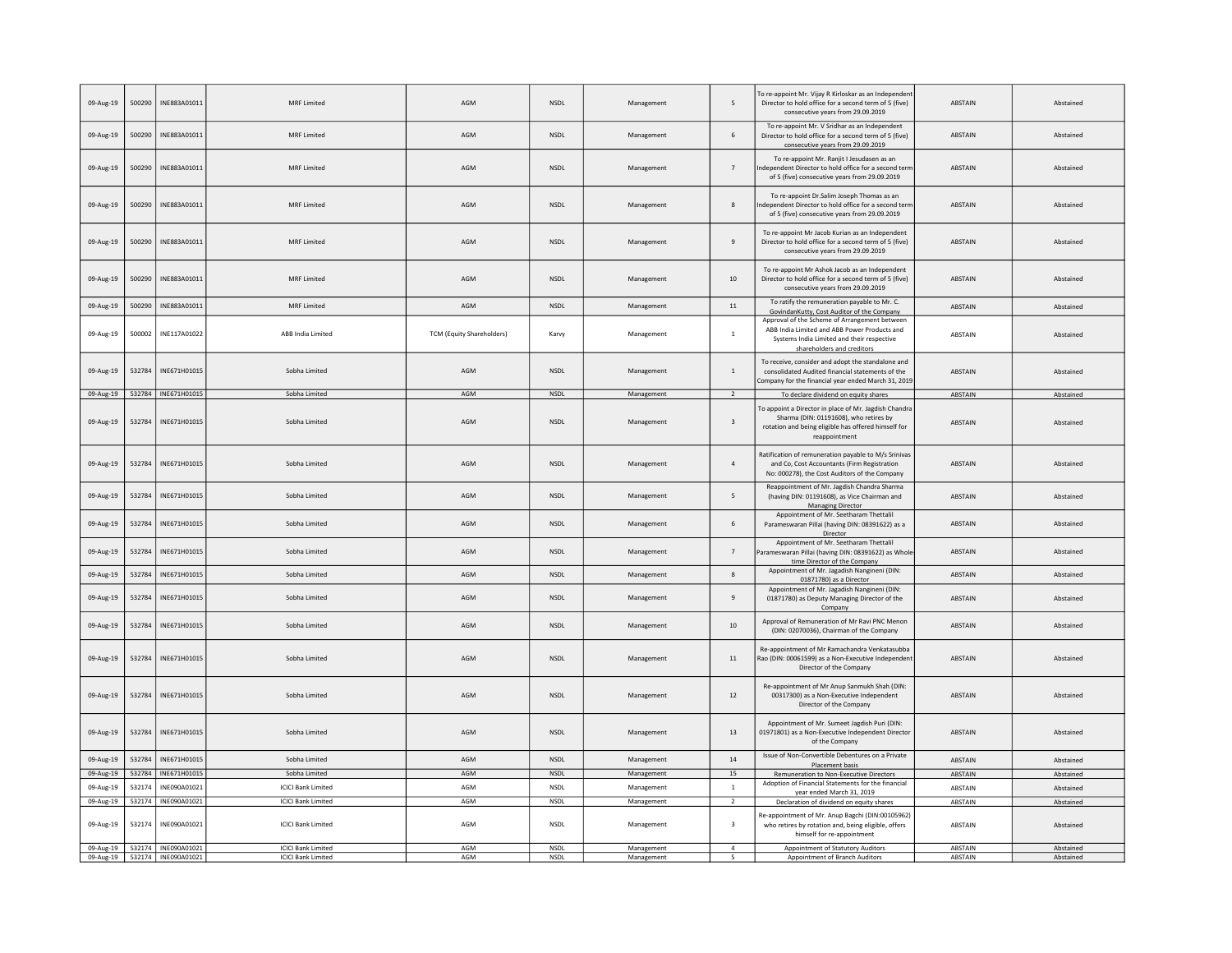| 09-Aug-19 | 500290 | INE883A01011                      | <b>MRF Limited</b>        | AGM                              | NSDL                         | Management | 5                       | To re-appoint Mr. Vijay R Kirloskar as an Independen<br>Director to hold office for a second term of 5 (five)<br>consecutive years from 29.09.2019                        | <b>ABSTAIN</b> | Abstained |
|-----------|--------|-----------------------------------|---------------------------|----------------------------------|------------------------------|------------|-------------------------|---------------------------------------------------------------------------------------------------------------------------------------------------------------------------|----------------|-----------|
| 09-Aug-19 | 500290 | INE883A01011                      | MRF Limited               | AGM                              | NSDL                         | Management | $\,$ 6 $\,$             | To re-appoint Mr. V Sridhar as an Independent<br>Director to hold office for a second term of 5 (five)<br>consecutive years from 29.09.2019                               | <b>ABSTAIN</b> | Abstained |
| 09-Aug-19 | 500290 | INE883A01011                      | <b>MRF Limited</b>        | AGM                              | NSDL                         | Management | $\overline{7}$          | To re-appoint Mr. Ranjit I Jesudasen as an<br>ndependent Director to hold office for a second tern<br>of 5 (five) consecutive years from 29.09.2019                       | ABSTAIN        | Abstained |
| 09-Aug-19 | 500290 | INE883A01011                      | <b>MRF Limited</b>        | AGM                              | <b>NSDL</b>                  | Management | 8                       | To re-appoint Dr. Salim Joseph Thomas as an<br>Independent Director to hold office for a second term<br>of 5 (five) consecutive years from 29.09.2019                     | <b>ABSTAIN</b> | Abstained |
| 09-Aug-19 | 500290 | INF883A01011                      | MRF Limited               | AGM                              | <b>NSDI</b>                  | Management | $\mathbf{q}$            | To re-appoint Mr Jacob Kurian as an Independent<br>Director to hold office for a second term of 5 (five)<br>consecutive years from 29.09.2019                             | <b>ABSTAIN</b> | Abstained |
| 09-Aug-19 | 500290 | INE883A01011                      | MRF Limited               | AGM                              | NSDL                         | Management | $10\,$                  | To re-appoint Mr Ashok Jacob as an Independent<br>Director to hold office for a second term of 5 (five)<br>consecutive years from 29.09.2019                              | <b>ABSTAIN</b> | Abstained |
| 09-Aug-19 | 500290 | INE883A01011                      | MRF Limited               | AGM                              | <b>NSDL</b>                  | Management | $11\,$                  | To ratify the remuneration payable to Mr. C.<br>GovindanKutty, Cost Auditor of the Company                                                                                | <b>ABSTAIN</b> | Abstained |
| 09-Aug-19 | 500002 | INE117A01022                      | ABB India Limited         | <b>TCM (Equity Shareholders)</b> | Karvy                        | Management | $\,$ 1 $\,$             | Approval of the Scheme of Arrangement between<br>ABB India Limited and ABB Power Products and<br>Systems India Limited and their respective<br>shareholders and creditors | ABSTAIN        | Abstained |
| 09-Aug-19 | 532784 | INE671H01015                      | Sobha Limited             | AGM                              | NSDL                         | Management | $\,$ 1 $\,$             | To receive, consider and adopt the standalone and<br>consolidated Audited financial statements of the<br>Company for the financial year ended March 31, 2019              | <b>ABSTAIN</b> | Abstained |
| 09-Aug-19 |        | 532784 INE671H01015               | Sobha Limited             | AGM                              | NSDL                         | Management | $\overline{2}$          | To declare dividend on equity shares                                                                                                                                      | ABSTAIN        | Abstained |
| 09-Aug-19 | 532784 | INF671H01015                      | Sobha Limited             | AGM                              | <b>NSDL</b>                  | Management | $\overline{\mathbf{3}}$ | To appoint a Director in place of Mr. Jagdish Chandra<br>Sharma (DIN: 01191608), who retires by<br>rotation and being eligible has offered himself for<br>reappointment   | ABSTAIN        | Abstained |
| 09-Aug-19 | 532784 | INE671H01015                      | Sobha Limited             | AGM                              | NSDL                         | Management | $\sqrt{4}$              | Ratification of remuneration payable to M/s Srinivas<br>and Co, Cost Accountants (Firm Registration<br>No: 000278), the Cost Auditors of the Company                      | <b>ABSTAIN</b> | Abstained |
| 09-Aug-19 | 532784 | INE671H01015                      | Sobha Limited             | AGM                              | NSDL                         | Management | 5                       | Reappointment of Mr. Jagdish Chandra Sharma<br>(having DIN: 01191608), as Vice Chairman and<br><b>Managing Director</b>                                                   | <b>ABSTAIN</b> | Abstained |
| 09-Aug-19 | 532784 | INE671H01015                      | Sobha Limited             | AGM                              | <b>NSDL</b>                  | Management | 6                       | Appointment of Mr. Seetharam Thettalil<br>Parameswaran Pillai (having DIN: 08391622) as a<br>Director                                                                     | ABSTAIN        | Abstained |
| 09-Aug-19 | 532784 | INE671H01015                      | Sobha Limited             | AGM                              | <b>NSDL</b>                  | Management | $\overline{7}$          | Appointment of Mr. Seetharam Thettalil<br>Parameswaran Pillai (having DIN: 08391622) as Whole<br>time Director of the Company                                             | <b>ABSTAIN</b> | Abstained |
| 09-Aug-19 | 532784 | INE671H01015                      | Sobha Limited             | AGM                              | <b>NSDL</b>                  | Management | $\bf{8}$                | Appointment of Mr. Jagadish Nangineni (DIN:<br>01871780) as a Director                                                                                                    | <b>ABSTAIN</b> | Abstained |
| 09-Aug-19 | 532784 | INE671H01015                      | Sobha Limited             | AGM                              | <b>NSDL</b>                  | Management | $\overline{9}$          | Appointment of Mr. Jagadish Nangineni (DIN:<br>01871780) as Deputy Managing Director of the<br>Company                                                                    | <b>ABSTAIN</b> | Abstained |
| 09-Aug-19 | 532784 | INE671H01015                      | Sobha Limited             | AGM                              | <b>NSDL</b>                  | Management | $10\,$                  | Approval of Remuneration of Mr Ravi PNC Menon<br>(DIN: 02070036), Chairman of the Company                                                                                 | <b>ABSTAIN</b> | Abstained |
| 09-Aug-19 | 532784 | INE671H01015                      | Sobha Limited             | AGM                              | <b>NSDL</b>                  | Management | $11\,$                  | Re-appointment of Mr Ramachandra Venkatasubba<br>Rao (DIN: 00061599) as a Non-Executive Independent<br>Director of the Company                                            | <b>ABSTAIN</b> | Abstained |
| 09-Aug-19 | 532784 | INE671H01015                      | Sobha Limited             | AGM                              | <b>NSDL</b>                  | Management | 12                      | Re-appointment of Mr Anup Sanmukh Shah (DIN:<br>00317300) as a Non-Executive Independent<br>Director of the Company                                                       | <b>ABSTAIN</b> | Abstained |
| 09-Aug-19 | 532784 | INE671H01015                      | Sobha Limited             | AGM                              | NSDL                         | Management | 13                      | Appointment of Mr. Sumeet Jagdish Puri (DIN:<br>01971801) as a Non-Executive Independent Director<br>of the Company                                                       | <b>ABSTAIN</b> | Abstained |
| 09-Aug-19 | 532784 | INE671H01015                      | Sobha Limited             | AGM                              | <b>NSDL</b>                  | Management | 14                      | Issue of Non-Convertible Debentures on a Private<br>Placement basis                                                                                                       | <b>ABSTAIN</b> | Abstained |
| 09-Aug-19 |        | 532784 INE671H01015               | Sobha Limited             | AGM                              | NSDL                         | Management | 15                      | Remuneration to Non-Executive Directors                                                                                                                                   | ABSTAIN        | Abstained |
| 09-Aug-19 | 532174 | INE090A01021                      | <b>ICICI Bank Limited</b> | AGM                              | <b>NSDL</b>                  | Management | $1\,$                   | Adoption of Financial Statements for the financial<br>year ended March 31, 2019                                                                                           | ABSTAIN        | Abstained |
| 09-Aug-19 |        | 532174   INE090A01021             | <b>ICICI Bank Limited</b> | AGM                              | <b>NSDI</b>                  | Management | $\overline{2}$          | Declaration of dividend on equity shares                                                                                                                                  | ABSTAIN        | Abstained |
| 09-Aug-19 | 532174 | INE090A01021                      | <b>ICICI Bank Limited</b> | AGM                              | <b>NSDL</b>                  | Management | $\overline{\mathbf{3}}$ | Re-appointment of Mr. Anup Bagchi (DIN:00105962)<br>who retires by rotation and, being eligible, offers<br>himself for re-appointment                                     | ABSTAIN        | Abstained |
|           |        | 09-Aug-19   532174   INE090A01021 | <b>ICICI Bank Limited</b> | AGM                              | <b>NSDL</b>                  | Management | $\overline{4}$          | Appointment of Statutory Auditors                                                                                                                                         | ABSTAIN        | Abstained |
|           |        | 09-Aug-19 532174 INE090A01021     | <b>ICICI Bank Limited</b> | AGM                              | $\ensuremath{\mathsf{NSDL}}$ | Management | 5                       | Appointment of Branch Auditors                                                                                                                                            | ABSTAIN        | Abstained |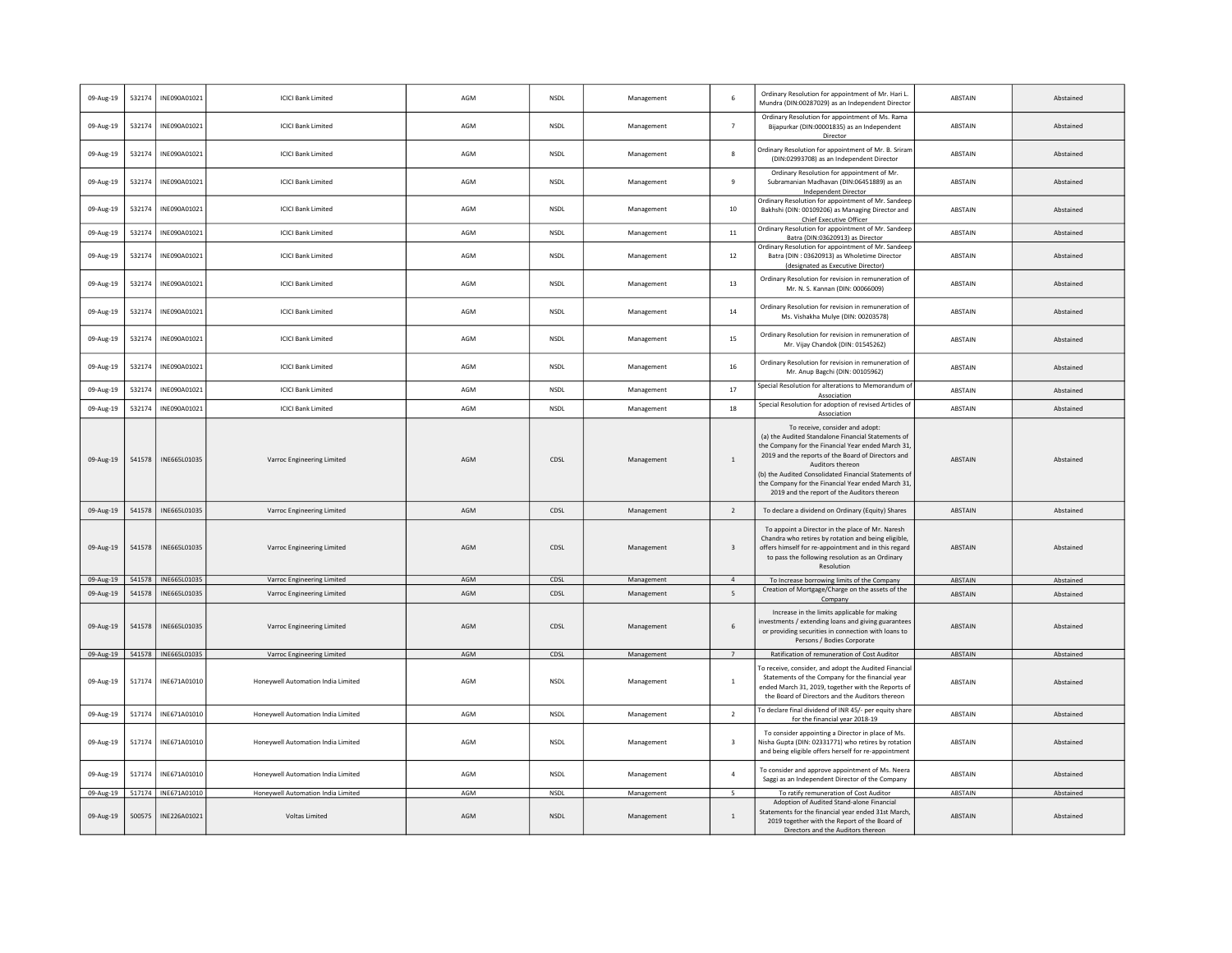| 09-Aug-19 | 532174 | INE090A01021          | <b>ICICI Bank Limited</b>          | AGM | NSDL        | Management | 6                       | Ordinary Resolution for appointment of Mr. Hari L.<br>Mundra (DIN:00287029) as an Independent Director                                                                                                                                                                                                                                                                            | ABSTAIN        | Abstained |
|-----------|--------|-----------------------|------------------------------------|-----|-------------|------------|-------------------------|-----------------------------------------------------------------------------------------------------------------------------------------------------------------------------------------------------------------------------------------------------------------------------------------------------------------------------------------------------------------------------------|----------------|-----------|
| 09-Aug-19 | 532174 | INE090A01021          | <b>ICICI Bank Limited</b>          | AGM | <b>NSDL</b> | Management | $\overline{7}$          | Ordinary Resolution for appointment of Ms. Rama<br>Bijapurkar (DIN:00001835) as an Independent<br>Director                                                                                                                                                                                                                                                                        | ABSTAIN        | Abstained |
| 09-Aug-19 | 532174 | INE090A01021          | <b>ICICI Bank Limited</b>          | AGM | NSDL        | Management | 8                       | Ordinary Resolution for appointment of Mr. B. Sriran<br>(DIN:02993708) as an Independent Director                                                                                                                                                                                                                                                                                 | ABSTAIN        | Abstained |
| 09-Aug-19 | 532174 | INE090A01021          | <b>ICICI Bank Limited</b>          | AGM | <b>NSDL</b> | Management | $\ddot{q}$              | Ordinary Resolution for appointment of Mr.<br>Subramanian Madhavan (DIN:06451889) as an<br>Independent Director                                                                                                                                                                                                                                                                   | ABSTAIN        | Abstained |
| 09-Aug-19 | 532174 | INE090A01021          | <b>ICICI Bank Limited</b>          | AGM | NSDL        | Management | 10                      | Ordinary Resolution for appointment of Mr. Sandeep<br>Bakhshi (DIN: 00109206) as Managing Director and<br>Chief Executive Officer                                                                                                                                                                                                                                                 | ABSTAIN        | Abstained |
| 09-Aug-19 | 532174 | INE090A01021          | <b>ICICI Bank Limited</b>          | AGM | <b>NSDL</b> | Management | $11\,$                  | Ordinary Resolution for appointment of Mr. Sandeep<br>Batra (DIN:03620913) as Director                                                                                                                                                                                                                                                                                            | ABSTAIN        | Abstained |
| 09-Aug-19 | 532174 | INE090A01021          | <b>ICICI Bank Limited</b>          | AGM | <b>NSDL</b> | Management | 12                      | Ordinary Resolution for appointment of Mr. Sandeep<br>Batra (DIN : 03620913) as Wholetime Director<br>(designated as Executive Director)                                                                                                                                                                                                                                          | ABSTAIN        | Abstained |
| 09-Aug-19 | 532174 | INE090A01021          | <b>ICICI Bank Limited</b>          | AGM | <b>NSDL</b> | Management | 13                      | Ordinary Resolution for revision in remuneration of<br>Mr. N. S. Kannan (DIN: 00066009)                                                                                                                                                                                                                                                                                           | ABSTAIN        | Abstained |
| 09-Aug-19 | 532174 | INE090A01021          | <b>ICICI Bank Limited</b>          | AGM | <b>NSDI</b> | Management | 14                      | Ordinary Resolution for revision in remuneration of<br>Ms. Vishakha Mulye (DIN: 00203578)                                                                                                                                                                                                                                                                                         | ABSTAIN        | Abstained |
| 09-Aug-19 | 532174 | INE090A01021          | <b>ICICI Bank Limited</b>          | AGM | NSDL        | Management | 15                      | Ordinary Resolution for revision in remuneration of<br>Mr. Vijay Chandok (DIN: 01545262)                                                                                                                                                                                                                                                                                          | ABSTAIN        | Abstained |
| 09-Aug-19 | 532174 | INE090A01021          | <b>ICICI Bank Limited</b>          | AGM | <b>NSDL</b> | Management | 16                      | Ordinary Resolution for revision in remuneration of<br>Mr. Anup Bagchi (DIN: 00105962)                                                                                                                                                                                                                                                                                            | ABSTAIN        | Abstained |
| 09-Aug-19 | 532174 | INE090A01021          | <b>ICICI Bank Limited</b>          | AGM | NSDL        | Management | 17                      | Special Resolution for alterations to Memorandum of<br>Association                                                                                                                                                                                                                                                                                                                | ABSTAIN        | Abstained |
| 09-Aug-19 | 532174 | INE090A01021          | <b>ICICI Bank Limited</b>          | AGM | <b>NSDL</b> | Management | 18                      | Special Resolution for adoption of revised Articles of<br>Association                                                                                                                                                                                                                                                                                                             | ABSTAIN        | Abstained |
| 09-Aug-19 | 541578 | INE665L01035          | Varroc Engineering Limited         | AGM | CDSL        | Management | <sup>1</sup>            | To receive, consider and adopt:<br>(a) the Audited Standalone Financial Statements of<br>the Company for the Financial Year ended March 31<br>2019 and the reports of the Board of Directors and<br>Auditors thereon<br>(b) the Audited Consolidated Financial Statements of<br>the Company for the Financial Year ended March 31,<br>2019 and the report of the Auditors thereon | <b>ABSTAIN</b> | Abstained |
| 09-Aug-19 | 541578 | INE665L01035          | Varroc Engineering Limited         | AGM | CDSL        | Management | $\overline{2}$          | To declare a dividend on Ordinary (Equity) Shares                                                                                                                                                                                                                                                                                                                                 | ABSTAIN        | Abstained |
| 09-Aug-19 | 541578 | INE665L01035          | Varroc Engineering Limited         | AGM | CDSL        | Management | $\overline{\mathbf{3}}$ | To appoint a Director in the place of Mr. Naresh<br>Chandra who retires by rotation and being eligible,<br>offers himself for re-appointment and in this regard<br>to pass the following resolution as an Ordinary<br>Resolution                                                                                                                                                  | <b>ABSTAIN</b> | Abstained |
| 09-Aug-19 | 541578 | INE665L01035          | Varroc Engineering Limited         | AGM | CDSL        | Management | $\overline{4}$          | To Increase borrowing limits of the Company                                                                                                                                                                                                                                                                                                                                       | ABSTAIN        | Abstained |
| 09-Aug-19 | 541578 | INE665L01035          | Varroc Engineering Limited         | AGM | CDSL        | Management | 5                       | Creation of Mortgage/Charge on the assets of the<br>Company                                                                                                                                                                                                                                                                                                                       | <b>ABSTAIN</b> | Abstained |
| 09-Aug-19 | 541578 | INE665L01035          | Varroc Engineering Limited         | AGM | CDSL        | Management | 6                       | Increase in the limits applicable for making<br>nvestments / extending loans and giving guarantees<br>or providing securities in connection with loans to<br>Persons / Bodies Corporate                                                                                                                                                                                           | <b>ABSTAIN</b> | Abstained |
| 09-Aug-19 |        | 541578   INE665L01035 | Varroc Engineering Limited         | AGM | CDSL        | Management | 7                       | Ratification of remuneration of Cost Auditor                                                                                                                                                                                                                                                                                                                                      | ABSTAIN        | Abstained |
| 09-Aug-19 | 517174 | INE671A01010          | Honeywell Automation India Limited | AGM | NSDL        | Management | $\overline{1}$          | To receive, consider, and adopt the Audited Financial<br>Statements of the Company for the financial year<br>ended March 31, 2019, together with the Reports of<br>the Board of Directors and the Auditors thereon                                                                                                                                                                | ABSTAIN        | Abstained |
| 09-Aug-19 | 517174 | INE671A01010          | Honevwell Automation India Limited | AGM | <b>NSDI</b> | Management | $\overline{2}$          | To declare final dividend of INR 45/- per equity share<br>for the financial year 2018-19                                                                                                                                                                                                                                                                                          | ABSTAIN        | Abstained |
| 09-Aug-19 | 517174 | INE671A01010          | Honeywell Automation India Limited | AGM | NSDL        | Management | 3                       | To consider appointing a Director in place of Ms.<br>Nisha Gupta (DIN: 02331771) who retires by rotation<br>and being eligible offers herself for re-appointment                                                                                                                                                                                                                  | <b>ABSTAIN</b> | Abstained |
| 09-Aug-19 | 517174 | INE671A01010          | Honeywell Automation India Limited | AGM | <b>NSDL</b> | Management | $\overline{4}$          | To consider and approve appointment of Ms. Neera<br>Saggi as an Independent Director of the Company                                                                                                                                                                                                                                                                               | ABSTAIN        | Abstained |
| 09-Aug-19 |        | 517174   INE671A01010 | Honeywell Automation India Limited | AGM | <b>NSDL</b> | Management | $5^{\circ}$             | To ratify remuneration of Cost Auditor<br>Adoption of Audited Stand-alone Financial                                                                                                                                                                                                                                                                                               | ABSTAIN        | Abstained |
| 09-Aug-19 | 500575 | INE226A01021          | <b>Voltas Limited</b>              | AGM | <b>NSDL</b> | Management | $\mathbf{1}$            | Statements for the financial year ended 31st March<br>2019 together with the Report of the Board of<br>Directors and the Auditors thereon                                                                                                                                                                                                                                         | ABSTAIN        | Abstained |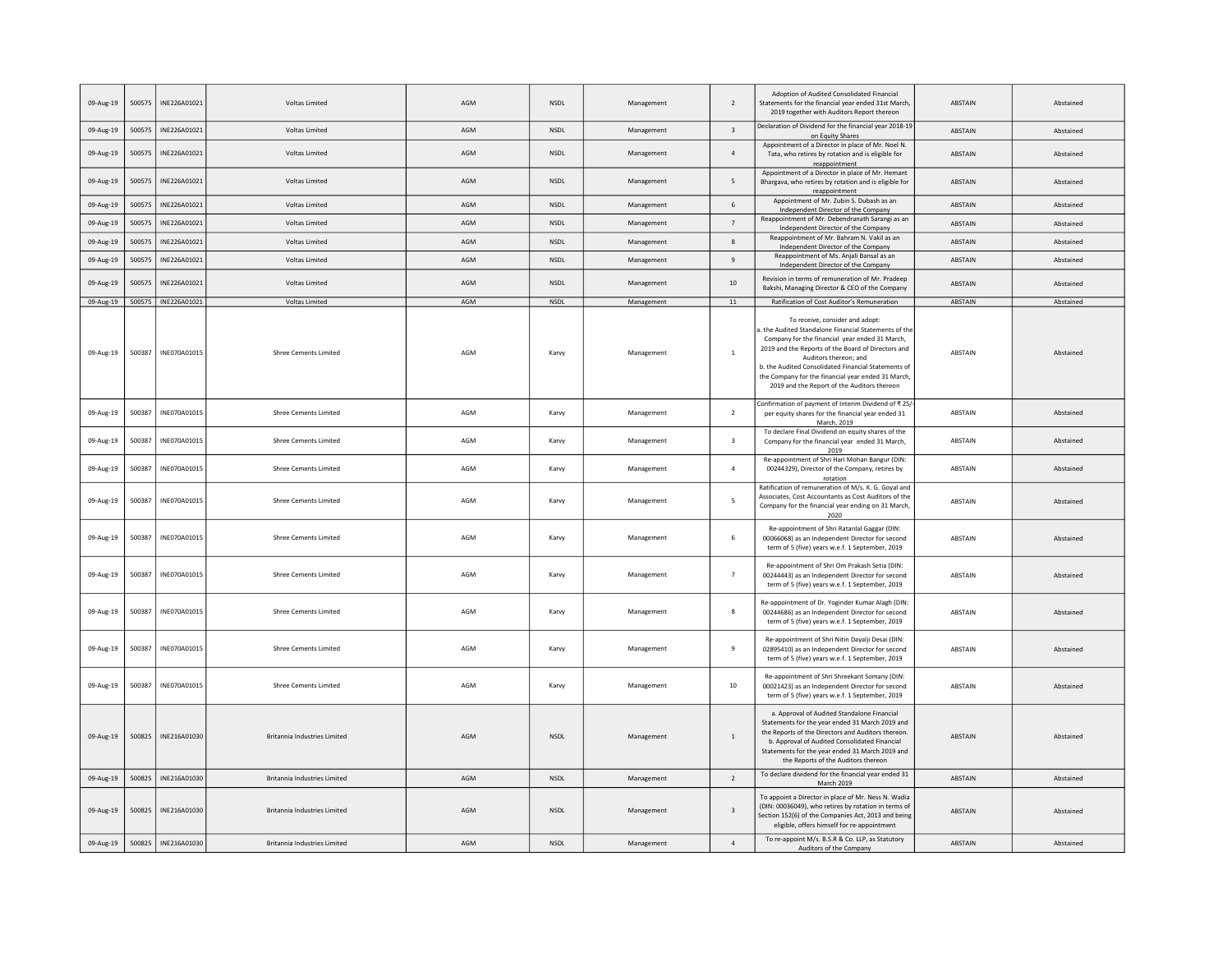| 09-Aug-19 | 500575 | INE226A01021          | Voltas Limited                      | AGM | NSDL        | Management | $\overline{2}$          | Adoption of Audited Consolidated Financial<br>Statements for the financial year ended 31st March,<br>2019 together with Auditors Report thereor                                                                                                                                                                                                                                    | ABSTAIN        | Abstained |
|-----------|--------|-----------------------|-------------------------------------|-----|-------------|------------|-------------------------|------------------------------------------------------------------------------------------------------------------------------------------------------------------------------------------------------------------------------------------------------------------------------------------------------------------------------------------------------------------------------------|----------------|-----------|
| 09-Aug-19 | 500575 | INE226A01021          | Voltas Limited                      | AGM | <b>NSDL</b> | Management | $\overline{\mathbf{3}}$ | Declaration of Dividend for the financial year 2018-19<br>on Equity Shares                                                                                                                                                                                                                                                                                                         | <b>ABSTAIN</b> | Abstained |
| 09-Aug-19 | 500575 | INE226A01021          | Voltas Limited                      | AGM | <b>NSDL</b> | Management | $\sqrt{4}$              | Appointment of a Director in place of Mr. Noel N.<br>Tata, who retires by rotation and is eligible for<br>reappointment                                                                                                                                                                                                                                                            | ABSTAIN        | Abstained |
| 09-Aug-19 | 500575 | INE226A01021          | Voltas Limited                      | AGM | <b>NSDL</b> | Management | 5                       | Appointment of a Director in place of Mr. Hemant<br>Bhargava, who retires by rotation and is eligible for<br>reappointment                                                                                                                                                                                                                                                         | <b>ABSTAIN</b> | Abstained |
| 09-Aug-19 | 500575 | INE226A01021          | Voltas Limited                      | AGM | <b>NSDL</b> | Management | 6                       | Appointment of Mr. Zubin S. Dubash as an<br>Independent Director of the Company                                                                                                                                                                                                                                                                                                    | <b>ABSTAIN</b> | Abstained |
| 09-Aug-19 | 500575 | INE226A01021          | Voltas Limited                      | AGM | <b>NSDL</b> | Management | $7\phantom{.0}$         | Reappointment of Mr. Debendranath Sarangi as an<br>Independent Director of the Company                                                                                                                                                                                                                                                                                             | ABSTAIN        | Abstained |
| 09-Aug-19 | 500575 | INE226A01021          | Voltas Limited                      | AGM | NSDL        | Management | 8                       | Reappointment of Mr. Bahram N. Vakil as an<br>Independent Director of the Company                                                                                                                                                                                                                                                                                                  | ABSTAIN        | Abstained |
| 09-Aug-19 | 500575 | INE226A01021          | Voltas Limited                      | AGM | NSDL        | Management | $\overline{9}$          | Reappointment of Ms. Anjali Bansal as an<br>Independent Director of the Company                                                                                                                                                                                                                                                                                                    | <b>ABSTAIN</b> | Abstained |
| 09-Aug-19 | 500575 | INE226A01021          | Voltas Limited                      | AGM | <b>NSDL</b> | Management | 10                      | Revision in terms of remuneration of Mr. Pradeep<br>Bakshi, Managing Director & CEO of the Company                                                                                                                                                                                                                                                                                 | ABSTAIN        | Abstained |
| 09-Aug-19 | 500575 | INE226A01021          | Voltas Limited                      | AGM | NSDL        | Management | 11                      | Ratification of Cost Auditor's Remuneration                                                                                                                                                                                                                                                                                                                                        | <b>ABSTAIN</b> | Abstained |
| 09-Aug-19 |        | 500387   INE070A01015 | <b>Shree Cements Limited</b>        | AGM | Karvy       | Management | <sup>1</sup>            | To receive, consider and adopt:<br>the Audited Standalone Financial Statements of the<br>Company for the financial year ended 31 March,<br>2019 and the Reports of the Board of Directors and<br>Auditors thereon; and<br>b. the Audited Consolidated Financial Statements of<br>the Company for the financial year ended 31 March.<br>2019 and the Report of the Auditors thereon | ABSTAIN        | Abstained |
| 09-Aug-19 | 500387 | INE070A01015          | <b>Shree Cements Limited</b>        | AGM | Karvy       | Management | $\overline{2}$          | Confirmation of payment of Interim Dividend of ₹ 25/<br>per equity shares for the financial year ended 31<br>March, 2019                                                                                                                                                                                                                                                           | ABSTAIN        | Abstained |
| 09-Aug-19 | 500387 | INE070A01015          | <b>Shree Cements Limited</b>        | AGM | Karvy       | Management | $\overline{\mathbf{3}}$ | To declare Final Dividend on equity shares of the<br>Company for the financial year ended 31 March,<br>2019                                                                                                                                                                                                                                                                        | ABSTAIN        | Abstained |
| 09-Aug-19 | 500387 | INE070A01015          | <b>Shree Cements Limited</b>        | AGM | Karvy       | Management | $\overline{4}$          | Re-appointment of Shri Hari Mohan Bangur (DIN:<br>00244329), Director of the Company, retires by<br>rotation                                                                                                                                                                                                                                                                       | ABSTAIN        | Abstained |
| 09-Aug-19 | 500387 | INE070A01015          | <b>Shree Cements Limited</b>        | AGM | Karvy       | Management | 5                       | Ratification of remuneration of M/s. K. G. Goyal and<br>Associates, Cost Accountants as Cost Auditors of the<br>Company for the financial year ending on 31 March,<br>2020                                                                                                                                                                                                         | ABSTAIN        | Abstained |
| 09-Aug-19 | 500387 | INF070A01015          | <b>Shree Cements Limited</b>        | AGM | Karvy       | Management | 6                       | Re-appointment of Shri Ratanlal Gaggar (DIN:<br>00066068) as an Independent Director for second<br>term of 5 (five) years w.e.f. 1 September, 2019                                                                                                                                                                                                                                 | ABSTAIN        | Abstained |
| 09-Aug-19 | 500387 | INE070A01015          | <b>Shree Cements Limited</b>        | AGM | Karvy       | Management | $\overline{7}$          | Re-appointment of Shri Om Prakash Setia (DIN:<br>00244443) as an Independent Director for second<br>term of 5 (five) years w.e.f. 1 September, 2019                                                                                                                                                                                                                                | ABSTAIN        | Abstained |
| 09-Aug-19 | 500387 | INE070A01015          | <b>Shree Cements Limited</b>        | AGM | Karvy       | Management | 8                       | Re-appointment of Dr. Yoginder Kumar Alagh (DIN:<br>00244686) as an Independent Director for second<br>term of 5 (five) years w.e.f. 1 September, 2019                                                                                                                                                                                                                             | ABSTAIN        | Abstained |
| 09-Aug-19 | 500387 | INE070A01015          | <b>Shree Cements Limited</b>        | AGM | Karvy       | Management | $\,9$                   | Re-appointment of Shri Nitin Dayalji Desai (DIN:<br>02895410) as an Independent Director for second<br>term of 5 (five) years w.e.f. 1 September, 2019                                                                                                                                                                                                                             | ABSTAIN        | Abstained |
| 09-Aug-19 | 500387 | INE070A01015          | <b>Shree Cements Limited</b>        | AGM | Karvy       | Management | 10                      | Re-appointment of Shri Shreekant Somany (DIN:<br>00021423) as an Independent Director for second<br>term of 5 (five) years w.e.f. 1 September, 2019                                                                                                                                                                                                                                | ABSTAIN        | Abstained |
| 09-Aug-19 | 500825 | INE216A01030          | Britannia Industries Limited        | AGM | <b>NSDL</b> | Management | $\overline{1}$          | a. Approval of Audited Standalone Financial<br>Statements for the year ended 31 March 2019 and<br>the Reports of the Directors and Auditors thereon.<br>b. Approval of Audited Consolidated Financial<br>Statements for the year ended 31 March 2019 and<br>the Reports of the Auditors thereon                                                                                    | ABSTAIN        | Abstained |
| 09-Aug-19 | 500825 | INE216A01030          | <b>Britannia Industries Limited</b> | AGM | <b>NSDL</b> | Management | $\overline{2}$          | To declare dividend for the financial year ended 31<br>March 2019                                                                                                                                                                                                                                                                                                                  | ABSTAIN        | Abstained |
| 09-Aug-19 | 500825 | INE216A01030          | <b>Britannia Industries Limited</b> | AGM | <b>NSDL</b> | Management | $\overline{\mathbf{3}}$ | To appoint a Director in place of Mr. Ness N. Wadia<br>(DIN: 00036049), who retires by rotation in terms of<br>Section 152(6) of the Companies Act, 2013 and being<br>eligible, offers himself for re-appointment                                                                                                                                                                  | ABSTAIN        | Abstained |
| 09-Aug-19 | 500825 | INE216A01030          | <b>Britannia Industries Limited</b> | AGM | <b>NSDL</b> | Management | $\sqrt{4}$              | To re-appoint M/s. B.S.R & Co. LLP, as Statutory<br>Auditors of the Company                                                                                                                                                                                                                                                                                                        | ABSTAIN        | Abstained |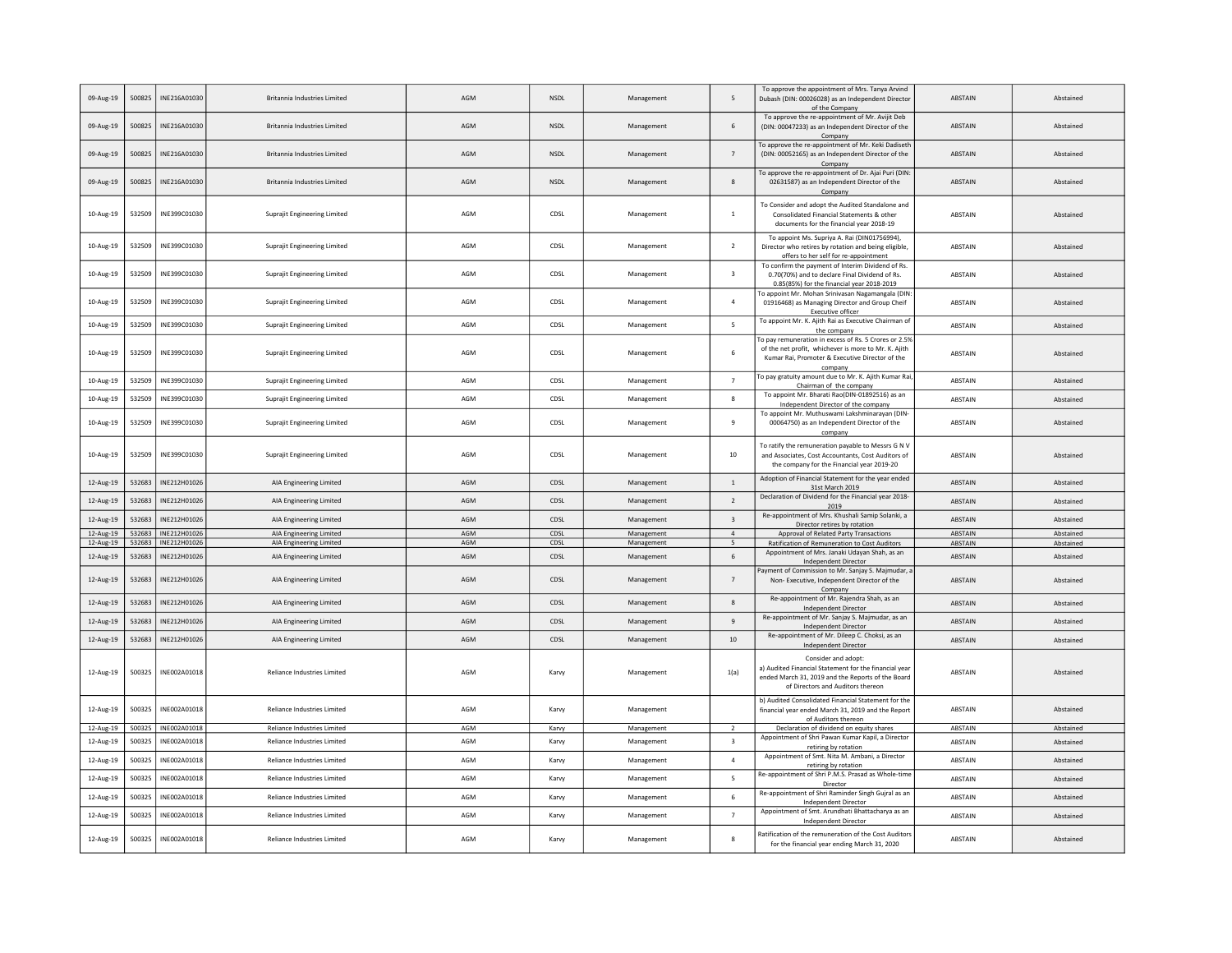| 09-Aug-19 | 500825 | INE216A01030          | Britannia Industries Limited        | AGM | <b>NSDL</b> | Management | 5                       | To approve the appointment of Mrs. Tanya Arvind<br>Dubash (DIN: 00026028) as an Independent Director<br>of the Company                                                      | ABSTAIN        | Abstained |
|-----------|--------|-----------------------|-------------------------------------|-----|-------------|------------|-------------------------|-----------------------------------------------------------------------------------------------------------------------------------------------------------------------------|----------------|-----------|
| 09-Aug-19 | 500825 | INE216A01030          | <b>Britannia Industries Limited</b> | AGM | <b>NSDL</b> | Management | 6                       | To approve the re-appointment of Mr. Avijit Deb<br>(DIN: 00047233) as an Independent Director of the<br>Company                                                             | ABSTAIN        | Abstained |
| 09-Aug-19 | 500825 | INE216A01030          | <b>Britannia Industries Limited</b> | AGM | <b>NSDL</b> | Management | $\overline{7}$          | To approve the re-appointment of Mr. Keki Dadiseth<br>(DIN: 00052165) as an Independent Director of the<br>Company                                                          | <b>ABSTAIN</b> | Abstained |
| 09-Aug-19 | 500825 | INF216A01030          | <b>Britannia Industries Limited</b> | AGM | <b>NSDI</b> | Management | $\mathbf{R}$            | To approve the re-appointment of Dr. Ajai Puri (DIN:<br>02631587) as an Independent Director of the<br>Company                                                              | <b>ABSTAIN</b> | Abstained |
| 10-Aug-19 | 532509 | INE399C01030          | Suprajit Engineering Limited        | AGM | CDSL        | Management | $\mathbf{1}$            | To Consider and adopt the Audited Standalone and<br>Consolidated Financial Statements & other<br>documents for the financial year 2018-19                                   | ABSTAIN        | Abstained |
| 10-Aug-19 | 532509 | INE399C01030          | Suprajit Engineering Limited        | AGM | CDSL        | Management | $\overline{2}$          | To appoint Ms. Supriya A. Rai (DIN01756994),<br>Director who retires by rotation and being eligible,<br>offers to her self for re-appointment                               | ABSTAIN        | Abstained |
| 10-Aug-19 | 532509 | INE399C01030          | Suprajit Engineering Limited        | AGM | CDSL        | Management | $\overline{\mathbf{3}}$ | To confirm the payment of Interim Dividend of Rs.<br>0.70(70%) and to declare Final Dividend of Rs.<br>0.85(85%) for the financial year 2018-2019                           | <b>ABSTAIN</b> | Abstained |
| 10-Aug-19 | 532509 | INE399C01030          | <b>Suprajit Engineering Limited</b> | AGM | CDSL        | Management | $\overline{a}$          | To appoint Mr. Mohan Srinivasan Nagamangala (DIN<br>01916468) as Managing Director and Group Cheif<br>Executive officer                                                     | ABSTAIN        | Abstained |
| 10-Aug-19 | 532509 | INE399C01030          | Supraiit Engineering Limited        | AGM | CDSL        | Management | 5                       | To appoint Mr. K. Ajith Rai as Executive Chairman of<br>the company                                                                                                         | ABSTAIN        | Abstained |
| 10-Aug-19 | 532509 | INE399C01030          | Suprajit Engineering Limited        | AGM | CDSL        | Management | 6                       | To pay remuneration in excess of Rs. 5 Crores or 2.5%<br>of the net profit. whichever is more to Mr. K. Aiith<br>Kumar Rai, Promoter & Executive Director of the<br>company | ABSTAIN        | Abstained |
| 10-Aug-19 | 532509 | INE399C01030          | <b>Suprajit Engineering Limited</b> | AGM | CDSL        | Management | $\overline{7}$          | To pay gratuity amount due to Mr. K. Ajith Kumar Rai,<br>Chairman of the company                                                                                            | ABSTAIN        | Abstained |
| 10-Aug-19 | 532509 | INE399C01030          | <b>Suprajit Engineering Limited</b> | AGM | CDSL        | Management | $^{\circ}$              | To appoint Mr. Bharati Rao(DIN-01892516) as an<br>Independent Director of the company                                                                                       | ABSTAIN        | Abstained |
| 10-Aug-19 | 532509 | INE399C01030          | Suprajit Engineering Limited        | AGM | CDSL        | Management | $\boldsymbol{9}$        | To appoint Mr. Muthuswami Lakshminarayan (DIN-<br>00064750) as an Independent Director of the<br>company                                                                    | ABSTAIN        | Abstained |
| 10-Aug-19 | 532509 | INE399C01030          | Suprajit Engineering Limited        | AGM | CDSL        | Management | 10                      | To ratify the remuneration payable to Messrs G N V<br>and Associates, Cost Accountants, Cost Auditors of<br>the company for the Financial year 2019-20                      | ABSTAIN        | Abstained |
| 12-Aug-19 | 532683 | INE212H01026          | AIA Engineering Limited             | AGM | CDSL        | Management | $\mathbf{1}$            | Adoption of Financial Statement for the year ended<br>31st March 2019                                                                                                       | <b>ABSTAIN</b> | Abstained |
| 12-Aug-19 | 532683 | INE212H01026          | AIA Engineering Limited             | AGM | CDSL        | Management | $\overline{2}$          | Declaration of Dividend for the Financial year 2018-<br>2019                                                                                                                | <b>ABSTAIN</b> | Abstained |
| 12-Aug-19 | 532683 | INE212H01026          | AIA Engineering Limited             | AGM | CDSL        | Management | $\overline{\mathbf{3}}$ | Re-appointment of Mrs. Khushali Samip Solanki, a<br>Director retires by rotation                                                                                            | <b>ABSTAIN</b> | Abstained |
| 12-Aug-19 | 532683 | INE212H01026          | AIA Engineering Limited             | AGM | CDSL        | Management | $\overline{4}$          | Approval of Related Party Transactions                                                                                                                                      | ABSTAIN        | Abstained |
| 12-Aug-19 |        | 532683   INE212H01026 | AIA Engineering Limited             | AGM | CDSL        | Management | 5                       | Ratification of Remuneration to Cost Auditors<br>Appointment of Mrs. Janaki Udayan Shah, as an                                                                              | ABSTAIN        | Abstained |
| 12-Aug-19 | 532683 | INE212H01026          | AIA Engineering Limited             | AGM | CDSL        | Management | 6                       | Independent Director<br>Payment of Commission to Mr. Sanjay S. Majmudar,                                                                                                    | <b>ABSTAIN</b> | Abstained |
| 12-Aug-19 | 532683 | INE212H01026          | AIA Engineering Limited             | AGM | CDSL        | Management | $\overline{7}$          | Non- Executive, Independent Director of the<br>Company<br>Re-appointment of Mr. Rajendra Shah, as an                                                                        | ABSTAIN        | Abstained |
| 12-Aug-19 | 532683 | INE212H01026          | AIA Engineering Limited             | AGM | CDSL        | Management | 8                       | Independent Director                                                                                                                                                        | ABSTAIN        | Abstained |
| 12-Aug-19 | 532683 | INE212H01026          | AIA Engineering Limited             | AGM | CDSL        | Management | $\overline{9}$          | Re-appointment of Mr. Sanjay S. Majmudar, as an<br>Independent Director                                                                                                     | <b>ABSTAIN</b> | Abstained |
| 12-Aug-19 | 532683 | INE212H01026          | AIA Engineering Limited             | AGM | CDSL        | Management | 10                      | Re-appointment of Mr. Dileep C. Choksi, as an<br>Independent Director                                                                                                       | <b>ABSTAIN</b> | Abstained |
| 12-Aug-19 | 500325 | INE002A01018          | Reliance Industries Limited         | AGM | Karvy       | Management | 1(a)                    | Consider and adopt:<br>a) Audited Financial Statement for the financial year<br>ended March 31, 2019 and the Reports of the Board<br>of Directors and Auditors thereon      | ABSTAIN        | Abstained |
| 12-Aug-19 | 500325 | INE002A01018          | <b>Reliance Industries Limited</b>  | AGM | Karvy       | Management |                         | b) Audited Consolidated Financial Statement for the<br>financial year ended March 31, 2019 and the Report<br>of Auditors thereon                                            | ABSTAIN        | Abstained |
| 12-Aug-19 |        | 500325 INE002A01018   | Reliance Industries Limited         | AGM | Karvy       | Management | 2                       | Declaration of dividend on equity shares                                                                                                                                    | ABSTAIN        | Abstained |
| 12-Aug-19 | 500325 | INE002A01018          | <b>Reliance Industries Limited</b>  | AGM | Karvy       | Management | $\overline{\mathbf{3}}$ | Appointment of Shri Pawan Kumar Kapil, a Director<br>retiring by rotation                                                                                                   | ABSTAIN        | Abstained |
| 12-Aug-19 | 500325 | INE002A01018          | <b>Reliance Industries Limited</b>  | AGM | Karvy       | Management | $\overline{4}$          | Appointment of Smt. Nita M. Ambani, a Director<br>retiring by rotation                                                                                                      | ABSTAIN        | Abstained |
| 12-Aug-19 | 500325 | INE002A01018          | <b>Reliance Industries Limited</b>  | AGM | Karvy       | Management | 5                       | Re-appointment of Shri P.M.S. Prasad as Whole-time<br>Director                                                                                                              | ABSTAIN        | Abstained |
| 12-Aug-19 | 500325 | INE002A01018          | Reliance Industries Limited         | AGM | Karvy       | Management | 6                       | Re-appointment of Shri Raminder Singh Gujral as an<br><b>Independent Director</b>                                                                                           | ABSTAIN        | Abstained |
| 12-Aug-19 | 500325 | INE002A01018          | Reliance Industries Limited         | AGM | Karvy       | Management | $\overline{7}$          | Appointment of Smt. Arundhati Bhattacharya as an<br>Independent Director                                                                                                    | ABSTAIN        | Abstained |
| 12-Aug-19 | 500325 | INE002A01018          | Reliance Industries Limited         | AGM | Karvy       | Management | 8                       | Ratification of the remuneration of the Cost Auditors<br>for the financial year ending March 31, 2020                                                                       | <b>ABSTAIN</b> | Abstained |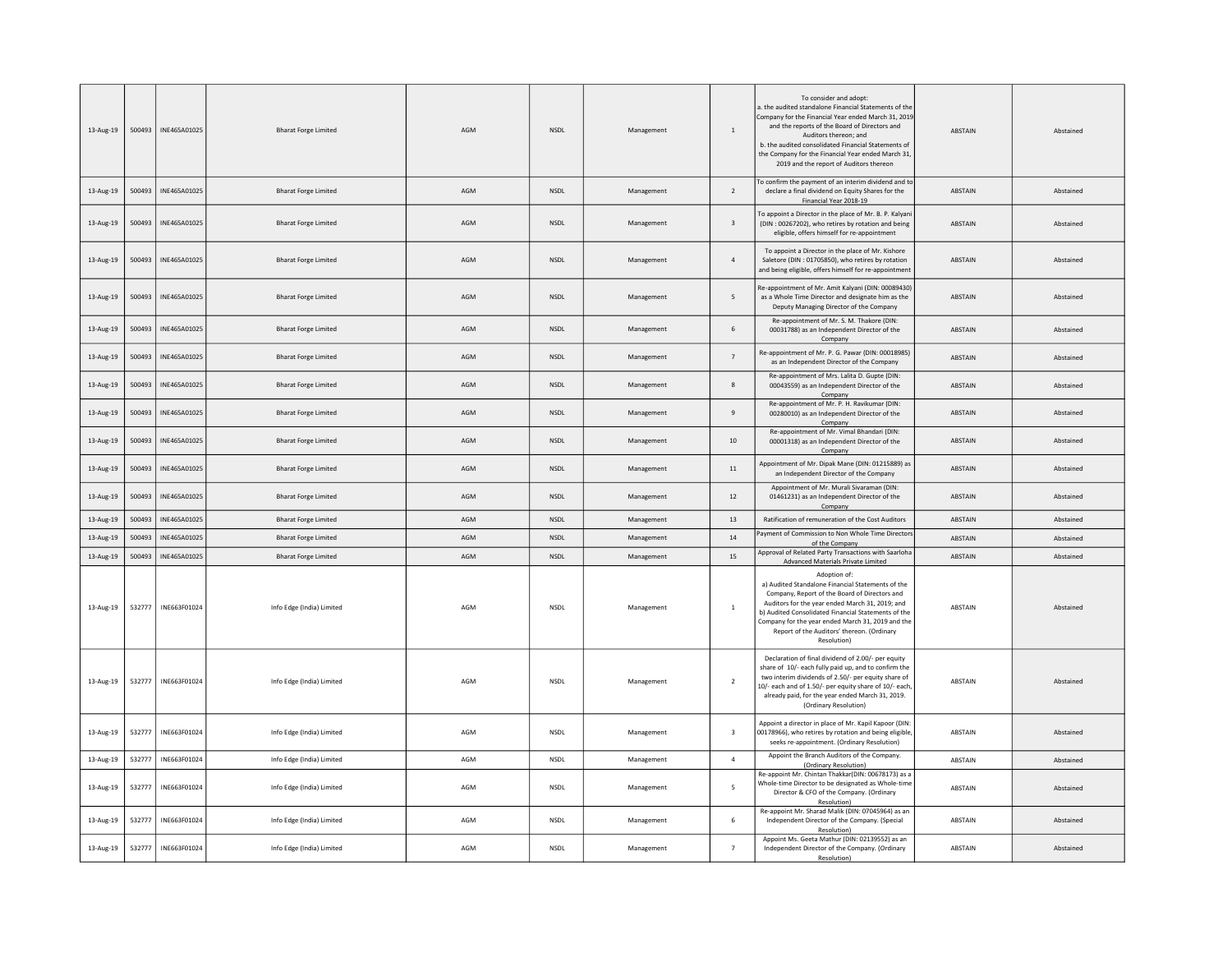| 13-Aug-19 | 500493 | INE465A01025 | <b>Bharat Forge Limited</b> | AGM | <b>NSDL</b>                  | Management | $\,$ 1 $\,$              | To consider and adopt:<br>a. the audited standalone Financial Statements of th<br>Company for the Financial Year ended March 31, 2019<br>and the reports of the Board of Directors and<br>Auditors thereon; and<br>b. the audited consolidated Financial Statements of<br>the Company for the Financial Year ended March 31,<br>2019 and the report of Auditors thereon | <b>ABSTAIN</b> | Abstained |
|-----------|--------|--------------|-----------------------------|-----|------------------------------|------------|--------------------------|-------------------------------------------------------------------------------------------------------------------------------------------------------------------------------------------------------------------------------------------------------------------------------------------------------------------------------------------------------------------------|----------------|-----------|
| 13-Aug-19 | 500493 | INE465A01025 | <b>Bharat Forge Limited</b> | AGM | NSDL                         | Management | $\overline{2}$           | To confirm the payment of an interim dividend and to<br>declare a final dividend on Equity Shares for the<br>Financial Year 2018-19                                                                                                                                                                                                                                     | ABSTAIN        | Abstained |
| 13-Aug-19 | 500493 | INE465A01025 | <b>Bharat Forge Limited</b> | AGM | <b>NSDL</b>                  | Management | $\overline{\mathbf{3}}$  | To appoint a Director in the place of Mr. B. P. Kalyan<br>(DIN: 00267202), who retires by rotation and being<br>eligible, offers himself for re-appointment                                                                                                                                                                                                             | <b>ABSTAIN</b> | Abstained |
| 13-Aug-19 | 500493 | INE465A01025 | <b>Bharat Forge Limited</b> | AGM | <b>NSDL</b>                  | Management | $\overline{4}$           | To appoint a Director in the place of Mr. Kishore<br>Saletore (DIN : 01705850), who retires by rotation<br>and being eligible, offers himself for re-appointment                                                                                                                                                                                                        | ABSTAIN        | Abstained |
| 13-Aug-19 | 500493 | INE465A01025 | <b>Bharat Forge Limited</b> | AGM | $\ensuremath{\mathsf{NSDL}}$ | Management | $\overline{\phantom{a}}$ | Re-appointment of Mr. Amit Kalyani (DIN: 00089430)<br>as a Whole Time Director and designate him as the<br>Deputy Managing Director of the Company                                                                                                                                                                                                                      | ABSTAIN        | Abstained |
| 13-Aug-19 | 500493 | INE465A01025 | <b>Bharat Forge Limited</b> | AGM | <b>NSDL</b>                  | Management | 6                        | Re-appointment of Mr. S. M. Thakore (DIN:<br>00031788) as an Independent Director of the<br>Company                                                                                                                                                                                                                                                                     | ABSTAIN        | Abstained |
| 13-Aug-19 | 500493 | INE465A01025 | <b>Bharat Forge Limited</b> | AGM | NSDL                         | Management | $\overline{7}$           | Re-appointment of Mr. P. G. Pawar (DIN: 00018985)<br>as an Independent Director of the Company                                                                                                                                                                                                                                                                          | ABSTAIN        | Abstained |
| 13-Aug-19 | 500493 | INE465A01025 | <b>Bharat Forge Limited</b> | AGM | <b>NSDL</b>                  | Management | 8                        | Re-appointment of Mrs. Lalita D. Gupte (DIN:<br>00043559) as an Independent Director of the<br>Company                                                                                                                                                                                                                                                                  | ABSTAIN        | Abstained |
| 13-Aug-19 | 500493 | INE465A01025 | <b>Bharat Forge Limited</b> | AGM | <b>NSDL</b>                  | Management | 9                        | Re-appointment of Mr. P. H. Ravikumar (DIN:<br>00280010) as an Independent Director of the<br>Company                                                                                                                                                                                                                                                                   | ABSTAIN        | Abstained |
| 13-Aug-19 | 500493 | INE465A01025 | <b>Bharat Forge Limited</b> | AGM | <b>NSDL</b>                  | Management | $10\,$                   | Re-appointment of Mr. Vimal Bhandari (DIN:<br>00001318) as an Independent Director of the<br>Company                                                                                                                                                                                                                                                                    | ABSTAIN        | Abstained |
| 13-Aug-19 | 500493 | INE465A01025 | <b>Bharat Forge Limited</b> | AGM | $\ensuremath{\mathsf{NSDL}}$ | Management | $11\,$                   | Appointment of Mr. Dipak Mane (DIN: 01215889) as<br>an Independent Director of the Company                                                                                                                                                                                                                                                                              | ABSTAIN        | Abstained |
| 13-Aug-19 | 500493 | INE465A01025 | <b>Bharat Forge Limited</b> | AGM | <b>NSDL</b>                  | Management | 12                       | Appointment of Mr. Murali Sivaraman (DIN:<br>01461231) as an Independent Director of the<br>Company                                                                                                                                                                                                                                                                     | ABSTAIN        | Abstained |
| 13-Aug-19 | 500493 | INE465A01025 | <b>Bharat Forge Limited</b> | AGM | NSDL                         | Management | 13                       | Ratification of remuneration of the Cost Auditors                                                                                                                                                                                                                                                                                                                       | ABSTAIN        | Abstained |
| 13-Aug-19 | 500493 | INE465A01025 | <b>Bharat Forge Limited</b> | AGM | <b>NSDL</b>                  | Management | 14                       | Payment of Commission to Non Whole Time Director<br>of the Company                                                                                                                                                                                                                                                                                                      | ABSTAIN        | Abstained |
| 13-Aug-19 | 500493 | INE465A01025 | <b>Bharat Forge Limited</b> | AGM | <b>NSDL</b>                  | Management | 15                       | Approval of Related Party Transactions with Saarloha<br>Advanced Materials Private Limited                                                                                                                                                                                                                                                                              | ABSTAIN        | Abstained |
| 13-Aug-19 | 532777 | INE663F01024 | Info Edge (India) Limited   | AGM | <b>NSDL</b>                  | Management | <sup>1</sup>             | Adoption of:<br>a) Audited Standalone Financial Statements of the<br>Company, Report of the Board of Directors and<br>Auditors for the year ended March 31, 2019; and<br>b) Audited Consolidated Financial Statements of the<br>Company for the year ended March 31, 2019 and the<br>Report of the Auditors' thereon. (Ordinary<br>Resolution)                          | ABSTAIN        | Abstained |
| 13-Aug-19 | 532777 | INE663F01024 | Info Edge (India) Limited   | AGM | <b>NSDL</b>                  | Management | $\overline{2}$           | Declaration of final dividend of 2.00/- per equity<br>share of 10/- each fully paid up, and to confirm the<br>two interim dividends of 2.50/- per equity share of<br>10/- each and of 1.50/- per equity share of 10/- each<br>already paid, for the year ended March 31, 2019.<br>(Ordinary Resolution)                                                                 | ABSTAIN        | Abstained |
| 13-Aug-19 | 532777 | INE663F01024 | Info Edge (India) Limited   | AGM | NSDL                         | Management | $\overline{\mathbf{3}}$  | Appoint a director in place of Mr. Kapil Kapoor (DIN<br>00178966), who retires by rotation and being eligible<br>seeks re-appointment. (Ordinary Resolution)                                                                                                                                                                                                            | <b>ABSTAIN</b> | Abstained |
| 13-Aug-19 | 532777 | INE663F01024 | Info Edge (India) Limited   | AGM | <b>NSDL</b>                  | Management | $\overline{4}$           | Appoint the Branch Auditors of the Company.<br>(Ordinary Resolution)                                                                                                                                                                                                                                                                                                    | ABSTAIN        | Abstained |
| 13-Aug-19 | 532777 | INE663F01024 | Info Edge (India) Limited   | AGM | NSDL                         | Management | $\overline{\phantom{a}}$ | Re-appoint Mr. Chintan Thakkar(DIN: 00678173) as a<br>Whole-time Director to be designated as Whole-time<br>Director & CFO of the Company. (Ordinary<br>Resolution)                                                                                                                                                                                                     | ABSTAIN        | Abstained |
| 13-Aug-19 | 532777 | INE663F01024 | Info Edge (India) Limited   | AGM | <b>NSDL</b>                  | Management | 6                        | Re-appoint Mr. Sharad Malik (DIN: 07045964) as an<br>Independent Director of the Company. (Special<br>Resolution)                                                                                                                                                                                                                                                       | ABSTAIN        | Abstained |
| 13-Aug-19 | 532777 | INE663F01024 | Info Edge (India) Limited   | AGM | <b>NSDL</b>                  | Management | $\overline{7}$           | Appoint Ms. Geeta Mathur (DIN: 02139552) as an<br>Independent Director of the Company. (Ordinary<br>Resolution)                                                                                                                                                                                                                                                         | ABSTAIN        | Abstained |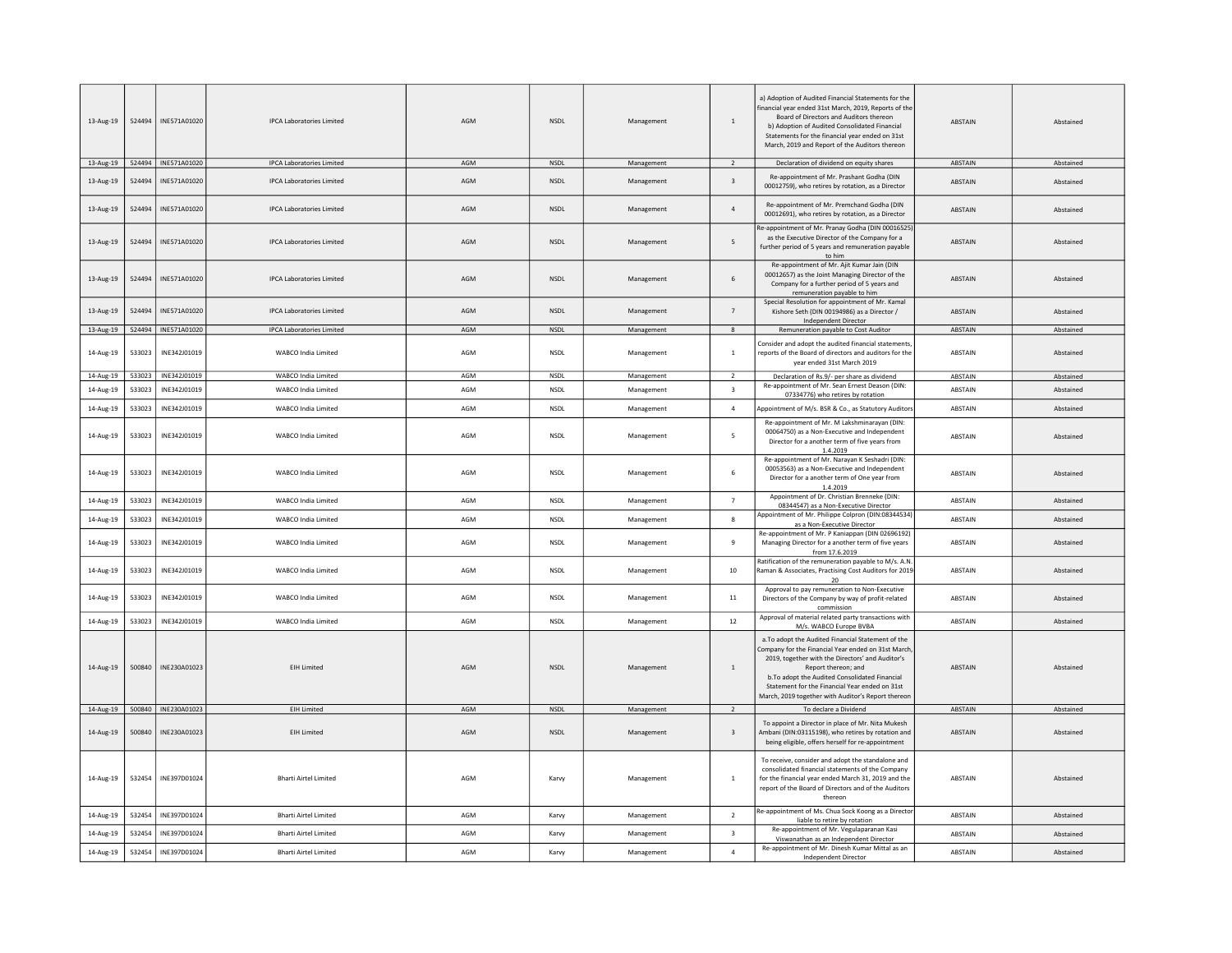| 13-Aug-19 | 524494 | INE571A01020          | <b>IPCA Laboratories Limited</b> | AGM | <b>NSDL</b> | Management | $\mathbf{1}$             | a) Adoption of Audited Financial Statements for the<br>financial year ended 31st March, 2019. Reports of the<br>Board of Directors and Auditors thereon<br>b) Adoption of Audited Consolidated Financial<br>Statements for the financial year ended on 31st<br>March, 2019 and Report of the Auditors thereon                                 | ABSTAIN        | Abstained |
|-----------|--------|-----------------------|----------------------------------|-----|-------------|------------|--------------------------|-----------------------------------------------------------------------------------------------------------------------------------------------------------------------------------------------------------------------------------------------------------------------------------------------------------------------------------------------|----------------|-----------|
| 13-Aug-19 |        | 524494   INE571A01020 | <b>IPCA Laboratories Limited</b> | AGM | NSDL        | Management | 2                        | Declaration of dividend on equity shares                                                                                                                                                                                                                                                                                                      | ABSTAIN        | Abstained |
| 13-Aug-19 | 524494 | INE571A01020          | <b>IPCA Laboratories Limited</b> | AGM | <b>NSDL</b> | Management | $\overline{\mathbf{3}}$  | Re-appointment of Mr. Prashant Godha (DIN<br>00012759), who retires by rotation, as a Director                                                                                                                                                                                                                                                | ABSTAIN        | Abstained |
| 13-Aug-19 | 524494 | INF571A01020          | <b>IPCA Laboratories Limited</b> | AGM | <b>NSDI</b> | Management | $\overline{4}$           | Re-appointment of Mr. Premchand Godha (DIN<br>00012691), who retires by rotation, as a Director                                                                                                                                                                                                                                               | <b>ABSTAIN</b> | Abstained |
| 13-Aug-19 | 524494 | INE571A01020          | <b>IPCA Laboratories Limited</b> | AGM | <b>NSDL</b> | Management | 5                        | Re-appointment of Mr. Pranay Godha (DIN 00016525)<br>as the Executive Director of the Company for a<br>further period of 5 years and remuneration payable<br>to him                                                                                                                                                                           | ABSTAIN        | Abstained |
| 13-Aug-19 | 524494 | INE571A01020          | <b>IPCA Laboratories Limited</b> | AGM | NSDL        | Management | 6                        | Re-appointment of Mr. Ajit Kumar Jain (DIN<br>00012657) as the Joint Managing Director of the<br>Company for a further period of 5 years and<br>remuneration payable to him                                                                                                                                                                   | ABSTAIN        | Abstained |
| 13-Aug-19 | 524494 | INF571A01020          | <b>IPCA Laboratories Limited</b> | AGM | <b>NSDI</b> | Management | $\overline{7}$           | Special Resolution for appointment of Mr. Kamal<br>Kishore Seth (DIN 00194986) as a Director /<br>Independent Director                                                                                                                                                                                                                        | <b>ABSTAIN</b> | Abstained |
| 13-Aug-19 |        | 524494   INE571A01020 | <b>IPCA Laboratories Limited</b> | AGM | NSDL        | Management | 8                        | Remuneration payable to Cost Auditor                                                                                                                                                                                                                                                                                                          | ABSTAIN        | Abstained |
| 14-Aug-19 | 533023 | INE342J01019          | WABCO India Limited              | AGM | <b>NSDL</b> | Management | $\overline{1}$           | Consider and adopt the audited financial statements<br>reports of the Board of directors and auditors for the<br>vear ended 31st March 2019                                                                                                                                                                                                   | ABSTAIN        | Abstained |
| 14-Aug-19 | 533023 | INE342J01019          | WABCO India Limited              | AGM | <b>NSDL</b> | Management | $\overline{\phantom{a}}$ | Declaration of Rs.9/- per share as dividend                                                                                                                                                                                                                                                                                                   | ABSTAIN        | Abstained |
| 14-Aug-19 | 533023 | INE342J01019          | WARCO India Limited              | AGM | <b>NSDL</b> | Management | $\overline{\mathbf{3}}$  | Re-appointment of Mr. Sean Ernest Deason (DIN:<br>07334776) who retires by rotation                                                                                                                                                                                                                                                           | ABSTAIN        | Abstained |
| 14-Aug-19 | 533023 | INE342J01019          | WABCO India Limited              | AGM | NSDL        | Management | $\overline{4}$           | Appointment of M/s. BSR & Co., as Statutory Auditors                                                                                                                                                                                                                                                                                          | ABSTAIN        | Abstained |
| 14-Aug-19 | 533023 | INE342J01019          | <b>WABCO India Limited</b>       | AGM | <b>NSDL</b> | Management | 5                        | Re-appointment of Mr. M Lakshminarayan (DIN:<br>00064750) as a Non-Executive and Independent<br>Director for a another term of five years from<br>1.4.2019                                                                                                                                                                                    | ABSTAIN        | Abstained |
| 14-Aug-19 | 533023 | INE342J01019          | WABCO India Limited              | AGM | <b>NSDL</b> | Management | 6                        | Re-appointment of Mr. Narayan K Seshadri (DIN:<br>00053563) as a Non-Executive and Independent<br>Director for a another term of One year from<br>1.4.2019                                                                                                                                                                                    | ABSTAIN        | Abstained |
| 14-Aug-19 | 533023 | INE342J01019          | WABCO India Limited              | AGM | <b>NSDL</b> | Management | $\overline{7}$           | Appointment of Dr. Christian Brenneke (DIN:<br>08344547) as a Non-Executive Director                                                                                                                                                                                                                                                          | ARSTAIN        | Abstained |
| 14-Aug-19 | 533023 | INE342J01019          | WARCO India Limited              | AGM | <b>NSDI</b> | Management | $\mathbf{g}$             | Appointment of Mr. Philippe Colpron (DIN:08344534)                                                                                                                                                                                                                                                                                            | ABSTAIN        | Abstained |
|           |        |                       |                                  |     |             |            |                          | as a Non-Executive Director<br>Re-appointment of Mr. P Kaniappan (DIN 02696192)                                                                                                                                                                                                                                                               |                |           |
| 14-Aug-19 | 533023 | INE342J01019          | WABCO India Limited              | AGM | <b>NSDL</b> | Management | 9                        | Managing Director for a another term of five years<br>from 17.6.2019<br>Ratification of the remuneration payable to M/s. A.N.                                                                                                                                                                                                                 | ABSTAIN        | Abstained |
| 14-Aug-19 | 533023 | INE342J01019          | WABCO India Limited              | AGM | NSDL        | Management | $10\,$                   | Raman & Associates, Practising Cost Auditors for 2019<br>20                                                                                                                                                                                                                                                                                   | ABSTAIN        | Abstained |
| 14-Aug-19 | 533023 | INE342J01019          | <b>WABCO India Limited</b>       | AGM | <b>NSDL</b> | Management | 11                       | Approval to pay remuneration to Non-Executive<br>Directors of the Company by way of profit-related<br>commission                                                                                                                                                                                                                              | ABSTAIN        | Abstained |
| 14-Aug-19 | 533023 | INE342J01019          | WABCO India Limited              | AGM | <b>NSDL</b> | Management | 12                       | Approval of material related party transactions with<br>M/s. WABCO Europe BVBA                                                                                                                                                                                                                                                                | ABSTAIN        | Abstained |
| 14-Aug-19 | 500840 | INE230A01023          | <b>EIH Limited</b>               | AGM | <b>NSDL</b> | Management | $\overline{1}$           | a. To adopt the Audited Financial Statement of the<br>Company for the Financial Year ended on 31st March<br>2019, together with the Directors' and Auditor's<br>Report thereon; and<br>b. To adopt the Audited Consolidated Financial<br>Statement for the Financial Year ended on 31st<br>March, 2019 together with Auditor's Report thereon | <b>ABSTAIN</b> | Abstained |
| 14-Aug-19 |        | 500840   INE230A01023 | <b>EIH Limited</b>               | AGM | NSDL        | Management | $\overline{2}$           | To declare a Dividend                                                                                                                                                                                                                                                                                                                         | ABSTAIN        | Abstained |
| 14-Aug-19 | 500840 | INE230A01023          | <b>EIH Limited</b>               | AGM | NSDL        | Management | $\overline{\mathbf{3}}$  | To appoint a Director in place of Mr. Nita Mukesh<br>Ambani (DIN:03115198), who retires by rotation and<br>being eligible, offers herself for re-appointment                                                                                                                                                                                  | <b>ABSTAIN</b> | Abstained |
| 14-Aug-19 | 532454 | INE397D01024          | <b>Bharti Airtel Limited</b>     | AGM | Karvy       | Management | $\overline{1}$           | To receive, consider and adopt the standalone and<br>consolidated financial statements of the Company<br>for the financial year ended March 31, 2019 and the<br>report of the Board of Directors and of the Auditors<br>thereon                                                                                                               | ABSTAIN        | Abstained |
| 14-Aug-19 | 532454 | INE397D01024          | <b>Bharti Airtel Limited</b>     | AGM | Karvy       | Management | $\overline{2}$           | Re-appointment of Ms. Chua Sock Koong as a Director                                                                                                                                                                                                                                                                                           | ABSTAIN        | Abstained |
| 14-Aug-19 | 532454 | INE397D01024          | <b>Bharti Airtel Limited</b>     | AGM | Karvy       | Management | $\overline{\mathbf{3}}$  | liable to retire by rotation<br>Re-appointment of Mr. Vegulaparanan Kasi                                                                                                                                                                                                                                                                      | ABSTAIN        | Abstained |
|           |        |                       |                                  |     |             |            |                          | Viswanathan as an Independent Director<br>Re-appointment of Mr. Dinesh Kumar Mittal as an                                                                                                                                                                                                                                                     |                |           |
| 14-Aug-19 | 532454 | INE397D01024          | <b>Bharti Airtel Limited</b>     | AGM | Karvy       | Management | $\overline{4}$           | Independent Director                                                                                                                                                                                                                                                                                                                          | ABSTAIN        | Abstained |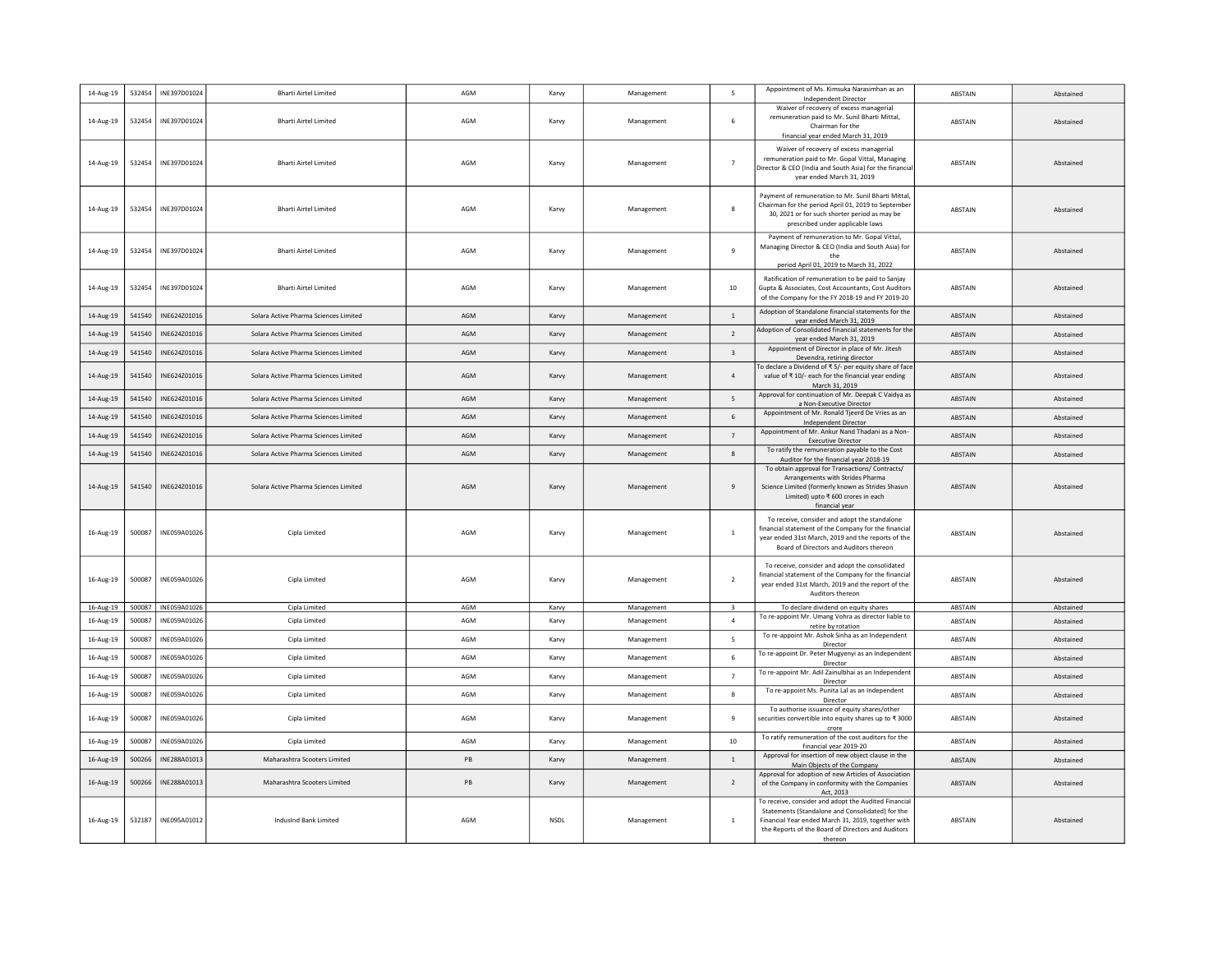| 14-Aug-19              | 532454           | INE397D01024                 | <b>Bharti Airtel Limited</b>          | AGM        | Karvy          | Management               | 5                                         | Appointment of Ms. Kimsuka Narasimhan as an<br>Independent Director                                                                                                                                                             | ABSTAIN                   | Abstained              |
|------------------------|------------------|------------------------------|---------------------------------------|------------|----------------|--------------------------|-------------------------------------------|---------------------------------------------------------------------------------------------------------------------------------------------------------------------------------------------------------------------------------|---------------------------|------------------------|
| 14-Aug-19              | 532454           | INE397D01024                 | <b>Bharti Airtel Limited</b>          | AGM        | Karvy          | Management               | 6                                         | Waiver of recovery of excess managerial<br>remuneration paid to Mr. Sunil Bharti Mittal,<br>Chairman for the<br>financial year ended March 31, 2019                                                                             | ABSTAIN                   | Abstained              |
| 14-Aug-19              | 532454           | INE397D01024                 | <b>Bharti Airtel Limited</b>          | AGM        | Karvy          | Management               | $\overline{7}$                            | Waiver of recovery of excess managerial<br>remuneration paid to Mr. Gopal Vittal, Managing<br>Director & CEO (India and South Asia) for the financia<br>year ended March 31, 2019                                               | <b>ABSTAIN</b>            | Abstained              |
| 14-Aug-19              | 532454           | INE397D01024                 | <b>Bharti Airtel Limited</b>          | AGM        | Karvy          | Management               | -8                                        | Payment of remuneration to Mr. Sunil Bharti Mittal.<br>Chairman for the period April 01, 2019 to September<br>30, 2021 or for such shorter period as may be<br>prescribed under applicable laws                                 | ABSTAIN                   | Abstained              |
| 14-Aug-19              | 532454           | INE397D01024                 | <b>Bharti Airtel Limited</b>          | AGM        | Karvy          | Management               | 9                                         | Payment of remuneration to Mr. Gopal Vittal,<br>Managing Director & CEO (India and South Asia) for<br>the<br>period April 01, 2019 to March 31, 2022                                                                            | ABSTAIN                   | Abstained              |
| 14-Aug-19              | 532454           | INE397D01024                 | <b>Bharti Airtel Limited</b>          | AGM        | Karvy          | Management               | 10                                        | Ratification of remuneration to be paid to Sanjay<br>Gupta & Associates, Cost Accountants, Cost Auditors<br>of the Company for the FY 2018-19 and FY 2019-20                                                                    | <b>ABSTAIN</b>            | Abstained              |
| 14-Aug-19              | 541540           | INE624Z01016                 | Solara Active Pharma Sciences Limited | AGM        | Karvy          | Management               | $\overline{1}$                            | Adoption of Standalone financial statements for the<br>year ended March 31, 2019                                                                                                                                                | ABSTAIN                   | Abstained              |
| 14-Aug-19              | 541540           | INE624Z01016                 | Solara Active Pharma Sciences Limited | AGM        | Karvy          | Management               | $\overline{2}$                            | Adoption of Consolidated financial statements for the<br>year ended March 31, 2019                                                                                                                                              | ABSTAIN                   | Abstained              |
| 14-Aug-19              | 541540           | INE624Z01016                 | Solara Active Pharma Sciences Limited | AGM        | Karvy          | Management               | $\overline{\mathbf{3}}$                   | Appointment of Director in place of Mr. Jitesh<br>Devendra, retiring director                                                                                                                                                   | ABSTAIN                   | Abstained              |
| 14-Aug-19              | 541540           | INE624Z01016                 | Solara Active Pharma Sciences Limited | AGM        | Karvy          | Management               | $\overline{4}$                            | To declare a Dividend of ₹5/- per equity share of face<br>value of ₹ 10/- each for the financial year ending<br>March 31, 2019                                                                                                  | ABSTAIN                   | Abstained              |
| 14-Aug-19              | 541540           | INE624Z01016                 | Solara Active Pharma Sciences Limited | AGM        | Karvy          | Management               | 5                                         | Approval for continuation of Mr. Deepak C Vaidya as<br>a Non-Executive Director                                                                                                                                                 | ABSTAIN                   | Abstained              |
| 14-Aug-19              | 541540           | INE624Z01016                 | Solara Active Pharma Sciences Limited | AGM        | Karvy          | Management               | $\,$ 6 $\,$                               | Appointment of Mr. Ronald Tjeerd De Vries as an<br><b>Independent Director</b>                                                                                                                                                  | <b>ABSTAIN</b>            | Abstained              |
| 14-Aug-19              | 541540           | INE624Z01016                 | Solara Active Pharma Sciences Limited | AGM        | Karvy          | Management               | $\overline{7}$                            | Appointment of Mr. Ankur Nand Thadani as a Non-<br><b>Executive Director</b>                                                                                                                                                    | ABSTAIN                   | Abstained              |
| 14-Aug-19              | 541540           | INE624Z01016                 | Solara Active Pharma Sciences Limited | AGM        | Karvy          | Management               | 8                                         | To ratify the remuneration payable to the Cost<br>Auditor for the financial year 2018-19                                                                                                                                        | <b>ABSTAIN</b>            | Abstained              |
| 14-Aug-19              | 541540           | INE624Z01016                 | Solara Active Pharma Sciences Limited | AGM        | Karvy          | Management               | 9                                         | To obtain approval for Transactions/ Contracts/<br>Arrangements with Strides Pharma<br>Science Limited (formerly known as Strides Shasun<br>Limited) upto ₹ 600 crores in each<br>financial year                                | ABSTAIN                   | Abstained              |
| 16-Aug-19              | 500087           | INE059A01026                 | Cipla Limited                         | AGM        | Karvy          | Management               | $\overline{1}$                            | To receive, consider and adopt the standalone<br>financial statement of the Company for the financial<br>year ended 31st March, 2019 and the reports of the<br>Board of Directors and Auditors thereon                          | ABSTAIN                   | Abstained              |
| 16-Aug-19              | 500087           | INE059A01026                 | Cipla Limited                         | AGM        | Karvy          | Management               | $\overline{2}$                            | To receive, consider and adopt the consolidated<br>financial statement of the Company for the financial<br>year ended 31st March, 2019 and the report of the<br>Auditors thereon                                                | <b>ARSTAIN</b>            | Abstained              |
| 16-Aug-19<br>16-Aug-19 | 500087<br>500087 | INE059A01026<br>INE059A01026 | Cipla Limited<br>Cipla Limited        | AGM<br>AGM | Karvy<br>Karvy | Management<br>Management | $\overline{\mathbf{3}}$<br>$\overline{a}$ | To declare dividend on equity shares<br>To re-appoint Mr. Umang Vohra as director liable to                                                                                                                                     | ABSTAIN<br><b>ABSTAIN</b> | Abstained<br>Abstained |
| 16-Aug-19              | 500087           | INE059A01026                 | Cipla Limited                         | AGM        | Karvy          | Management               | 5                                         | retire by rotation<br>To re-appoint Mr. Ashok Sinha as an Independent                                                                                                                                                           | ABSTAIN                   | Abstained              |
| 16-Aug-19              | 500087           | INE059A01026                 | Cipla Limited                         | AGM        | Karvy          | Management               | 6                                         | Director<br>To re-appoint Dr. Peter Mugyenyi as an Independen                                                                                                                                                                   | ABSTAIN                   | Abstained              |
| 16-Aug-19              | 500087           | INE059A01026                 | Cipla Limited                         | AGM        | Karvy          | Management               | $\overline{7}$                            | Director<br>To re-appoint Mr. Adil Zainulbhai as an Independent                                                                                                                                                                 | ABSTAIN                   | Abstained              |
| 16-Aug-19              | 500087           | INE059A01026                 | Cipla Limited                         | AGM        | Karvy          | Management               | -8                                        | Director<br>To re-appoint Ms. Punita Lal as an Independent                                                                                                                                                                      | ABSTAIN                   | Abstained              |
| 16-Aug-19              | 500087           | INE059A01026                 | Cipla Limited                         | AGM        | Karvy          | Management               | $\overline{9}$                            | Director<br>To authorise issuance of equity shares/other<br>securities convertible into equity shares up to ₹ 3000                                                                                                              | ABSTAIN                   | Abstained              |
| 16-Aug-19              | 500087           | INE059A01026                 | Cipla Limited                         | AGM        | Karvy          | Management               | 10                                        | crore<br>To ratify remuneration of the cost auditors for the                                                                                                                                                                    | ABSTAIN                   | Abstained              |
| 16-Aug-19              | 500266           | INE288A01013                 | Maharashtra Scooters Limited          | PB         | Karvy          | Management               | $\overline{1}$                            | financial year 2019-20<br>Approval for insertion of new object clause in the                                                                                                                                                    | ABSTAIN                   | Abstained              |
| 16-Aug-19              | 500266           | INE288A01013                 | Maharashtra Scooters Limited          | PB         | Karvy          | Management               | $\overline{2}$                            | Main Objects of the Company<br>Approval for adoption of new Articles of Association<br>of the Company in conformity with the Companies<br>Act, 2013                                                                             | <b>ABSTAIN</b>            | Abstained              |
| 16-Aug-19              | 532187           | INE095A01012                 | IndusInd Bank Limited                 | AGM        | <b>NSDL</b>    | Management               | $\overline{1}$                            | To receive, consider and adopt the Audited Financial<br>Statements (Standalone and Consolidated) for the<br>Financial Year ended March 31, 2019, together with<br>the Reports of the Board of Directors and Auditors<br>thereon | ABSTAIN                   | Abstained              |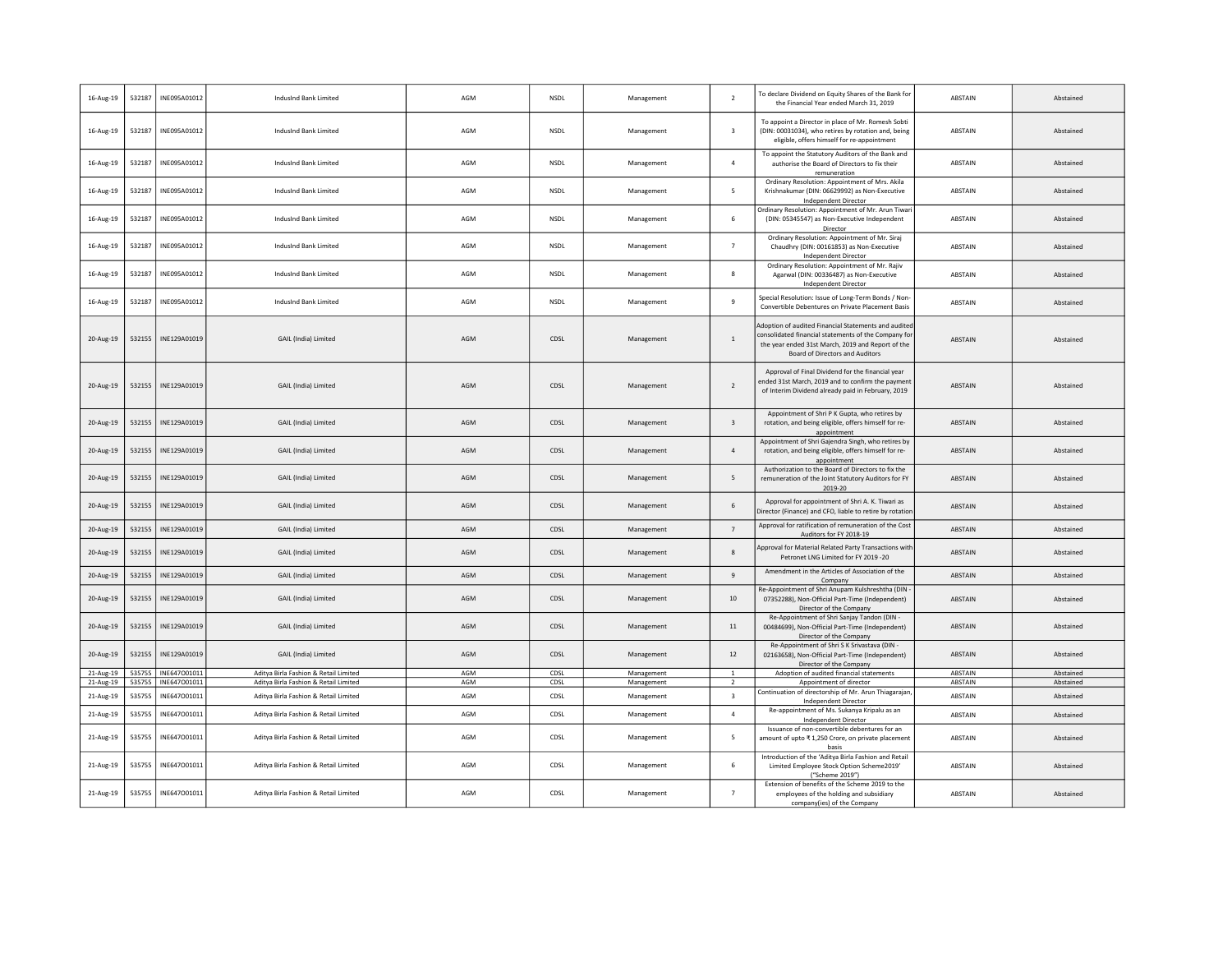| 16-Aug-19 | 532187 | INE095A01012 | IndusInd Bank Limited                 | AGM | <b>NSDL</b> | Management | $\overline{2}$          | To declare Dividend on Equity Shares of the Bank for<br>the Financial Year ended March 31, 2019                                                                                                      | ABSTAIN        | Abstained |
|-----------|--------|--------------|---------------------------------------|-----|-------------|------------|-------------------------|------------------------------------------------------------------------------------------------------------------------------------------------------------------------------------------------------|----------------|-----------|
| 16-Aug-19 | 532187 | INE095A01012 | IndusInd Bank Limited                 | AGM | <b>NSDL</b> | Management | $\overline{\mathbf{3}}$ | To appoint a Director in place of Mr. Romesh Sobti<br>(DIN: 00031034), who retires by rotation and, being<br>eligible, offers himself for re-appointment                                             | ABSTAIN        | Abstained |
| 16-Aug-19 | 532187 | INE095A01012 | IndusInd Bank Limited                 | AGM | <b>NSDL</b> | Management | $\overline{4}$          | To appoint the Statutory Auditors of the Bank and<br>authorise the Board of Directors to fix their<br>remuneration                                                                                   | ABSTAIN        | Abstained |
| 16-Aug-19 | 532187 | INE095A01012 | IndusInd Bank Limited                 | AGM | <b>NSDL</b> | Management | 5                       | Ordinary Resolution: Appointment of Mrs. Akila<br>Krishnakumar (DIN: 06629992) as Non-Executive<br>Independent Director                                                                              | ABSTAIN        | Abstained |
| 16-Aug-19 | 532187 | INE095A01012 | IndusInd Bank Limited                 | AGM | NSDL        | Management | 6                       | Ordinary Resolution: Appointment of Mr. Arun Tiwari<br>(DIN: 05345547) as Non-Executive Independent<br>Director                                                                                      | ABSTAIN        | Abstained |
| 16-Aug-19 | 532187 | INE095A01012 | IndusInd Bank Limited                 | AGM | NSDL        | Management | $\overline{7}$          | Ordinary Resolution: Appointment of Mr. Siraj<br>Chaudhry (DIN: 00161853) as Non-Executive<br><b>Independent Director</b>                                                                            | ABSTAIN        | Abstained |
| 16-Aug-19 | 532187 | INE095A01012 | IndusInd Bank Limited                 | AGM | NSDL        | Management | 8                       | Ordinary Resolution: Appointment of Mr. Rajiv<br>Agarwal (DIN: 00336487) as Non-Executive<br><b>Independent Director</b>                                                                             | ABSTAIN        | Abstained |
| 16-Aug-19 | 532187 | INE095A01012 | IndusInd Bank Limited                 | AGM | <b>NSDL</b> | Management | 9                       | Special Resolution: Issue of Long-Term Bonds / Non-<br>Convertible Debentures on Private Placement Basis                                                                                             | ABSTAIN        | Abstained |
| 20-Aug-19 | 532155 | INE129A01019 | GAIL (India) Limited                  | AGM | CDSL        | Management | $\mathbf{1}$            | Adoption of audited Financial Statements and audited<br>consolidated financial statements of the Company for<br>the year ended 31st March, 2019 and Report of the<br>Board of Directors and Auditors | ABSTAIN        | Abstained |
| 20-Aug-19 | 532155 | INE129A01019 | GAIL (India) Limited                  | AGM | CDSL        | Management | $\overline{2}$          | Approval of Final Dividend for the financial year<br>ended 31st March, 2019 and to confirm the payment<br>of Interim Dividend already paid in February, 2019                                         | <b>ABSTAIN</b> | Abstained |
| 20-Aug-19 | 532155 | INE129A01019 | GAIL (India) Limited                  | AGM | CDSL        | Management | $\overline{\mathbf{3}}$ | Appointment of Shri P K Gupta, who retires by<br>rotation, and being eligible, offers himself for re-<br>appointment                                                                                 | <b>ABSTAIN</b> | Abstained |
| 20-Aug-19 | 532155 | INE129A01019 | GAIL (India) Limited                  | AGM | CDSL        | Management | $\overline{4}$          | Appointment of Shri Gajendra Singh, who retires by<br>rotation, and being eligible, offers himself for re-<br>appointment                                                                            | ABSTAIN        | Abstained |
| 20-Aug-19 | 532155 | INE129A01019 | GAIL (India) Limited                  | AGM | CDSL        | Management | 5                       | Authorization to the Board of Directors to fix the<br>remuneration of the Joint Statutory Auditors for FY<br>2019-20                                                                                 | <b>ABSTAIN</b> | Abstained |
| 20-Aug-19 | 532155 | INE129A01019 | GAIL (India) Limited                  | AGM | CDSL        | Management | 6                       | Approval for appointment of Shri A. K. Tiwari as<br>Director (Finance) and CFO, liable to retire by rotation                                                                                         | ABSTAIN        | Abstained |
| 20-Aug-19 | 532155 | INE129A01019 | GAIL (India) Limited                  | AGM | CDSL        | Management | $7\phantom{.0}$         | Approval for ratification of remuneration of the Cost<br>Auditors for FY 2018-19                                                                                                                     | ABSTAIN        | Abstained |
| 20-Aug-19 | 532155 | INE129A01019 | GAIL (India) Limited                  | AGM | CDSL        | Management | 8                       | Approval for Material Related Party Transactions with<br>Petronet LNG Limited for FY 2019 -20                                                                                                        | ABSTAIN        | Abstained |
| 20-Aug-19 | 532155 | INE129A01019 | GAIL (India) Limited                  | AGM | CDSL        | Management | $\overline{9}$          | Amendment in the Articles of Association of the<br>Company                                                                                                                                           | ABSTAIN        | Abstained |
| 20-Aug-19 | 532155 | INE129A01019 | GAIL (India) Limited                  | AGM | CDSL        | Management | 10                      | Re-Appointment of Shri Anupam Kulshreshtha (DIN<br>07352288), Non-Official Part-Time (Independent)<br>Director of the Company                                                                        | <b>ABSTAIN</b> | Abstained |
| 20-Aug-19 | 532155 | INE129A01019 | GAIL (India) Limited                  | AGM | CDSL        | Management | 11                      | Re-Appointment of Shri Sanjay Tandon (DIN<br>00484699), Non-Official Part-Time (Independent)<br>Director of the Company                                                                              | ABSTAIN        | Abstained |
| 20-Aug-19 | 532155 | INE129A01019 | GAIL (India) Limited                  | AGM | CDSL        | Management | $12$                    | Re-Appointment of Shri S K Srivastava (DIN -<br>02163658), Non-Official Part-Time (Independent)<br>Director of the Company                                                                           | ABSTAIN        | Abstained |
| 21-Aug-19 | 535755 | INE647001011 | Aditya Birla Fashion & Retail Limited | AGM | CDSL        | Management | $\,$ 1 $\,$             | Adoption of audited financial statements                                                                                                                                                             | ABSTAIN        | Abstained |
| 21-Aug-19 | 535755 | INE647001011 | Aditya Birla Fashion & Retail Limited | AGM | CDSL        | Management | $\overline{2}$          | Appointment of director<br>Continuation of directorship of Mr. Arun Thiagarajan                                                                                                                      | <b>ABSTAIN</b> | Abstained |
| 21-Aug-19 | 535755 | INE647001011 | Aditya Birla Fashion & Retail Limited | AGM | CDSL        | Management | $\overline{\mathbf{3}}$ | <b>Independent Director</b><br>Re-appointment of Ms. Sukanya Kripalu as an                                                                                                                           | ABSTAIN        | Abstained |
| 21-Aug-19 | 535755 | INE647001011 | Aditya Birla Fashion & Retail Limited | AGM | CDSL        | Management | $\overline{a}$          | Independent Director                                                                                                                                                                                 | ABSTAIN        | Abstained |
| 21-Aug-19 | 535755 | INE647001011 | Aditya Birla Fashion & Retail Limited | AGM | CDSL        | Management | 5                       | Issuance of non-convertible debentures for an<br>amount of upto ₹ 1,250 Crore, on private placement<br>basis                                                                                         | ABSTAIN        | Abstained |
| 21-Aug-19 | 535755 | INE647001011 | Aditya Birla Fashion & Retail Limited | AGM | CDSL        | Management | 6                       | Introduction of the 'Aditya Birla Fashion and Retail<br>Limited Employee Stock Option Scheme2019'<br>("Scheme 2019")                                                                                 | ABSTAIN        | Abstained |
| 21-Aug-19 | 535755 | INE647001011 | Aditya Birla Fashion & Retail Limited | AGM | CDSL        | Management | $\overline{7}$          | Extension of benefits of the Scheme 2019 to the<br>employees of the holding and subsidiary<br>company(ies) of the Company                                                                            | ABSTAIN        | Abstained |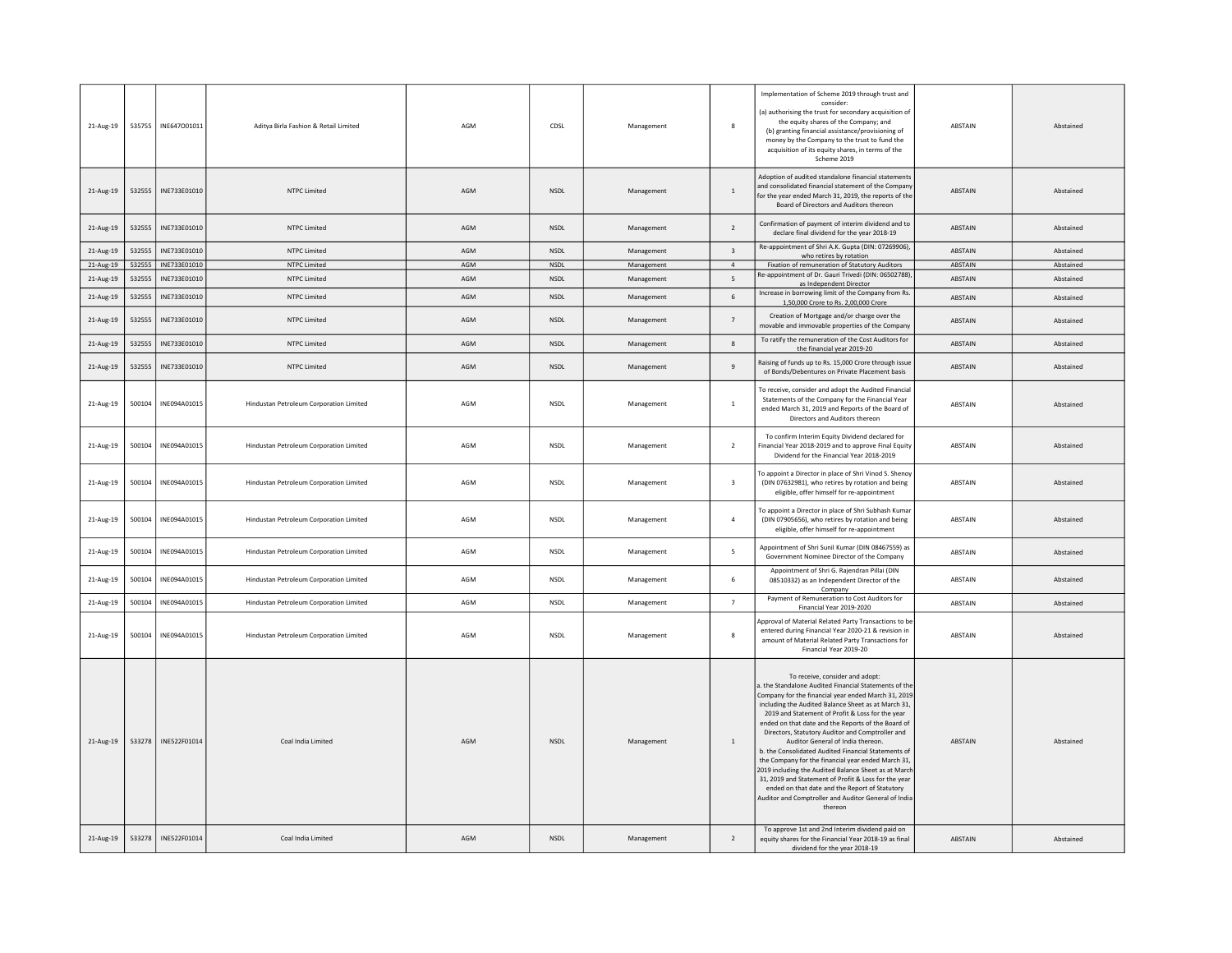| 21-Aug-19 | 535755 | INE647001011 | Aditya Birla Fashion & Retail Limited   | AGM | CDSL        | Management | 8                        | Implementation of Scheme 2019 through trust and<br>consider<br>(a) authorising the trust for secondary acquisition of<br>the equity shares of the Company; and<br>(b) granting financial assistance/provisioning of<br>money by the Company to the trust to fund the<br>acquisition of its equity shares, in terms of the<br>Scheme 2019                                                                                                                                                                                                                                                                                                                                                                                                                                                                       | ABSTAIN        | Abstained |
|-----------|--------|--------------|-----------------------------------------|-----|-------------|------------|--------------------------|----------------------------------------------------------------------------------------------------------------------------------------------------------------------------------------------------------------------------------------------------------------------------------------------------------------------------------------------------------------------------------------------------------------------------------------------------------------------------------------------------------------------------------------------------------------------------------------------------------------------------------------------------------------------------------------------------------------------------------------------------------------------------------------------------------------|----------------|-----------|
| 21-Aug-19 | 532555 | INE733E01010 | NTPC Limited                            | AGM | <b>NSDL</b> | Management | $\mathbf{1}$             | Adoption of audited standalone financial statements<br>and consolidated financial statement of the Compan<br>for the year ended March 31, 2019, the reports of the<br>Board of Directors and Auditors thereon                                                                                                                                                                                                                                                                                                                                                                                                                                                                                                                                                                                                  | ABSTAIN        | Abstained |
| 21-Aug-19 | 532555 | INF733F01010 | NTPC Limited                            | AGM | <b>NSDI</b> | Management | $\overline{\phantom{a}}$ | Confirmation of payment of interim dividend and to<br>declare final dividend for the year 2018-19                                                                                                                                                                                                                                                                                                                                                                                                                                                                                                                                                                                                                                                                                                              | <b>ABSTAIN</b> | Abstained |
| 21-Aug-19 | 532555 | INE733E01010 | <b>NTPC Limited</b>                     | AGM | <b>NSDL</b> | Management | $\overline{\mathbf{3}}$  | Re-appointment of Shri A.K. Gupta (DIN: 07269906),<br>who retires by rotation                                                                                                                                                                                                                                                                                                                                                                                                                                                                                                                                                                                                                                                                                                                                  | ABSTAIN        | Abstained |
| 21-Aug-19 | 532555 | INE733E01010 | <b>NTPC Limited</b>                     | AGM | NSDL        | Management | $\overline{4}$           | Fixation of remuneration of Statutory Auditors                                                                                                                                                                                                                                                                                                                                                                                                                                                                                                                                                                                                                                                                                                                                                                 | ABSTAIN        | Abstained |
| 21-Aug-19 | 532555 | INE733E01010 | <b>NTPC Limited</b>                     | AGM | <b>NSDL</b> | Management | 5                        | Re-appointment of Dr. Gauri Trivedi (DIN: 06502788)<br>as Independent Director                                                                                                                                                                                                                                                                                                                                                                                                                                                                                                                                                                                                                                                                                                                                 | ABSTAIN        | Abstained |
| 21-Aug-19 | 532555 | INE733E01010 | <b>NTPC Limited</b>                     | AGM | <b>NSDL</b> | Management | 6                        | Increase in borrowing limit of the Company from Rs.<br>1,50,000 Crore to Rs. 2,00,000 Crore                                                                                                                                                                                                                                                                                                                                                                                                                                                                                                                                                                                                                                                                                                                    | ABSTAIN        | Abstained |
| 21-Aug-19 | 532555 | INF733F01010 | NTPC Limited                            | AGM | <b>NSDI</b> | Management | $\overline{7}$           | Creation of Mortgage and/or charge over the<br>movable and immovable properties of the Company                                                                                                                                                                                                                                                                                                                                                                                                                                                                                                                                                                                                                                                                                                                 | <b>ABSTAIN</b> | Abstained |
| 21-Aug-19 | 532555 | INE733E01010 | <b>NTPC Limited</b>                     | AGM | <b>NSDL</b> | Management | $\mathbf{R}$             | To ratify the remuneration of the Cost Auditors for<br>the financial year 2019-20                                                                                                                                                                                                                                                                                                                                                                                                                                                                                                                                                                                                                                                                                                                              | ABSTAIN        | Abstained |
| 21-Aug-19 | 532555 | INE733E01010 | <b>NTPC Limited</b>                     | AGM | <b>NSDL</b> | Management | - 9                      | Raising of funds up to Rs. 15,000 Crore through issue<br>of Bonds/Debentures on Private Placement basis                                                                                                                                                                                                                                                                                                                                                                                                                                                                                                                                                                                                                                                                                                        | <b>ABSTAIN</b> | Abstained |
| 21-Aug-19 | 500104 | INE094A01015 | Hindustan Petroleum Corporation Limited | AGM | <b>NSDL</b> | Management | $\overline{1}$           | To receive, consider and adopt the Audited Financial<br>Statements of the Company for the Financial Year<br>ended March 31, 2019 and Reports of the Board of<br>Directors and Auditors thereon                                                                                                                                                                                                                                                                                                                                                                                                                                                                                                                                                                                                                 | ABSTAIN        | Abstained |
| 21-Aug-19 | 500104 | INE094A01015 | Hindustan Petroleum Corporation Limited | AGM | <b>NSDI</b> | Management | $\overline{2}$           | To confirm Interim Equity Dividend declared for<br>Financial Year 2018-2019 and to approve Final Equity<br>Dividend for the Financial Year 2018-2019                                                                                                                                                                                                                                                                                                                                                                                                                                                                                                                                                                                                                                                           | <b>ARSTAIN</b> | Abstained |
| 21-Aug-19 | 500104 | INE094A01015 | Hindustan Petroleum Corporation Limited | AGM | <b>NSDL</b> | Management | $\overline{\mathbf{3}}$  | To appoint a Director in place of Shri Vinod S. Shenoy<br>(DIN 07632981), who retires by rotation and being<br>eligible, offer himself for re-appointment                                                                                                                                                                                                                                                                                                                                                                                                                                                                                                                                                                                                                                                      | ABSTAIN        | Abstained |
| 21-Aug-19 | 500104 | INE094A01015 | Hindustan Petroleum Corporation Limited | AGM | <b>NSDL</b> | Management | $\overline{4}$           | To appoint a Director in place of Shri Subhash Kumar<br>(DIN 07905656), who retires by rotation and being<br>eligible, offer himself for re-appointment                                                                                                                                                                                                                                                                                                                                                                                                                                                                                                                                                                                                                                                        | ABSTAIN        | Abstained |
| 21-Aug-19 | 500104 | INE094A01015 | Hindustan Petroleum Corporation Limited | AGM | <b>NSDL</b> | Management | 5                        | Appointment of Shri Sunil Kumar (DIN 08467559) as<br>Government Nominee Director of the Company                                                                                                                                                                                                                                                                                                                                                                                                                                                                                                                                                                                                                                                                                                                | ABSTAIN        | Abstained |
| 21-Aug-19 | 500104 | INE094A01015 | Hindustan Petroleum Corporation Limited | AGM | <b>NSDL</b> | Management | 6                        | Appointment of Shri G. Rajendran Pillai (DIN<br>08510332) as an Independent Director of the<br>Company                                                                                                                                                                                                                                                                                                                                                                                                                                                                                                                                                                                                                                                                                                         | ABSTAIN        | Abstained |
| 21-Aug-19 | 500104 | INE094A01015 | Hindustan Petroleum Corporation Limited | AGM | <b>NSDL</b> | Management | 7                        | Payment of Remuneration to Cost Auditors for<br>Financial Year 2019-2020                                                                                                                                                                                                                                                                                                                                                                                                                                                                                                                                                                                                                                                                                                                                       | ABSTAIN        | Abstained |
| 21-Aug-19 | 500104 | INE094A01015 | Hindustan Petroleum Corporation Limited | AGM | <b>NSDL</b> | Management | -8                       | Approval of Material Related Party Transactions to be<br>entered during Financial Year 2020-21 & revision in<br>amount of Material Related Party Transactions for<br>Financial Year 2019-20                                                                                                                                                                                                                                                                                                                                                                                                                                                                                                                                                                                                                    | ABSTAIN        | Abstained |
| 21-Aug-19 | 533278 | INE522F01014 | Coal India Limited                      | AGM | <b>NSDL</b> | Management | 1                        | To receive, consider and adopt:<br>a. the Standalone Audited Financial Statements of the<br>Company for the financial year ended March 31, 2019<br>including the Audited Balance Sheet as at March 31,<br>2019 and Statement of Profit & Loss for the year<br>ended on that date and the Reports of the Board of<br>Directors, Statutory Auditor and Comptroller and<br>Auditor General of India thereon.<br>b. the Consolidated Audited Financial Statements of<br>the Company for the financial year ended March 31,<br>2019 including the Audited Balance Sheet as at Marcl<br>31, 2019 and Statement of Profit & Loss for the year<br>ended on that date and the Report of Statutory<br>Auditor and Comptroller and Auditor General of India<br>thereon<br>To approve 1st and 2nd Interim dividend paid on | ABSTAIN        | Abstained |
| 21-Aug-19 | 533278 | INE522F01014 | Coal India Limited                      | AGM | <b>NSDL</b> | Management | $\overline{2}$           | equity shares for the Financial Year 2018-19 as final<br>dividend for the year 2018-19                                                                                                                                                                                                                                                                                                                                                                                                                                                                                                                                                                                                                                                                                                                         | ABSTAIN        | Abstained |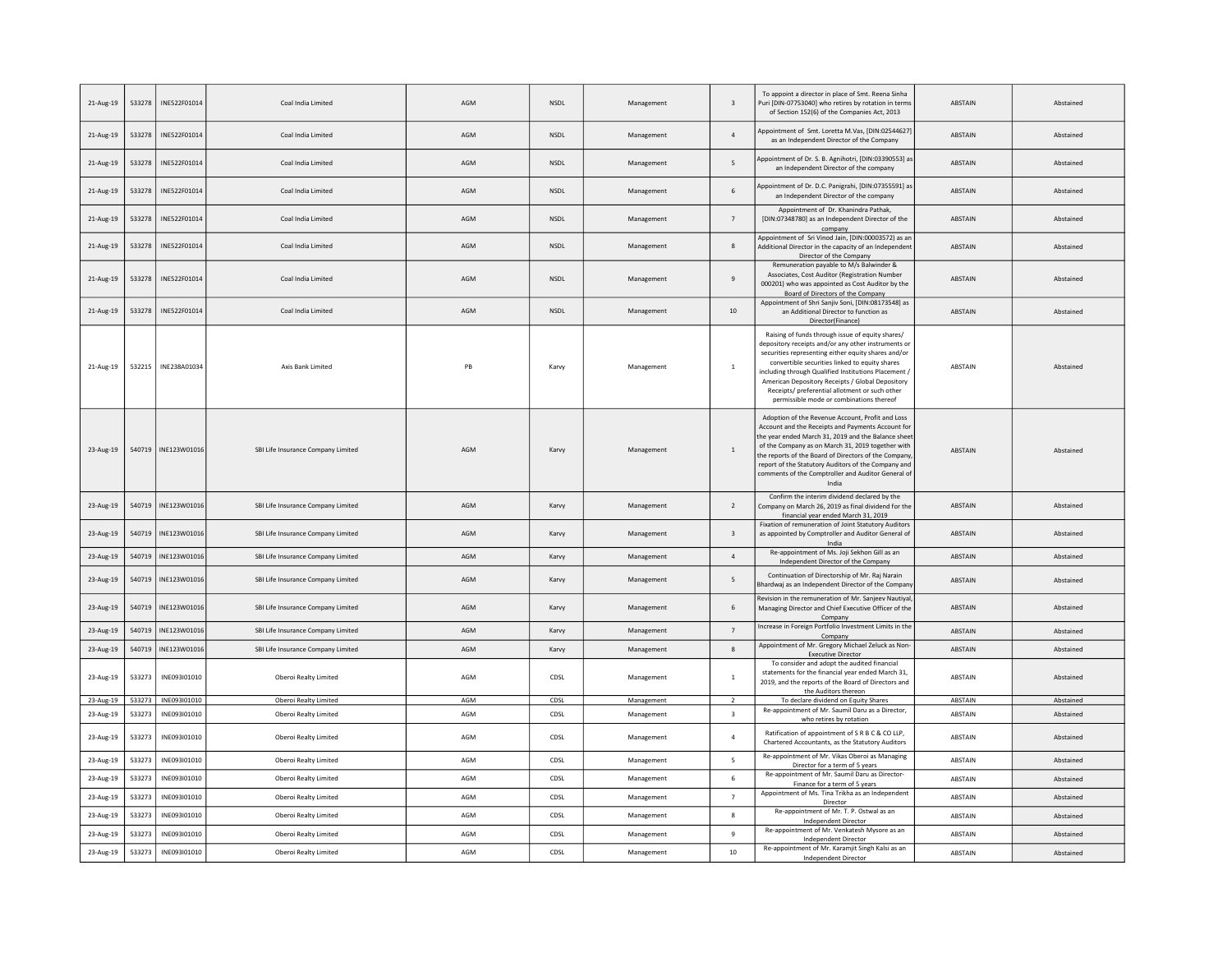| 21-Aug-19 | 533278 | INE522F01014          | Coal India Limited                 | AGM | <b>NSDI</b> | Management | $\overline{\mathbf{3}}$ | To appoint a director in place of Smt. Reena Sinha<br>Puri [DIN-07753040] who retires by rotation in term:<br>of Section 152(6) of the Companies Act, 2013                                                                                                                                                                                                                                                                 | <b>ABSTAIN</b> | Abstained |
|-----------|--------|-----------------------|------------------------------------|-----|-------------|------------|-------------------------|----------------------------------------------------------------------------------------------------------------------------------------------------------------------------------------------------------------------------------------------------------------------------------------------------------------------------------------------------------------------------------------------------------------------------|----------------|-----------|
| 21-Aug-19 | 533278 | INE522F01014          | Coal India Limited                 | AGM | NSDL        | Management | $\overline{4}$          | Appointment of Smt. Loretta M.Vas, [DIN:02544627]<br>as an Independent Director of the Company                                                                                                                                                                                                                                                                                                                             | ABSTAIN        | Abstained |
| 21-Aug-19 | 533278 | INE522F01014          | Coal India Limited                 | AGM | <b>NSDL</b> | Management | 5                       | Appointment of Dr. S. B. Agnihotri, [DIN:03390553] as<br>an Independent Director of the company                                                                                                                                                                                                                                                                                                                            | <b>ABSTAIN</b> | Abstained |
| 21-Aug-19 | 533278 | INE522F01014          | Coal India Limited                 | AGM | <b>NSDL</b> | Management | 6                       | Appointment of Dr. D.C. Panigrahi, [DIN:07355591] as<br>an Independent Director of the company                                                                                                                                                                                                                                                                                                                             | <b>ABSTAIN</b> | Abstained |
| 21-Aug-19 | 533278 | INE522F01014          | Coal India Limited                 | AGM | <b>NSDL</b> | Management | $\overline{7}$          | Appointment of Dr. Khanindra Pathak,<br>[DIN:07348780] as an Independent Director of the<br>company                                                                                                                                                                                                                                                                                                                        | <b>ABSTAIN</b> | Abstained |
| 21-Aug-19 | 533278 | INE522F01014          | Coal India Limited                 | AGM | NSDL        | Management | 8                       | Appointment of Sri Vinod Jain, [DIN:00003572) as an<br>Additional Director in the capacity of an Independen<br>Director of the Company                                                                                                                                                                                                                                                                                     | ABSTAIN        | Abstained |
| 21-Aug-19 | 533278 | INE522F01014          | Coal India Limited                 | AGM | NSDL        | Management | $\overline{9}$          | Remuneration payable to M/s Balwinder &<br>Associates, Cost Auditor (Registration Number<br>000201) who was appointed as Cost Auditor by the<br>Board of Directors of the Company                                                                                                                                                                                                                                          | <b>ABSTAIN</b> | Abstained |
| 21-Aug-19 | 533278 | INE522F01014          | Coal India Limited                 | AGM | <b>NSDL</b> | Management | 10                      | Appointment of Shri Sanjiv Soni, [DIN:08173548] as<br>an Additional Director to function as<br>Director(Finance)                                                                                                                                                                                                                                                                                                           | <b>ABSTAIN</b> | Abstained |
| 21-Aug-19 | 532215 | INE238A01034          | Axis Bank Limited                  | PB  | Karvy       | Management | $\overline{1}$          | Raising of funds through issue of equity shares/<br>depository receipts and/or any other instruments or<br>securities representing either equity shares and/or<br>convertible securities linked to equity shares<br>including through Qualified Institutions Placement /<br>American Depository Receipts / Global Depository<br>Receipts/ preferential allotment or such other<br>permissible mode or combinations thereof | ABSTAIN        | Abstained |
| 23-Aug-19 |        | 540719   INE123W01016 | SBI Life Insurance Company Limited | AGM | Karvy       | Management | $\overline{1}$          | Adoption of the Revenue Account, Profit and Loss<br>Account and the Receipts and Payments Account for<br>the year ended March 31, 2019 and the Balance shee<br>of the Company as on March 31, 2019 together with<br>the reports of the Board of Directors of the Company<br>report of the Statutory Auditors of the Company and<br>comments of the Comptroller and Auditor General of<br>India                             | <b>ABSTAIN</b> | Abstained |
| 23-Aug-19 | 540719 | INE123W01016          | SBI Life Insurance Company Limited | AGM | Karvy       | Management | 2                       | Confirm the interim dividend declared by the<br>Company on March 26, 2019 as final dividend for the<br>financial year ended March 31, 2019                                                                                                                                                                                                                                                                                 | <b>ABSTAIN</b> | Abstained |
| 23-Aug-19 | 540719 | INE123W01016          | SBI Life Insurance Company Limited | AGM | Karvy       | Management | $\overline{\mathbf{3}}$ | Fixation of remuneration of Joint Statutory Auditors<br>as appointed by Comptroller and Auditor General of<br>India                                                                                                                                                                                                                                                                                                        | ABSTAIN        | Abstained |
| 23-Aug-19 | 540719 | INE123W01016          | SBI Life Insurance Company Limited | AGM | Karvy       | Management | $\sqrt{4}$              | Re-appointment of Ms. Joji Sekhon Gill as an<br>Independent Director of the Company                                                                                                                                                                                                                                                                                                                                        | <b>ABSTAIN</b> | Abstained |
| 23-Aug-19 | 540719 | INE123W01016          | SBI Life Insurance Company Limited | AGM | Karvy       | Management | 5                       | Continuation of Directorship of Mr. Raj Narain<br>Bhardwaj as an Independent Director of the Compan                                                                                                                                                                                                                                                                                                                        | ABSTAIN        | Abstained |
| 23-Aug-19 | 540719 | INE123W01016          | SBI Life Insurance Company Limited | AGM | Karvy       | Management | 6                       | Revision in the remuneration of Mr. Sanjeev Nautiyal<br>Managing Director and Chief Executive Officer of the<br>Company                                                                                                                                                                                                                                                                                                    | <b>ABSTAIN</b> | Abstained |
| 23-Aug-19 | 540719 | INE123W01016          | SBI Life Insurance Company Limited | AGM | Karvy       | Management | $\overline{7}$          | Increase in Foreign Portfolio Investment Limits in the<br>Company                                                                                                                                                                                                                                                                                                                                                          | <b>ABSTAIN</b> | Abstained |
| 23-Aug-19 | 540719 | INE123W01016          | SBI Life Insurance Company Limited | AGM | Karvy       | Management | 8                       | Appointment of Mr. Gregory Michael Zeluck as Non-<br><b>Executive Director</b>                                                                                                                                                                                                                                                                                                                                             | <b>ABSTAIN</b> | Abstained |
| 23-Aug-19 | 533273 | INE093I01010          | Oberoi Realty Limited              | AGM | CDSL        | Management | $\,$ 1 $\,$             | To consider and adopt the audited financial<br>statements for the financial year ended March 31.<br>2019, and the reports of the Board of Directors and<br>the Auditors thereon                                                                                                                                                                                                                                            | ABSTAIN        | Abstained |
| 23-Aug-19 | 533273 | INE093101010          | Oberoi Realty Limited              | AGM | CDSL        | Management | $\overline{2}$          | To declare dividend on Equity Shares                                                                                                                                                                                                                                                                                                                                                                                       | ABSTAIN        | Abstained |
| 23-Aug-19 | 533273 | INF093I01010          | Oberoi Realty Limited              | AGM | CDSL        | Management | $\overline{\mathbf{3}}$ | Re-appointment of Mr. Saumil Daru as a Director,<br>who retires by rotation                                                                                                                                                                                                                                                                                                                                                | <b>ABSTAIN</b> | Abstained |
| 23-Aug-19 | 533273 | INE093I01010          | Oberoi Realty Limited              | AGM | CDSL        | Management | $\overline{4}$          | Ratification of appointment of S R B C & CO LLP,<br>Chartered Accountants, as the Statutory Auditors                                                                                                                                                                                                                                                                                                                       | ABSTAIN        | Abstained |
| 23-Aug-19 | 533273 | INE093I01010          | Oberoi Realty Limited              | AGM | CDSL        | Management | 5                       | Re-appointment of Mr. Vikas Oberoi as Managing<br>Director for a term of 5 years                                                                                                                                                                                                                                                                                                                                           | ABSTAIN        | Abstained |
| 23-Aug-19 | 533273 | INE093I01010          | Oberoi Realty Limited              | AGM | CDSL        | Management | 6                       | Re-appointment of Mr. Saumil Daru as Director-<br>Finance for a term of 5 years                                                                                                                                                                                                                                                                                                                                            | <b>ABSTAIN</b> | Abstained |
| 23-Aug-19 | 533273 | INF093I01010          | Oberoi Realty Limited              | AGM | CDSL        | Management | $\overline{7}$          | Appointment of Ms. Tina Trikha as an Independent<br>Director                                                                                                                                                                                                                                                                                                                                                               | <b>ABSTAIN</b> | Abstained |
| 23-Aug-19 | 533273 | INE093101010          | Oberoi Realty Limited              | AGM | CDSL        | Management | $\mathbf{g}$            | Re-appointment of Mr. T. P. Ostwal as an<br>Independent Director                                                                                                                                                                                                                                                                                                                                                           | <b>ABSTAIN</b> | Abstained |
| 23-Aug-19 | 533273 | INE093I01010          | Oberoi Realty Limited              | AGM | CDSL        | Management | 9                       | Re-appointment of Mr. Venkatesh Mysore as an<br>Independent Director                                                                                                                                                                                                                                                                                                                                                       | ABSTAIN        | Abstained |
| 23-Aug-19 | 533273 | INE093I01010          | Oberoi Realty Limited              | AGM | CDSL        | Management | 10                      | Re-appointment of Mr. Karamjit Singh Kalsi as an<br><b>Independent Director</b>                                                                                                                                                                                                                                                                                                                                            | ABSTAIN        | Abstained |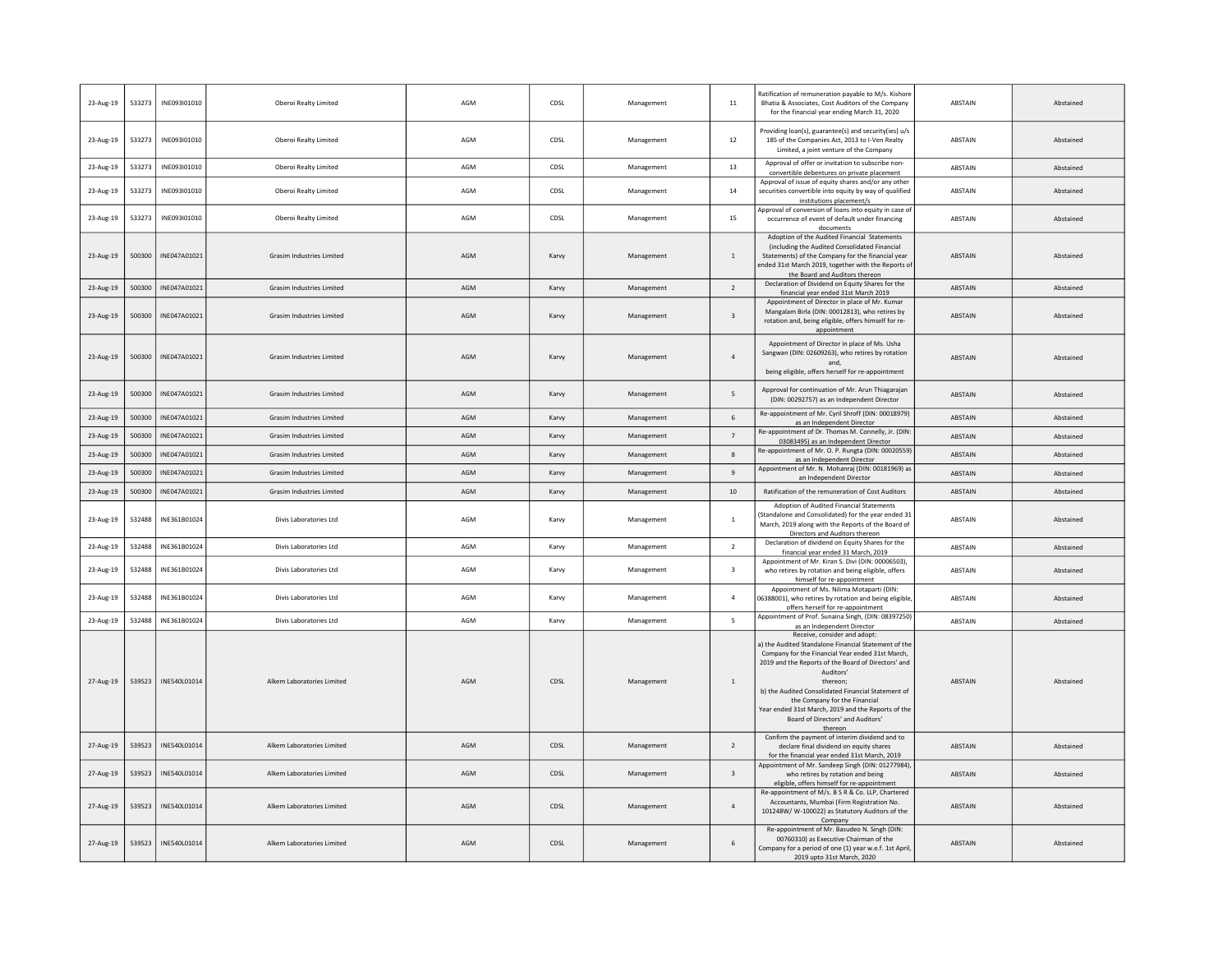| 23-Aug-19 | 533273 | INE093I01010 | Oberoi Realty Limited            | AGM | CDSL  | Management | 11                      | Ratification of remuneration payable to M/s. Kishore<br>Bhatia & Associates, Cost Auditors of the Company<br>for the financial vear ending March 31, 2020                                                                                                                                                                                                                                                             | ABSTAIN        | Abstained |
|-----------|--------|--------------|----------------------------------|-----|-------|------------|-------------------------|-----------------------------------------------------------------------------------------------------------------------------------------------------------------------------------------------------------------------------------------------------------------------------------------------------------------------------------------------------------------------------------------------------------------------|----------------|-----------|
| 23-Aug-19 | 533273 | INE093I01010 | Oberoi Realty Limited            | AGM | CDSL  | Management | 12                      | Providing loan(s), guarantee(s) and security(ies) u/s<br>185 of the Companies Act, 2013 to I-Ven Realty<br>Limited, a joint venture of the Company                                                                                                                                                                                                                                                                    | ABSTAIN        | Abstained |
| 23-Aug-19 | 533273 | INE093I01010 | Oberoi Realty Limited            | AGM | CDSL  | Management | 13                      | Approval of offer or invitation to subscribe non-<br>convertible debentures on private placement                                                                                                                                                                                                                                                                                                                      | ABSTAIN        | Abstained |
| 23-Aug-19 | 533273 | INF093I01010 | Oberoi Realty Limited            | AGM | CDSL  | Management | 14                      | Approval of issue of equity shares and/or any other<br>securities convertible into equity by way of qualified<br>institutions placement/s                                                                                                                                                                                                                                                                             | ABSTAIN        | Abstained |
| 23-Aug-19 | 533273 | INE093I01010 | Oberoi Realty Limited            | AGM | CDSL  | Management | 15                      | Approval of conversion of loans into equity in case of<br>occurrence of event of default under financing<br>documents                                                                                                                                                                                                                                                                                                 | ABSTAIN        | Abstained |
| 23-Aug-19 | 500300 | INE047A01021 | <b>Grasim Industries Limited</b> | AGM | Karvy | Management | 1                       | Adoption of the Audited Financial Statements<br>(including the Audited Consolidated Financial<br>Statements) of the Company for the financial year<br>ended 31st March 2019, together with the Reports o<br>the Board and Auditors thereon                                                                                                                                                                            | <b>ABSTAIN</b> | Abstained |
| 23-Aug-19 | 500300 | INE047A01021 | <b>Grasim Industries Limited</b> | AGM | Karvy | Management | $\overline{2}$          | Declaration of Dividend on Equity Shares for the<br>financial year ended 31st March 2019                                                                                                                                                                                                                                                                                                                              | ABSTAIN        | Abstained |
| 23-Aug-19 | 500300 | INF047A01021 | <b>Grasim Industries Limited</b> | AGM | Karvy | Management | $\overline{\mathbf{3}}$ | Appointment of Director in place of Mr. Kumar<br>Mangalam Birla (DIN: 00012813), who retires by<br>rotation and, being eligible, offers himself for re-<br>appointment                                                                                                                                                                                                                                                | ABSTAIN        | Abstained |
| 23-Aug-19 | 500300 | INF047A01021 | <b>Grasim Industries Limited</b> | AGM | Karvy | Management | $\overline{a}$          | Appointment of Director in place of Ms. Usha<br>Sangwan (DIN: 02609263), who retires by rotation<br>and<br>being eligible, offers herself for re-appointment                                                                                                                                                                                                                                                          | <b>ABSTAIN</b> | Abstained |
| 23-Aug-19 | 500300 | INE047A01021 | <b>Grasim Industries Limited</b> | AGM | Karvy | Management | 5                       | Approval for continuation of Mr. Arun Thiagarajan<br>(DIN: 00292757) as an Independent Director                                                                                                                                                                                                                                                                                                                       | ABSTAIN        | Abstained |
| 23-Aug-19 | 500300 | INE047A01021 | Grasim Industries Limited        | AGM | Karvy | Management | 6                       | Re-appointment of Mr. Cyril Shroff (DIN: 00018979)<br>as an Independent Director                                                                                                                                                                                                                                                                                                                                      | <b>ABSTAIN</b> | Abstained |
| 23-Aug-19 | 500300 | INE047A01021 | Grasim Industries Limited        | AGM | Karvy | Management | $\overline{7}$          | Re-appointment of Dr. Thomas M. Connelly, Jr. (DIN<br>03083495) as an Independent Director                                                                                                                                                                                                                                                                                                                            | ABSTAIN        | Abstained |
| 23-Aug-19 | 500300 | INE047A01021 | Grasim Industries Limited        | AGM | Karvy | Management | $\boldsymbol{8}$        | Re-appointment of Mr. O. P. Rungta (DIN: 00020559)<br>as an Independent Director                                                                                                                                                                                                                                                                                                                                      | <b>ABSTAIN</b> | Abstained |
| 23-Aug-19 | 500300 | INE047A01021 | <b>Grasim Industries Limited</b> | AGM | Karvy | Management | $\overline{9}$          | Appointment of Mr. N. Mohanraj (DIN: 00181969) as<br>an Independent Director                                                                                                                                                                                                                                                                                                                                          | ABSTAIN        | Abstained |
| 23-Aug-19 | 500300 | INE047A01021 | Grasim Industries Limited        | AGM | Karvy | Management | 10                      | Ratification of the remuneration of Cost Auditors                                                                                                                                                                                                                                                                                                                                                                     | ABSTAIN        | Abstained |
| 23-Aug-19 | 532488 | INE361B01024 | Divis Laboratories Ltd           | AGM | Karvy | Management | $\mathbf{1}$            | Adoption of Audited Financial Statements<br>(Standalone and Consolidated) for the year ended 3:<br>March, 2019 along with the Reports of the Board of<br>Directors and Auditors thereon                                                                                                                                                                                                                               | ABSTAIN        | Abstained |
| 23-Aug-19 | 532488 | INE361B01024 | Divis Laboratories Ltd           | AGM | Karvy | Management | $\overline{2}$          | Declaration of dividend on Equity Shares for the<br>financial year ended 31 March, 2019                                                                                                                                                                                                                                                                                                                               | ABSTAIN        | Abstained |
| 23-Aug-19 | 532488 | INE361B01024 | Divis Laboratories Ltd           | AGM | Karvy | Management | $\overline{\mathbf{3}}$ | Appointment of Mr. Kiran S. Divi (DIN: 00006503),<br>who retires by rotation and being eligible, offers<br>himself for re-appointment                                                                                                                                                                                                                                                                                 | ABSTAIN        | Abstained |
| 23-Aug-19 | 532488 | INE361B01024 | Divis Laboratories Ltd           | AGM | Karvy | Management | $\overline{4}$          | Appointment of Ms. Nilima Motaparti (DIN:<br>06388001), who retires by rotation and being eligible<br>offers herself for re-appointment                                                                                                                                                                                                                                                                               | ABSTAIN        | Abstained |
| 23-Aug-19 | 532488 | INE361B01024 | Divis Laboratories Ltd           | AGM | Karvy | Management | 5                       | Appointment of Prof. Sunaina Singh, (DIN: 08397250)<br>as an Independent Director                                                                                                                                                                                                                                                                                                                                     | ABSTAIN        | Abstained |
| 27-Aug-19 | 539523 | INE540L01014 | Alkem Laboratories Limited       | AGM | CDSL  | Management | $\overline{1}$          | Receive, consider and adopt:<br>a) the Audited Standalone Financial Statement of the<br>Company for the Financial Year ended 31st March,<br>2019 and the Reports of the Board of Directors' and<br>Auditors'<br>thereon;<br>b) the Audited Consolidated Financial Statement of<br>the Company for the Financial<br>Year ended 31st March, 2019 and the Reports of the<br>Board of Directors' and Auditors'<br>thereon | ABSTAIN        | Abstained |
| 27-Aug-19 | 539523 | INE540L01014 | Alkem Laboratories Limited       | AGM | CDSL  | Management | $\overline{2}$          | Confirm the payment of interim dividend and to<br>declare final dividend on equity shares<br>for the financial year ended 31st March, 2019                                                                                                                                                                                                                                                                            | <b>ABSTAIN</b> | Abstained |
| 27-Aug-19 | 539523 | INE540L01014 | Alkem Laboratories Limited       | AGM | CDSL  | Management | $\overline{\mathbf{3}}$ | Appointment of Mr. Sandeep Singh (DIN: 01277984),<br>who retires by rotation and being<br>eligible, offers himself for re-appointment                                                                                                                                                                                                                                                                                 | <b>ABSTAIN</b> | Abstained |
| 27-Aug-19 | 539523 | INE540L01014 | Alkem Laboratories Limited       | AGM | CDSL  | Management | $\overline{a}$          | Re-appointment of M/s. B S R & Co. LLP, Chartered<br>Accountants, Mumbai (Firm Registration No.<br>101248W/W-100022) as Statutory Auditors of the<br>Company                                                                                                                                                                                                                                                          | <b>ABSTAIN</b> | Abstained |
| 27-Aug-19 | 539523 | INE540L01014 | Alkem Laboratories Limited       | AGM | CDSL  | Management | 6                       | Re-appointment of Mr. Basudeo N. Singh (DIN:<br>00760310) as Executive Chairman of the<br>Company for a period of one (1) year w.e.f. 1st April<br>2019 upto 31st March, 2020                                                                                                                                                                                                                                         | ABSTAIN        | Abstained |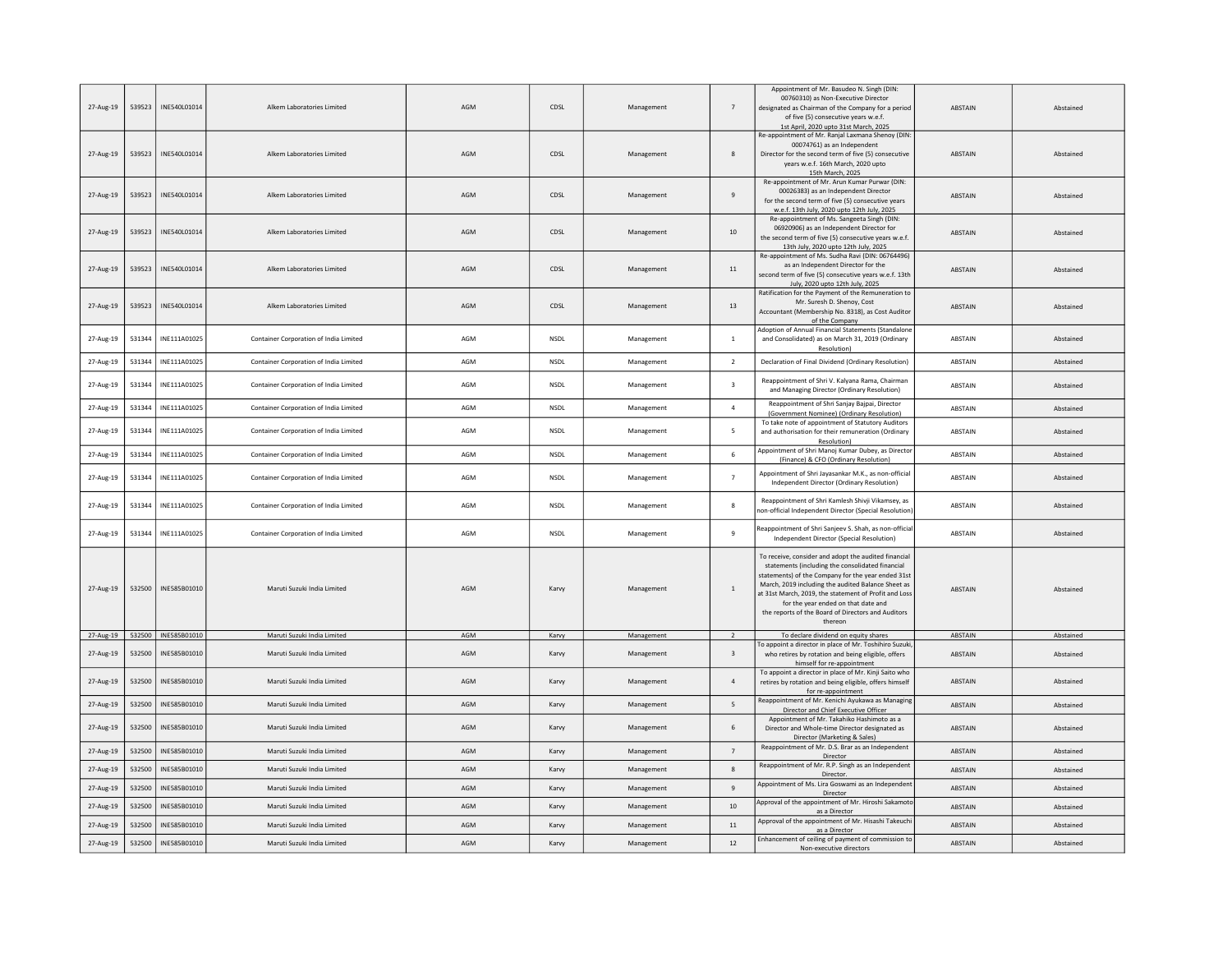| 27-Aug-19 | 539523 | INE540L01014        | Alkem Laboratories Limited             | AGM | CDSL        | Management | $\overline{7}$          | Appointment of Mr. Basudeo N. Singh (DIN:<br>00760310) as Non-Executive Director<br>designated as Chairman of the Company for a period<br>of five (5) consecutive years w.e.f.<br>1st April, 2020 upto 31st March, 2025                                                                                                                                                               | <b>ABSTAIN</b> | Abstained |
|-----------|--------|---------------------|----------------------------------------|-----|-------------|------------|-------------------------|---------------------------------------------------------------------------------------------------------------------------------------------------------------------------------------------------------------------------------------------------------------------------------------------------------------------------------------------------------------------------------------|----------------|-----------|
| 27-Aug-19 | 539523 | INF540101014        | Alkem Laboratories Limited             | AGM | CDSL        | Management | 8                       | Re-appointment of Mr. Ranjal Laxmana Shenoy (DIN:<br>00074761) as an Independent<br>Director for the second term of five (5) consecutive<br>years w.e.f. 16th March, 2020 upto<br>15th March, 2025                                                                                                                                                                                    | <b>ABSTAIN</b> | Abstained |
| 27-Aug-19 | 539523 | INE540L01014        | Alkem Laboratories Limited             | AGM | CDSL        | Management | 9                       | Re-appointment of Mr. Arun Kumar Purwar (DIN:<br>00026383) as an Independent Director<br>for the second term of five (5) consecutive years<br>w.e.f. 13th July, 2020 upto 12th July, 2025                                                                                                                                                                                             | ABSTAIN        | Abstained |
| 27-Aug-19 | 539523 | INE540L01014        | Alkem Laboratories Limited             | AGM | CDSL        | Management | 10                      | Re-appointment of Ms. Sangeeta Singh (DIN:<br>06920906) as an Independent Director for<br>the second term of five (5) consecutive years w.e.f.<br>13th July, 2020 upto 12th July, 2025                                                                                                                                                                                                | ABSTAIN        | Abstained |
| 27-Aug-19 | 539523 | INF540101014        | Alkem Laboratories Limited             | AGM | CDSL        | Management | 11                      | Re-appointment of Ms. Sudha Ravi (DIN: 06764496)<br>as an Independent Director for the<br>second term of five (5) consecutive vears w.e.f. 13th<br>July, 2020 upto 12th July, 2025                                                                                                                                                                                                    | <b>ABSTAIN</b> | Abstained |
| 27-Aug-19 | 539523 | INE540L01014        | Alkem Laboratories Limited             | AGM | CDSL        | Management | 13                      | Ratification for the Payment of the Remuneration to<br>Mr. Suresh D. Shenoy, Cost<br>Accountant (Membership No. 8318), as Cost Auditor<br>of the Company                                                                                                                                                                                                                              | <b>ABSTAIN</b> | Abstained |
| 27-Aug-19 | 531344 | INE111A01025        | Container Corporation of India Limited | AGM | <b>NSDI</b> | Management | $\overline{1}$          | Adoption of Annual Financial Statements (Standalone<br>and Consolidated) as on March 31, 2019 (Ordinary<br>Resolution)                                                                                                                                                                                                                                                                | <b>ABSTAIN</b> | Abstained |
| 27-Aug-19 | 531344 | INE111A01025        | Container Corporation of India Limited | AGM | <b>NSDL</b> | Management | $\overline{2}$          | Declaration of Final Dividend (Ordinary Resolution)                                                                                                                                                                                                                                                                                                                                   | <b>ABSTAIN</b> | Abstained |
| 27-Aug-19 | 531344 | INE111A01025        | Container Corporation of India Limited | AGM | <b>NSDL</b> | Management | $\overline{\mathbf{3}}$ | Reappointment of Shri V. Kalyana Rama, Chairman<br>and Managing Director (Ordinary Resolution)                                                                                                                                                                                                                                                                                        | ABSTAIN        | Abstained |
| 27-Aug-19 | 531344 | INF111A01025        | Container Corporation of India Limited | AGM | <b>NSDI</b> | Management | $\overline{a}$          | Reappointment of Shri Sanjay Bajpai, Director<br>(Government Nominee) (Ordinary Resolution)                                                                                                                                                                                                                                                                                           | <b>ABSTAIN</b> | Abstained |
| 27-Aug-19 | 531344 | INE111A01025        | Container Corporation of India Limited | AGM | <b>NSDL</b> | Management | 5                       | To take note of appointment of Statutory Auditors<br>and authorisation for their remuneration (Ordinary<br>Resolution)                                                                                                                                                                                                                                                                | <b>ABSTAIN</b> | Abstained |
| 27-Aug-19 | 531344 | INE111A01025        | Container Corporation of India Limited | AGM | <b>NSDL</b> | Management | 6                       | Appointment of Shri Manoj Kumar Dubey, as Directo<br>(Finance) & CFO (Ordinary Resolution)                                                                                                                                                                                                                                                                                            | ABSTAIN        | Abstained |
| 27-Aug-19 | 531344 | INE111A01025        | Container Corporation of India Limited | AGM | <b>NSDI</b> | Management | $\overline{7}$          | Appointment of Shri Jayasankar M.K., as non-official<br>Independent Director (Ordinary Resolution)                                                                                                                                                                                                                                                                                    | <b>ABSTAIN</b> | Abstained |
| 27-Aug-19 | 531344 | INE111A01025        | Container Corporation of India Limited | AGM | NSDL        | Management | 8                       | Reappointment of Shri Kamlesh Shivji Vikamsey, as<br>non-official Independent Director (Special Resolutior                                                                                                                                                                                                                                                                            | ABSTAIN        | Abstained |
| 27-Aug-19 | 531344 | INE111A01025        | Container Corporation of India Limited | AGM | <b>NSDL</b> | Management | $\overline{9}$          | Reappointment of Shri Sanjeev S. Shah, as non-official<br>Independent Director (Special Resolution)                                                                                                                                                                                                                                                                                   | ABSTAIN        | Abstained |
| 27-Aug-19 | 532500 | INE585B01010        | Maruti Suzuki India Limited            | AGM | Karvy       | Management | 1                       | To receive, consider and adopt the audited financial<br>statements (including the consolidated financial<br>statements) of the Company for the year ended 31st<br>March, 2019 including the audited Balance Sheet as<br>at 31st March, 2019, the statement of Profit and Loss<br>for the year ended on that date and<br>the reports of the Board of Directors and Auditors<br>thereon | <b>ABSTAIN</b> | Abstained |
| 27-Aug-19 |        | 532500 INE585B01010 | Maruti Suzuki India Limited            | AGM | Karvy       | Management | 2                       | To declare dividend on equity shares<br>To appoint a director in place of Mr. Toshihiro Suzuk                                                                                                                                                                                                                                                                                         | ABSTAIN        | Abstained |
| 27-Aug-19 | 532500 | INE585B01010        | Maruti Suzuki India Limited            | AGM | Karvy       | Management | $\overline{\mathbf{3}}$ | who retires by rotation and being eligible, offers<br>himself for re-appointment                                                                                                                                                                                                                                                                                                      | ABSTAIN        | Abstained |
| 27-Aug-19 | 532500 | INF585B01010        | Maruti Suzuki India Limited            | AGM | Karvy       | Management | $\overline{a}$          | To appoint a director in place of Mr. Kinji Saito who<br>retires by rotation and being eligible, offers himself<br>for re-appointment                                                                                                                                                                                                                                                 | ABSTAIN        | Abstained |
| 27-Aug-19 | 532500 | INE585B01010        | Maruti Suzuki India Limited            | AGM | Karvy       | Management | 5                       | Reappointment of Mr. Kenichi Ayukawa as Managing<br>Director and Chief Executive Officer                                                                                                                                                                                                                                                                                              | <b>ABSTAIN</b> | Abstained |
| 27-Aug-19 | 532500 | INE585B01010        | Maruti Suzuki India Limited            | AGM | Karvy       | Management | 6                       | Appointment of Mr. Takahiko Hashimoto as a<br>Director and Whole-time Director designated as<br>Director (Marketing & Sales)                                                                                                                                                                                                                                                          | ABSTAIN        | Abstained |
| 27-Aug-19 | 532500 | INF585B01010        | Maruti Suzuki India Limited            | AGM | Karvy       | Management | $\overline{7}$          | Reappointment of Mr. D.S. Brar as an Independent<br>Director                                                                                                                                                                                                                                                                                                                          | ABSTAIN        | Abstained |
| 27-Aug-19 | 532500 | INE585B01010        | Maruti Suzuki India Limited            | AGM | Karvy       | Management | 8                       | Reappointment of Mr. R.P. Singh as an Independent<br>Director.                                                                                                                                                                                                                                                                                                                        | ABSTAIN        | Abstained |
| 27-Aug-19 | 532500 | INE585B01010        | Maruti Suzuki India Limited            | AGM | Karvy       | Management | $\,9$                   | Appointment of Ms. Lira Goswami as an Independent<br>Director                                                                                                                                                                                                                                                                                                                         | ABSTAIN        | Abstained |
| 27-Aug-19 | 532500 | INE585B01010        | Maruti Suzuki India Limited            | AGM | Karvy       | Management | 10                      | Approval of the appointment of Mr. Hiroshi Sakamoto<br>as a Director                                                                                                                                                                                                                                                                                                                  | <b>ABSTAIN</b> | Abstained |
| 27-Aug-19 | 532500 | INF585B01010        | Maruti Suzuki India Limited            | AGM | Karvy       | Management | 11                      | Approval of the appointment of Mr. Hisashi Takeuch<br>as a Director                                                                                                                                                                                                                                                                                                                   | <b>ABSTAIN</b> | Abstained |
| 27-Aug-19 | 532500 | INE585B01010        | Maruti Suzuki India Limited            | AGM | Karvy       | Management | 12                      | Enhancement of ceiling of payment of commission to<br>Non-executive directors                                                                                                                                                                                                                                                                                                         | <b>ABSTAIN</b> | Abstained |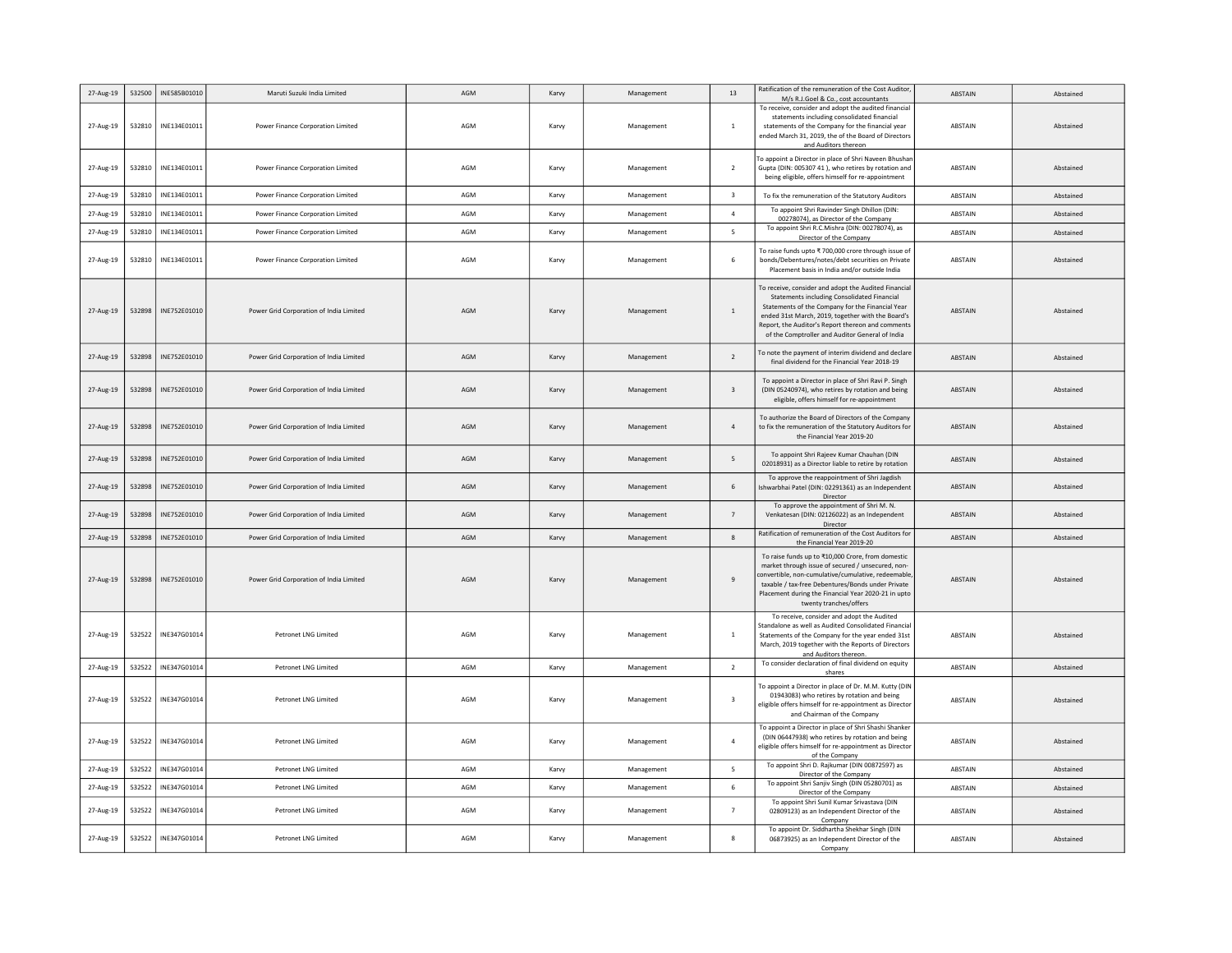| 27-Aug-19 | 532500 | INE585B01010 | Maruti Suzuki India Limited             | AGM | Karvy | Management | 13                      | Ratification of the remuneration of the Cost Auditor,<br>M/s R.J.Goel & Co., cost accountants                                                                                                                                                                                                                               | ABSTAIN        | Abstained |
|-----------|--------|--------------|-----------------------------------------|-----|-------|------------|-------------------------|-----------------------------------------------------------------------------------------------------------------------------------------------------------------------------------------------------------------------------------------------------------------------------------------------------------------------------|----------------|-----------|
| 27-Aug-19 | 532810 | INE134E01011 | Power Finance Corporation Limited       | AGM | Karvy | Management | -1                      | To receive, consider and adopt the audited financial<br>statements including consolidated financial<br>statements of the Company for the financial year<br>ended March 31, 2019, the of the Board of Directors<br>and Auditors thereon                                                                                      | ABSTAIN        | Abstained |
| 27-Aug-19 | 532810 | INE134E01011 | Power Finance Corporation Limited       | AGM | Karvy | Management | $\overline{2}$          | To appoint a Director in place of Shri Naveen Bhushan<br>Gupta (DIN: 005307 41), who retires by rotation and<br>being eligible, offers himself for re-appointment                                                                                                                                                           | ABSTAIN        | Abstained |
| 27-Aug-19 | 532810 | INE134E01011 | Power Finance Corporation Limited       | AGM | Karvy | Management | $\overline{\mathbf{3}}$ | To fix the remuneration of the Statutory Auditors                                                                                                                                                                                                                                                                           | ABSTAIN        | Abstained |
| 27-Aug-19 | 532810 | INE134E01011 | Power Finance Corporation Limited       | AGM | Karvy | Management | $\overline{4}$          | To appoint Shri Ravinder Singh Dhillon (DIN:<br>00278074), as Director of the Company                                                                                                                                                                                                                                       | ABSTAIN        | Abstained |
| 27-Aug-19 | 532810 | INE134E01011 | Power Finance Corporation Limited       | AGM | Karvy | Management | 5                       | To appoint Shri R.C.Mishra (DIN: 00278074), as<br>Director of the Company                                                                                                                                                                                                                                                   | ABSTAIN        | Abstained |
| 27-Aug-19 | 532810 | INE134E01011 | Power Finance Corporation Limited       | AGM | Karvy | Management | 6                       | To raise funds upto ₹ 700,000 crore through issue of<br>bonds/Debentures/notes/debt securities on Private<br>Placement basis in India and/or outside India                                                                                                                                                                  | ABSTAIN        | Abstained |
| 27-Aug-19 | 532898 | INE752E01010 | Power Grid Corporation of India Limited | AGM | Karvy | Management | $\mathbf{1}$            | To receive, consider and adopt the Audited Financial<br><b>Statements including Consolidated Financial</b><br>Statements of the Company for the Financial Year<br>ended 31st March, 2019, together with the Board's<br>Report, the Auditor's Report thereon and comments<br>of the Comptroller and Auditor General of India | ABSTAIN        | Abstained |
| 27-Aug-19 | 532898 | INE752E01010 | Power Grid Corporation of India Limited | AGM | Karvy | Management | $\overline{2}$          | To note the payment of interim dividend and declare<br>final dividend for the Financial Year 2018-19                                                                                                                                                                                                                        | ABSTAIN        | Abstained |
| 27-Aug-19 | 532898 | INE752E01010 | Power Grid Corporation of India Limited | AGM | Karvy | Management | $\overline{3}$          | To appoint a Director in place of Shri Ravi P. Singh<br>(DIN 05240974), who retires by rotation and being<br>eligible, offers himself for re-appointment                                                                                                                                                                    | <b>ABSTAIN</b> | Abstained |
| 27-Aug-19 | 532898 | INE752E01010 | Power Grid Corporation of India Limited | AGM | Karvy | Management | $\overline{4}$          | To authorize the Board of Directors of the Company<br>to fix the remuneration of the Statutory Auditors for<br>the Financial Year 2019-20                                                                                                                                                                                   | ABSTAIN        | Abstained |
| 27-Aug-19 | 532898 | INE752E01010 | Power Grid Corporation of India Limited | AGM | Karvy | Management | 5                       | To appoint Shri Rajeev Kumar Chauhan (DIN<br>02018931) as a Director liable to retire by rotation                                                                                                                                                                                                                           | <b>ABSTAIN</b> | Abstained |
| 27-Aug-19 | 532898 | INE752E01010 | Power Grid Corporation of India Limited | AGM | Karvy | Management | 6                       | To approve the reappointment of Shri Jagdish<br>Ishwarbhai Patel (DIN: 02291361) as an Independent<br>Director                                                                                                                                                                                                              | <b>ABSTAIN</b> | Abstained |
| 27-Aug-19 | 532898 | INE752E01010 | Power Grid Corporation of India Limited | AGM | Karvy | Management | 7                       | To approve the appointment of Shri M. N.<br>Venkatesan (DIN: 02126022) as an Independent<br>Director                                                                                                                                                                                                                        | <b>ABSTAIN</b> | Abstained |
| 27-Aug-19 | 532898 | INE752E01010 | Power Grid Corporation of India Limited | AGM | Karvy | Management | 8                       | Ratification of remuneration of the Cost Auditors for<br>the Financial Year 2019-20                                                                                                                                                                                                                                         | <b>ABSTAIN</b> | Abstained |
| 27-Aug-19 | 532898 | INE752E01010 | Power Grid Corporation of India Limited | AGM | Karvy | Management | $\mathbf{q}$            | To raise funds up to ₹10,000 Crore, from domestic<br>market through issue of secured / unsecured, non-<br>convertible, non-cumulative/cumulative, redeemable<br>taxable / tax-free Debentures/Bonds under Private<br>Placement during the Financial Year 2020-21 in upto<br>twenty tranches/offers                          | <b>ABSTAIN</b> | Abstained |
| 27-Aug-19 | 532522 | INE347G01014 | Petronet LNG Limited                    | AGM | Karvy | Management | $\mathbf{1}$            | To receive, consider and adopt the Audited<br>Standalone as well as Audited Consolidated Financia<br>Statements of the Company for the year ended 31st<br>March, 2019 together with the Reports of Directors<br>and Auditors thereon.                                                                                       | ABSTAIN        | Abstained |
| 27-Aug-19 | 532522 | INE347G01014 | Petronet LNG Limited                    | AGM | Karvy | Management | $\overline{2}$          | To consider declaration of final dividend on equity<br>shares                                                                                                                                                                                                                                                               | ABSTAIN        | Abstained |
| 27-Aug-19 | 532522 | INE347G01014 | <b>Petronet LNG Limited</b>             | AGM | Karvy | Management | 3                       | To appoint a Director in place of Dr. M.M. Kutty (DIN<br>01943083) who retires by rotation and being<br>eligible offers himself for re-appointment as Director<br>and Chairman of the Company                                                                                                                               | ABSTAIN        | Abstained |
| 27-Aug-19 | 532522 | INE347G01014 | Petronet LNG Limited                    | AGM | Karvy | Management | $\overline{4}$          | To appoint a Director in place of Shri Shashi Shanker<br>(DIN 06447938) who retires by rotation and being<br>eligible offers himself for re-appointment as Director<br>of the Company                                                                                                                                       | ABSTAIN        | Abstained |
| 27-Aug-19 | 532522 | INE347G01014 | <b>Petronet LNG Limited</b>             | AGM | Karvy | Management | 5                       | To appoint Shri D. Rajkumar (DIN 00872597) as<br>Director of the Company                                                                                                                                                                                                                                                    | ABSTAIN        | Abstained |
| 27-Aug-19 | 532522 | INE347G01014 | Petronet LNG Limited                    | AGM | Karvy | Management | 6                       | To appoint Shri Sanjiv Singh (DIN 05280701) as<br>Director of the Company                                                                                                                                                                                                                                                   | ABSTAIN        | Abstained |
| 27-Aug-19 | 532522 | INE347G01014 | Petronet LNG Limited                    | AGM | Karvy | Management | $\overline{7}$          | To appoint Shri Sunil Kumar Srivastava (DIN<br>02809123) as an Independent Director of the<br>Company                                                                                                                                                                                                                       | ABSTAIN        | Abstained |
| 27-Aug-19 | 532522 | INE347G01014 | <b>Petronet LNG Limited</b>             | AGM | Karvy | Management | 8                       | To appoint Dr. Siddhartha Shekhar Singh (DIN<br>06873925) as an Independent Director of the<br>Company                                                                                                                                                                                                                      | ABSTAIN        | Abstained |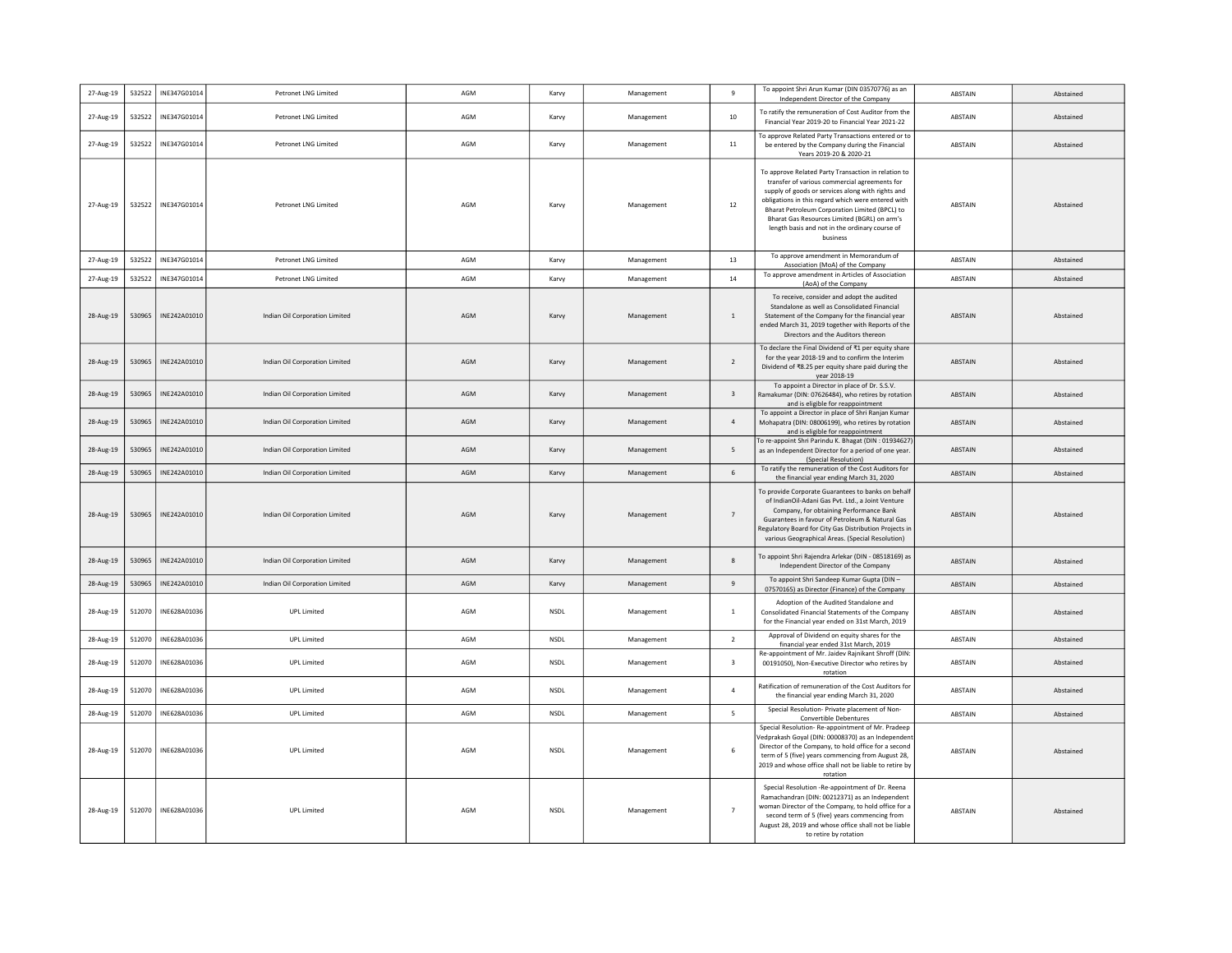| 27-Aug-19 | 532522 | INE347G01014 | Petronet LNG Limited           | AGM | Karvy       | Management | 9              | To appoint Shri Arun Kumar (DIN 03570776) as an<br>Independent Director of the Company                                                                                                                                                                                                                                                                                          | ABSTAIN        | Abstained |
|-----------|--------|--------------|--------------------------------|-----|-------------|------------|----------------|---------------------------------------------------------------------------------------------------------------------------------------------------------------------------------------------------------------------------------------------------------------------------------------------------------------------------------------------------------------------------------|----------------|-----------|
| 27-Aug-19 | 532522 | INE347G01014 | Petronet LNG Limited           | AGM | Karvy       | Management | 10             | To ratify the remuneration of Cost Auditor from the<br>Financial Year 2019-20 to Financial Year 2021-22                                                                                                                                                                                                                                                                         | ABSTAIN        | Abstained |
| 27-Aug-19 | 532522 | INE347G01014 | Petronet LNG Limited           | AGM | Karvy       | Management | $11\,$         | To approve Related Party Transactions entered or to<br>be entered by the Company during the Financial<br>Years 2019-20 & 2020-21                                                                                                                                                                                                                                                | ABSTAIN        | Abstained |
| 27-Aug-19 | 532522 | INE347G01014 | Petronet LNG Limited           | AGM | Karvy       | Management | 12             | To approve Related Party Transaction in relation to<br>transfer of various commercial agreements for<br>supply of goods or services along with rights and<br>obligations in this regard which were entered with<br>Bharat Petroleum Corporation Limited (BPCL) to<br>Bharat Gas Resources Limited (BGRL) on arm's<br>length basis and not in the ordinary course of<br>business | ABSTAIN        | Abstained |
| 27-Aug-19 | 532522 | INF347G01014 | <b>Petronet LNG Limited</b>    | AGM | Karvy       | Management | 13             | To approve amendment in Memorandum of<br>Association (MoA) of the Company                                                                                                                                                                                                                                                                                                       | ABSTAIN        | Abstained |
| 27-Aug-19 | 532522 | INE347G01014 | Petronet LNG Limited           | AGM | Karvy       | Management | 14             | To approve amendment in Articles of Association<br>(AoA) of the Company                                                                                                                                                                                                                                                                                                         | ABSTAIN        | Abstained |
| 28-Aug-19 | 530965 | INF242A01010 | Indian Oil Corporation Limited | AGM | Karvy       | Management | $\overline{1}$ | To receive, consider and adopt the audited<br>Standalone as well as Consolidated Financial<br>Statement of the Company for the financial year<br>ended March 31, 2019 together with Reports of the<br>Directors and the Auditors thereon                                                                                                                                        | <b>ABSTAIN</b> | Abstained |
| 28-Aug-19 | 530965 | INE242A01010 | Indian Oil Corporation Limited | AGM | Karvy       | Management | 2              | To declare the Final Dividend of ₹1 per equity share<br>for the year 2018-19 and to confirm the Interim<br>Dividend of ₹8.25 per equity share paid during the<br>year 2018-19                                                                                                                                                                                                   | ABSTAIN        | Abstained |
| 28-Aug-19 | 530965 | INE242A01010 | Indian Oil Corporation Limited | AGM | Karvy       | Management | $\overline{3}$ | To appoint a Director in place of Dr. S.S.V.<br>Ramakumar (DIN: 07626484), who retires by rotation<br>and is eligible for reappointment                                                                                                                                                                                                                                         | <b>ARSTAIN</b> | Abstained |
| 28-Aug-19 | 530965 | INE242A01010 | Indian Oil Corporation Limited | AGM | Karvy       | Management | $\overline{4}$ | To appoint a Director in place of Shri Ranjan Kumar<br>Mohapatra (DIN: 08006199), who retires by rotation<br>and is eligible for reappointment                                                                                                                                                                                                                                  | <b>ABSTAIN</b> | Abstained |
| 28-Aug-19 | 530965 | INE242A01010 | Indian Oil Corporation Limited | AGM | Karvy       | Management | 5              | To re-appoint Shri Parindu K. Bhagat (DIN: 01934627)<br>as an Independent Director for a period of one year<br>(Special Resolution)                                                                                                                                                                                                                                             | <b>ABSTAIN</b> | Abstained |
| 28-Aug-19 | 530965 | INE242A01010 | Indian Oil Corporation Limited | AGM | Karvy       | Management | 6              | To ratify the remuneration of the Cost Auditors for<br>the financial year ending March 31, 2020                                                                                                                                                                                                                                                                                 | <b>ABSTAIN</b> | Abstained |
| 28-Aug-19 | 530965 | INE242A01010 | Indian Oil Corporation Limited | AGM | Karvy       | Management | $\overline{7}$ | To provide Corporate Guarantees to banks on behalf<br>of IndianOil-Adani Gas Pvt. Ltd., a Joint Venture<br>Company, for obtaining Performance Bank<br>Guarantees in favour of Petroleum & Natural Gas<br>Regulatory Board for City Gas Distribution Projects in<br>various Geographical Areas. (Special Resolution)                                                             | ABSTAIN        | Abstained |
| 28-Aug-19 | 530965 | INE242A01010 | Indian Oil Corporation Limited | AGM | Karvy       | Management | $\mathbf{R}$   | To appoint Shri Rajendra Arlekar (DIN - 08518169) as<br>Independent Director of the Company                                                                                                                                                                                                                                                                                     | ABSTAIN        | Abstained |
| 28-Aug-19 | 530965 | INE242A01010 | Indian Oil Corporation Limited | AGM | Karvy       | Management | $\mathbf{q}$   | To appoint Shri Sandeep Kumar Gupta (DIN -<br>07570165) as Director (Finance) of the Company                                                                                                                                                                                                                                                                                    | ABSTAIN        | Abstained |
| 28-Aug-19 | 512070 | INE628A01036 | <b>UPL Limited</b>             | AGM | <b>NSDL</b> | Management | <sup>1</sup>   | Adoption of the Audited Standalone and<br>Consolidated Financial Statements of the Company<br>for the Financial year ended on 31st March, 2019                                                                                                                                                                                                                                  | ABSTAIN        | Abstained |
| 28-Aug-19 | 512070 | INE628A01036 | <b>UPL Limited</b>             | AGM | NSDL        | Management | $\overline{2}$ | Approval of Dividend on equity shares for the<br>financial year ended 31st March, 2019                                                                                                                                                                                                                                                                                          | ABSTAIN        | Abstained |
| 28-Aug-19 | 512070 | INE628A01036 | <b>UPL Limited</b>             | AGM | <b>NSDL</b> | Management | 3              | Re-appointment of Mr. Jaidev Rajnikant Shroff (DIN<br>00191050), Non-Executive Director who retires by<br>rotation                                                                                                                                                                                                                                                              | ABSTAIN        | Abstained |
| 28-Aug-19 | 512070 | INE628A01036 | <b>UPL Limited</b>             | AGM | NSDL        | Management | $\overline{a}$ | Ratification of remuneration of the Cost Auditors for<br>the financial year ending March 31, 2020                                                                                                                                                                                                                                                                               | ABSTAIN        | Abstained |
| 28-Aug-19 | 512070 | INE628A01036 | <b>UPL Limited</b>             | AGM | <b>NSDL</b> | Management | -5             | Special Resolution- Private placement of Non-<br>Convertible Debentures                                                                                                                                                                                                                                                                                                         | ABSTAIN        | Abstained |
| 28-Aug-19 | 512070 | INE628A01036 | <b>UPL Limited</b>             | AGM | <b>NSDL</b> | Management | 6              | Special Resolution-Re-appointment of Mr. Pradeep<br>/edprakash Goyal (DIN: 00008370) as an Independent<br>Director of the Company, to hold office for a second<br>term of 5 (five) years commencing from August 28,<br>2019 and whose office shall not be liable to retire by<br>rotation                                                                                       | ABSTAIN        | Abstained |
| 28-Aug-19 | 512070 | INE628A01036 | <b>UPL Limited</b>             | AGM | <b>NSDI</b> | Management | $\overline{7}$ | Special Resolution -Re-appointment of Dr. Reena<br>Ramachandran (DIN: 00212371) as an Independent<br>woman Director of the Company, to hold office for a<br>second term of 5 (five) years commencing from<br>August 28, 2019 and whose office shall not be liable<br>to retire by rotation                                                                                      | <b>ABSTAIN</b> | Abstained |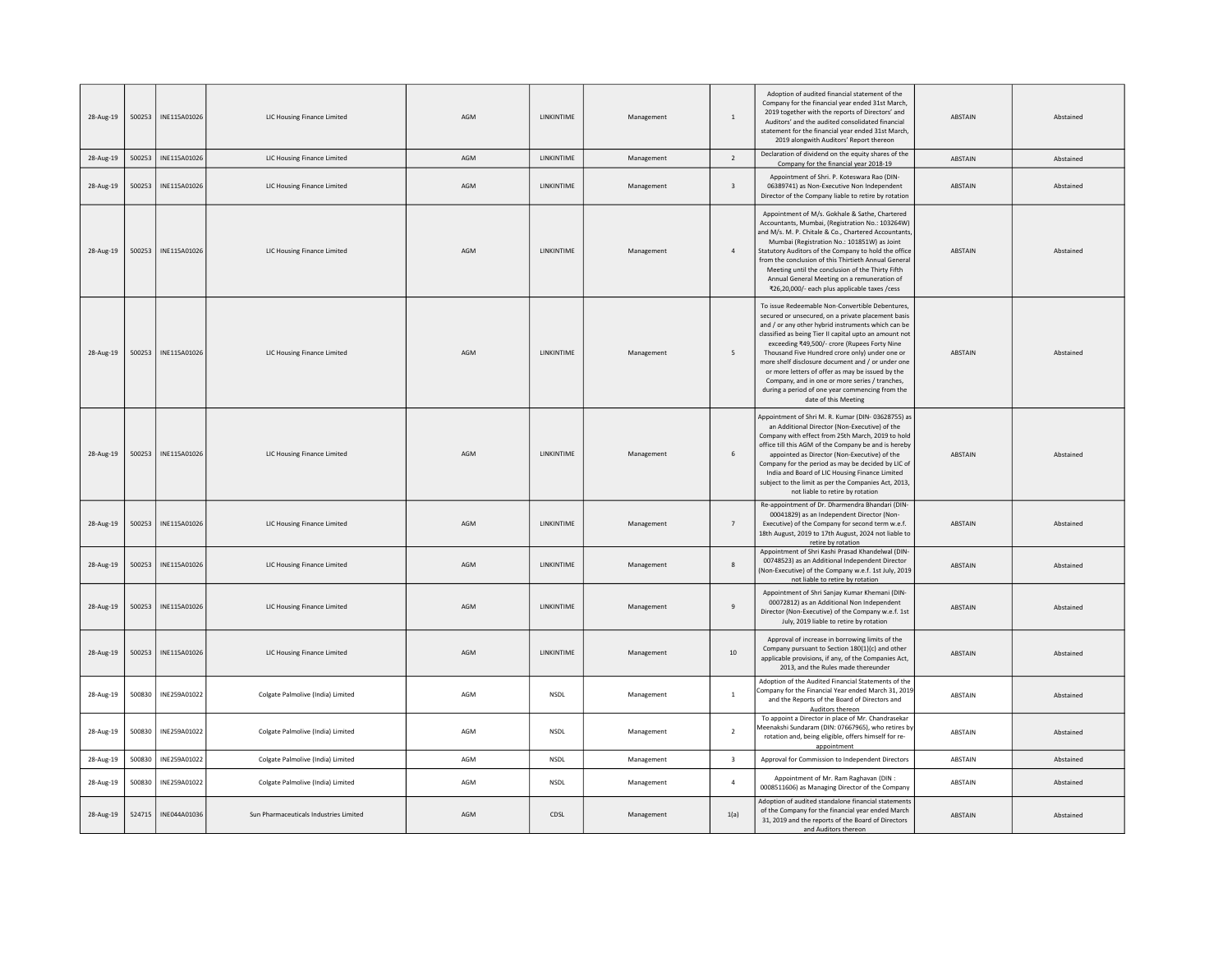| 28-Aug-19 | 500253 | INE115A01026 | LIC Housing Finance Limited            | AGM | LINKINTIME         | Management | $\overline{1}$          | Adoption of audited financial statement of the<br>Company for the financial year ended 31st March,<br>2019 together with the reports of Directors' and<br>Auditors' and the audited consolidated financial<br>statement for the financial year ended 31st March,<br>2019 alongwith Auditors' Report thereon                                                                                                                                                                                                                                                   | <b>ABSTAIN</b> | Abstained |
|-----------|--------|--------------|----------------------------------------|-----|--------------------|------------|-------------------------|---------------------------------------------------------------------------------------------------------------------------------------------------------------------------------------------------------------------------------------------------------------------------------------------------------------------------------------------------------------------------------------------------------------------------------------------------------------------------------------------------------------------------------------------------------------|----------------|-----------|
| 28-Aug-19 | 500253 | INE115A01026 | LIC Housing Finance Limited            | AGM | LINKINTIME         | Management | $\overline{2}$          | Declaration of dividend on the equity shares of the<br>Company for the financial year 2018-19                                                                                                                                                                                                                                                                                                                                                                                                                                                                 | ABSTAIN        | Abstained |
| 28-Aug-19 | 500253 | INE115A01026 | LIC Housing Finance Limited            | AGM | LINKINTIME         | Management | $\overline{\mathbf{3}}$ | Appointment of Shri. P. Koteswara Rao (DIN-<br>06389741) as Non-Executive Non Independent<br>Director of the Company liable to retire by rotation                                                                                                                                                                                                                                                                                                                                                                                                             | <b>ABSTAIN</b> | Abstained |
| 28-Aug-19 | 500253 | INE115A01026 | LIC Housing Finance Limited            | AGM | LINKINTIME         | Management | $\overline{4}$          | Appointment of M/s. Gokhale & Sathe, Chartered<br>Accountants, Mumbai, (Registration No.: 103264W)<br>and M/s. M. P. Chitale & Co., Chartered Accountants<br>Mumbai (Registration No.: 101851W) as Joint<br>Statutory Auditors of the Company to hold the office<br>from the conclusion of this Thirtieth Annual General<br>Meeting until the conclusion of the Thirty Fifth<br>Annual General Meeting on a remuneration of<br>₹26,20,000/- each plus applicable taxes / cess                                                                                 | ABSTAIN        | Abstained |
| 28-Aug-19 | 500253 | INE115A01026 | LIC Housing Finance Limited            | AGM | LINKINTIME         | Management | 5                       | To issue Redeemable Non-Convertible Debentures,<br>secured or unsecured, on a private placement basis<br>and / or any other hybrid instruments which can be<br>classified as being Tier II capital upto an amount not<br>exceeding ₹49,500/- crore (Rupees Forty Nine<br>Thousand Five Hundred crore only) under one or<br>more shelf disclosure document and / or under one<br>or more letters of offer as may be issued by the<br>Company, and in one or more series / tranches,<br>during a period of one year commencing from the<br>date of this Meeting | ABSTAIN        | Abstained |
| 28-Aug-19 | 500253 | INE115A01026 | <b>LIC Housing Finance Limited</b>     | AGM | <b>I INKINTIME</b> | Management | 6                       | Appointment of Shri M. R. Kumar (DIN-03628755) as<br>an Additional Director (Non-Executive) of the<br>Company with effect from 25th March, 2019 to hold<br>office till this AGM of the Company be and is hereby<br>appointed as Director (Non-Executive) of the<br>Company for the period as may be decided by LIC of<br>India and Board of LIC Housing Finance Limited<br>subject to the limit as per the Companies Act, 2013,<br>not liable to retire by rotation                                                                                           | <b>ABSTAIN</b> | Abstained |
| 28-Aug-19 | 500253 | INE115A01026 | LIC Housing Finance Limited            | AGM | LINKINTIME         | Management | $\overline{7}$          | Re-appointment of Dr. Dharmendra Bhandari (DIN-<br>00041829) as an Independent Director (Non-<br>Executive) of the Company for second term w.e.f.<br>18th August, 2019 to 17th August, 2024 not liable to<br>retire by rotation                                                                                                                                                                                                                                                                                                                               | ABSTAIN        | Abstained |
| 28-Aug-19 | 500253 | INE115A01026 | LIC Housing Finance Limited            | AGM | LINKINTIME         | Management | 8                       | Appointment of Shri Kashi Prasad Khandelwal (DIN-<br>00748523) as an Additional Independent Director<br>(Non-Executive) of the Company w.e.f. 1st July, 2019<br>not liable to retire by rotation                                                                                                                                                                                                                                                                                                                                                              | ABSTAIN        | Abstained |
| 28-Aug-19 | 500253 | INE115A01026 | LIC Housing Finance Limited            | AGM | LINKINTIME         | Management | $\overline{9}$          | Appointment of Shri Sanjay Kumar Khemani (DIN-<br>00072812) as an Additional Non Independent<br>Director (Non-Executive) of the Company w.e.f. 1st<br>July, 2019 liable to retire by rotation                                                                                                                                                                                                                                                                                                                                                                 | <b>ABSTAIN</b> | Abstained |
| 28-Aug-19 | 500253 | INE115A01026 | LIC Housing Finance Limited            | AGM | LINKINTIME         | Management | $10\,$                  | Approval of increase in borrowing limits of the<br>Company pursuant to Section 180(1)(c) and other<br>applicable provisions, if any, of the Companies Act,<br>2013, and the Rules made thereunder                                                                                                                                                                                                                                                                                                                                                             | <b>ABSTAIN</b> | Abstained |
| 28-Aug-19 | 500830 | INE259A01022 | Colgate Palmolive (India) Limited      | AGM | NSDL               | Management | <sup>1</sup>            | Adoption of the Audited Financial Statements of the<br>Company for the Financial Year ended March 31, 2019<br>and the Reports of the Board of Directors and<br>Auditors thereon                                                                                                                                                                                                                                                                                                                                                                               | <b>ABSTAIN</b> | Abstained |
| 28-Aug-19 | 500830 | INE259A01022 | Colgate Palmolive (India) Limited      | AGM | <b>NSDL</b>        | Management | $\overline{2}$          | To appoint a Director in place of Mr. Chandrasekar<br>Meenakshi Sundaram (DIN: 07667965), who retires by<br>rotation and, being eligible, offers himself for re-<br>appointment                                                                                                                                                                                                                                                                                                                                                                               | <b>ABSTAIN</b> | Abstained |
| 28-Aug-19 | 500830 | INE259A01022 | Colgate Palmolive (India) Limited      | AGM | NSDL               | Management | $\overline{\mathbf{3}}$ | Approval for Commission to Independent Directors                                                                                                                                                                                                                                                                                                                                                                                                                                                                                                              | ABSTAIN        | Abstained |
| 28-Aug-19 | 500830 | INE259A01022 | Colgate Palmolive (India) Limited      | AGM | <b>NSDL</b>        | Management | $\overline{4}$          | Appointment of Mr. Ram Raghavan (DIN :<br>0008511606) as Managing Director of the Company                                                                                                                                                                                                                                                                                                                                                                                                                                                                     | ABSTAIN        | Abstained |
| 28-Aug-19 | 524715 | INE044A01036 | Sun Pharmaceuticals Industries Limited | AGM | CDSL               | Management | 1(a)                    | Adoption of audited standalone financial statements<br>of the Company for the financial year ended March<br>31, 2019 and the reports of the Board of Directors<br>and Auditors thereon                                                                                                                                                                                                                                                                                                                                                                        | ABSTAIN        | Abstained |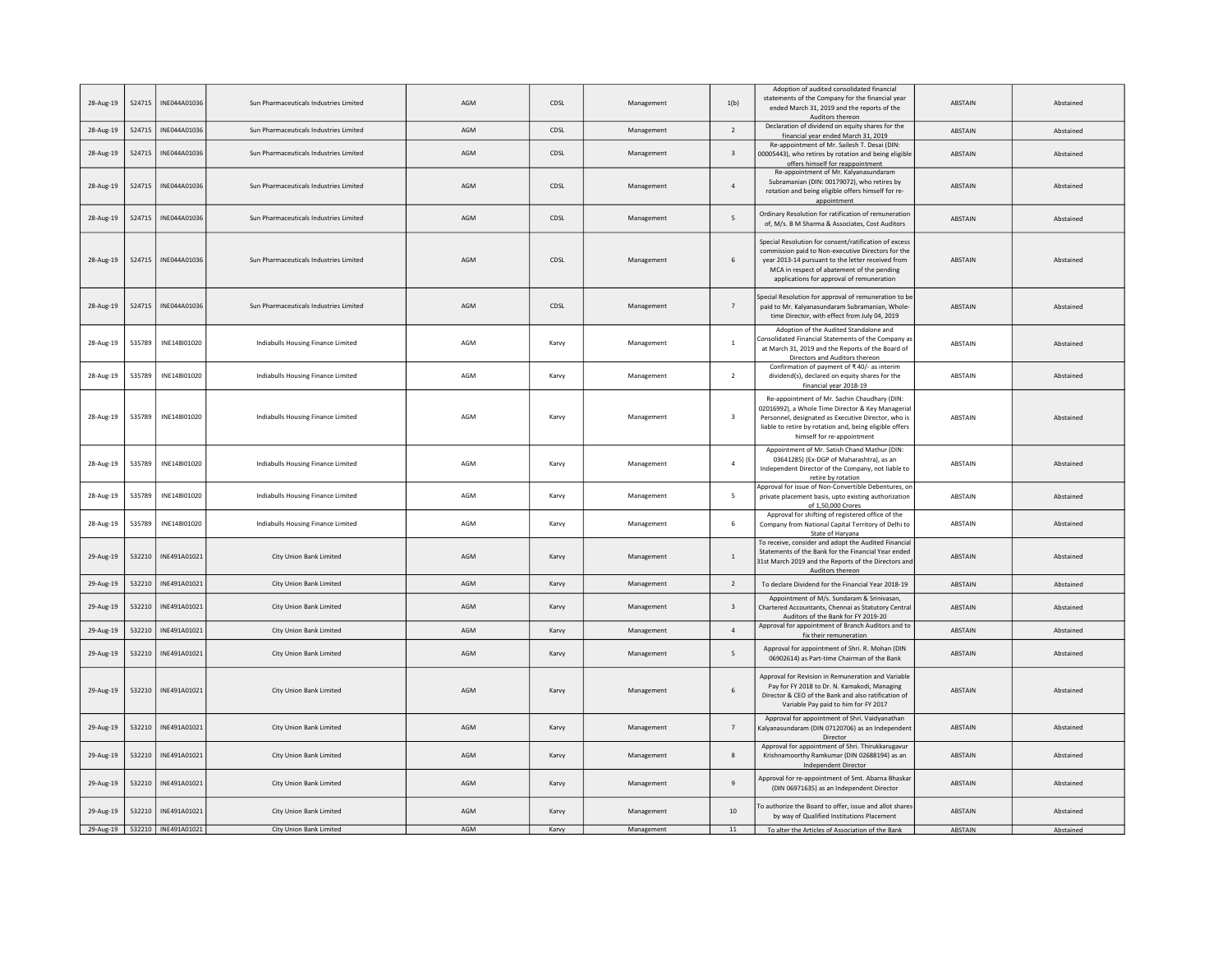| 28-Aug-19 | 524715 | INE044A01036                  | Sun Pharmaceuticals Industries Limited | AGM | CDSL  | Management | 1(b)                    | Adoption of audited consolidated financial<br>statements of the Company for the financial year<br>ended March 31, 2019 and the reports of the<br>Auditors thereon                                                                                           | ABSTAIN        | Abstained |
|-----------|--------|-------------------------------|----------------------------------------|-----|-------|------------|-------------------------|-------------------------------------------------------------------------------------------------------------------------------------------------------------------------------------------------------------------------------------------------------------|----------------|-----------|
| 28-Aug-19 | 524715 | INE044A01036                  | Sun Pharmaceuticals Industries Limited | AGM | CDSL  | Management | $\overline{2}$          | Declaration of dividend on equity shares for the<br>financial year ended March 31, 2019                                                                                                                                                                     | ABSTAIN        | Abstained |
| 28-Aug-19 | 524715 | INE044A01036                  | Sun Pharmaceuticals Industries Limited | AGM | CDSL  | Management | $\overline{\mathbf{3}}$ | Re-appointment of Mr. Sailesh T. Desai (DIN:<br>00005443), who retires by rotation and being eligible<br>offers himself for reappointment                                                                                                                   | ABSTAIN        | Abstained |
| 28-Aug-19 | 524715 | INE044A01036                  | Sun Pharmaceuticals Industries Limited | AGM | CDSL  | Management | $\overline{4}$          | Re-appointment of Mr. Kalyanasundaram<br>Subramanian (DIN: 00179072), who retires by<br>rotation and being eligible offers himself for re-<br>appointment                                                                                                   | ABSTAIN        | Abstained |
| 28-Aug-19 | 524715 | INE044A01036                  | Sun Pharmaceuticals Industries Limited | AGM | CDSL  | Management | 5                       | Ordinary Resolution for ratification of remuneration<br>of, M/s. B M Sharma & Associates, Cost Auditors                                                                                                                                                     | ABSTAIN        | Abstained |
| 28-Aug-19 | 524715 | INE044A01036                  | Sun Pharmaceuticals Industries Limited | AGM | CDSL  | Management | 6                       | Special Resolution for consent/ratification of excess<br>commission paid to Non-executive Directors for the<br>year 2013-14 pursuant to the letter received from<br>MCA in respect of abatement of the pending<br>applications for approval of remuneration | <b>ABSTAIN</b> | Abstained |
| 28-Aug-19 | 524715 | INE044A01036                  | Sun Pharmaceuticals Industries Limited | AGM | CDSL  | Management | $\overline{7}$          | Special Resolution for approval of remuneration to be<br>paid to Mr. Kalyanasundaram Subramanian, Whole-<br>time Director, with effect from July 04, 2019                                                                                                   | <b>ABSTAIN</b> | Abstained |
| 28-Aug-19 | 535789 | INE148101020                  | Indiabulls Housing Finance Limited     | AGM | Karvy | Management | $\overline{1}$          | Adoption of the Audited Standalone and<br>Consolidated Financial Statements of the Company as<br>at March 31, 2019 and the Reports of the Board of<br>Directors and Auditors thereon                                                                        | ABSTAIN        | Abstained |
| 28-Aug-19 | 535789 | INE148101020                  | Indiabulls Housing Finance Limited     | AGM | Karvy | Management | $\overline{2}$          | Confirmation of payment of ₹40/- as interim<br>dividend(s), declared on equity shares for the<br>financial year 2018-19                                                                                                                                     | <b>ABSTAIN</b> | Abstained |
| 28-Aug-19 | 535789 | INE148I01020                  | Indiabulls Housing Finance Limited     | AGM | Karvy | Management | $\overline{\mathbf{3}}$ | Re-appointment of Mr. Sachin Chaudhary (DIN:<br>02016992), a Whole Time Director & Key Managerial<br>Personnel, designated as Executive Director, who is<br>liable to retire by rotation and, being eligible offers<br>himself for re-appointment           | ABSTAIN        | Abstained |
| 28-Aug-19 | 535789 | INE148101020                  | Indiabulls Housing Finance Limited     | AGM | Karvy | Management | $\overline{4}$          | Appointment of Mr. Satish Chand Mathur (DIN:<br>03641285) (Ex-DGP of Maharashtra), as an<br>Independent Director of the Company, not liable to<br>retire by rotation                                                                                        | <b>ABSTAIN</b> | Abstained |
| 28-Aug-19 | 535789 | INE148I01020                  | Indiabulls Housing Finance Limited     | AGM | Karvy | Management | 5                       | Approval for issue of Non-Convertible Debentures, or<br>private placement basis, upto existing authorization<br>of 1,50,000 Crores                                                                                                                          | ABSTAIN        | Abstained |
| 28-Aug-19 | 535789 | INE148101020                  | Indiabulls Housing Finance Limited     | AGM | Karvy | Management | 6                       | Approval for shifting of registered office of the<br>Company from National Capital Territory of Delhi to<br>State of Haryana                                                                                                                                | <b>ABSTAIN</b> | Abstained |
| 29-Aug-19 | 532210 | INE491A01021                  | City Union Bank Limited                | AGM | Karvy | Management | $\overline{1}$          | To receive, consider and adopt the Audited Financial<br>Statements of the Bank for the Financial Year ended<br>31st March 2019 and the Reports of the Directors and<br>Auditors thereon                                                                     | <b>ABSTAIN</b> | Abstained |
| 29-Aug-19 | 532210 | INE491A01021                  | City Union Bank Limited                | AGM | Karvy | Management | $\overline{2}$          | To declare Dividend for the Financial Year 2018-19                                                                                                                                                                                                          | <b>ABSTAIN</b> | Abstained |
| 29-Aug-19 | 532210 | INF491A01021                  | City Union Bank Limited                | AGM | Karvy | Management | $\overline{\mathbf{3}}$ | Appointment of M/s. Sundaram & Srinivasan,<br>Chartered Accountants, Chennai as Statutory Central<br>Auditors of the Bank for FY 2019-20                                                                                                                    | <b>ABSTAIN</b> | Abstained |
| 29-Aug-19 | 532210 | INE491A01021                  | City Union Bank Limited                | AGM | Karvy | Management | $\overline{4}$          | Approval for appointment of Branch Auditors and to<br>fix their remuneration                                                                                                                                                                                | <b>ABSTAIN</b> | Abstained |
| 29-Aug-19 | 532210 | INE491A01021                  | City Union Bank Limited                | AGM | Karvy | Management | 5                       | Approval for appointment of Shri. R. Mohan (DIN<br>06902614) as Part-time Chairman of the Bank                                                                                                                                                              | <b>ABSTAIN</b> | Abstained |
| 29-Aug-19 | 532210 | INE491A01021                  | City Union Bank Limited                | AGM | Karvy | Management | 6                       | Annroyal for Revision in Remuneration and Variable<br>Pay for FY 2018 to Dr. N. Kamakodi, Managing<br>Director & CEO of the Bank and also ratification of<br>Variable Pay paid to him for FY 2017                                                           | ABSTAIN        | Abstained |
| 29-Aug-19 | 532210 | INE491A01021                  | City Union Bank Limited                | AGM | Karvy | Management | $\overline{7}$          | Approval for appointment of Shri. Vaidyanathan<br>Kalyanasundaram (DIN 07120706) as an Independent<br>Director                                                                                                                                              | <b>ABSTAIN</b> | Abstained |
| 29-Aug-19 | 532210 | INE491A01021                  | City Union Bank Limited                | AGM | Karvy | Management | 8                       | Approval for appointment of Shri. Thirukkarugavur<br>Krishnamoorthy Ramkumar (DIN 02688194) as an<br>Independent Director                                                                                                                                   | <b>ABSTAIN</b> | Abstained |
| 29-Aug-19 | 532210 | INE491A01021                  | City Union Bank Limited                | AGM | Karvy | Management | $\overline{9}$          | Approval for re-appointment of Smt. Abarna Bhaskar<br>(DIN 06971635) as an Independent Director                                                                                                                                                             | ABSTAIN        | Abstained |
| 29-Aug-19 | 532210 | INE491A01021                  | City Union Bank Limited                | AGM | Karvy | Management | 10                      | To authorize the Board to offer, issue and allot shares<br>by way of Qualified Institutions Placement                                                                                                                                                       | <b>ABSTAIN</b> | Abstained |
|           |        | 29-Aug-19 532210 INE491A01021 | City Union Bank Limited                | AGM | Karvy | Management | 11                      | To alter the Articles of Association of the Bank                                                                                                                                                                                                            | <b>ABSTAIN</b> | Abstained |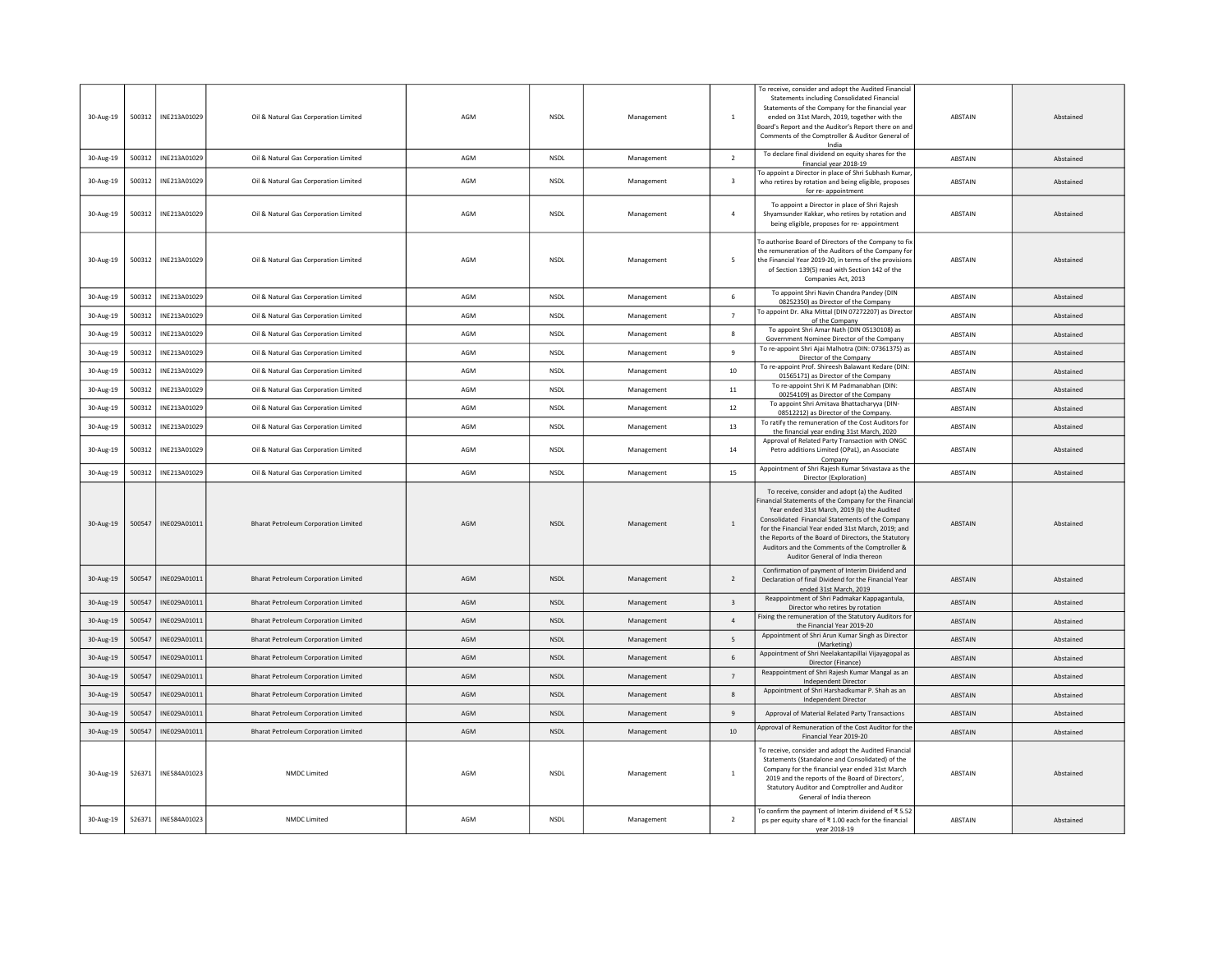| 30-Aug-19<br>30-Aug-19<br>30-Aug-19<br>30-Aug-19 | 500312<br>500312<br>500312<br>500312 | INE213A01029<br>INE213A01029<br>INE213A01029<br>INE213A01029 | Oil & Natural Gas Corporation Limited<br>Oil & Natural Gas Corporation Limited<br>Oil & Natural Gas Corporation Limited<br>Oil & Natural Gas Corporation Limited | AGM<br>AGM<br>AGM<br>AGM | <b>NSDL</b><br><b>NSDL</b><br><b>NSDL</b><br><b>NSDL</b> | Management<br>Management<br>Management<br>Management | 1<br>$\overline{2}$<br>$\overline{\mathbf{3}}$<br>$\overline{4}$ | To receive, consider and adopt the Audited Financial<br>Statements including Consolidated Financial<br>Statements of the Company for the financial year<br>ended on 31st March, 2019, together with the<br>Board's Report and the Auditor's Report there on and<br>Comments of the Comptroller & Auditor General of<br>India<br>To declare final dividend on equity shares for the<br>financial year 2018-19<br>To appoint a Director in place of Shri Subhash Kumar<br>who retires by rotation and being eligible, proposes<br>for re-appointment<br>To appoint a Director in place of Shri Rajesh<br>Shyamsunder Kakkar, who retires by rotation and<br>being eligible, proposes for re- appointment<br>To authorise Board of Directors of the Company to fix | ABSTAIN<br>ABSTAIN<br><b>ABSTAIN</b><br><b>ABSTAIN</b> | Abstained<br>Abstained<br>Abstained<br>Abstained |
|--------------------------------------------------|--------------------------------------|--------------------------------------------------------------|------------------------------------------------------------------------------------------------------------------------------------------------------------------|--------------------------|----------------------------------------------------------|------------------------------------------------------|------------------------------------------------------------------|-----------------------------------------------------------------------------------------------------------------------------------------------------------------------------------------------------------------------------------------------------------------------------------------------------------------------------------------------------------------------------------------------------------------------------------------------------------------------------------------------------------------------------------------------------------------------------------------------------------------------------------------------------------------------------------------------------------------------------------------------------------------|--------------------------------------------------------|--------------------------------------------------|
| 30-Aug-19                                        | 500312                               | INE213A01029                                                 | Oil & Natural Gas Corporation Limited                                                                                                                            | AGM                      | <b>NSDL</b>                                              | Management                                           | -5                                                               | the remuneration of the Auditors of the Company for<br>the Financial Year 2019-20, in terms of the provisions<br>of Section 139(5) read with Section 142 of the<br>Companies Act, 2013                                                                                                                                                                                                                                                                                                                                                                                                                                                                                                                                                                          | ABSTAIN                                                | Abstained                                        |
| 30-Aug-19                                        | 500312                               | INE213A01029                                                 | Oil & Natural Gas Corporation Limited                                                                                                                            | AGM                      | <b>NSDL</b>                                              | Management                                           | 6                                                                | To appoint Shri Navin Chandra Pandey (DIN<br>08252350) as Director of the Company                                                                                                                                                                                                                                                                                                                                                                                                                                                                                                                                                                                                                                                                               | <b>ABSTAIN</b>                                         | Abstained                                        |
| 30-Aug-19                                        | 500312                               | INE213A01029                                                 | Oil & Natural Gas Corporation Limited                                                                                                                            | AGM                      | <b>NSDL</b>                                              | Management                                           | $\overline{7}$                                                   | To appoint Dr. Alka Mittal (DIN 07272207) as Director<br>of the Company                                                                                                                                                                                                                                                                                                                                                                                                                                                                                                                                                                                                                                                                                         | ABSTAIN                                                | Abstained                                        |
| 30-Aug-19                                        | 500312                               | INE213A01029                                                 | Oil & Natural Gas Corporation Limited                                                                                                                            | AGM                      | NSDL                                                     | Management                                           | 8                                                                | To appoint Shri Amar Nath (DIN 05130108) as<br>Government Nominee Director of the Company                                                                                                                                                                                                                                                                                                                                                                                                                                                                                                                                                                                                                                                                       | ABSTAIN                                                | Abstained                                        |
| 30-Aug-19                                        | 500312                               | INE213A01029                                                 | Oil & Natural Gas Corporation Limited                                                                                                                            | AGM                      | <b>NSDL</b>                                              | Management                                           | $\mathbf{q}$                                                     | To re-appoint Shri Ajai Malhotra (DIN: 07361375) as<br>Director of the Company                                                                                                                                                                                                                                                                                                                                                                                                                                                                                                                                                                                                                                                                                  | ABSTAIN                                                | Abstained                                        |
| 30-Aug-19                                        | 500312                               | INE213A01029                                                 | Oil & Natural Gas Corporation Limited                                                                                                                            | AGM                      | <b>NSDL</b>                                              | Management                                           | 10                                                               | To re-appoint Prof. Shireesh Balawant Kedare (DIN:<br>01565171) as Director of the Company                                                                                                                                                                                                                                                                                                                                                                                                                                                                                                                                                                                                                                                                      | ABSTAIN                                                | Abstained                                        |
| 30-Aug-19                                        | 500312                               | INE213A01029                                                 | Oil & Natural Gas Corporation Limited                                                                                                                            | AGM                      | NSDL                                                     | Management                                           | $11\,$                                                           | To re-appoint Shri K M Padmanabhan (DIN:<br>00254109) as Director of the Company                                                                                                                                                                                                                                                                                                                                                                                                                                                                                                                                                                                                                                                                                | ABSTAIN                                                | Abstained                                        |
| 30-Aug-19                                        | 500312                               | INE213A01029                                                 | Oil & Natural Gas Corporation Limited                                                                                                                            | AGM                      | <b>NSDL</b>                                              | Management                                           | 12                                                               | To appoint Shri Amitava Bhattacharyya (DIN-<br>08512212) as Director of the Company.                                                                                                                                                                                                                                                                                                                                                                                                                                                                                                                                                                                                                                                                            | ABSTAIN                                                | Abstained                                        |
| 30-Aug-19                                        | 500312                               | INE213A01029                                                 | Oil & Natural Gas Corporation Limited                                                                                                                            | AGM                      | NSDL                                                     | Management                                           | 13                                                               | To ratify the remuneration of the Cost Auditors for<br>the financial year ending 31st March, 2020                                                                                                                                                                                                                                                                                                                                                                                                                                                                                                                                                                                                                                                               | ABSTAIN                                                | Abstained                                        |
| 30-Aug-19                                        | 500312                               | INE213A01029                                                 | Oil & Natural Gas Corporation Limited                                                                                                                            | AGM                      | <b>NSDL</b>                                              | Management                                           | 14                                                               | Approval of Related Party Transaction with ONGC<br>Petro additions Limited (OPaL), an Associate<br>Company                                                                                                                                                                                                                                                                                                                                                                                                                                                                                                                                                                                                                                                      | ABSTAIN                                                | Abstained                                        |
| 30-Aug-19                                        | 500312                               | INE213A01029                                                 | Oil & Natural Gas Corporation Limited                                                                                                                            | AGM                      | <b>NSDL</b>                                              | Management                                           | 15                                                               | Appointment of Shri Rajesh Kumar Srivastava as the<br>Director (Exploration)                                                                                                                                                                                                                                                                                                                                                                                                                                                                                                                                                                                                                                                                                    | ABSTAIN                                                | Abstained                                        |
| 30-Aug-19                                        | 500547                               | INE029A01011                                                 | <b>Bharat Petroleum Corporation Limited</b>                                                                                                                      | AGM                      | <b>NSDI</b>                                              | Management                                           | 1                                                                | To receive, consider and adopt (a) the Audited<br>inancial Statements of the Company for the Financial<br>Year ended 31st March, 2019 (b) the Audited<br>Consolidated Financial Statements of the Company<br>for the Financial Year ended 31st March, 2019; and<br>the Reports of the Board of Directors, the Statutory<br>Auditors and the Comments of the Comptroller &<br>Auditor General of India thereon                                                                                                                                                                                                                                                                                                                                                   | <b>ABSTAIN</b>                                         | Abstained                                        |
| 30-Aug-19                                        | 500547                               | INF029A01011                                                 | <b>Bharat Petroleum Corporation Limited</b>                                                                                                                      | AGM                      | <b>NSDI</b>                                              | Management                                           | $\overline{2}$                                                   | Confirmation of payment of Interim Dividend and<br>Declaration of final Dividend for the Financial Year<br>ended 31st March, 2019                                                                                                                                                                                                                                                                                                                                                                                                                                                                                                                                                                                                                               | <b>ABSTAIN</b>                                         | Abstained                                        |
| 30-Aug-19                                        | 500547                               | INE029A01011                                                 | <b>Bharat Petroleum Corporation Limited</b>                                                                                                                      | AGM                      | <b>NSDL</b>                                              | Management                                           | $\overline{\mathbf{3}}$                                          | Reappointment of Shri Padmakar Kappagantula,<br>Director who retires by rotation                                                                                                                                                                                                                                                                                                                                                                                                                                                                                                                                                                                                                                                                                | <b>ABSTAIN</b>                                         | Abstained                                        |
| 30-Aug-19                                        | 500547                               | INE029A01011                                                 | <b>Bharat Petroleum Corporation Limited</b>                                                                                                                      | AGM                      | <b>NSDL</b>                                              | Management                                           | $\overline{4}$                                                   | Fixing the remuneration of the Statutory Auditors for<br>the Financial Year 2019-20                                                                                                                                                                                                                                                                                                                                                                                                                                                                                                                                                                                                                                                                             | ABSTAIN                                                | Abstained                                        |
| 30-Aug-19                                        | 500547                               | INE029A01011                                                 | Bharat Petroleum Corporation Limited                                                                                                                             | AGM                      | <b>NSDI</b>                                              | Management                                           | $5^{\circ}$                                                      | Appointment of Shri Arun Kumar Singh as Director<br>(Marketing)                                                                                                                                                                                                                                                                                                                                                                                                                                                                                                                                                                                                                                                                                                 | ABSTAIN                                                | Abstained                                        |
| 30-Aug-19                                        | 500547                               | INE029A01011                                                 | <b>Bharat Petroleum Corporation Limited</b>                                                                                                                      | AGM                      | <b>NSDL</b>                                              | Management                                           | 6                                                                | Appointment of Shri Neelakantapillai Vijayagopal as<br>Director (Finance)                                                                                                                                                                                                                                                                                                                                                                                                                                                                                                                                                                                                                                                                                       | ABSTAIN                                                | Abstained                                        |
| 30-Aug-19                                        | 500547                               | INE029A01011                                                 | <b>Bharat Petroleum Corporation Limited</b>                                                                                                                      | AGM                      | <b>NSDL</b>                                              | Management                                           | $\overline{7}$                                                   | Reappointment of Shri Rajesh Kumar Mangal as an<br><b>Independent Director</b>                                                                                                                                                                                                                                                                                                                                                                                                                                                                                                                                                                                                                                                                                  | ABSTAIN                                                | Abstained                                        |
| 30-Aug-19                                        | 500547                               | INE029A01011                                                 | Bharat Petroleum Corporation Limited                                                                                                                             | AGM                      | <b>NSDI</b>                                              | Management                                           | $\mathbf{R}$                                                     | Appointment of Shri Harshadkumar P. Shah as an<br>Independent Director                                                                                                                                                                                                                                                                                                                                                                                                                                                                                                                                                                                                                                                                                          | <b>ABSTAIN</b>                                         | Abstained                                        |
| 30-Aug-19                                        | 500547                               | INE029A01011                                                 | <b>Bharat Petroleum Corporation Limited</b>                                                                                                                      | AGM                      | <b>NSDL</b>                                              | Management                                           | $9\,$                                                            | Approval of Material Related Party Transactions                                                                                                                                                                                                                                                                                                                                                                                                                                                                                                                                                                                                                                                                                                                 | ABSTAIN                                                | Abstained                                        |
| 30-Aug-19                                        | 500547                               | INE029A01011                                                 | <b>Bharat Petroleum Corporation Limited</b>                                                                                                                      | AGM                      | <b>NSDL</b>                                              | Management                                           | $10\,$                                                           | Approval of Remuneration of the Cost Auditor for the<br>Financial Year 2019-20                                                                                                                                                                                                                                                                                                                                                                                                                                                                                                                                                                                                                                                                                  | ABSTAIN                                                | Abstained                                        |
| 30-Aug-19                                        | 526371                               | INE584A01023                                                 | NMDC Limited                                                                                                                                                     | AGM                      | <b>NSDL</b>                                              | Management                                           | $\,$ 1                                                           | To receive, consider and adopt the Audited Financia<br>Statements (Standalone and Consolidated) of the<br>Company for the financial year ended 31st March<br>2019 and the reports of the Board of Directors',<br>Statutory Auditor and Comptroller and Auditor<br>General of India thereon                                                                                                                                                                                                                                                                                                                                                                                                                                                                      | ABSTAIN                                                | Abstained                                        |
| 30-Aug-19                                        | 526371                               | INE584A01023                                                 | NMDC Limited                                                                                                                                                     | AGM                      | <b>NSDL</b>                                              | Management                                           | $\overline{2}$                                                   | To confirm the payment of Interim dividend of ₹5.52<br>ps per equity share of ₹1.00 each for the financial<br>year 2018-19                                                                                                                                                                                                                                                                                                                                                                                                                                                                                                                                                                                                                                      | <b>ABSTAIN</b>                                         | Abstained                                        |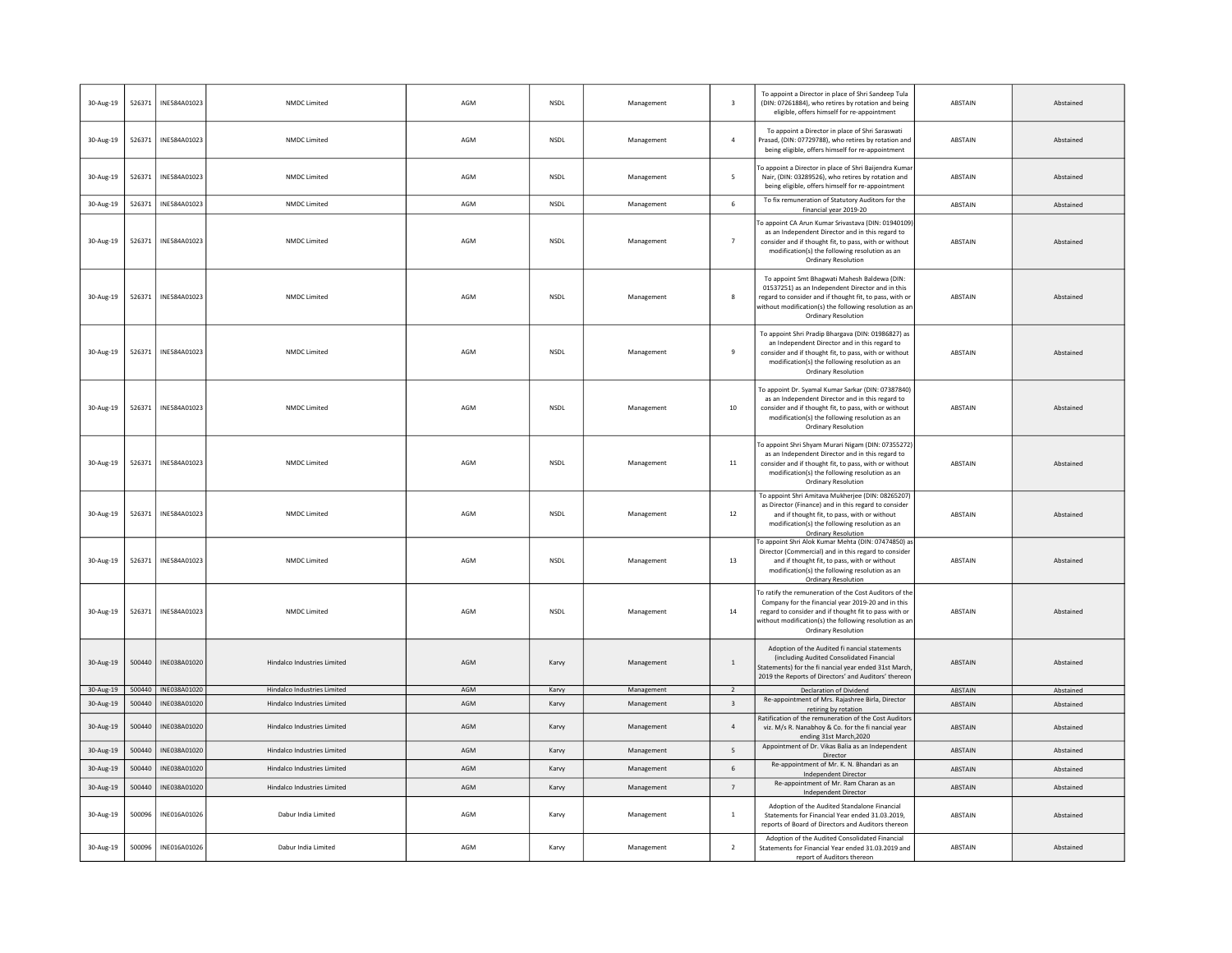| 30-Aug-19 | 526371 | INE584A01023 | NMDC Limited                       | AGM | <b>NSDI</b> | Management | $\overline{\mathbf{3}}$  | To appoint a Director in place of Shri Sandeep Tula<br>(DIN: 07261884), who retires by rotation and being<br>eligible, offers himself for re-appointment                                                                                                      | <b>ABSTAIN</b> | Abstained |
|-----------|--------|--------------|------------------------------------|-----|-------------|------------|--------------------------|---------------------------------------------------------------------------------------------------------------------------------------------------------------------------------------------------------------------------------------------------------------|----------------|-----------|
| 30-Aug-19 | 526371 | INE584A01023 | NMDC Limited                       | AGM | NSDL        | Management | $\overline{4}$           | To appoint a Director in place of Shri Saraswati<br>Prasad, (DIN: 07729788), who retires by rotation and<br>being eligible, offers himself for re-appointment                                                                                                 | ABSTAIN        | Abstained |
| 30-Aug-19 | 526371 | INE584A01023 | NMDC Limited                       | AGM | NSDL        | Management | 5                        | To appoint a Director in place of Shri Baijendra Kuma<br>Nair, (DIN: 03289526), who retires by rotation and<br>being eligible, offers himself for re-appointment                                                                                              | ABSTAIN        | Abstained |
| 30-Aug-19 | 526371 | INE584A01023 | NMDC Limited                       | AGM | <b>NSDL</b> | Management | 6                        | To fix remuneration of Statutory Auditors for the<br>financial year 2019-20                                                                                                                                                                                   | ABSTAIN        | Abstained |
| 30-Aug-19 | 526371 | INE584A01023 | NMDC Limited                       | AGM | NSDL        | Management | $\overline{7}$           | To appoint CA Arun Kumar Srivastava (DIN: 01940109<br>as an Independent Director and in this regard to<br>consider and if thought fit, to pass, with or without<br>modification(s) the following resolution as an<br><b>Ordinary Resolution</b>               | ABSTAIN        | Abstained |
| 30-Aug-19 | 526371 | INE584A01023 | NMDC Limited                       | AGM | NSDL        | Management | $\mathbf{g}$             | To appoint Smt Bhagwati Mahesh Baldewa (DIN:<br>01537251) as an Independent Director and in this<br>regard to consider and if thought fit, to pass, with or<br>without modification(s) the following resolution as ar<br>Ordinary Resolution                  | ABSTAIN        | Abstained |
| 30-Aug-19 | 526371 | INE584A01023 | NMDC Limited                       | AGM | <b>NSDI</b> | Management | $\mathbf{q}$             | To appoint Shri Pradip Bhargava (DIN: 01986827) as<br>an Independent Director and in this regard to<br>consider and if thought fit, to pass, with or without<br>modification(s) the following resolution as an<br><b>Ordinary Resolution</b>                  | ABSTAIN        | Abstained |
| 30-Aug-19 | 526371 | INE584A01023 | NMDC Limited                       | AGM | NSDL        | Management | 10                       | To appoint Dr. Syamal Kumar Sarkar (DIN: 07387840)<br>as an Independent Director and in this regard to<br>consider and if thought fit, to pass, with or without<br>modification(s) the following resolution as an<br>Ordinary Resolution                      | ABSTAIN        | Abstained |
| 30-Aug-19 | 526371 | INE584A01023 | NMDC Limited                       | AGM | NSDL        | Management | 11                       | To appoint Shri Shyam Murari Nigam (DIN: 07355272<br>as an Independent Director and in this regard to<br>consider and if thought fit, to pass, with or without<br>modification(s) the following resolution as an<br><b>Ordinary Resolution</b>                | <b>ABSTAIN</b> | Abstained |
| 30-Aug-19 | 526371 | INE584A01023 | NMDC Limited                       | AGM | <b>NSDL</b> | Management | 12                       | To appoint Shri Amitava Mukherjee (DIN: 08265207)<br>as Director (Finance) and in this regard to consider<br>and if thought fit, to pass, with or without<br>modification(s) the following resolution as an<br><b>Ordinary Resolution</b>                     | ABSTAIN        | Abstained |
| 30-Aug-19 | 526371 | INE584A01023 | NMDC Limited                       | AGM | <b>NSDL</b> | Management | 13                       | To appoint Shri Alok Kumar Mehta (DIN: 07474850) as<br>Director (Commercial) and in this regard to consider<br>and if thought fit, to pass, with or without<br>modification(s) the following resolution as an<br>Ordinary Resolution                          | ABSTAIN        | Abstained |
| 30-Aug-19 | 526371 | INE584A01023 | NMDC Limited                       | AGM | NSDL        | Management | 14                       | To ratify the remuneration of the Cost Auditors of the<br>Company for the financial year 2019-20 and in this<br>regard to consider and if thought fit to pass with or<br>without modification(s) the following resolution as an<br><b>Ordinary Resolution</b> | ABSTAIN        | Abstained |
| 30-Aug-19 | 500440 | INE038A01020 | Hindalco Industries Limited        | AGM | Karvy       | Management | $\mathbf{1}$             | Adoption of the Audited fi nancial statements<br>(including Audited Consolidated Financial<br>Statements) for the fi nancial year ended 31st March<br>2019 the Reports of Directors' and Auditors' thereor                                                    | ABSTAIN        | Abstained |
| 30-Aug-19 | 500440 | INE038A01020 | Hindalco Industries Limited        | AGM | Karvy       | Management | $\overline{\phantom{a}}$ | Declaration of Dividend                                                                                                                                                                                                                                       | ABSTAIN        | Abstained |
| 30-Aug-19 | 500440 | INE038A01020 | Hindalco Industries Limited        | AGM | Karvy       | Management | $\overline{\mathbf{3}}$  | Re-appointment of Mrs. Rajashree Birla, Director<br>retiring by rotation                                                                                                                                                                                      | ABSTAIN        | Abstained |
| 30-Aug-19 | 500440 | INE038A01020 | <b>Hindalco Industries Limited</b> | AGM | Karvy       | Management | $\overline{4}$           | Ratification of the remuneration of the Cost Auditors<br>viz. M/s R. Nanabhoy & Co. for the fi nancial year<br>ending 31st March, 2020                                                                                                                        | ABSTAIN        | Abstained |
| 30-Aug-19 | 500440 | INE038A01020 | <b>Hindalco Industries Limited</b> | AGM | Karvy       | Management | 5                        | Appointment of Dr. Vikas Balia as an Independent<br>Director                                                                                                                                                                                                  | <b>ABSTAIN</b> | Abstained |
| 30-Aug-19 | 500440 | INE038A01020 | Hindalco Industries Limited        | AGM | Karvy       | Management | 6                        | Re-appointment of Mr. K. N. Bhandari as an<br><b>Independent Director</b>                                                                                                                                                                                     | <b>ABSTAIN</b> | Abstained |
| 30-Aug-19 | 500440 | INE038A01020 | Hindalco Industries Limited        | AGM | Karvy       | Management | 7                        | Re-appointment of Mr. Ram Charan as an<br>Independent Director                                                                                                                                                                                                | ABSTAIN        | Abstained |
| 30-Aug-19 | 500096 | INE016A01026 | Dabur India Limited                | AGM | Karvy       | Management | $\mathbf{1}$             | Adoption of the Audited Standalone Financial<br>Statements for Financial Year ended 31.03.2019,<br>reports of Board of Directors and Auditors thereon                                                                                                         | ABSTAIN        | Abstained |
| 30-Aug-19 | 500096 | INE016A01026 | Dabur India Limited                | AGM | Karvy       | Management | $\overline{2}$           | Adoption of the Audited Consolidated Financial<br>Statements for Financial Year ended 31.03.2019 and<br>report of Auditors thereon                                                                                                                            | ABSTAIN        | Abstained |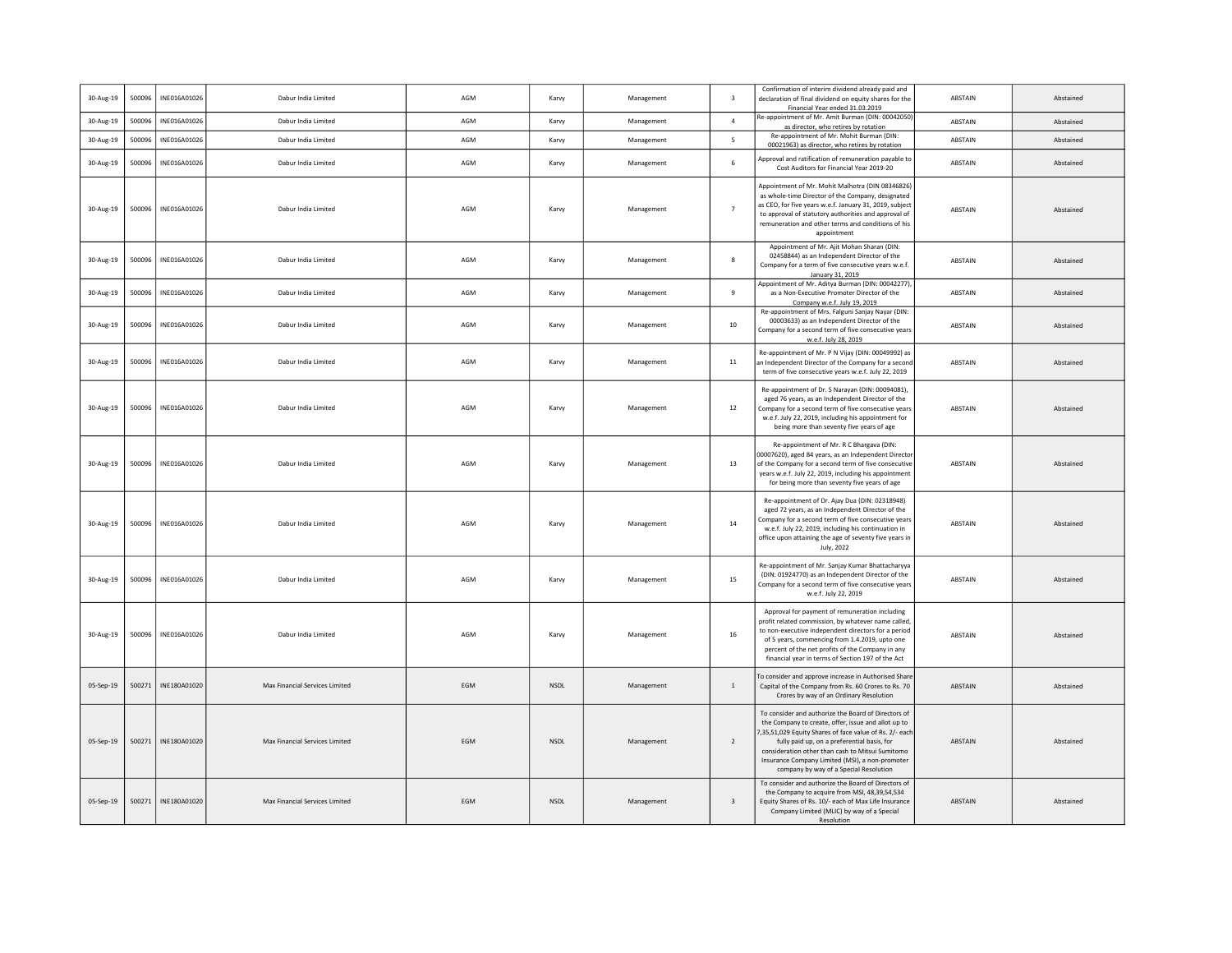| 30-Aug-19 | 500096 | INE016A01026 | Dabur India Limited            | AGM | Karvy       | Management | $\overline{3}$          | Confirmation of interim dividend already paid and<br>declaration of final dividend on equity shares for the<br>Financial Year ended 31.03.2019                                                                                                                                                                                                                        | ABSTAIN        | Abstained |
|-----------|--------|--------------|--------------------------------|-----|-------------|------------|-------------------------|-----------------------------------------------------------------------------------------------------------------------------------------------------------------------------------------------------------------------------------------------------------------------------------------------------------------------------------------------------------------------|----------------|-----------|
| 30-Aug-19 | 500096 | INE016A01026 | Dabur India Limited            | AGM | Karvy       | Management | $\sqrt{4}$              | Re-appointment of Mr. Amit Burman (DIN: 00042050)<br>as director, who retires by rotation                                                                                                                                                                                                                                                                             | ABSTAIN        | Abstained |
| 30-Aug-19 | 500096 | INE016A01026 | Dabur India Limited            | AGM | Karvy       | Management | $\overline{5}$          | Re-appointment of Mr. Mohit Burman (DIN:<br>00021963) as director, who retires by rotation                                                                                                                                                                                                                                                                            | ABSTAIN        | Abstained |
| 30-Aug-19 | 500096 | INE016A01026 | Dabur India Limited            | AGM | Karvy       | Management | 6                       | Approval and ratification of remuneration payable to<br>Cost Auditors for Financial Year 2019-20                                                                                                                                                                                                                                                                      | ABSTAIN        | Abstained |
| 30-Aug-19 | 500096 | INE016A01026 | Dabur India Limited            | AGM | Karvy       | Management | $\overline{7}$          | Appointment of Mr. Mohit Malhotra (DIN 08346826<br>as whole-time Director of the Company, designated<br>as CEO, for five years w.e.f. January 31, 2019, subject<br>to approval of statutory authorities and approval of<br>remuneration and other terms and conditions of his<br>appointment                                                                          | ABSTAIN        | Abstained |
| 30-Aug-19 | 500096 | INE016A01026 | Dabur India Limited            | AGM | Karvy       | Management | 8                       | Appointment of Mr. Ajit Mohan Sharan (DIN:<br>02458844) as an Independent Director of the<br>Company for a term of five consecutive years w.e.f.<br>January 31, 2019                                                                                                                                                                                                  | ABSTAIN        | Abstained |
| 30-Aug-19 | 500096 | INE016A01026 | Dabur India Limited            | AGM | Karvy       | Management | 9                       | Appointment of Mr. Aditya Burman (DIN: 00042277)<br>as a Non-Executive Promoter Director of the<br>Company w.e.f. July 19, 2019                                                                                                                                                                                                                                       | ABSTAIN        | Abstained |
| 30-Aug-19 | 500096 | INE016A01026 | Dabur India Limited            | AGM | Karvy       | Management | 10                      | Re-appointment of Mrs. Falguni Sanjay Nayar (DIN:<br>00003633) as an Independent Director of the<br>Company for a second term of five consecutive years<br>w.e.f. July 28, 2019                                                                                                                                                                                       | ABSTAIN        | Abstained |
| 30-Aug-19 | 500096 | INE016A01026 | Dabur India Limited            | AGM | Karvy       | Management | 11                      | Re-appointment of Mr. P N Vijay (DIN: 00049992) as<br>an Independent Director of the Company for a second<br>term of five consecutive years w.e.f. July 22, 2019                                                                                                                                                                                                      | ABSTAIN        | Abstained |
| 30-Aug-19 | 500096 | INE016A01026 | Dabur India Limited            | AGM | Karvy       | Management | 12                      | Re-appointment of Dr. S Narayan (DIN: 00094081),<br>aged 76 years, as an Independent Director of the<br>Company for a second term of five consecutive years<br>w.e.f. July 22, 2019, including his appointment for<br>being more than seventy five years of age                                                                                                       | ABSTAIN        | Abstained |
| 30-Aug-19 | 500096 | INE016A01026 | Dabur India Limited            | AGM | Karvy       | Management | 13                      | Re-appointment of Mr. R C Bhargava (DIN:<br>00007620), aged 84 years, as an Independent Directo<br>of the Company for a second term of five consecutive<br>years w.e.f. July 22, 2019, including his appointment<br>for being more than seventy five years of age                                                                                                     | ABSTAIN        | Abstained |
| 30-Aug-19 | 500096 | INF016A01026 | Dabur India Limited            | AGM | Karvy       | Management | 14                      | Re-appointment of Dr. Ajay Dua (DIN: 02318948)<br>aged 72 years, as an Independent Director of the<br>Company for a second term of five consecutive years<br>w.e.f. July 22, 2019, including his continuation in<br>office upon attaining the age of seventy five years in<br>July, 2022                                                                              | <b>ARSTAIN</b> | Abstained |
| 30-Aug-19 | 500096 | INE016A01026 | Dabur India Limited            | AGM | Karvy       | Management | 15                      | Re-appointment of Mr. Sanjay Kumar Bhattacharyya<br>(DIN: 01924770) as an Independent Director of the<br>Company for a second term of five consecutive years<br>w.e.f. July 22, 2019                                                                                                                                                                                  | ABSTAIN        | Abstained |
| 30-Aug-19 | 500096 | INE016A01026 | Dabur India Limited            | AGM | Karvy       | Management | 16                      | Approval for payment of remuneration including<br>profit related commission, by whatever name called<br>to non-executive independent directors for a period<br>of 5 years, commencing from 1.4.2019, upto one<br>percent of the net profits of the Company in any<br>financial year in terms of Section 197 of the Act                                                | <b>ABSTAIN</b> | Abstained |
| 05-Sep-19 | 500271 | INE180A01020 | Max Financial Services Limited | EGM | <b>NSDL</b> | Management | $\mathbf{1}$            | To consider and approve increase in Authorised Share<br>Capital of the Company from Rs. 60 Crores to Rs. 70<br>Crores by way of an Ordinary Resolution                                                                                                                                                                                                                | ABSTAIN        | Abstained |
| 05-Sep-19 | 500271 | INE180A01020 | Max Financial Services Limited | EGM | NSDL        | Management | 2                       | To consider and authorize the Board of Directors of<br>the Company to create, offer, issue and allot up to<br>7,35,51,029 Equity Shares of face value of Rs. 2/- each<br>fully paid up, on a preferential basis, for<br>consideration other than cash to Mitsui Sumitomo<br>Insurance Company Limited (MSI), a non-promoter<br>company by way of a Special Resolution | ABSTAIN        | Abstained |
| 05-Sep-19 | 500271 | INE180A01020 | Max Financial Services Limited | EGM | <b>NSDI</b> | Management | $\overline{\mathbf{3}}$ | To consider and authorize the Board of Directors of<br>the Company to acquire from MSI, 48,39,54,534<br>Equity Shares of Rs. 10/- each of Max Life Insurance<br>Company Limited (MLIC) by way of a Special<br>Resolution                                                                                                                                              | <b>ABSTAIN</b> | Abstained |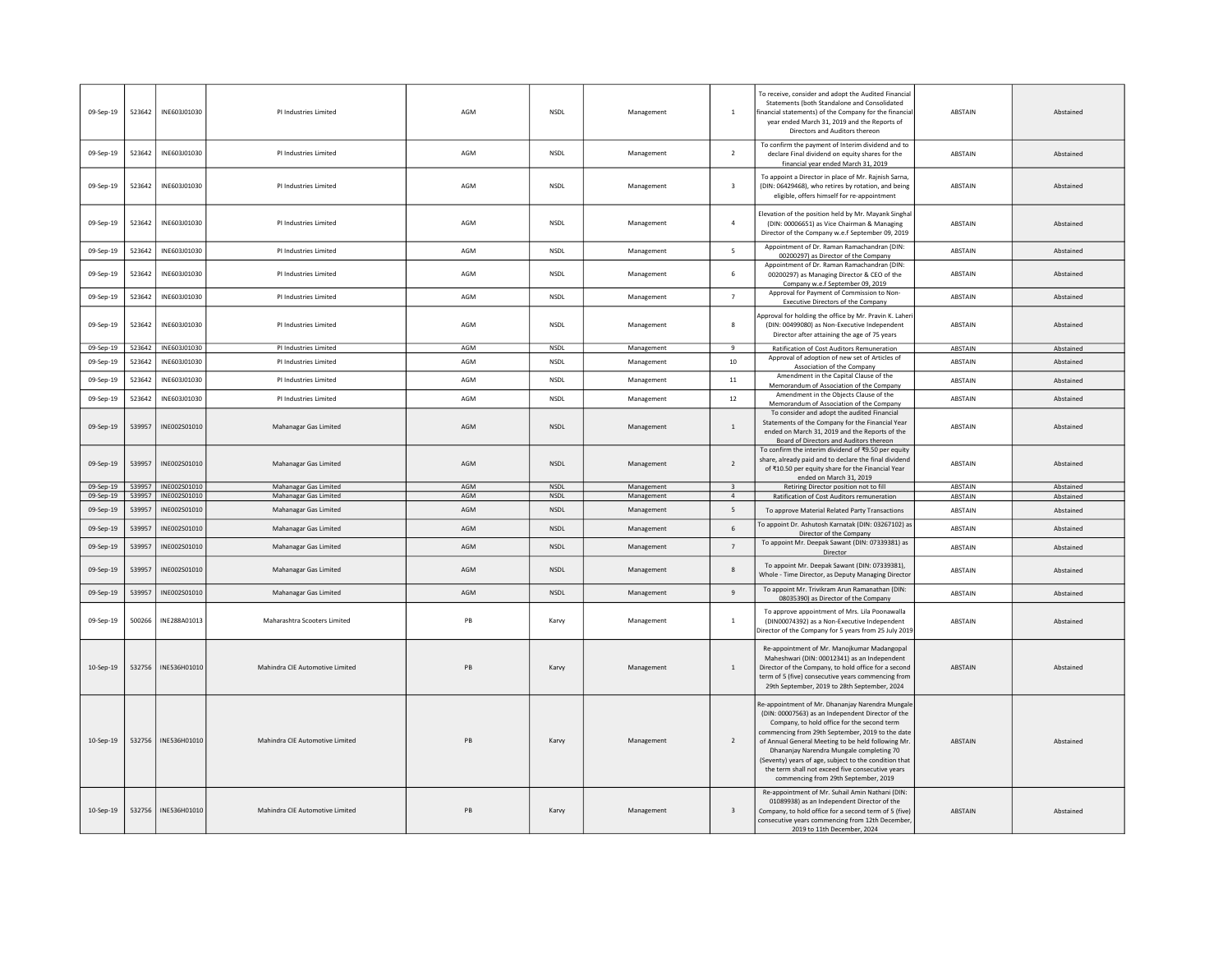| 09-Sep-19              | 523642           | INE603J01030                 | PI Industries Limited                          | AGM        | <b>NSDL</b>                | Management               | $\overline{1}$                            | To receive, consider and adopt the Audited Financial<br>Statements (both Standalone and Consolidated<br>financial statements) of the Company for the financia<br>year ended March 31, 2019 and the Reports of<br>Directors and Auditors thereon                                                                                                                                                                                                                 | <b>ABSTAIN</b>     | Abstained              |
|------------------------|------------------|------------------------------|------------------------------------------------|------------|----------------------------|--------------------------|-------------------------------------------|-----------------------------------------------------------------------------------------------------------------------------------------------------------------------------------------------------------------------------------------------------------------------------------------------------------------------------------------------------------------------------------------------------------------------------------------------------------------|--------------------|------------------------|
| 09-Sep-19              | 523642           | INE603J01030                 | PI Industries Limited                          | AGM        | <b>NSDL</b>                | Management               | $\overline{2}$                            | To confirm the payment of Interim dividend and to<br>declare Final dividend on equity shares for the<br>financial year ended March 31, 2019                                                                                                                                                                                                                                                                                                                     | ABSTAIN            | Abstained              |
| 09-Sep-19              | 523642           | INE603J01030                 | PI Industries Limited                          | AGM        | NSDL                       | Management               | $\overline{\mathbf{3}}$                   | To appoint a Director in place of Mr. Rajnish Sarna<br>(DIN: 06429468), who retires by rotation, and being<br>eligible, offers himself for re-appointment                                                                                                                                                                                                                                                                                                       | ABSTAIN            | Abstained              |
| 09-Sep-19              | 523642           | INE603J01030                 | PI Industries Limited                          | AGM        | <b>NSDL</b>                | Management               | $\overline{4}$                            | Elevation of the position held by Mr. Mayank Singha<br>(DIN: 00006651) as Vice Chairman & Managing<br>Director of the Company w.e.f September 09, 2019                                                                                                                                                                                                                                                                                                          | ABSTAIN            | Abstained              |
| 09-Sep-19              | 523642           | INE603J01030                 | PI Industries Limited                          | AGM        | <b>NSDL</b>                | Management               | $\overline{5}$                            | Appointment of Dr. Raman Ramachandran (DIN:<br>00200297) as Director of the Company                                                                                                                                                                                                                                                                                                                                                                             | ABSTAIN            | Abstained              |
| 09-Sep-19              | 523642           | INE603J01030                 | PI Industries Limited                          | AGM        | <b>NSDL</b>                | Management               | 6                                         | Appointment of Dr. Raman Ramachandran (DIN:<br>00200297) as Managing Director & CEO of the<br>Company w.e.f September 09, 2019                                                                                                                                                                                                                                                                                                                                  | ABSTAIN            | Abstained              |
| 09-Sep-19              | 523642           | INE603J01030                 | PI Industries Limited                          | AGM        | <b>NSDL</b>                | Management               | $\overline{7}$                            | Approval for Payment of Commission to Non-<br>Executive Directors of the Company                                                                                                                                                                                                                                                                                                                                                                                | ABSTAIN            | Abstained              |
| 09-Sep-19              | 523642           | INE603J01030                 | PI Industries Limited                          | AGM        | <b>NSDL</b>                | Management               | 8                                         | Approval for holding the office by Mr. Pravin K. Laher<br>(DIN: 00499080) as Non-Executive Independent<br>Director after attaining the age of 75 years                                                                                                                                                                                                                                                                                                          | <b>ABSTAIN</b>     | Abstained              |
| 09-Sep-19              | 523642           | INE603J01030                 | PI Industries Limited                          | <b>AGM</b> | <b>NSDL</b>                | Management               | $\mathbf{q}$                              | Ratification of Cost Auditors Remuneration<br>Approval of adoption of new set of Articles of                                                                                                                                                                                                                                                                                                                                                                    | ABSTAIN            | Abstained              |
| 09-Sep-19              | 523642           | INE603J01030                 | PI Industries Limited                          | AGM        | NSDL                       | Management               | $10\,$                                    | Association of the Company                                                                                                                                                                                                                                                                                                                                                                                                                                      | ABSTAIN            | Abstained              |
| 09-Sep-19              | 523642           | INE603J01030                 | PLIndustries Limited                           | AGM        | <b>NSDI</b>                | Management               | 11                                        | Amendment in the Capital Clause of the<br>Memorandum of Association of the Company                                                                                                                                                                                                                                                                                                                                                                              | ABSTAIN            | Abstained              |
| 09-Sep-19              | 523642           | INE603J01030                 | PI Industries Limited                          | AGM        | <b>NSDL</b>                | Management               | 12                                        | Amendment in the Objects Clause of the<br>Memorandum of Association of the Company                                                                                                                                                                                                                                                                                                                                                                              | ABSTAIN            | Abstained              |
| 09-Sep-19              | 539957           | INE002S01010                 | Mahanagar Gas Limited                          | AGM        | <b>NSDL</b>                | Management               | $\overline{1}$                            | To consider and adopt the audited Financial<br>Statements of the Company for the Financial Year<br>ended on March 31, 2019 and the Reports of the<br>Board of Directors and Auditors thereon                                                                                                                                                                                                                                                                    | ABSTAIN            | Abstained              |
| 09-Sep-19              | 539957           | INE002S01010                 | Mahanagar Gas Limited                          | AGM        | <b>NSDL</b>                | Management               | $\overline{2}$                            | To confirm the interim dividend of ₹9.50 per equity<br>share, already paid and to declare the final dividend<br>of ₹10.50 per equity share for the Financial Year<br>ended on March 31, 2019                                                                                                                                                                                                                                                                    | <b>ABSTAIN</b>     | Abstained              |
| 09-Sep-19<br>09-Sep-19 | 539957<br>539957 | INE002S01010<br>INE002S01010 | Mahanagar Gas Limited<br>Mahanagar Gas Limited | AGM<br>AGM | <b>NSDL</b><br><b>NSDI</b> | Management<br>Management | $\overline{\mathbf{3}}$<br>$\overline{4}$ | Retiring Director position not to fill<br>Ratification of Cost Auditors remuneration                                                                                                                                                                                                                                                                                                                                                                            | ABSTAIN<br>ABSTAIN | Abstained<br>Abstained |
| 09-Sep-19              | 539957           | INE002S01010                 | Mahanagar Gas Limited                          | AGM        | <b>NSDL</b>                | Management               | 5                                         | To approve Material Related Party Transactions                                                                                                                                                                                                                                                                                                                                                                                                                  | ABSTAIN            | Abstained              |
| 09-Sep-19              | 539957           | INE002S01010                 | Mahanagar Gas Limited                          | AGM        | <b>NSDI</b>                | Management               | 6                                         | To appoint Dr. Ashutosh Karnatak (DIN: 03267102) as<br>Director of the Company                                                                                                                                                                                                                                                                                                                                                                                  | ABSTAIN            | Abstained              |
| 09-Sep-19              | 539957           | INE002S01010                 | Mahanagar Gas Limited                          | AGM        | <b>NSDL</b>                | Management               | $7\overline{ }$                           | To appoint Mr. Deepak Sawant (DIN: 07339381) as<br>Director                                                                                                                                                                                                                                                                                                                                                                                                     | ABSTAIN            | Abstained              |
| 09-Sep-19              | 539957           | INE002S01010                 | Mahanagar Gas Limited                          | AGM        | <b>NSDL</b>                | Management               | 8                                         | To appoint Mr. Deepak Sawant (DIN: 07339381),<br>Whole - Time Director, as Deputy Managing Director                                                                                                                                                                                                                                                                                                                                                             | ABSTAIN            | Abstained              |
| 09-Sep-19              | 539957           | INE002S01010                 | Mahanagar Gas Limited                          | AGM        | <b>NSDL</b>                | Management               | $\overline{9}$                            | To appoint Mr. Trivikram Arun Ramanathan (DIN:<br>08035390) as Director of the Company                                                                                                                                                                                                                                                                                                                                                                          | ABSTAIN            | Abstained              |
| 09-Sep-19              | 500266           | INE288A01013                 | Maharashtra Scooters Limited                   | PB         | Karvy                      | Management               | $\overline{1}$                            | To approve appointment of Mrs. Lila Poonawalla<br>(DIN00074392) as a Non-Executive Independent<br>Director of the Company for 5 years from 25 July 2019                                                                                                                                                                                                                                                                                                         | <b>ABSTAIN</b>     | Abstained              |
| 10-Sep-19              | 532756           | INE536H01010                 | Mahindra CIE Automotive Limited                | PB         | Karvy                      | Management               | 1                                         | Re-appointment of Mr. Manojkumar Madangopal<br>Maheshwari (DIN: 00012341) as an Independent<br>Director of the Company, to hold office for a second<br>term of 5 (five) consecutive years commencing from<br>29th September, 2019 to 28th September, 2024                                                                                                                                                                                                       | ABSTAIN            | Abstained              |
| 10-Sep-19              | 532756           | INE536H01010                 | Mahindra CIE Automotive Limited                | PB         | Karvy                      | Management               | $\overline{2}$                            | Re-appointment of Mr. Dhananjay Narendra Mungale<br>(DIN: 00007563) as an Independent Director of the<br>Company, to hold office for the second term<br>commencing from 29th September, 2019 to the date<br>of Annual General Meeting to be held following Mr.<br>Dhananjay Narendra Mungale completing 70<br>(Seventy) years of age, subject to the condition that<br>the term shall not exceed five consecutive years<br>commencing from 29th September, 2019 | <b>ABSTAIN</b>     | Abstained              |
| 10-Sep-19              | 532756           | INE536H01010                 | Mahindra CIE Automotive Limited                | PB         | Karvy                      | Management               | $\overline{\mathbf{3}}$                   | Re-appointment of Mr. Suhail Amin Nathani (DIN:<br>01089938) as an Independent Director of the<br>Company, to hold office for a second term of 5 (five)<br>consecutive years commencing from 12th December<br>2019 to 11th December, 2024                                                                                                                                                                                                                       | ABSTAIN            | Abstained              |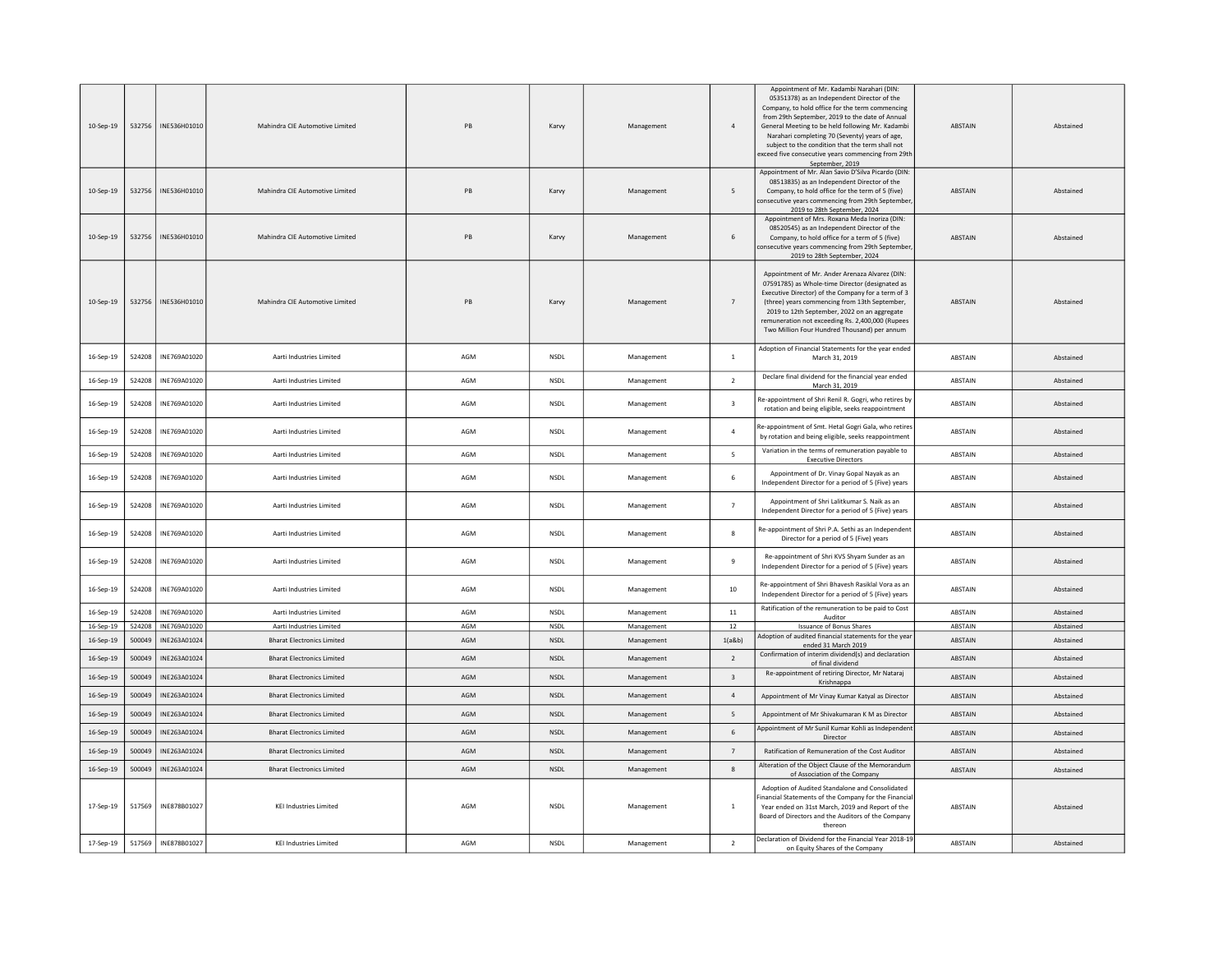| 10-Sep-19 | 532756 | INE536H01010 | Mahindra CIE Automotive Limited   | <b>PR</b> | Karvy       | Management | $\overline{4}$          | Appointment of Mr. Kadambi Narahari (DIN:<br>05351378) as an Independent Director of the<br>Company, to hold office for the term commencing<br>from 29th September, 2019 to the date of Annual<br>General Meeting to be held following Mr. Kadambi<br>Narahari completing 70 (Seventy) years of age,<br>subject to the condition that the term shall not<br>exceed five consecutive years commencing from 29t<br>September, 2019 | ABSTAIN        | Abstained |
|-----------|--------|--------------|-----------------------------------|-----------|-------------|------------|-------------------------|----------------------------------------------------------------------------------------------------------------------------------------------------------------------------------------------------------------------------------------------------------------------------------------------------------------------------------------------------------------------------------------------------------------------------------|----------------|-----------|
| 10-Sep-19 | 532756 | INE536H01010 | Mahindra CIE Automotive Limited   | PB        | Karvy       | Management | 5                       | Appointment of Mr. Alan Savio D'Silva Picardo (DIN:<br>08513835) as an Independent Director of the<br>Company, to hold office for the term of 5 (five)<br>consecutive years commencing from 29th Septembe<br>2019 to 28th September, 2024                                                                                                                                                                                        | ABSTAIN        | Abstained |
| 10-Sep-19 | 532756 | INE536H01010 | Mahindra CIE Automotive Limited   | PB        | Karvy       | Management | 6                       | Appointment of Mrs. Roxana Meda Inoriza (DIN:<br>08520545) as an Independent Director of the<br>Company, to hold office for a term of 5 (five)<br>onsecutive years commencing from 29th Septembe<br>2019 to 28th September, 2024                                                                                                                                                                                                 | <b>ABSTAIN</b> | Abstained |
| 10-Sep-19 | 532756 | INE536H01010 | Mahindra CIE Automotive Limited   | PB        | Karvy       | Management | $\overline{7}$          | Appointment of Mr. Ander Arenaza Alvarez (DIN:<br>07591785) as Whole-time Director (designated as<br>Executive Director) of the Company for a term of 3<br>(three) years commencing from 13th September,<br>2019 to 12th September, 2022 on an aggregate<br>remuneration not exceeding Rs. 2,400,000 (Rupees<br>Two Million Four Hundred Thousand) per annum                                                                     | <b>ABSTAIN</b> | Abstained |
| 16-Sep-19 | 524208 | INE769A01020 | Aarti Industries Limited          | AGM       | NSDL        | Management | $\,$ 1 $\,$             | Adoption of Financial Statements for the year ended<br>March 31, 2019                                                                                                                                                                                                                                                                                                                                                            | ABSTAIN        | Abstained |
| 16-Sep-19 | 524208 | INE769A01020 | Aarti Industries Limited          | AGM       | NSDL        | Management | $\overline{2}$          | Declare final dividend for the financial year ended<br>March 31, 2019                                                                                                                                                                                                                                                                                                                                                            | ABSTAIN        | Abstained |
| 16-Sep-19 | 524208 | INE769A01020 | Aarti Industries Limited          | AGM       | NSDL        | Management | $\overline{\mathbf{3}}$ | Re-appointment of Shri Renil R. Gogri, who retires by<br>rotation and being eligible, seeks reappointment                                                                                                                                                                                                                                                                                                                        | ABSTAIN        | Abstained |
| 16-Sep-19 | 524208 | INE769A01020 | Aarti Industries Limited          | AGM       | NSDL        | Management | $\overline{4}$          | Re-appointment of Smt. Hetal Gogri Gala, who retires<br>by rotation and being eligible, seeks reappointment                                                                                                                                                                                                                                                                                                                      | ABSTAIN        | Abstained |
| 16-Sep-19 | 524208 | INE769A01020 | Aarti Industries Limited          | AGM       | <b>NSDL</b> | Management | 5                       | Variation in the terms of remuneration payable to<br><b>Executive Directors</b>                                                                                                                                                                                                                                                                                                                                                  | ABSTAIN        | Abstained |
| 16-Sep-19 | 524208 | INE769A01020 | Aarti Industries Limited          | AGM       | NSDL        | Management | 6                       | Appointment of Dr. Vinay Gopal Nayak as an<br>Independent Director for a period of 5 (Five) years                                                                                                                                                                                                                                                                                                                                | ABSTAIN        | Abstained |
| 16-Sep-19 | 524208 | INE769A01020 | Aarti Industries Limited          | AGM       | <b>NSDL</b> | Management | $\overline{7}$          | Appointment of Shri Lalitkumar S. Naik as an<br>Independent Director for a period of 5 (Five) years                                                                                                                                                                                                                                                                                                                              | <b>ABSTAIN</b> | Abstained |
| 16-Sep-19 | 524208 | INE769A01020 | Aarti Industries Limited          | AGM       | <b>NSDL</b> | Management | 8                       | Re-appointment of Shri P.A. Sethi as an Independent<br>Director for a period of 5 (Five) years                                                                                                                                                                                                                                                                                                                                   | <b>ABSTAIN</b> | Abstained |
| 16-Sep-19 | 524208 | INE769A01020 | Aarti Industries Limited          | AGM       | NSDL        | Management | $\overline{9}$          | Re-appointment of Shri KVS Shyam Sunder as an<br>Independent Director for a period of 5 (Five) years                                                                                                                                                                                                                                                                                                                             | <b>ARSTAIN</b> | Abstained |
| 16-Sep-19 | 524208 | INE769A01020 | Aarti Industries Limited          | AGM       | NSDL        | Management | 10                      | Re-appointment of Shri Bhavesh Rasiklal Vora as an<br>Independent Director for a period of 5 (Five) years                                                                                                                                                                                                                                                                                                                        | ABSTAIN        | Abstained |
| 16-Sep-19 | 524208 | INE769A01020 | Aarti Industries Limited          | AGM       | <b>NSDL</b> | Management | $11\,$                  | Ratification of the remuneration to be paid to Cost<br>Auditor                                                                                                                                                                                                                                                                                                                                                                   | ABSTAIN        | Abstained |
| 16-Sep-19 | 524208 | INE769A01020 | Aarti Industries Limited          | AGM       | <b>NSDI</b> | Management | 12                      | <b>Issuance of Bonus Shares</b><br>Adoption of audited financial statements for the year                                                                                                                                                                                                                                                                                                                                         | ABSTAIN        | Abstained |
| 16-Sep-19 | 500049 | INE263A01024 | <b>Bharat Electronics Limited</b> | AGM       | NSDL        | Management | 1(a&b)                  | ended 31 March 2019<br>Confirmation of interim dividend(s) and declaration                                                                                                                                                                                                                                                                                                                                                       | ABSTAIN        | Abstained |
| 16-Sep-19 | 500049 | INE263A01024 | <b>Bharat Electronics Limited</b> | AGM       | NSDL        | Management | $\overline{2}$          | of final dividend                                                                                                                                                                                                                                                                                                                                                                                                                | ABSTAIN        | Abstained |
| 16-Sep-19 | 500049 | INE263A01024 | <b>Bharat Electronics Limited</b> | AGM       | NSDL        | Management | $\overline{\mathbf{3}}$ | Re-appointment of retiring Director, Mr Nataraj<br>Krishnappa                                                                                                                                                                                                                                                                                                                                                                    | <b>ABSTAIN</b> | Abstained |
| 16-Sep-19 | 500049 | INE263A01024 | <b>Bharat Electronics Limited</b> | AGM       | <b>NSDI</b> | Management | $\overline{4}$          | Appointment of Mr Vinay Kumar Katyal as Director                                                                                                                                                                                                                                                                                                                                                                                 | <b>ABSTAIN</b> | Abstained |
| 16-Sep-19 | 500049 | INE263A01024 | <b>Bharat Electronics Limited</b> | AGM       | NSDL        | Management | 5                       | Appointment of Mr Shivakumaran K M as Director                                                                                                                                                                                                                                                                                                                                                                                   | <b>ABSTAIN</b> | Abstained |
| 16-Sep-19 | 500049 | INE263A01024 | <b>Bharat Electronics Limited</b> | AGM       | <b>NSDL</b> | Management | 6                       | Appointment of Mr Sunil Kumar Kohli as Independen<br>Director                                                                                                                                                                                                                                                                                                                                                                    | <b>ABSTAIN</b> | Abstained |
| 16-Sep-19 | 500049 | INE263A01024 | <b>Bharat Electronics Limited</b> | AGM       | NSDL        | Management | $7\overline{ }$         | Ratification of Remuneration of the Cost Auditor                                                                                                                                                                                                                                                                                                                                                                                 | ABSTAIN        | Abstained |
| 16-Sep-19 | 500049 | INE263A01024 | <b>Bharat Electronics Limited</b> | AGM       | <b>NSDL</b> | Management | 8                       | Alteration of the Object Clause of the Memorandum<br>of Association of the Company                                                                                                                                                                                                                                                                                                                                               | <b>ABSTAIN</b> | Abstained |
| 17-Sep-19 | 517569 | INE878B01027 | <b>KEI Industries Limited</b>     | AGM       | <b>NSDL</b> | Management | $\mathbf{1}$            | Adoption of Audited Standalone and Consolidated<br>inancial Statements of the Company for the Financia<br>Year ended on 31st March, 2019 and Report of the<br>Board of Directors and the Auditors of the Company<br>thereon                                                                                                                                                                                                      | ABSTAIN        | Abstained |
| 17-Sep-19 | 517569 | INE878B01027 | <b>KEI Industries Limited</b>     | AGM       | NSDL        | Management | $\overline{2}$          | Declaration of Dividend for the Financial Year 2018-19<br>on Equity Shares of the Company                                                                                                                                                                                                                                                                                                                                        | ABSTAIN        | Abstained |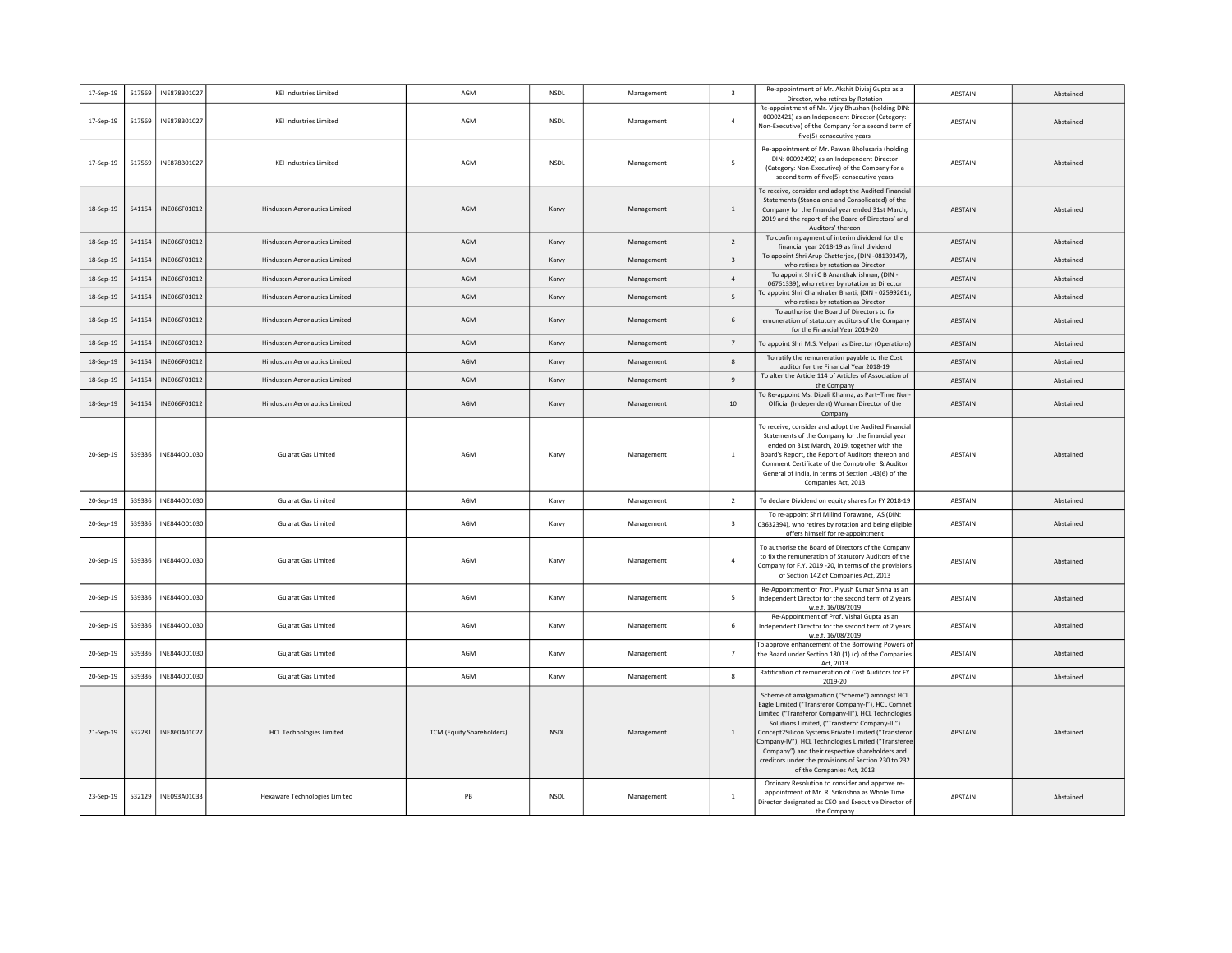| 17-Sep-19 | 517569 | INE878B01027          | <b>KEI Industries Limited</b>        | AGM                              | NSDL        | Management | $\overline{\mathbf{3}}$  | Re-appointment of Mr. Akshit Diviaj Gupta as a<br>Director, who retires by Rotation                                                                                                                                                                                                                                                                                                                                                                               | ABSTAIN        | Abstained |
|-----------|--------|-----------------------|--------------------------------------|----------------------------------|-------------|------------|--------------------------|-------------------------------------------------------------------------------------------------------------------------------------------------------------------------------------------------------------------------------------------------------------------------------------------------------------------------------------------------------------------------------------------------------------------------------------------------------------------|----------------|-----------|
| 17-Sep-19 | 517569 | INE878B01027          | <b>KEI Industries Limited</b>        | AGM                              | NSDL        | Management | $\overline{4}$           | Re-appointment of Mr. Vijay Bhushan (holding DIN:<br>00002421) as an Independent Director (Category:<br>Non-Executive) of the Company for a second term of<br>five(5) consecutive years                                                                                                                                                                                                                                                                           | ABSTAIN        | Abstained |
| 17-Sep-19 | 517569 | INE878B01027          | <b>KEI Industries Limited</b>        | AGM                              | <b>NSDL</b> | Management | 5                        | Re-appointment of Mr. Pawan Bholusaria (holding<br>DIN: 00092492) as an Independent Director<br>(Category: Non-Executive) of the Company for a<br>second term of five(5) consecutive years                                                                                                                                                                                                                                                                        | ABSTAIN        | Abstained |
| 18-Sep-19 | 541154 | INE066F01012          | Hindustan Aeronautics Limited        | AGM                              | Karvy       | Management | $\,$ 1                   | To receive, consider and adopt the Audited Financial<br>Statements (Standalone and Consolidated) of the<br>Company for the financial year ended 31st March,<br>2019 and the report of the Board of Directors' and<br>Auditors' thereon                                                                                                                                                                                                                            | ABSTAIN        | Abstained |
| 18-Sep-19 | 541154 | INE066F01012          | <b>Hindustan Aeronautics Limited</b> | AGM                              | Karvy       | Management | $\overline{2}$           | To confirm payment of interim dividend for the<br>financial year 2018-19 as final dividend                                                                                                                                                                                                                                                                                                                                                                        | <b>ABSTAIN</b> | Abstained |
| 18-Sep-19 | 541154 | INE066F01012          | Hindustan Aeronautics Limited        | AGM                              | Karvy       | Management | $\overline{\mathbf{3}}$  | To appoint Shri Arup Chatterjee, (DIN -08139347),<br>who retires by rotation as Director                                                                                                                                                                                                                                                                                                                                                                          | ABSTAIN        | Abstained |
| 18-Sep-19 | 541154 | INE066F01012          | <b>Hindustan Aeronautics Limited</b> | AGM                              | Karvy       | Management | $\overline{a}$           | To appoint Shri C B Ananthakrishnan, (DIN -<br>06761339), who retires by rotation as Director                                                                                                                                                                                                                                                                                                                                                                     | ABSTAIN        | Abstained |
| 18-Sep-19 | 541154 | INE066F01012          | Hindustan Aeronautics Limited        | AGM                              | Karvy       | Management | $\overline{\phantom{a}}$ | To appoint Shri Chandraker Bharti, (DIN - 02599261)<br>who retires by rotation as Director                                                                                                                                                                                                                                                                                                                                                                        | ABSTAIN        | Abstained |
| 18-Sep-19 | 541154 | INE066F01012          | <b>Hindustan Aeronautics Limited</b> | AGM                              | Karvy       | Management | 6                        | To authorise the Board of Directors to fix<br>remuneration of statutory auditors of the Company<br>for the Financial Year 2019-20                                                                                                                                                                                                                                                                                                                                 | ABSTAIN        | Abstained |
| 18-Sep-19 | 541154 | INE066F01012          | <b>Hindustan Aeronautics Limited</b> | AGM                              | Karvy       | Management | $\overline{7}$           | To appoint Shri M.S. Velpari as Director (Operations)                                                                                                                                                                                                                                                                                                                                                                                                             | ABSTAIN        | Abstained |
| 18-Sep-19 | 541154 | INE066F01012          | <b>Hindustan Aeronautics Limited</b> | AGM                              | Karvy       | Management | 8                        | To ratify the remuneration payable to the Cost<br>auditor for the Financial Year 2018-19                                                                                                                                                                                                                                                                                                                                                                          | ABSTAIN        | Abstained |
| 18-Sep-19 | 541154 | INE066F01012          | <b>Hindustan Aeronautics Limited</b> | AGM                              | Karvy       | Management | 9                        | To alter the Article 114 of Articles of Association of<br>the Company                                                                                                                                                                                                                                                                                                                                                                                             | ABSTAIN        | Abstained |
| 18-Sep-19 | 541154 | INE066F01012          | <b>Hindustan Aeronautics Limited</b> | AGM                              | Karvy       | Management | 10                       | To Re-appoint Ms. Dipali Khanna, as Part-Time Non-<br>Official (Independent) Woman Director of the<br>Company                                                                                                                                                                                                                                                                                                                                                     | ABSTAIN        | Abstained |
| 20-Sep-19 | 539336 | INE844001030          | Gujarat Gas Limited                  | AGM                              | Karvy       | Management | $\overline{1}$           | To receive, consider and adopt the Audited Financial<br>Statements of the Company for the financial year<br>ended on 31st March, 2019, together with the<br>Board's Report, the Report of Auditors thereon and<br>Comment Certificate of the Comptroller & Auditor<br>General of India, in terms of Section 143(6) of the<br>Companies Act, 2013                                                                                                                  | <b>ABSTAIN</b> | Abstained |
| 20-Sep-19 | 539336 | INE844001030          | Gujarat Gas Limited                  | AGM                              | Karvy       | Management | $\overline{2}$           | To declare Dividend on equity shares for FY 2018-19                                                                                                                                                                                                                                                                                                                                                                                                               | ABSTAIN        | Abstained |
| 20-Sep-19 | 539336 | INE844001030          | Gujarat Gas Limited                  | AGM                              | Karvy       | Management | $\overline{\mathbf{3}}$  | To re-appoint Shri Milind Torawane, IAS (DIN:<br>03632394), who retires by rotation and being eligible<br>offers himself for re-appointment                                                                                                                                                                                                                                                                                                                       | ABSTAIN        | Abstained |
| 20-Sep-19 |        | 539336   INE844001030 | Gujarat Gas Limited                  | AGM                              | Karvy       | Management | $\overline{4}$           | To authorise the Board of Directors of the Company<br>to fix the remuneration of Statutory Auditors of the<br>Company for F.Y. 2019 -20, in terms of the provisions<br>of Section 142 of Companies Act, 2013                                                                                                                                                                                                                                                      | ABSTAIN        | Abstained |
| 20-Sep-19 | 539336 | INE844001030          | Gujarat Gas Limited                  | AGM                              | Karvy       | Management | 5                        | Re-Appointment of Prof. Piyush Kumar Sinha as an<br>Independent Director for the second term of 2 years<br>w.e.f. 16/08/2019                                                                                                                                                                                                                                                                                                                                      | ABSTAIN        | Abstained |
| 20-Sep-19 | 539336 | INE844001030          | Gujarat Gas Limited                  | AGM                              | Karvy       | Management | 6                        | Re-Appointment of Prof. Vishal Gupta as an<br>Independent Director for the second term of 2 years<br>w.e.f. 16/08/2019                                                                                                                                                                                                                                                                                                                                            | ABSTAIN        | Abstained |
| 20-Sep-19 | 539336 | INE844001030          | Gujarat Gas Limited                  | AGM                              | Karvy       | Management | $\overline{7}$           | To approve enhancement of the Borrowing Powers of<br>the Board under Section 180 (1) (c) of the Companies<br>Act, 2013                                                                                                                                                                                                                                                                                                                                            | ABSTAIN        | Abstained |
| 20-Sep-19 | 539336 | INE844001030          | Gujarat Gas Limited                  | AGM                              | Karvy       | Management | 8                        | Ratification of remuneration of Cost Auditors for FY<br>2019-20                                                                                                                                                                                                                                                                                                                                                                                                   | ABSTAIN        | Abstained |
| 21-Sep-19 | 532281 | INE860A01027          | <b>HCL Technologies Limited</b>      | <b>TCM (Equity Shareholders)</b> | <b>NSDL</b> | Management | 1                        | Scheme of amalgamation ("Scheme") amongst HCL<br>Eagle Limited ("Transferor Company-I"), HCL Comnet<br>Limited ("Transferor Company-II"), HCL Technologies<br>Solutions Limited, ("Transferor Company-III")<br>Concept2Silicon Systems Private Limited ("Transfero<br>Company-IV"), HCL Technologies Limited ("Transfere<br>Company") and their respective shareholders and<br>creditors under the provisions of Section 230 to 232<br>of the Companies Act, 2013 | ABSTAIN        | Abstained |
| 23-Sep-19 | 532129 | INE093A01033          | Hexaware Technologies Limited        | PB                               | <b>NSDL</b> | Management | <sup>1</sup>             | Ordinary Resolution to consider and approve re<br>appointment of Mr. R. Srikrishna as Whole Time<br>Director designated as CEO and Executive Director of<br>the Company                                                                                                                                                                                                                                                                                           | ABSTAIN        | Abstained |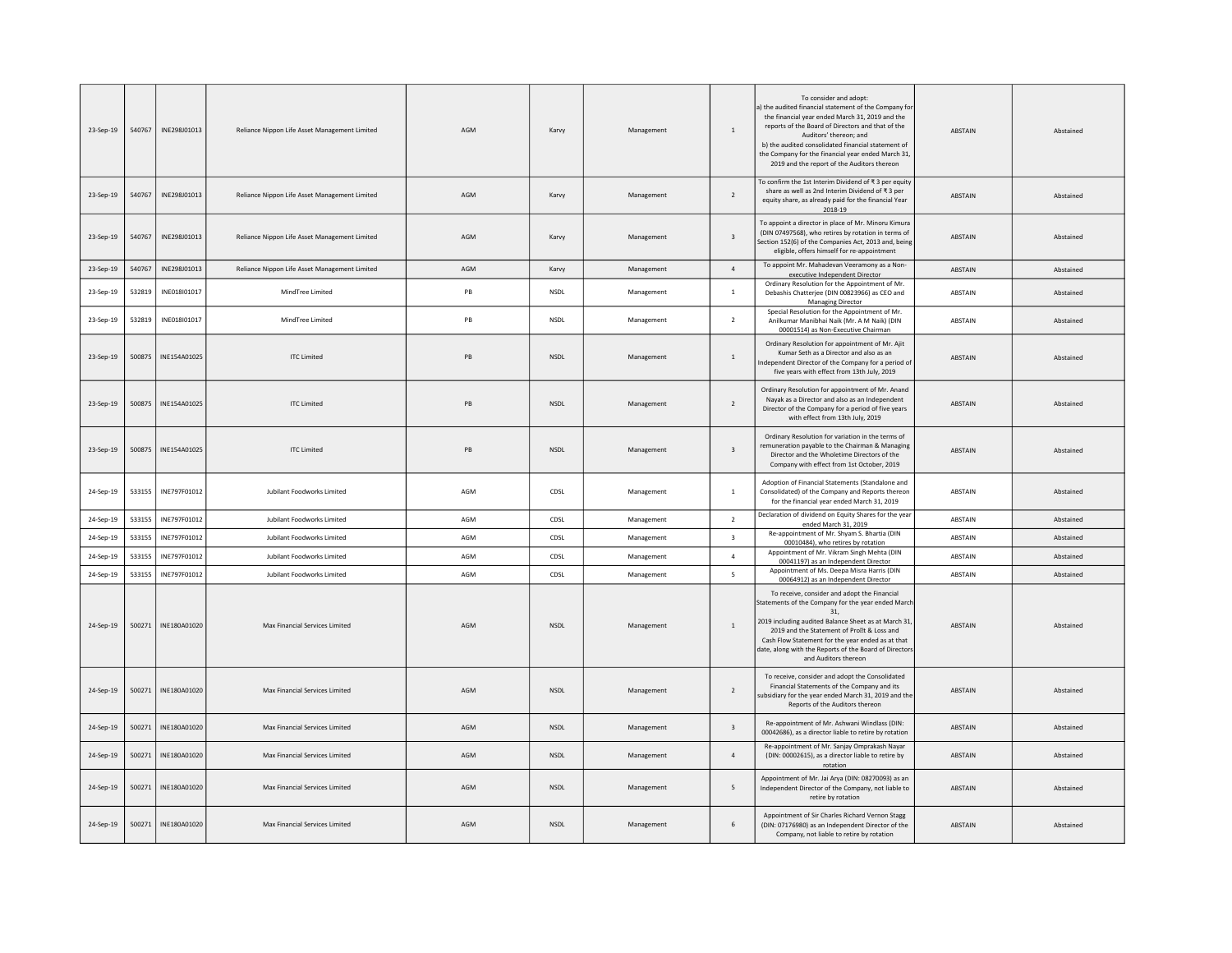| 23-Sep-19 | 540767 | INE298J01013 | Reliance Nippon Life Asset Management Limited | AGM | Karvy       | Management | 1                       | To consider and adopt:<br>a) the audited financial statement of the Company for<br>the financial year ended March 31, 2019 and the<br>reports of the Board of Directors and that of the<br>Auditors' thereon: and<br>b) the audited consolidated financial statement of<br>the Company for the financial year ended March 31,<br>2019 and the report of the Auditors thereon | <b>ARSTAIN</b> | Ahstained |
|-----------|--------|--------------|-----------------------------------------------|-----|-------------|------------|-------------------------|------------------------------------------------------------------------------------------------------------------------------------------------------------------------------------------------------------------------------------------------------------------------------------------------------------------------------------------------------------------------------|----------------|-----------|
| 23-Sep-19 | 540767 | INE298J01013 | Reliance Nippon Life Asset Management Limited | AGM | Karvy       | Management | $\overline{2}$          | To confirm the 1st Interim Dividend of ₹3 per equity<br>share as well as 2nd Interim Dividend of ₹3 per<br>equity share, as already paid for the financial Year<br>2018-19                                                                                                                                                                                                   | ABSTAIN        | Abstained |
| 23-Sep-19 | 540767 | INF298101013 | Reliance Nippon Life Asset Management Limited | AGM | Karvy       | Management | $\overline{\mathbf{3}}$ | To appoint a director in place of Mr. Minoru Kimura<br>(DIN 07497568), who retires by rotation in terms of<br>Section 152(6) of the Companies Act, 2013 and, being<br>eligible, offers himself for re-appointment                                                                                                                                                            | <b>ABSTAIN</b> | Abstained |
| 23-Sep-19 | 540767 | INE298J01013 | Reliance Nippon Life Asset Management Limited | AGM | Karvy       | Management | $\sqrt{4}$              | To appoint Mr. Mahadevan Veeramony as a Non-<br>executive Independent Director                                                                                                                                                                                                                                                                                               | ABSTAIN        | Abstained |
| 23-Sep-19 | 532819 | INE018I01017 | MindTree Limited                              | PB  | <b>NSDL</b> | Management | $\mathbf{1}$            | Ordinary Resolution for the Appointment of Mr.<br>Debashis Chatterjee (DIN 00823966) as CEO and<br>Managing Director                                                                                                                                                                                                                                                         | <b>ABSTAIN</b> | Abstained |
| 23-Sep-19 | 532819 | INE018I01017 | MindTree Limited                              | PB  | <b>NSDL</b> | Management | 2                       | Special Resolution for the Appointment of Mr.<br>Anilkumar Manibhai Naik (Mr. A M Naik) (DIN<br>00001514) as Non-Executive Chairman                                                                                                                                                                                                                                          | <b>ABSTAIN</b> | Abstained |
| 23-Sep-19 | 500875 | INE154A01025 | <b>ITC Limited</b>                            | PB  | <b>NSDL</b> | Management | $\mathbf{1}$            | Ordinary Resolution for appointment of Mr. Ajit<br>Kumar Seth as a Director and also as an<br>Independent Director of the Company for a period of<br>five years with effect from 13th July, 2019                                                                                                                                                                             | ABSTAIN        | Abstained |
| 23-Sep-19 | 500875 | INE154A01025 | <b>ITC Limited</b>                            | PB  | NSDL        | Management | $\overline{2}$          | Ordinary Resolution for appointment of Mr. Anand<br>Nayak as a Director and also as an Independent<br>Director of the Company for a period of five years<br>with effect from 13th July, 2019                                                                                                                                                                                 | <b>ABSTAIN</b> | Abstained |
| 23-Sep-19 | 500875 | INE154A01025 | <b>ITC Limited</b>                            | PB  | <b>NSDL</b> | Management | $\overline{\mathbf{3}}$ | Ordinary Resolution for variation in the terms of<br>remuneration payable to the Chairman & Managing<br>Director and the Wholetime Directors of the<br>Company with effect from 1st October, 2019                                                                                                                                                                            | <b>ABSTAIN</b> | Abstained |
| 24-Sep-19 | 533155 | INE797F01012 | Jubilant Foodworks Limited                    | AGM | CDSL        | Management | $\,$ 1 $\,$             | Adoption of Financial Statements (Standalone and<br>Consolidated) of the Company and Reports thereon<br>for the financial year ended March 31, 2019                                                                                                                                                                                                                          | ABSTAIN        | Abstained |
| 24-Sep-19 | 533155 | INF797F01012 | Jubilant Foodworks Limited                    | AGM | CDSL        | Management | $\overline{2}$          | Declaration of dividend on Equity Shares for the year<br>ended March 31, 2019                                                                                                                                                                                                                                                                                                | ABSTAIN        | Abstained |
| 24-Sep-19 | 533155 | INE797F01012 | Jubilant Foodworks Limited                    | AGM | CDSL        | Management | $\overline{\mathbf{3}}$ | Re-appointment of Mr. Shyam S. Bhartia (DIN<br>00010484), who retires by rotation                                                                                                                                                                                                                                                                                            | ABSTAIN        | Abstained |
| 24-Sep-19 | 533155 | INE797F01012 | Jubilant Foodworks Limited                    | AGM | CDSL        | Management | $\overline{4}$          | Appointment of Mr. Vikram Singh Mehta (DIN<br>00041197) as an Independent Director                                                                                                                                                                                                                                                                                           | <b>ABSTAIN</b> | Abstained |
| 24-Sep-19 | 533155 | INE797F01012 | <b>Jubilant Foodworks Limited</b>             | AGM | CDSL        | Management | 5                       | Appointment of Ms. Deepa Misra Harris (DIN<br>00064912) as an Independent Director                                                                                                                                                                                                                                                                                           | <b>ABSTAIN</b> | Abstained |
| 24-Sep-19 | 500271 | INF180A01020 | Max Financial Services Limited                | AGM | <b>NSDI</b> | Management | $\overline{1}$          | To receive, consider and adopt the Financial<br>Statements of the Company for the year ended March<br>31.<br>2019 including audited Balance Sheet as at March 31,<br>2019 and the Statement of Prollt & Loss and<br>Cash Flow Statement for the year ended as at that<br>date, along with the Reports of the Board of Director:<br>and Auditors thereon                      | <b>ARSTAIN</b> | Abstained |
| 24-Sep-19 | 500271 | INE180A01020 | Max Financial Services Limited                | AGM | <b>NSDL</b> | Management | $\overline{2}$          | To receive, consider and adopt the Consolidated<br>Financial Statements of the Company and its<br>subsidiary for the year ended March 31, 2019 and the<br>Reports of the Auditors thereon                                                                                                                                                                                    | ABSTAIN        | Abstained |
| 24-Sep-19 | 500271 | INE180A01020 | Max Financial Services Limited                | AGM | <b>NSDL</b> | Management | $\overline{\mathbf{3}}$ | Re-appointment of Mr. Ashwani Windlass (DIN:<br>00042686), as a director liable to retire by rotation                                                                                                                                                                                                                                                                        | ABSTAIN        | Abstained |
| 24-Sep-19 | 500271 | INE180A01020 | Max Financial Services Limited                | AGM | <b>NSDI</b> | Management | $\overline{a}$          | Re-appointment of Mr. Sanjay Omprakash Nayar<br>(DIN: 00002615), as a director liable to retire by<br>rotation                                                                                                                                                                                                                                                               | <b>ABSTAIN</b> | Abstained |
| 24-Sep-19 | 500271 | INE180A01020 | Max Financial Services Limited                | AGM | <b>NSDL</b> | Management | 5                       | Appointment of Mr. Jai Arya (DIN: 08270093) as an<br>Independent Director of the Company, not liable to<br>retire by rotation                                                                                                                                                                                                                                                | <b>ABSTAIN</b> | Abstained |
| 24-Sep-19 | 500271 | INE180A01020 | Max Financial Services Limited                | AGM | <b>NSDL</b> | Management | 6                       | Appointment of Sir Charles Richard Vernon Stagg<br>(DIN: 07176980) as an Independent Director of the<br>Company, not liable to retire by rotation                                                                                                                                                                                                                            | ABSTAIN        | Abstained |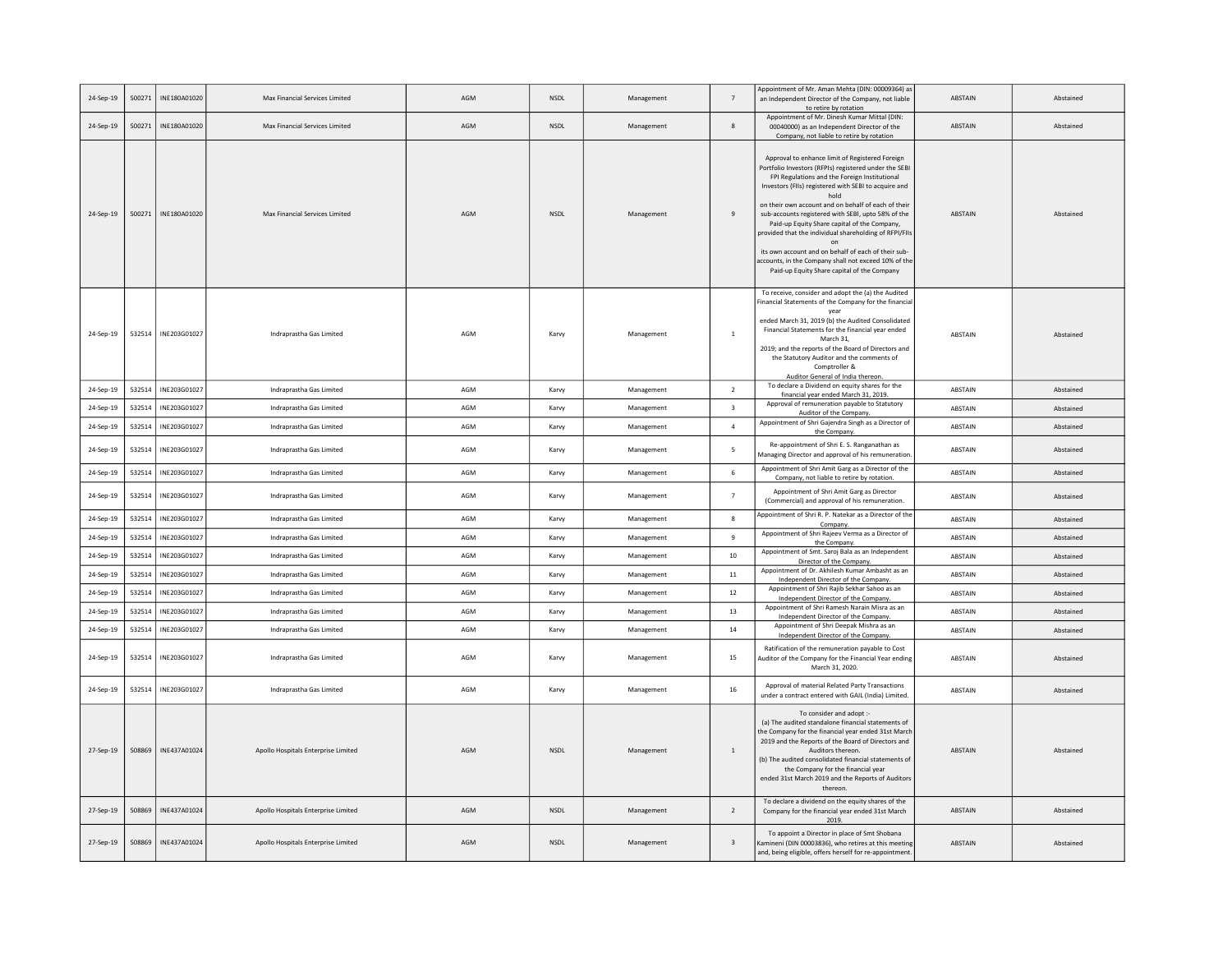| 24-Sep-19 | 500271 | INE180A01020 | Max Financial Services Limited      | AGM | <b>NSDL</b> | Management | $\overline{7}$          | Appointment of Mr. Aman Mehta (DIN: 00009364) as<br>an Independent Director of the Company, not liable<br>to retire by rotation                                                                                                                                                                                                                                                                                                                                                                                                                                                                                      | <b>ABSTAIN</b> | Abstained |
|-----------|--------|--------------|-------------------------------------|-----|-------------|------------|-------------------------|----------------------------------------------------------------------------------------------------------------------------------------------------------------------------------------------------------------------------------------------------------------------------------------------------------------------------------------------------------------------------------------------------------------------------------------------------------------------------------------------------------------------------------------------------------------------------------------------------------------------|----------------|-----------|
| 24-Sep-19 | 500271 | INE180A01020 | Max Financial Services Limited      | AGM | <b>NSDL</b> | Management | 8                       | Appointment of Mr. Dinesh Kumar Mittal (DIN:<br>00040000) as an Independent Director of the<br>Company, not liable to retire by rotation                                                                                                                                                                                                                                                                                                                                                                                                                                                                             | ABSTAIN        | Abstained |
| 24-Sep-19 | 500271 | INE180A01020 | Max Financial Services Limited      | AGM | <b>NSDL</b> | Management | $\overline{9}$          | Approval to enhance limit of Registered Foreign<br>Portfolio Investors (RFPIs) registered under the SEBI<br>FPI Regulations and the Foreign Institutional<br>Investors (FIIs) registered with SEBI to acquire and<br>hold<br>on their own account and on behalf of each of their<br>sub-accounts registered with SEBI, upto 58% of the<br>Paid-up Equity Share capital of the Company,<br>provided that the individual shareholding of RFPI/FIIs<br>on<br>its own account and on behalf of each of their sub-<br>accounts, in the Company shall not exceed 10% of the<br>Paid-up Equity Share capital of the Company | ABSTAIN        | Abstained |
| 24-Sep-19 | 532514 | INE203G01027 | Indraprastha Gas Limited            | AGM | Karvy       | Management | <sup>1</sup>            | To receive, consider and adopt the (a) the Audited<br>Financial Statements of the Company for the financial<br>ended March 31, 2019 (b) the Audited Consolidated<br>Financial Statements for the financial year ended<br>March 31.<br>2019; and the reports of the Board of Directors and<br>the Statutory Auditor and the comments of<br>Comptroller &<br>Auditor General of India thereon.                                                                                                                                                                                                                         | <b>ABSTAIN</b> | Abstained |
| 24-Sep-19 | 532514 | INE203G01027 | Indraprastha Gas Limited            | AGM | Karvy       | Management | $\overline{2}$          | To declare a Dividend on equity shares for the<br>financial year ended March 31, 2019.                                                                                                                                                                                                                                                                                                                                                                                                                                                                                                                               | ABSTAIN        | Abstained |
| 24-Sep-19 | 532514 | INE203G01027 | Indraprastha Gas Limited            | AGM | Karvy       | Management | $\overline{\mathbf{3}}$ | Approval of remuneration payable to Statutory<br>Auditor of the Company.                                                                                                                                                                                                                                                                                                                                                                                                                                                                                                                                             | ABSTAIN        | Abstained |
| 24-Sep-19 | 532514 | INE203G01027 | Indraprastha Gas Limited            | AGM | Karvy       | Management | $\overline{4}$          | Appointment of Shri Gajendra Singh as a Director of<br>the Company.                                                                                                                                                                                                                                                                                                                                                                                                                                                                                                                                                  | ABSTAIN        | Abstained |
| 24-Sep-19 | 532514 | INE203G01027 | Indraprastha Gas Limited            | AGM | Karvy       | Management | 5                       | Re-appointment of Shri E. S. Ranganathan as<br>Managing Director and approval of his remuneration.                                                                                                                                                                                                                                                                                                                                                                                                                                                                                                                   | ABSTAIN        | Abstained |
| 24-Sep-19 | 532514 | INE203G01027 | Indraprastha Gas Limited            | AGM | Karvy       | Management | $\,$ 6                  | Appointment of Shri Amit Garg as a Director of the<br>Company, not liable to retire by rotation                                                                                                                                                                                                                                                                                                                                                                                                                                                                                                                      | ABSTAIN        | Abstained |
| 24-Sep-19 | 532514 | INE203G01027 | Indraprastha Gas Limited            | AGM | Karvy       | Management | $\overline{7}$          | Appointment of Shri Amit Garg as Director<br>(Commercial) and approval of his remuneration.                                                                                                                                                                                                                                                                                                                                                                                                                                                                                                                          | ABSTAIN        | Abstained |
| 24-Sep-19 | 532514 | INE203G01027 | Indraprastha Gas Limited            | AGM | Karvy       | Management | $\boldsymbol{8}$        | Appointment of Shri R. P. Natekar as a Director of the<br>Company.                                                                                                                                                                                                                                                                                                                                                                                                                                                                                                                                                   | ABSTAIN        | Abstained |
| 24-Sep-19 | 532514 | INE203G01027 | Indraprastha Gas Limited            | AGM | Karvy       | Management | 9                       | Appointment of Shri Rajeev Verma as a Director of<br>the Company.                                                                                                                                                                                                                                                                                                                                                                                                                                                                                                                                                    | ABSTAIN        | Abstained |
| 24-Sep-19 | 532514 | INE203G01027 | Indraprastha Gas Limited            | AGM | Karvy       | Management | $10\,$                  | Appointment of Smt. Saroj Bala as an Independent<br>Director of the Company.                                                                                                                                                                                                                                                                                                                                                                                                                                                                                                                                         | ABSTAIN        | Abstained |
| 24-Sep-19 | 532514 | INE203G01027 | Indraprastha Gas Limited            | AGM | Karvy       | Management | 11                      | Appointment of Dr. Akhilesh Kumar Ambasht as an<br>Independent Director of the Company.                                                                                                                                                                                                                                                                                                                                                                                                                                                                                                                              | ABSTAIN        | Abstained |
| 24-Sep-19 | 532514 | INE203G01027 | Indraprastha Gas Limited            | AGM | Karvy       | Management | 12                      | Appointment of Shri Rajib Sekhar Sahoo as an<br>Independent Director of the Company.                                                                                                                                                                                                                                                                                                                                                                                                                                                                                                                                 | ABSTAIN        | Abstained |
| 24-Sep-19 | 532514 | INE203G01027 | Indraprastha Gas Limited            | AGM | Karvy       | Management | 13                      | Appointment of Shri Ramesh Narain Misra as an<br>Independent Director of the Company.                                                                                                                                                                                                                                                                                                                                                                                                                                                                                                                                | ABSTAIN        | Abstained |
| 24-Sep-19 | 532514 | INE203G01027 | Indraprastha Gas Limited            | AGM | Karvy       | Management | 14                      | Appointment of Shri Deepak Mishra as an<br>Independent Director of the Company.                                                                                                                                                                                                                                                                                                                                                                                                                                                                                                                                      | ABSTAIN        | Abstained |
| 24-Sep-19 | 532514 | INE203G01027 | Indraprastha Gas Limited            | AGM | Karvy       | Management | 15                      | Ratification of the remuneration payable to Cost<br>Auditor of the Company for the Financial Year ending<br>March 31, 2020.                                                                                                                                                                                                                                                                                                                                                                                                                                                                                          | ABSTAIN        | Abstained |
| 24-Sep-19 | 532514 | INE203G01027 | Indraprastha Gas Limited            | AGM | Karvy       | Management | $16\,$                  | Approval of material Related Party Transactions<br>under a contract entered with GAIL (India) Limited.                                                                                                                                                                                                                                                                                                                                                                                                                                                                                                               | ABSTAIN        | Abstained |
| 27-Sep-19 | 508869 | INE437A01024 | Apollo Hospitals Enterprise Limited | AGM | <b>NSDL</b> | Management | 1                       | To consider and adopt :-<br>(a) The audited standalone financial statements of<br>the Company for the financial year ended 31st March<br>2019 and the Reports of the Board of Directors and<br>Auditors thereon<br>(b) The audited consolidated financial statements of<br>the Company for the financial year<br>ended 31st March 2019 and the Reports of Auditors<br>thereon                                                                                                                                                                                                                                        | <b>ABSTAIN</b> | Abstained |
| 27-Sep-19 | 508869 | INE437A01024 | Apollo Hospitals Enterprise Limited | AGM | <b>NSDI</b> | Management | 2                       | To declare a dividend on the equity shares of the<br>Company for the financial year ended 31st March<br>2019.                                                                                                                                                                                                                                                                                                                                                                                                                                                                                                        | ABSTAIN        | Abstained |
| 27-Sep-19 | 508869 | INE437A01024 | Apollo Hospitals Enterprise Limited | AGM | <b>NSDL</b> | Management | $\overline{\mathbf{3}}$ | To appoint a Director in place of Smt Shobana<br>Kamineni (DIN 00003836), who retires at this meeting<br>and, being eligible, offers herself for re-appointment.                                                                                                                                                                                                                                                                                                                                                                                                                                                     | ABSTAIN        | Abstained |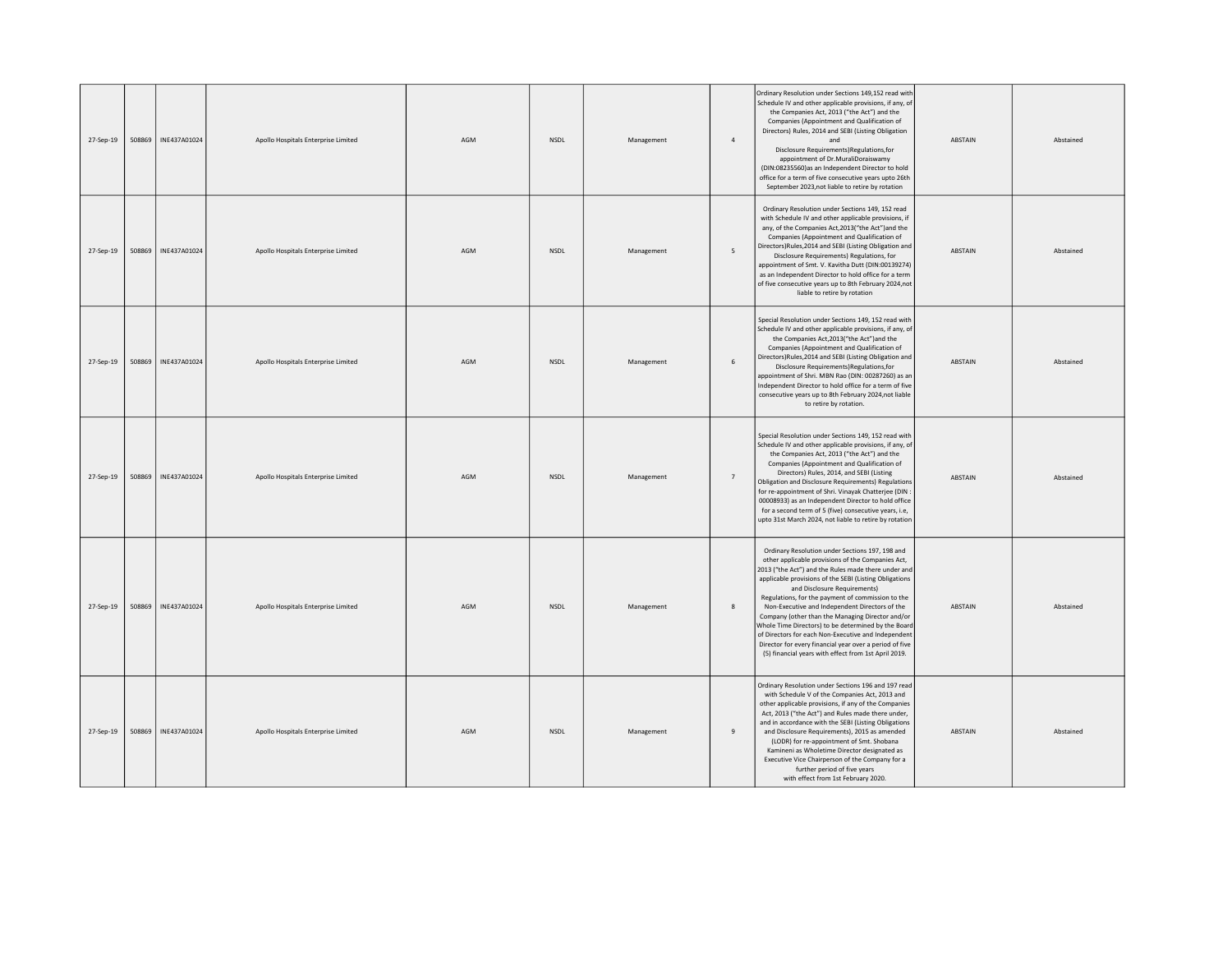| 27-Sep-19 | 508869 | INE437A01024 | Apollo Hospitals Enterprise Limited | AGM | NSDL        | Management | $\overline{a}$ | Ordinary Resolution under Sections 149,152 read with<br>Schedule IV and other applicable provisions, if any, of<br>the Companies Act, 2013 ("the Act") and the<br>Companies (Appointment and Qualification of<br>Directors) Rules, 2014 and SEBI (Listing Obligation<br>and<br>Disclosure Requirements) Regulations, for<br>appointment of Dr.MuraliDoraiswamy<br>(DIN:08235560)as an Independent Director to hold<br>office for a term of five consecutive years upto 26th<br>September 2023, not liable to retire by rotation                                                                                                                   | <b>ABSTAIN</b> | Abstained |
|-----------|--------|--------------|-------------------------------------|-----|-------------|------------|----------------|---------------------------------------------------------------------------------------------------------------------------------------------------------------------------------------------------------------------------------------------------------------------------------------------------------------------------------------------------------------------------------------------------------------------------------------------------------------------------------------------------------------------------------------------------------------------------------------------------------------------------------------------------|----------------|-----------|
| 27-Sep-19 | 508869 | INE437A01024 | Apollo Hospitals Enterprise Limited | AGM | NSDL        | Management | 5              | Ordinary Resolution under Sections 149, 152 read<br>with Schedule IV and other applicable provisions, if<br>any, of the Companies Act, 2013("the Act") and the<br>Companies (Appointment and Qualification of<br>Directors)Rules, 2014 and SEBI (Listing Obligation and<br>Disclosure Requirements) Regulations, for<br>appointment of Smt. V. Kavitha Dutt (DIN:00139274)<br>as an Independent Director to hold office for a term<br>of five consecutive years up to 8th February 2024,not<br>liable to retire by rotation                                                                                                                       | ABSTAIN        | Abstained |
| 27-Sep-19 | 508869 | INE437A01024 | Apollo Hospitals Enterprise Limited | AGM | NSDL        | Management | 6              | Special Resolution under Sections 149, 152 read with<br>Schedule IV and other applicable provisions, if any, of<br>the Companies Act, 2013("the Act") and the<br>Companies (Appointment and Qualification of<br>Directors)Rules, 2014 and SEBI (Listing Obligation and<br>Disclosure Requirements)Regulations,for<br>appointment of Shri. MBN Rao (DIN: 00287260) as an<br>Independent Director to hold office for a term of five<br>consecutive years up to 8th February 2024, not liable<br>to retire by rotation.                                                                                                                              | ABSTAIN        | Abstained |
| 27-Sep-19 | 508869 | INE437A01024 | Apollo Hospitals Enterprise Limited | AGM | <b>NSDI</b> | Management | $\overline{7}$ | Special Resolution under Sections 149, 152 read with<br>Schedule IV and other applicable provisions, if any, of<br>the Companies Act, 2013 ("the Act") and the<br>Companies (Appointment and Qualification of<br>Directors) Rules, 2014, and SEBI (Listing<br>Obligation and Disclosure Requirements) Regulations<br>for re-appointment of Shri. Vinayak Chatterjee (DIN<br>00008933) as an Independent Director to hold office<br>for a second term of 5 (five) consecutive years, i.e,<br>upto 31st March 2024, not liable to retire by rotation                                                                                                | <b>ABSTAIN</b> | Abstained |
| 27-Sep-19 | 508869 | INE437A01024 | Apollo Hospitals Enterprise Limited | AGM | NSDL        | Management | 8              | Ordinary Resolution under Sections 197, 198 and<br>other applicable provisions of the Companies Act,<br>2013 ("the Act") and the Rules made there under and<br>applicable provisions of the SEBI (Listing Obligations<br>and Disclosure Requirements)<br>Regulations, for the payment of commission to the<br>Non-Executive and Independent Directors of the<br>Company (other than the Managing Director and/or<br>Whole Time Directors) to be determined by the Board<br>of Directors for each Non-Executive and Independent<br>Director for every financial year over a period of five<br>(5) financial years with effect from 1st April 2019. | ABSTAIN        | Abstained |
| 27-Sep-19 | 508869 | INE437A01024 | Apollo Hospitals Enterprise Limited | AGM | <b>NSDL</b> | Management | $\mathbf{q}$   | Ordinary Resolution under Sections 196 and 197 read<br>with Schedule V of the Companies Act, 2013 and<br>other applicable provisions, if any of the Companies<br>Act, 2013 ("the Act") and Rules made there under,<br>and in accordance with the SEBI (Listing Obligations<br>and Disclosure Requirements), 2015 as amended<br>(LODR) for re-appointment of Smt. Shobana<br>Kamineni as Wholetime Director designated as<br>Executive Vice Chairperson of the Company for a<br>further period of five years<br>with effect from 1st February 2020.                                                                                                | ABSTAIN        | Abstained |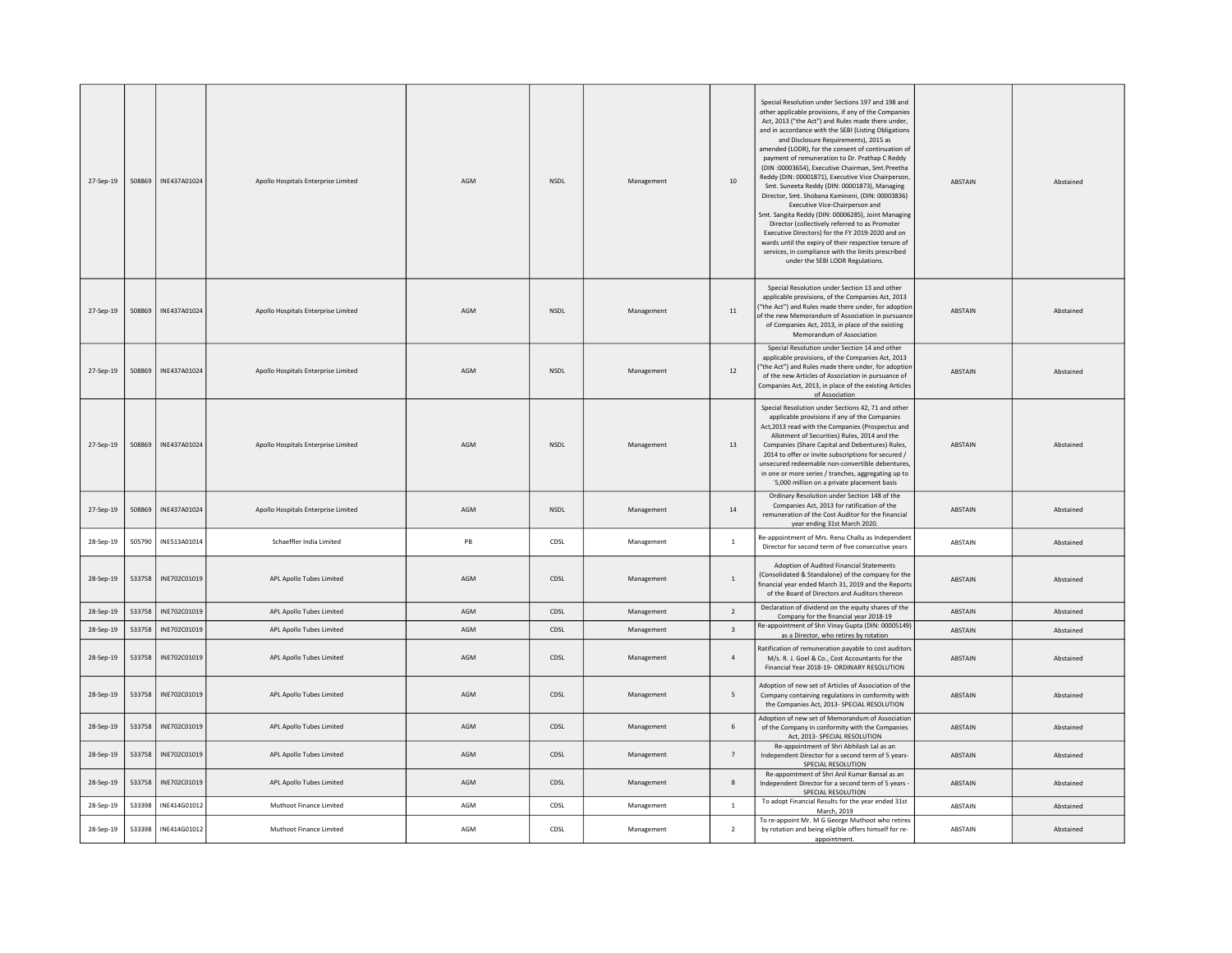| 27-Sep-19 | 508869 | INE437A01024 | Apollo Hospitals Enterprise Limited | AGM | <b>NSDL</b> | Management | 10                      | Special Resolution under Sections 197 and 198 and<br>other applicable provisions, if any of the Companies<br>Act, 2013 ("the Act") and Rules made there under,<br>and in accordance with the SEBI (Listing Obligations<br>and Disclosure Requirements), 2015 as<br>amended (LODR), for the consent of continuation of<br>payment of remuneration to Dr. Prathap C Reddy<br>(DIN : 00003654), Executive Chairman, Smt. Preetha<br>Reddy (DIN: 00001871), Executive Vice Chairperson,<br>Smt. Suneeta Reddy (DIN: 00001873), Managing<br>Director, Smt. Shobana Kamineni, (DIN: 00003836)<br>Executive Vice-Chairperson and<br>Smt. Sangita Reddy (DIN: 00006285), Joint Managing<br>Director (collectively referred to as Promoter<br>Executive Directors) for the FY 2019-2020 and on<br>wards until the expiry of their respective tenure of<br>services, in compliance with the limits prescribed<br>under the SEBI LODR Regulations. | ABSTAIN        | Abstained |
|-----------|--------|--------------|-------------------------------------|-----|-------------|------------|-------------------------|-----------------------------------------------------------------------------------------------------------------------------------------------------------------------------------------------------------------------------------------------------------------------------------------------------------------------------------------------------------------------------------------------------------------------------------------------------------------------------------------------------------------------------------------------------------------------------------------------------------------------------------------------------------------------------------------------------------------------------------------------------------------------------------------------------------------------------------------------------------------------------------------------------------------------------------------|----------------|-----------|
| 27-Sep-19 | 508869 | INF437A01024 | Apollo Hospitals Enterprise Limited | AGM | <b>NSDI</b> | Management | 11                      | Special Resolution under Section 13 and other<br>applicable provisions, of the Companies Act, 2013<br>"the Act") and Rules made there under, for adoption<br>of the new Memorandum of Association in pursuance<br>of Companies Act, 2013, in place of the existing<br>Memorandum of Association                                                                                                                                                                                                                                                                                                                                                                                                                                                                                                                                                                                                                                         | <b>ABSTAIN</b> | Abstained |
| 27-Sep-19 | 508869 | INE437A01024 | Apollo Hospitals Enterprise Limited | AGM | <b>NSDL</b> | Management | 12                      | Special Resolution under Section 14 and other<br>applicable provisions, of the Companies Act, 2013<br>"the Act") and Rules made there under, for adoption<br>of the new Articles of Association in pursuance of<br>Companies Act, 2013, in place of the existing Articles<br>of Association                                                                                                                                                                                                                                                                                                                                                                                                                                                                                                                                                                                                                                             | ABSTAIN        | Abstained |
| 27-Sep-19 | 508869 | INE437A01024 | Apollo Hospitals Enterprise Limited | AGM | NSDL        | Management | 13                      | Special Resolution under Sections 42, 71 and other<br>applicable provisions if any of the Companies<br>Act, 2013 read with the Companies (Prospectus and<br>Allotment of Securities) Rules, 2014 and the<br>Companies (Share Capital and Debentures) Rules,<br>2014 to offer or invite subscriptions for secured /<br>unsecured redeemable non-convertible debentures.<br>in one or more series / tranches, aggregating up to<br>'5,000 million on a private placement basis                                                                                                                                                                                                                                                                                                                                                                                                                                                            | ABSTAIN        | Abstained |
| 27-Sep-19 | 508869 | INE437A01024 | Apollo Hospitals Enterprise Limited | AGM | <b>NSDL</b> | Management | 14                      | Ordinary Resolution under Section 148 of the<br>Companies Act, 2013 for ratification of the<br>remuneration of the Cost Auditor for the financial<br>year ending 31st March 2020.                                                                                                                                                                                                                                                                                                                                                                                                                                                                                                                                                                                                                                                                                                                                                       | ABSTAIN        | Abstained |
| 28-Sep-19 | 505790 | INE513A01014 | Schaeffler India Limited            | PB  | CDSL        | Management | $\mathbf{1}$            | Re-appointment of Mrs. Renu Challu as Independent<br>Director for second term of five consecutive years                                                                                                                                                                                                                                                                                                                                                                                                                                                                                                                                                                                                                                                                                                                                                                                                                                 | ABSTAIN        | Abstained |
| 28-Sep-19 | 533758 | INE702C01019 | APL Apollo Tubes Limited            | AGM | CDSL        | Management | $\mathbf{1}$            | Adoption of Audited Financial Statements<br>(Consolidated & Standalone) of the company for the<br>financial year ended March 31, 2019 and the Reports<br>of the Board of Directors and Auditors thereon                                                                                                                                                                                                                                                                                                                                                                                                                                                                                                                                                                                                                                                                                                                                 | ABSTAIN        | Abstained |
| 28-Sep-19 | 533758 | INE702C01019 | APL Apollo Tubes Limited            | AGM | CDSL        | Management | $\overline{2}$          | Declaration of dividend on the equity shares of the<br>Company for the financial year 2018-19                                                                                                                                                                                                                                                                                                                                                                                                                                                                                                                                                                                                                                                                                                                                                                                                                                           | ABSTAIN        | Abstained |
| 28-Sep-19 | 533758 | INE702C01019 | APL Apollo Tubes Limited            | AGM | CDSL        | Management | $\overline{\mathbf{3}}$ | Re-appointment of Shri Vinay Gupta (DIN: 00005149)<br>as a Director, who retires by rotation                                                                                                                                                                                                                                                                                                                                                                                                                                                                                                                                                                                                                                                                                                                                                                                                                                            | ABSTAIN        | Abstained |
| 28-Sep-19 | 533758 | INE702C01019 | APL Apollo Tubes Limited            | AGM | CDSL        | Management | $\overline{4}$          | Ratification of remuneration payable to cost auditors<br>M/s. R. J. Goel & Co., Cost Accountants for the<br>Financial Year 2018-19- ORDINARY RESOLUTION                                                                                                                                                                                                                                                                                                                                                                                                                                                                                                                                                                                                                                                                                                                                                                                 | ABSTAIN        | Abstained |
| 28-Sep-19 | 533758 | INE702C01019 | APL Apollo Tubes Limited            | AGM | CDSL        | Management | $5\overline{5}$         | Adoption of new set of Articles of Association of the<br>Company containing regulations in conformity with<br>the Companies Act, 2013- SPECIAL RESOLUTION                                                                                                                                                                                                                                                                                                                                                                                                                                                                                                                                                                                                                                                                                                                                                                               | ABSTAIN        | Abstained |
| 28-Sep-19 | 533758 | INE702C01019 | APL Apollo Tubes Limited            | AGM | CDSL        | Management | 6                       | Adoption of new set of Memorandum of Association<br>of the Company in conformity with the Companies<br>Act, 2013- SPECIAL RESOLUTION                                                                                                                                                                                                                                                                                                                                                                                                                                                                                                                                                                                                                                                                                                                                                                                                    | ABSTAIN        | Abstained |
| 28-Sep-19 | 533758 | INE702C01019 | APL Apollo Tubes Limited            | AGM | CDSL        | Management | $\overline{7}$          | Re-appointment of Shri Abhilash Lal as an<br>Independent Director for a second term of 5 years-<br>SPECIAL RESOLUTION                                                                                                                                                                                                                                                                                                                                                                                                                                                                                                                                                                                                                                                                                                                                                                                                                   | ABSTAIN        | Abstained |
| 28-Sep-19 | 533758 | INE702C01019 | APL Apollo Tubes Limited            | AGM | CDSL        | Management | 8                       | Re-appointment of Shri Anil Kumar Bansal as an<br>Independent Director for a second term of 5 years -<br>SPECIAL RESOLUTION                                                                                                                                                                                                                                                                                                                                                                                                                                                                                                                                                                                                                                                                                                                                                                                                             | ABSTAIN        | Abstained |
| 28-Sep-19 | 533398 | INE414G01012 | Muthoot Finance Limited             | AGM | CDSL        | Management | $\mathbf{1}$            | To adopt Financial Results for the year ended 31st<br>March, 2019                                                                                                                                                                                                                                                                                                                                                                                                                                                                                                                                                                                                                                                                                                                                                                                                                                                                       | ABSTAIN        | Abstained |
| 28-Sep-19 | 533398 | INE414G01012 | Muthoot Finance Limited             | AGM | CDSL        | Management | $\overline{2}$          | To re-appoint Mr. M G George Muthoot who retires<br>by rotation and being eligible offers himself for re-<br>appointment.                                                                                                                                                                                                                                                                                                                                                                                                                                                                                                                                                                                                                                                                                                                                                                                                               | ABSTAIN        | Abstained |